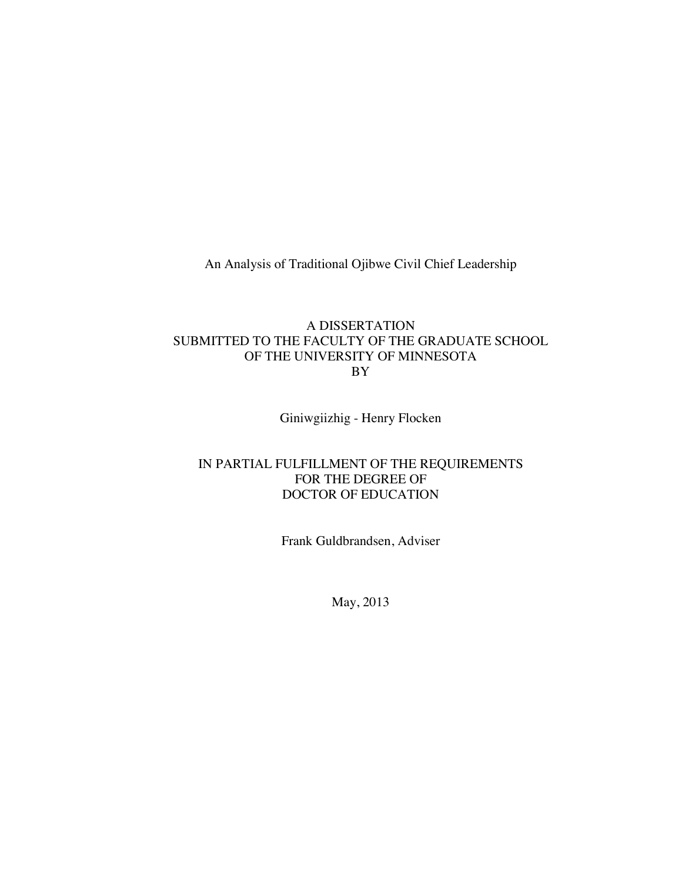An Analysis of Traditional Ojibwe Civil Chief Leadership

# A DISSERTATION SUBMITTED TO THE FACULTY OF THE GRADUATE SCHOOL OF THE UNIVERSITY OF MINNESOTA BY

Giniwgiizhig - Henry Flocken

# IN PARTIAL FULFILLMENT OF THE REQUIREMENTS FOR THE DEGREE OF DOCTOR OF EDUCATION

Frank Guldbrandsen, Adviser

May, 2013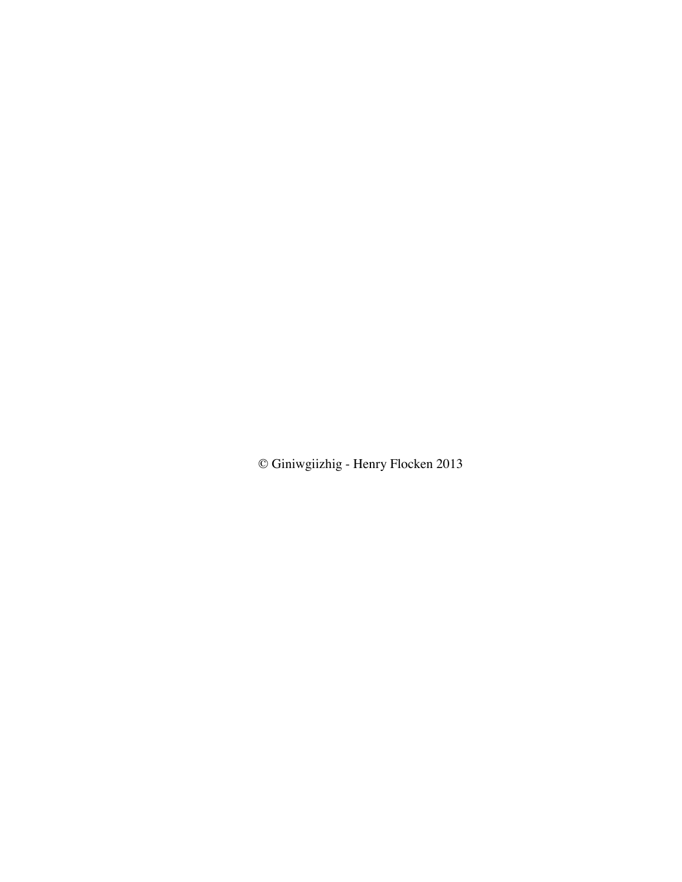© Giniwgiizhig - Henry Flocken 2013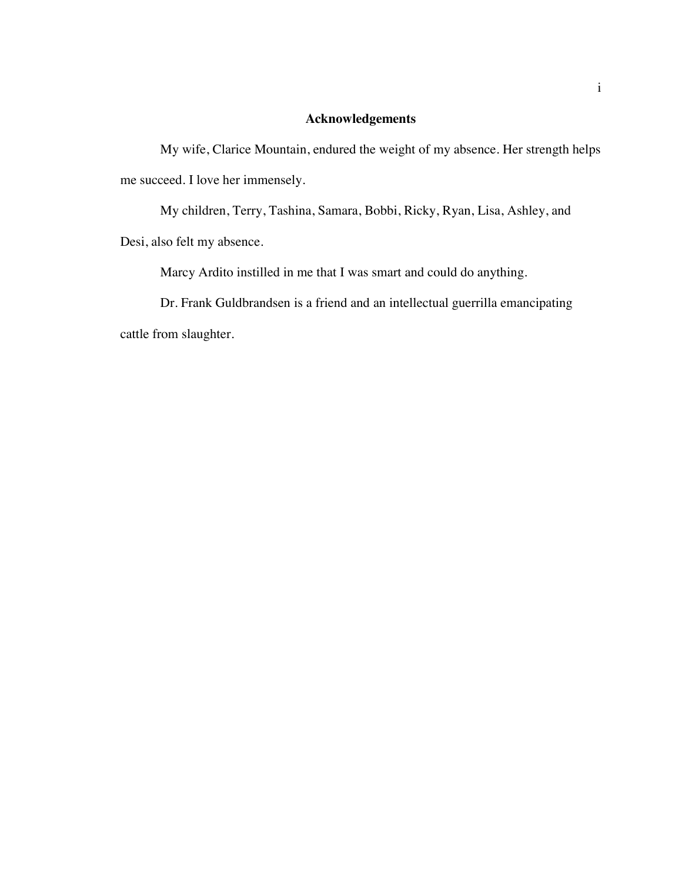# **Acknowledgements**

My wife, Clarice Mountain, endured the weight of my absence. Her strength helps me succeed. I love her immensely.

My children, Terry, Tashina, Samara, Bobbi, Ricky, Ryan, Lisa, Ashley, and Desi, also felt my absence.

Marcy Ardito instilled in me that I was smart and could do anything.

Dr. Frank Guldbrandsen is a friend and an intellectual guerrilla emancipating cattle from slaughter.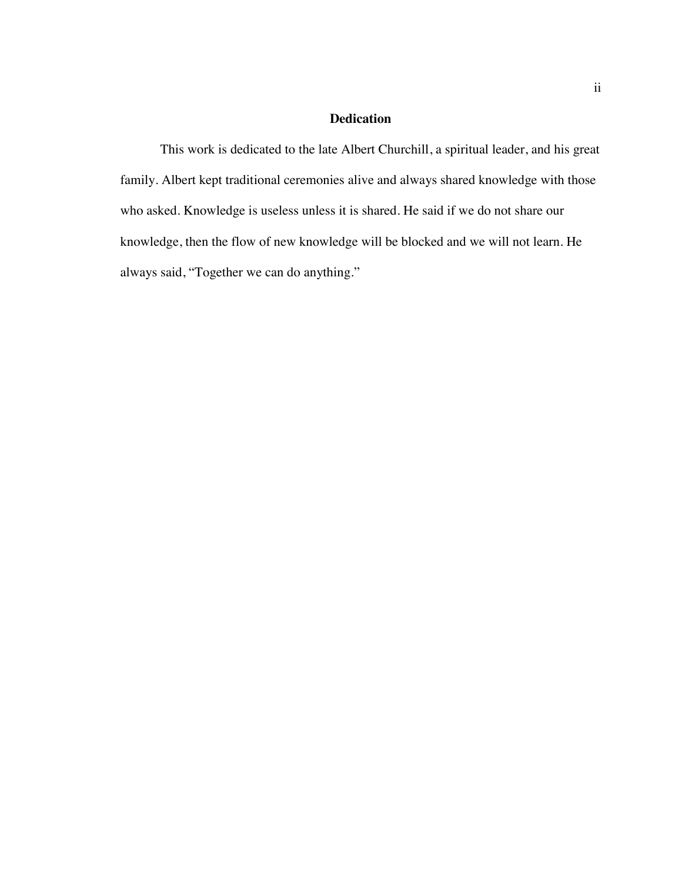# **Dedication**

This work is dedicated to the late Albert Churchill, a spiritual leader, and his great family. Albert kept traditional ceremonies alive and always shared knowledge with those who asked. Knowledge is useless unless it is shared. He said if we do not share our knowledge, then the flow of new knowledge will be blocked and we will not learn. He always said, "Together we can do anything."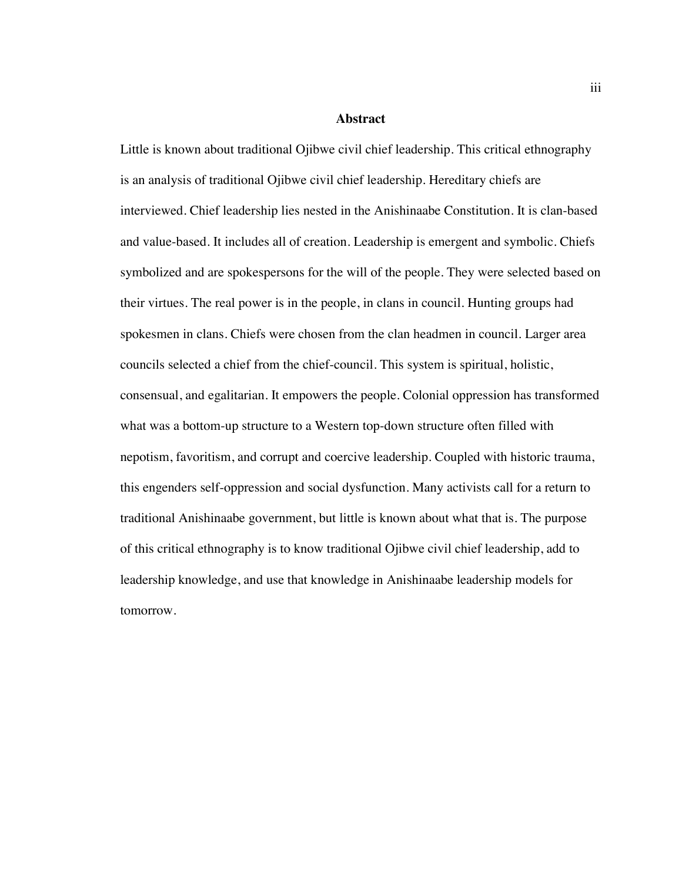#### **Abstract**

Little is known about traditional Ojibwe civil chief leadership. This critical ethnography is an analysis of traditional Ojibwe civil chief leadership. Hereditary chiefs are interviewed. Chief leadership lies nested in the Anishinaabe Constitution. It is clan-based and value-based. It includes all of creation. Leadership is emergent and symbolic. Chiefs symbolized and are spokespersons for the will of the people. They were selected based on their virtues. The real power is in the people, in clans in council. Hunting groups had spokesmen in clans. Chiefs were chosen from the clan headmen in council. Larger area councils selected a chief from the chief-council. This system is spiritual, holistic, consensual, and egalitarian. It empowers the people. Colonial oppression has transformed what was a bottom-up structure to a Western top-down structure often filled with nepotism, favoritism, and corrupt and coercive leadership. Coupled with historic trauma, this engenders self-oppression and social dysfunction. Many activists call for a return to traditional Anishinaabe government, but little is known about what that is. The purpose of this critical ethnography is to know traditional Ojibwe civil chief leadership, add to leadership knowledge, and use that knowledge in Anishinaabe leadership models for tomorrow.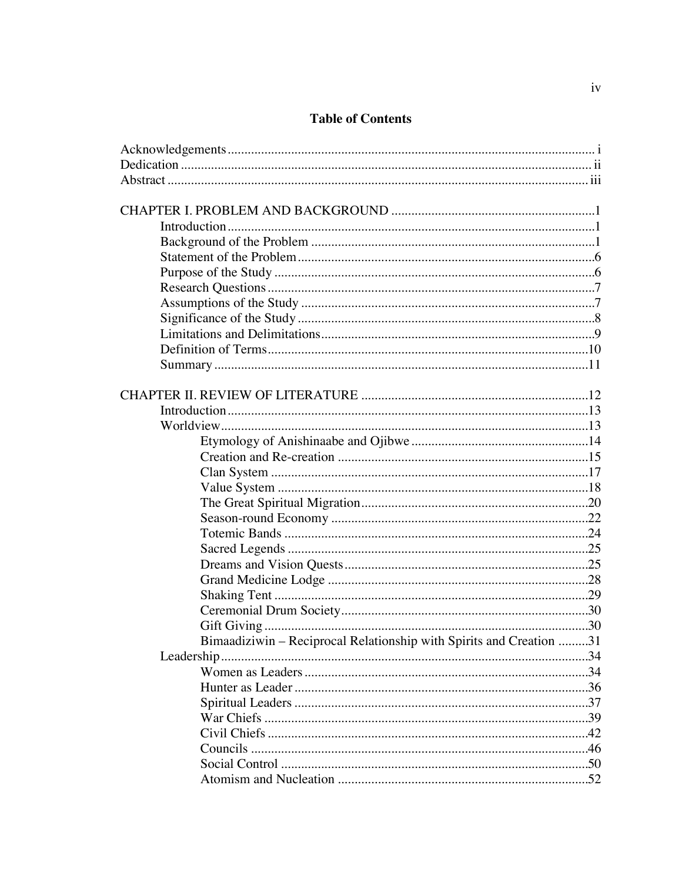# **Table of Contents**

| Bimaadiziwin - Reciprocal Relationship with Spirits and Creation 31 |  |
|---------------------------------------------------------------------|--|
|                                                                     |  |
|                                                                     |  |
|                                                                     |  |
|                                                                     |  |
|                                                                     |  |
|                                                                     |  |
|                                                                     |  |
|                                                                     |  |
|                                                                     |  |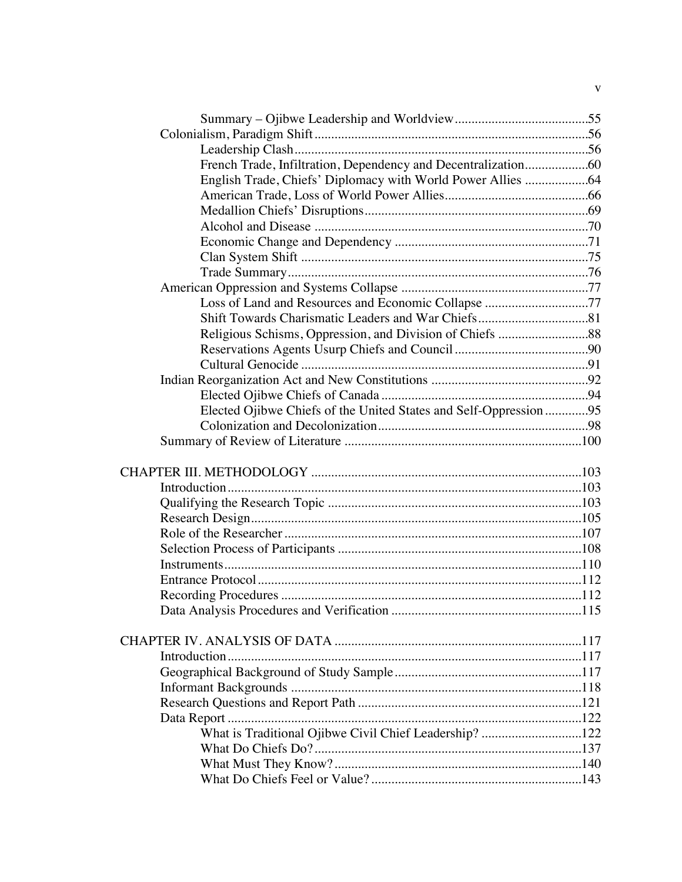| French Trade, Infiltration, Dependency and Decentralization60    |  |
|------------------------------------------------------------------|--|
|                                                                  |  |
|                                                                  |  |
|                                                                  |  |
|                                                                  |  |
|                                                                  |  |
|                                                                  |  |
|                                                                  |  |
|                                                                  |  |
| Loss of Land and Resources and Economic Collapse 77              |  |
|                                                                  |  |
|                                                                  |  |
|                                                                  |  |
|                                                                  |  |
|                                                                  |  |
|                                                                  |  |
| Elected Ojibwe Chiefs of the United States and Self-Oppression95 |  |
|                                                                  |  |
|                                                                  |  |
|                                                                  |  |
|                                                                  |  |
|                                                                  |  |
|                                                                  |  |
|                                                                  |  |
|                                                                  |  |
|                                                                  |  |
|                                                                  |  |
|                                                                  |  |
|                                                                  |  |
|                                                                  |  |
|                                                                  |  |
|                                                                  |  |
|                                                                  |  |
|                                                                  |  |
|                                                                  |  |
|                                                                  |  |
|                                                                  |  |
| What is Traditional Ojibwe Civil Chief Leadership? 122           |  |
|                                                                  |  |
|                                                                  |  |
|                                                                  |  |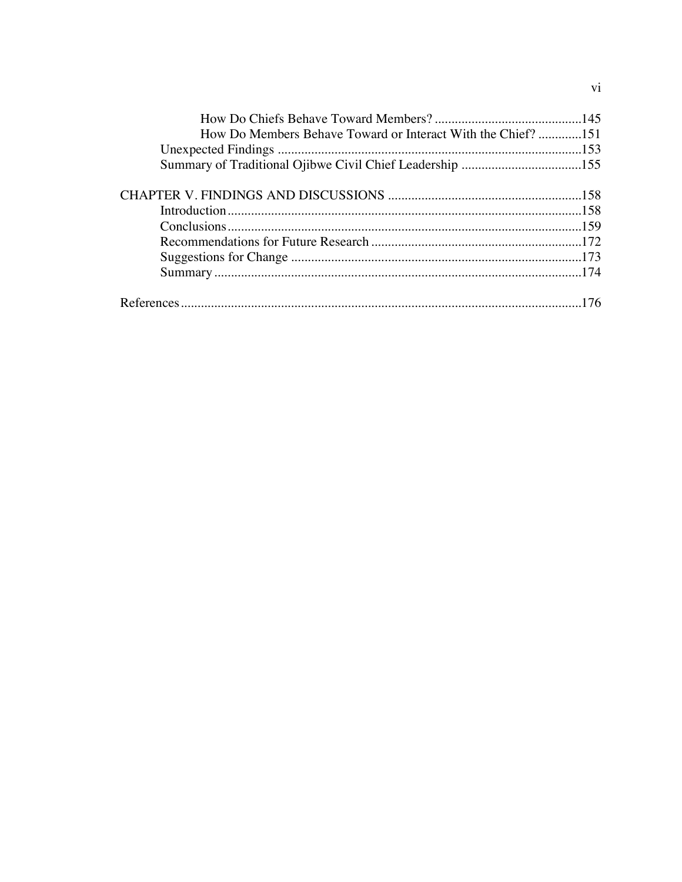| How Do Members Behave Toward or Interact With the Chief?151 |  |
|-------------------------------------------------------------|--|
|                                                             |  |
|                                                             |  |
|                                                             |  |
|                                                             |  |
|                                                             |  |
|                                                             |  |
|                                                             |  |
|                                                             |  |
|                                                             |  |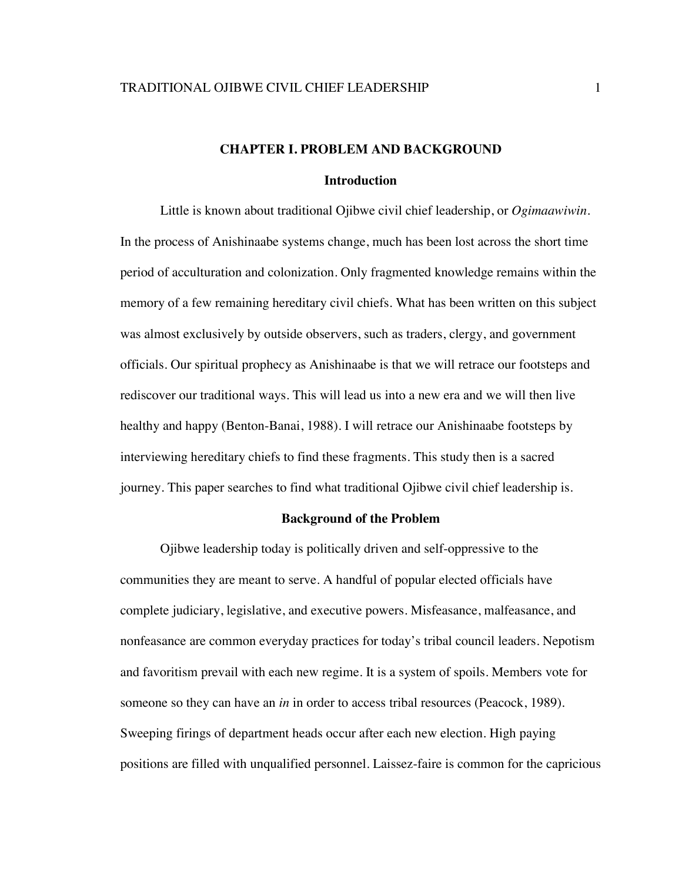# **CHAPTER I. PROBLEM AND BACKGROUND**

#### **Introduction**

Little is known about traditional Ojibwe civil chief leadership, or *Ogimaawiwin*. In the process of Anishinaabe systems change, much has been lost across the short time period of acculturation and colonization. Only fragmented knowledge remains within the memory of a few remaining hereditary civil chiefs. What has been written on this subject was almost exclusively by outside observers, such as traders, clergy, and government officials. Our spiritual prophecy as Anishinaabe is that we will retrace our footsteps and rediscover our traditional ways. This will lead us into a new era and we will then live healthy and happy (Benton-Banai, 1988). I will retrace our Anishinaabe footsteps by interviewing hereditary chiefs to find these fragments. This study then is a sacred journey. This paper searches to find what traditional Ojibwe civil chief leadership is.

#### **Background of the Problem**

Ojibwe leadership today is politically driven and self-oppressive to the communities they are meant to serve. A handful of popular elected officials have complete judiciary, legislative, and executive powers. Misfeasance, malfeasance, and nonfeasance are common everyday practices for today's tribal council leaders. Nepotism and favoritism prevail with each new regime. It is a system of spoils. Members vote for someone so they can have an *in* in order to access tribal resources (Peacock, 1989). Sweeping firings of department heads occur after each new election. High paying positions are filled with unqualified personnel. Laissez-faire is common for the capricious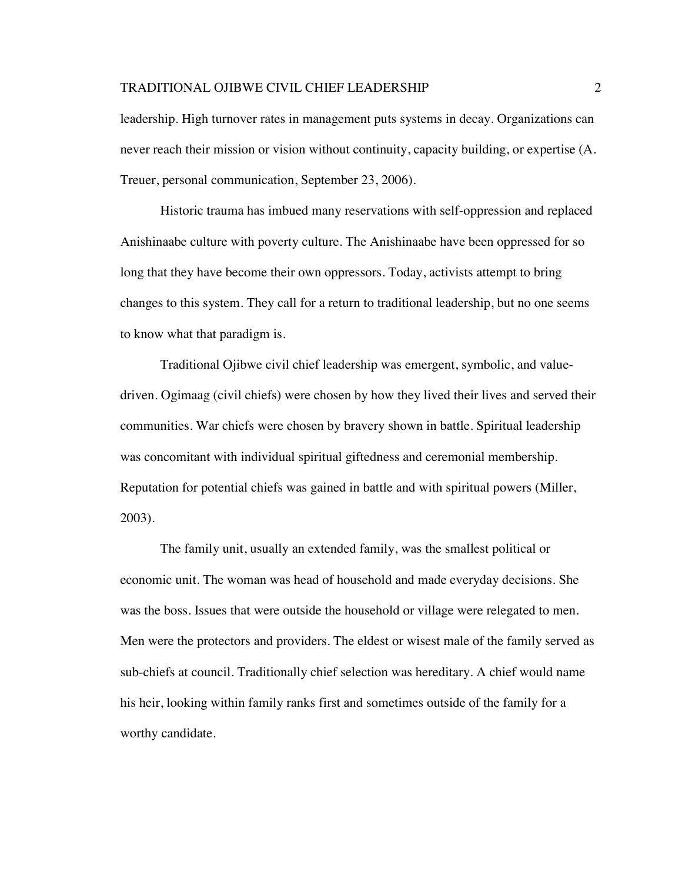leadership. High turnover rates in management puts systems in decay. Organizations can never reach their mission or vision without continuity, capacity building, or expertise (A. Treuer, personal communication, September 23, 2006).

Historic trauma has imbued many reservations with self-oppression and replaced Anishinaabe culture with poverty culture. The Anishinaabe have been oppressed for so long that they have become their own oppressors. Today, activists attempt to bring changes to this system. They call for a return to traditional leadership, but no one seems to know what that paradigm is.

Traditional Ojibwe civil chief leadership was emergent, symbolic, and valuedriven. Ogimaag (civil chiefs) were chosen by how they lived their lives and served their communities. War chiefs were chosen by bravery shown in battle. Spiritual leadership was concomitant with individual spiritual giftedness and ceremonial membership. Reputation for potential chiefs was gained in battle and with spiritual powers (Miller, 2003).

The family unit, usually an extended family, was the smallest political or economic unit. The woman was head of household and made everyday decisions. She was the boss. Issues that were outside the household or village were relegated to men. Men were the protectors and providers. The eldest or wisest male of the family served as sub-chiefs at council. Traditionally chief selection was hereditary. A chief would name his heir, looking within family ranks first and sometimes outside of the family for a worthy candidate.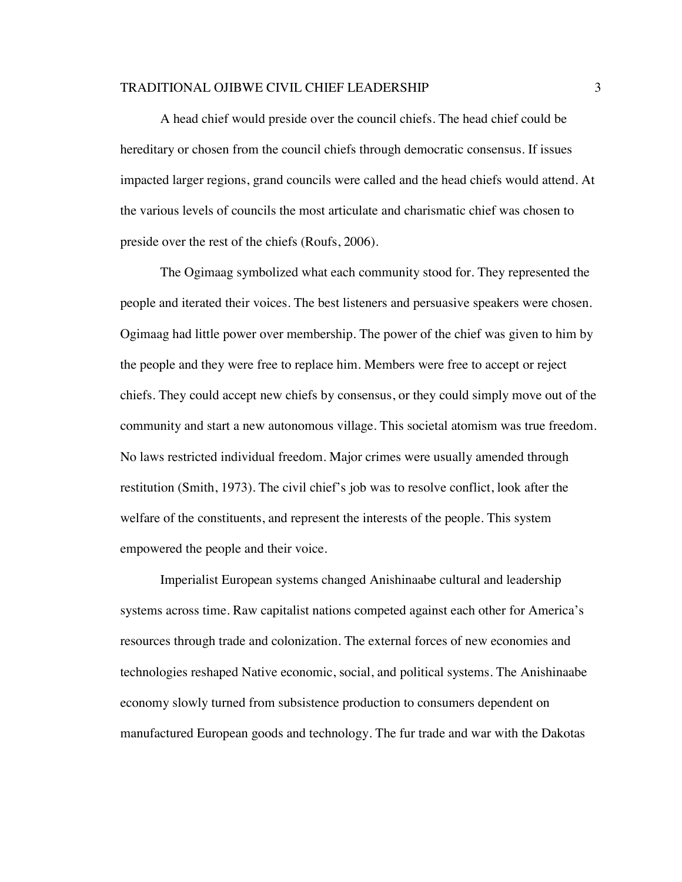A head chief would preside over the council chiefs. The head chief could be hereditary or chosen from the council chiefs through democratic consensus. If issues impacted larger regions, grand councils were called and the head chiefs would attend. At the various levels of councils the most articulate and charismatic chief was chosen to preside over the rest of the chiefs (Roufs, 2006).

The Ogimaag symbolized what each community stood for. They represented the people and iterated their voices. The best listeners and persuasive speakers were chosen. Ogimaag had little power over membership. The power of the chief was given to him by the people and they were free to replace him. Members were free to accept or reject chiefs. They could accept new chiefs by consensus, or they could simply move out of the community and start a new autonomous village. This societal atomism was true freedom. No laws restricted individual freedom. Major crimes were usually amended through restitution (Smith, 1973). The civil chief's job was to resolve conflict, look after the welfare of the constituents, and represent the interests of the people. This system empowered the people and their voice.

Imperialist European systems changed Anishinaabe cultural and leadership systems across time. Raw capitalist nations competed against each other for America's resources through trade and colonization. The external forces of new economies and technologies reshaped Native economic, social, and political systems. The Anishinaabe economy slowly turned from subsistence production to consumers dependent on manufactured European goods and technology. The fur trade and war with the Dakotas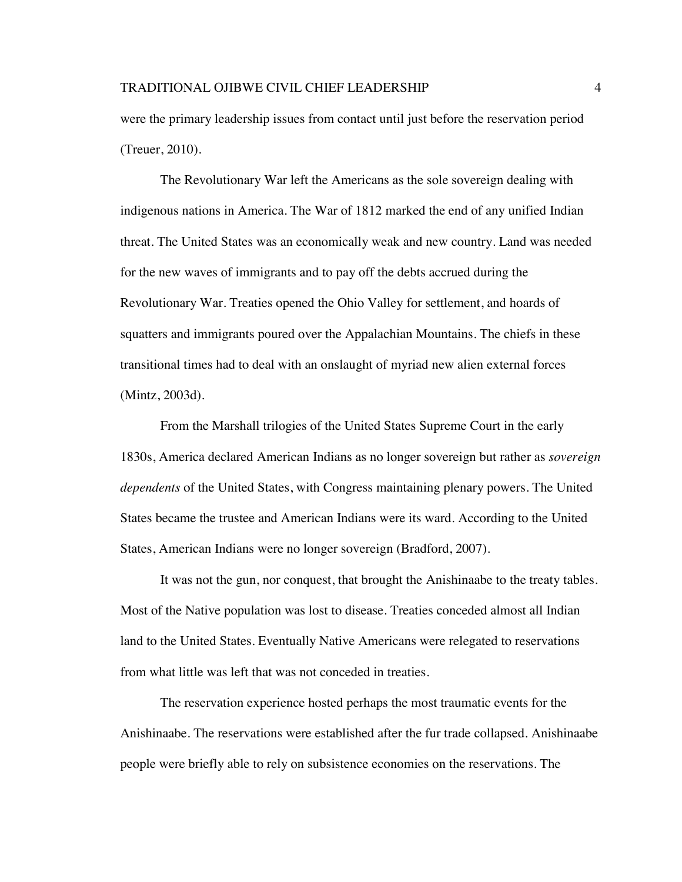were the primary leadership issues from contact until just before the reservation period (Treuer, 2010).

The Revolutionary War left the Americans as the sole sovereign dealing with indigenous nations in America. The War of 1812 marked the end of any unified Indian threat. The United States was an economically weak and new country. Land was needed for the new waves of immigrants and to pay off the debts accrued during the Revolutionary War. Treaties opened the Ohio Valley for settlement, and hoards of squatters and immigrants poured over the Appalachian Mountains. The chiefs in these transitional times had to deal with an onslaught of myriad new alien external forces (Mintz, 2003d).

From the Marshall trilogies of the United States Supreme Court in the early 1830s, America declared American Indians as no longer sovereign but rather as *sovereign dependents* of the United States, with Congress maintaining plenary powers. The United States became the trustee and American Indians were its ward. According to the United States, American Indians were no longer sovereign (Bradford, 2007).

It was not the gun, nor conquest, that brought the Anishinaabe to the treaty tables. Most of the Native population was lost to disease. Treaties conceded almost all Indian land to the United States. Eventually Native Americans were relegated to reservations from what little was left that was not conceded in treaties.

The reservation experience hosted perhaps the most traumatic events for the Anishinaabe. The reservations were established after the fur trade collapsed. Anishinaabe people were briefly able to rely on subsistence economies on the reservations. The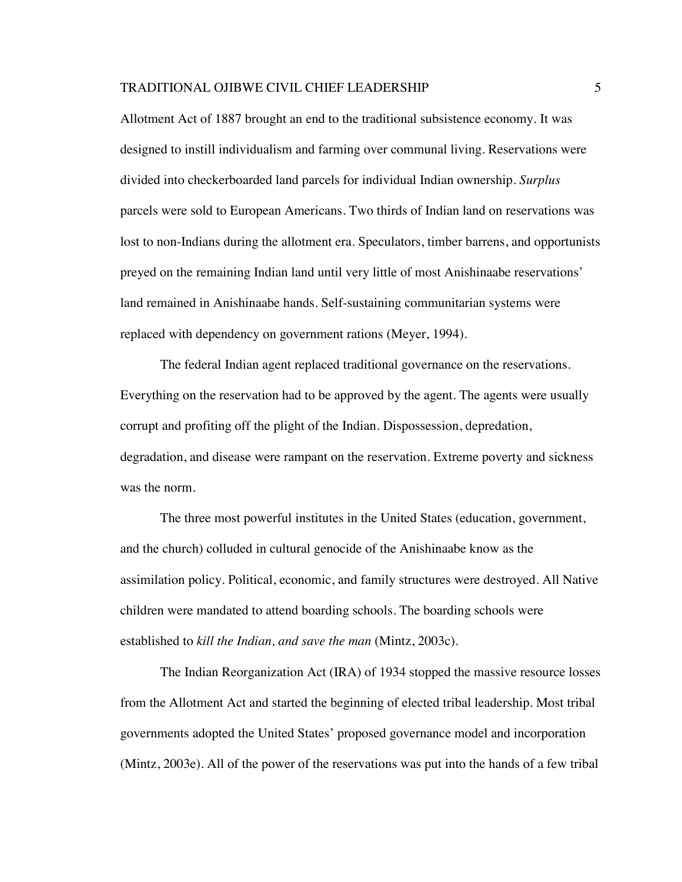Allotment Act of 1887 brought an end to the traditional subsistence economy. It was designed to instill individualism and farming over communal living. Reservations were divided into checkerboarded land parcels for individual Indian ownership. *Surplus*  parcels were sold to European Americans. Two thirds of Indian land on reservations was lost to non-Indians during the allotment era. Speculators, timber barrens, and opportunists preyed on the remaining Indian land until very little of most Anishinaabe reservations' land remained in Anishinaabe hands. Self-sustaining communitarian systems were replaced with dependency on government rations (Meyer, 1994).

The federal Indian agent replaced traditional governance on the reservations. Everything on the reservation had to be approved by the agent. The agents were usually corrupt and profiting off the plight of the Indian. Dispossession, depredation, degradation, and disease were rampant on the reservation. Extreme poverty and sickness was the norm.

The three most powerful institutes in the United States (education, government, and the church) colluded in cultural genocide of the Anishinaabe know as the assimilation policy. Political, economic, and family structures were destroyed. All Native children were mandated to attend boarding schools. The boarding schools were established to *kill the Indian, and save the man* (Mintz, 2003c).

The Indian Reorganization Act (IRA) of 1934 stopped the massive resource losses from the Allotment Act and started the beginning of elected tribal leadership. Most tribal governments adopted the United States' proposed governance model and incorporation (Mintz, 2003e). All of the power of the reservations was put into the hands of a few tribal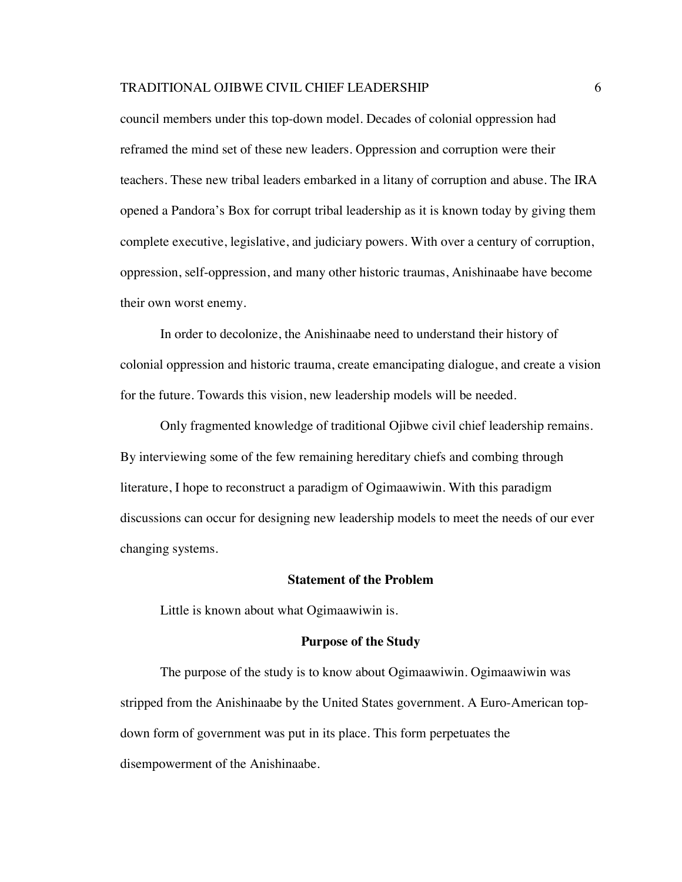council members under this top-down model. Decades of colonial oppression had reframed the mind set of these new leaders. Oppression and corruption were their teachers. These new tribal leaders embarked in a litany of corruption and abuse. The IRA opened a Pandora's Box for corrupt tribal leadership as it is known today by giving them complete executive, legislative, and judiciary powers. With over a century of corruption, oppression, self-oppression, and many other historic traumas, Anishinaabe have become their own worst enemy.

In order to decolonize, the Anishinaabe need to understand their history of colonial oppression and historic trauma, create emancipating dialogue, and create a vision for the future. Towards this vision, new leadership models will be needed.

Only fragmented knowledge of traditional Ojibwe civil chief leadership remains. By interviewing some of the few remaining hereditary chiefs and combing through literature, I hope to reconstruct a paradigm of Ogimaawiwin. With this paradigm discussions can occur for designing new leadership models to meet the needs of our ever changing systems.

#### **Statement of the Problem**

Little is known about what Ogimaawiwin is.

#### **Purpose of the Study**

The purpose of the study is to know about Ogimaawiwin. Ogimaawiwin was stripped from the Anishinaabe by the United States government. A Euro-American topdown form of government was put in its place. This form perpetuates the disempowerment of the Anishinaabe.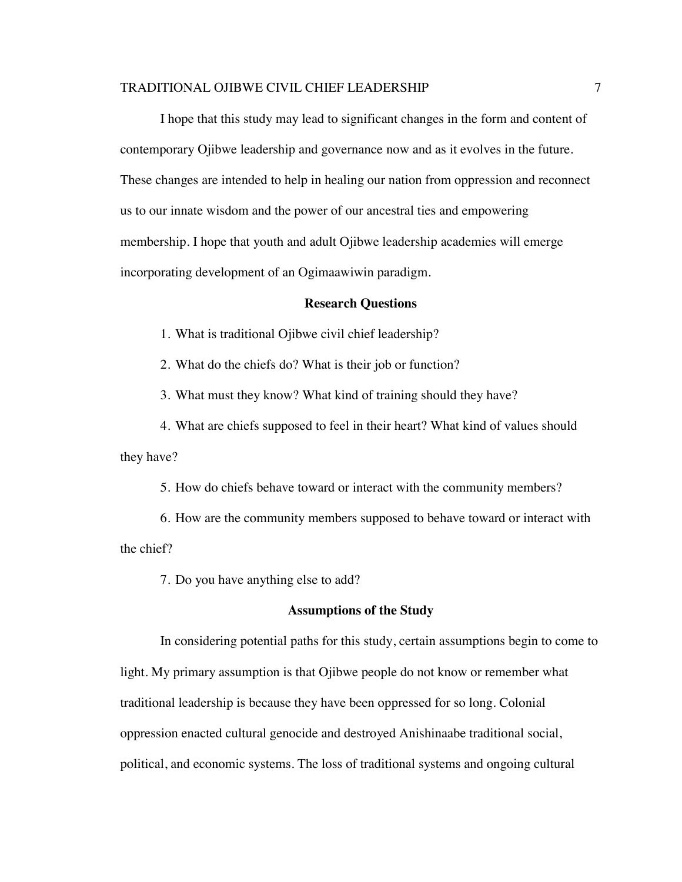I hope that this study may lead to significant changes in the form and content of contemporary Ojibwe leadership and governance now and as it evolves in the future. These changes are intended to help in healing our nation from oppression and reconnect us to our innate wisdom and the power of our ancestral ties and empowering membership. I hope that youth and adult Ojibwe leadership academies will emerge incorporating development of an Ogimaawiwin paradigm.

#### **Research Questions**

1. What is traditional Ojibwe civil chief leadership?

2. What do the chiefs do? What is their job or function?

3. What must they know? What kind of training should they have?

4. What are chiefs supposed to feel in their heart? What kind of values should they have?

5. How do chiefs behave toward or interact with the community members?

6. How are the community members supposed to behave toward or interact with the chief?

7. Do you have anything else to add?

#### **Assumptions of the Study**

In considering potential paths for this study, certain assumptions begin to come to light. My primary assumption is that Ojibwe people do not know or remember what traditional leadership is because they have been oppressed for so long. Colonial oppression enacted cultural genocide and destroyed Anishinaabe traditional social, political, and economic systems. The loss of traditional systems and ongoing cultural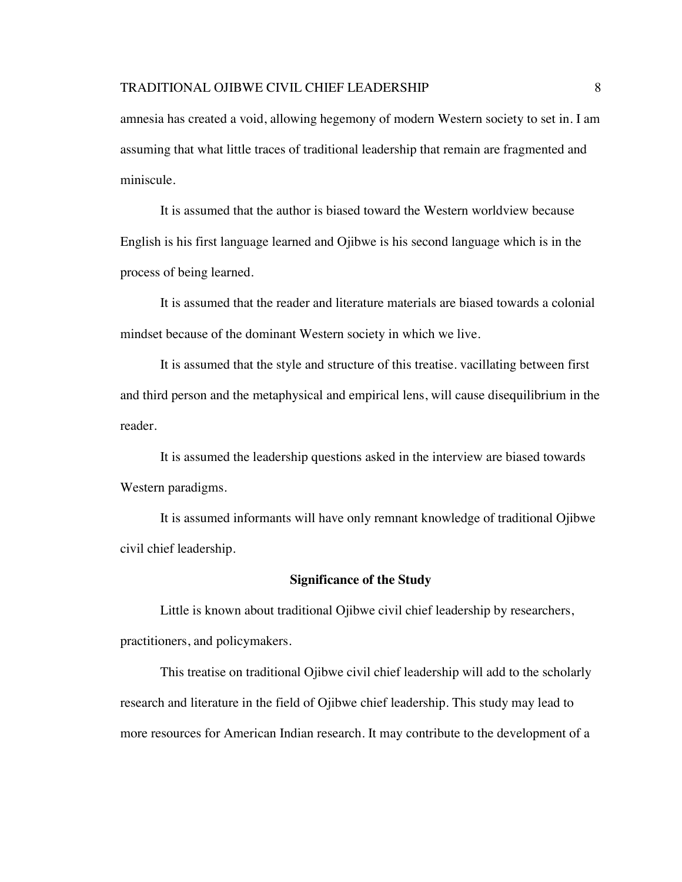amnesia has created a void, allowing hegemony of modern Western society to set in. I am assuming that what little traces of traditional leadership that remain are fragmented and miniscule.

It is assumed that the author is biased toward the Western worldview because English is his first language learned and Ojibwe is his second language which is in the process of being learned.

It is assumed that the reader and literature materials are biased towards a colonial mindset because of the dominant Western society in which we live.

It is assumed that the style and structure of this treatise. vacillating between first and third person and the metaphysical and empirical lens, will cause disequilibrium in the reader.

It is assumed the leadership questions asked in the interview are biased towards Western paradigms.

It is assumed informants will have only remnant knowledge of traditional Ojibwe civil chief leadership.

# **Significance of the Study**

Little is known about traditional Ojibwe civil chief leadership by researchers, practitioners, and policymakers.

This treatise on traditional Ojibwe civil chief leadership will add to the scholarly research and literature in the field of Ojibwe chief leadership. This study may lead to more resources for American Indian research. It may contribute to the development of a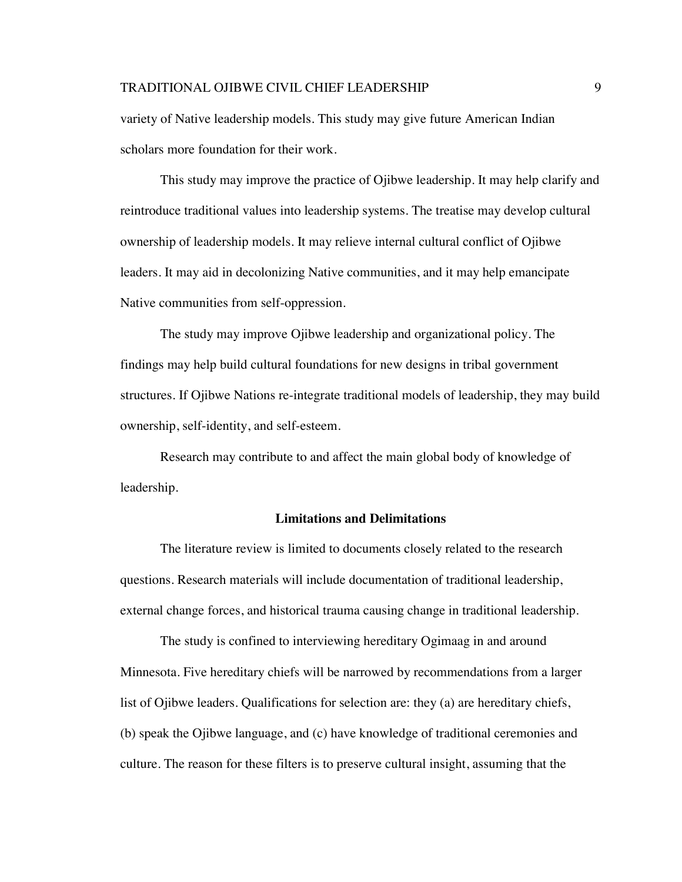variety of Native leadership models. This study may give future American Indian scholars more foundation for their work.

This study may improve the practice of Ojibwe leadership. It may help clarify and reintroduce traditional values into leadership systems. The treatise may develop cultural ownership of leadership models. It may relieve internal cultural conflict of Ojibwe leaders. It may aid in decolonizing Native communities, and it may help emancipate Native communities from self-oppression.

The study may improve Ojibwe leadership and organizational policy. The findings may help build cultural foundations for new designs in tribal government structures. If Ojibwe Nations re-integrate traditional models of leadership, they may build ownership, self-identity, and self-esteem.

Research may contribute to and affect the main global body of knowledge of leadership.

#### **Limitations and Delimitations**

The literature review is limited to documents closely related to the research questions. Research materials will include documentation of traditional leadership, external change forces, and historical trauma causing change in traditional leadership.

The study is confined to interviewing hereditary Ogimaag in and around Minnesota. Five hereditary chiefs will be narrowed by recommendations from a larger list of Ojibwe leaders. Qualifications for selection are: they (a) are hereditary chiefs, (b) speak the Ojibwe language, and (c) have knowledge of traditional ceremonies and culture. The reason for these filters is to preserve cultural insight, assuming that the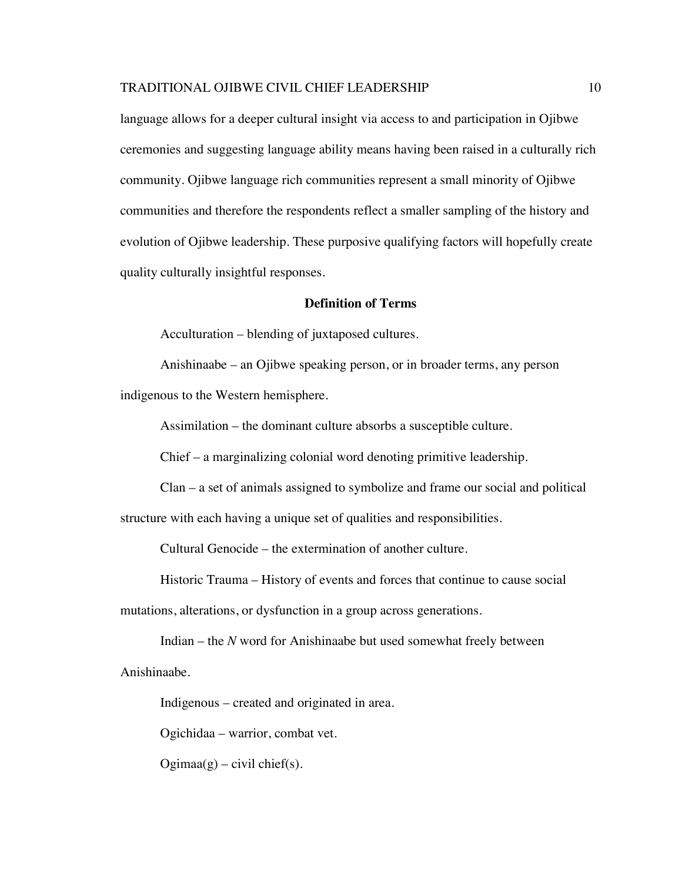language allows for a deeper cultural insight via access to and participation in Ojibwe ceremonies and suggesting language ability means having been raised in a culturally rich community. Ojibwe language rich communities represent a small minority of Ojibwe communities and therefore the respondents reflect a smaller sampling of the history and evolution of Ojibwe leadership. These purposive qualifying factors will hopefully create quality culturally insightful responses.

## **Definition of Terms**

Acculturation – blending of juxtaposed cultures.

Anishinaabe – an Ojibwe speaking person, or in broader terms, any person indigenous to the Western hemisphere.

Assimilation – the dominant culture absorbs a susceptible culture.

Chief – a marginalizing colonial word denoting primitive leadership.

Clan – a set of animals assigned to symbolize and frame our social and political structure with each having a unique set of qualities and responsibilities.

Cultural Genocide – the extermination of another culture.

Historic Trauma – History of events and forces that continue to cause social

mutations, alterations, or dysfunction in a group across generations.

Indian – the *N* word for Anishinaabe but used somewhat freely between Anishinaabe.

Indigenous – created and originated in area.

Ogichidaa – warrior, combat vet.

 $Ogimaa(g) - civil chief(s).$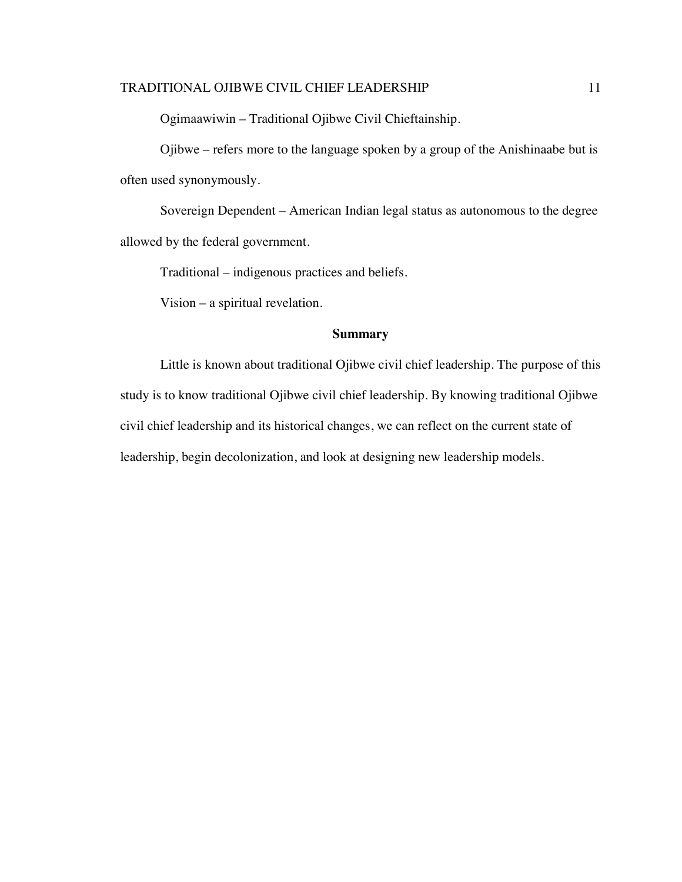Ogimaawiwin – Traditional Ojibwe Civil Chieftainship.

Ojibwe – refers more to the language spoken by a group of the Anishinaabe but is often used synonymously.

Sovereign Dependent – American Indian legal status as autonomous to the degree allowed by the federal government.

Traditional – indigenous practices and beliefs.

Vision – a spiritual revelation.

# **Summary**

Little is known about traditional Ojibwe civil chief leadership. The purpose of this study is to know traditional Ojibwe civil chief leadership. By knowing traditional Ojibwe civil chief leadership and its historical changes, we can reflect on the current state of leadership, begin decolonization, and look at designing new leadership models.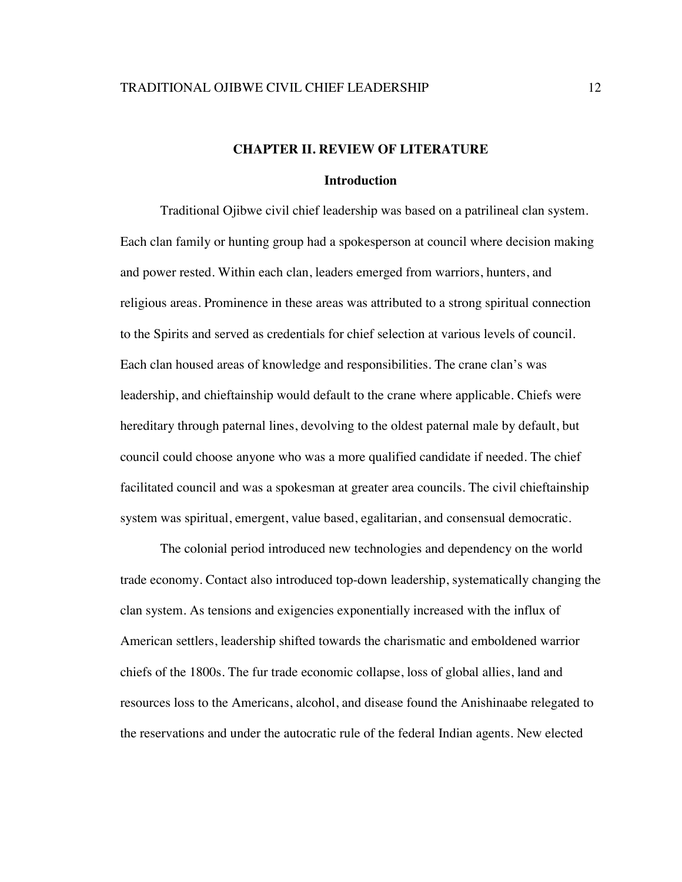# **CHAPTER II. REVIEW OF LITERATURE**

#### **Introduction**

Traditional Ojibwe civil chief leadership was based on a patrilineal clan system. Each clan family or hunting group had a spokesperson at council where decision making and power rested. Within each clan, leaders emerged from warriors, hunters, and religious areas. Prominence in these areas was attributed to a strong spiritual connection to the Spirits and served as credentials for chief selection at various levels of council. Each clan housed areas of knowledge and responsibilities. The crane clan's was leadership, and chieftainship would default to the crane where applicable. Chiefs were hereditary through paternal lines, devolving to the oldest paternal male by default, but council could choose anyone who was a more qualified candidate if needed. The chief facilitated council and was a spokesman at greater area councils. The civil chieftainship system was spiritual, emergent, value based, egalitarian, and consensual democratic.

The colonial period introduced new technologies and dependency on the world trade economy. Contact also introduced top-down leadership, systematically changing the clan system. As tensions and exigencies exponentially increased with the influx of American settlers, leadership shifted towards the charismatic and emboldened warrior chiefs of the 1800s. The fur trade economic collapse, loss of global allies, land and resources loss to the Americans, alcohol, and disease found the Anishinaabe relegated to the reservations and under the autocratic rule of the federal Indian agents. New elected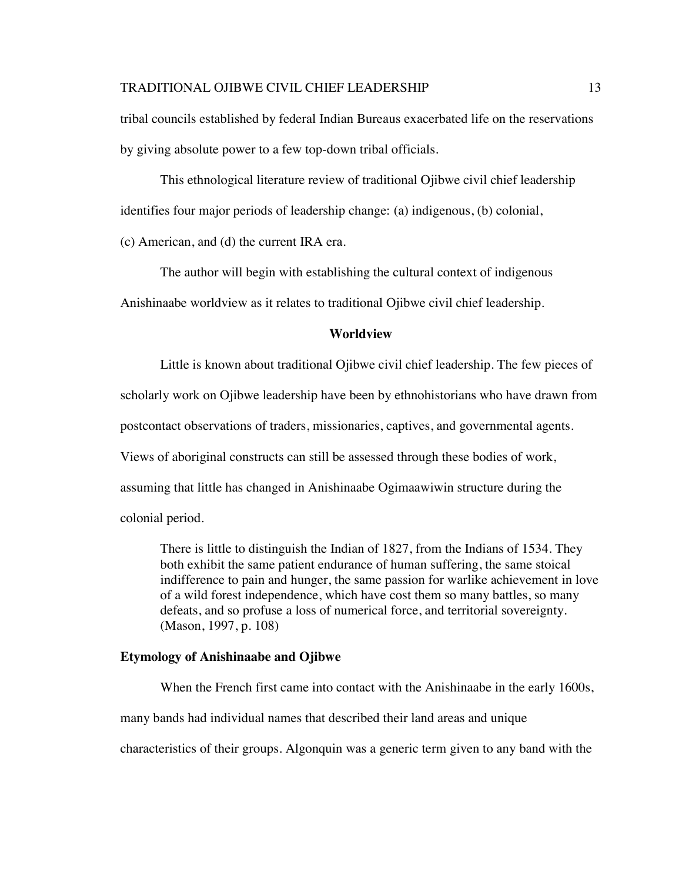tribal councils established by federal Indian Bureaus exacerbated life on the reservations by giving absolute power to a few top-down tribal officials.

This ethnological literature review of traditional Ojibwe civil chief leadership identifies four major periods of leadership change: (a) indigenous, (b) colonial,

(c) American, and (d) the current IRA era.

The author will begin with establishing the cultural context of indigenous

Anishinaabe worldview as it relates to traditional Ojibwe civil chief leadership.

#### **Worldview**

Little is known about traditional Ojibwe civil chief leadership. The few pieces of scholarly work on Ojibwe leadership have been by ethnohistorians who have drawn from postcontact observations of traders, missionaries, captives, and governmental agents. Views of aboriginal constructs can still be assessed through these bodies of work, assuming that little has changed in Anishinaabe Ogimaawiwin structure during the colonial period.

There is little to distinguish the Indian of 1827, from the Indians of 1534. They both exhibit the same patient endurance of human suffering, the same stoical indifference to pain and hunger, the same passion for warlike achievement in love of a wild forest independence, which have cost them so many battles, so many defeats, and so profuse a loss of numerical force, and territorial sovereignty. (Mason, 1997, p. 108)

#### **Etymology of Anishinaabe and Ojibwe**

When the French first came into contact with the Anishinaabe in the early 1600s,

many bands had individual names that described their land areas and unique

characteristics of their groups. Algonquin was a generic term given to any band with the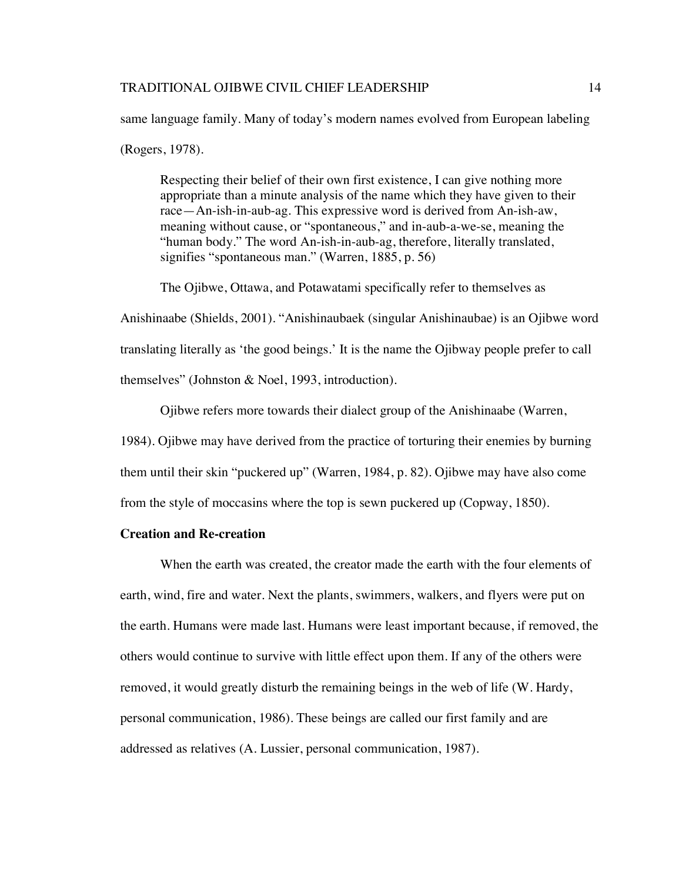same language family. Many of today's modern names evolved from European labeling (Rogers, 1978).

Respecting their belief of their own first existence, I can give nothing more appropriate than a minute analysis of the name which they have given to their race—An-ish-in-aub-ag. This expressive word is derived from An-ish-aw, meaning without cause, or "spontaneous," and in-aub-a-we-se, meaning the "human body." The word An-ish-in-aub-ag, therefore, literally translated, signifies "spontaneous man." (Warren, 1885, p. 56)

The Ojibwe, Ottawa, and Potawatami specifically refer to themselves as

Anishinaabe (Shields, 2001). "Anishinaubaek (singular Anishinaubae) is an Ojibwe word translating literally as 'the good beings.' It is the name the Ojibway people prefer to call themselves" (Johnston & Noel, 1993, introduction).

Ojibwe refers more towards their dialect group of the Anishinaabe (Warren,

1984). Ojibwe may have derived from the practice of torturing their enemies by burning them until their skin "puckered up" (Warren, 1984, p. 82). Ojibwe may have also come from the style of moccasins where the top is sewn puckered up (Copway, 1850).

# **Creation and Re-creation**

When the earth was created, the creator made the earth with the four elements of earth, wind, fire and water. Next the plants, swimmers, walkers, and flyers were put on the earth. Humans were made last. Humans were least important because, if removed, the others would continue to survive with little effect upon them. If any of the others were removed, it would greatly disturb the remaining beings in the web of life (W. Hardy, personal communication, 1986). These beings are called our first family and are addressed as relatives (A. Lussier, personal communication, 1987).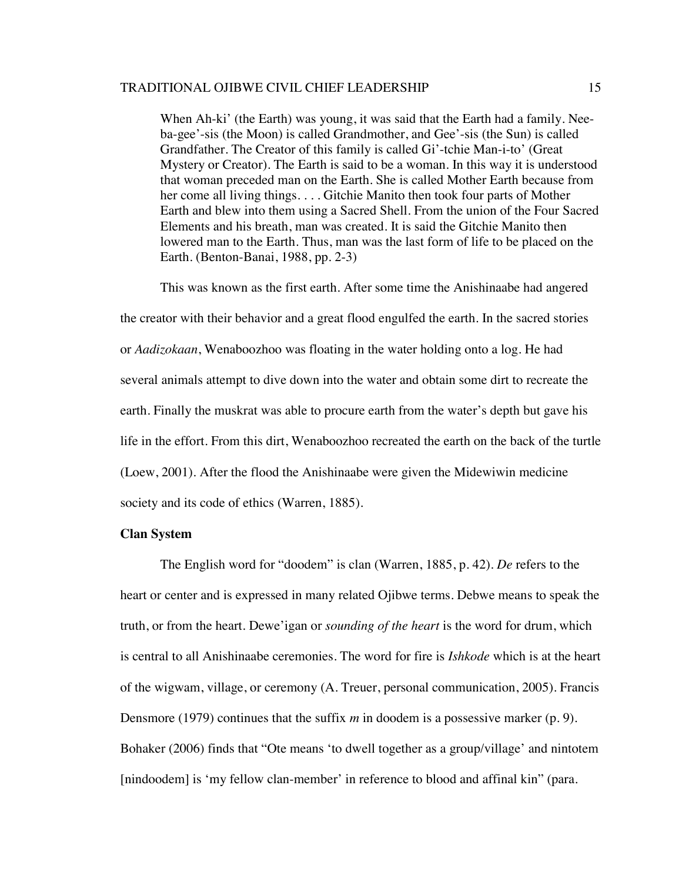When Ah-ki' (the Earth) was young, it was said that the Earth had a family. Neeba-gee'-sis (the Moon) is called Grandmother, and Gee'-sis (the Sun) is called Grandfather. The Creator of this family is called Gi'-tchie Man-i-to' (Great Mystery or Creator). The Earth is said to be a woman. In this way it is understood that woman preceded man on the Earth. She is called Mother Earth because from her come all living things. . . . Gitchie Manito then took four parts of Mother Earth and blew into them using a Sacred Shell. From the union of the Four Sacred Elements and his breath, man was created. It is said the Gitchie Manito then lowered man to the Earth. Thus, man was the last form of life to be placed on the Earth. (Benton-Banai, 1988, pp. 2-3)

This was known as the first earth. After some time the Anishinaabe had angered the creator with their behavior and a great flood engulfed the earth. In the sacred stories or *Aadizokaan*, Wenaboozhoo was floating in the water holding onto a log. He had several animals attempt to dive down into the water and obtain some dirt to recreate the earth. Finally the muskrat was able to procure earth from the water's depth but gave his life in the effort. From this dirt, Wenaboozhoo recreated the earth on the back of the turtle (Loew, 2001). After the flood the Anishinaabe were given the Midewiwin medicine society and its code of ethics (Warren, 1885).

# **Clan System**

The English word for "doodem" is clan (Warren, 1885, p. 42). *De* refers to the heart or center and is expressed in many related Ojibwe terms. Debwe means to speak the truth, or from the heart. Dewe'igan or *sounding of the heart* is the word for drum, which is central to all Anishinaabe ceremonies. The word for fire is *Ishkode* which is at the heart of the wigwam, village, or ceremony (A. Treuer, personal communication, 2005). Francis Densmore (1979) continues that the suffix *m* in doodem is a possessive marker (p. 9). Bohaker (2006) finds that "Ote means 'to dwell together as a group/village' and nintotem [nindoodem] is 'my fellow clan-member' in reference to blood and affinal kin" (para.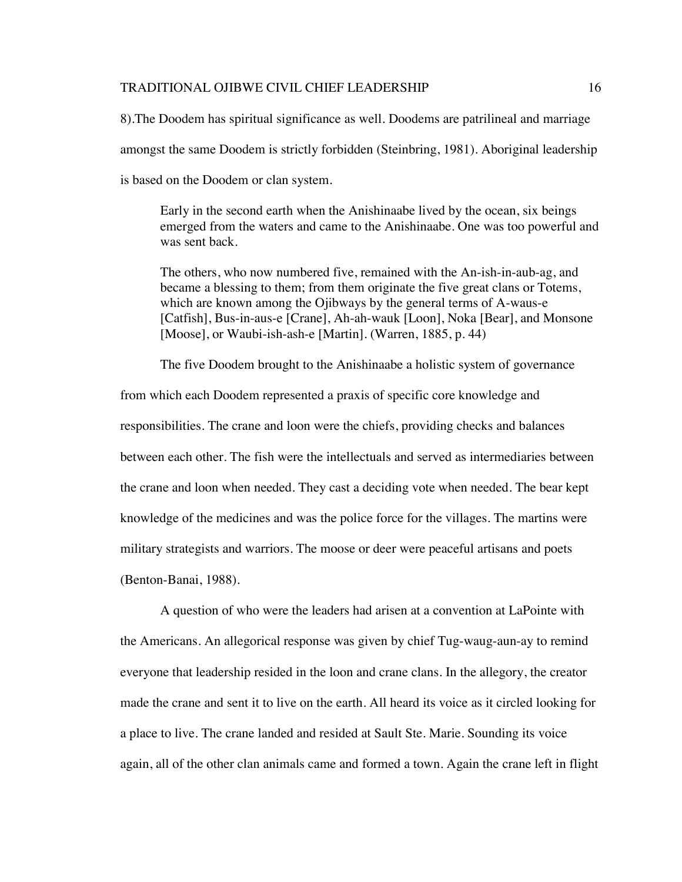8).The Doodem has spiritual significance as well. Doodems are patrilineal and marriage amongst the same Doodem is strictly forbidden (Steinbring, 1981). Aboriginal leadership is based on the Doodem or clan system.

Early in the second earth when the Anishinaabe lived by the ocean, six beings emerged from the waters and came to the Anishinaabe. One was too powerful and was sent back.

The others, who now numbered five, remained with the An-ish-in-aub-ag, and became a blessing to them; from them originate the five great clans or Totems, which are known among the Ojibways by the general terms of A-waus-e [Catfish], Bus-in-aus-e [Crane], Ah-ah-wauk [Loon], Noka [Bear], and Monsone [Moose], or Waubi-ish-ash-e [Martin]. (Warren, 1885, p. 44)

The five Doodem brought to the Anishinaabe a holistic system of governance

from which each Doodem represented a praxis of specific core knowledge and responsibilities. The crane and loon were the chiefs, providing checks and balances between each other. The fish were the intellectuals and served as intermediaries between the crane and loon when needed. They cast a deciding vote when needed. The bear kept knowledge of the medicines and was the police force for the villages. The martins were military strategists and warriors. The moose or deer were peaceful artisans and poets (Benton-Banai, 1988).

A question of who were the leaders had arisen at a convention at LaPointe with the Americans. An allegorical response was given by chief Tug-waug-aun-ay to remind everyone that leadership resided in the loon and crane clans. In the allegory, the creator made the crane and sent it to live on the earth. All heard its voice as it circled looking for a place to live. The crane landed and resided at Sault Ste. Marie. Sounding its voice again, all of the other clan animals came and formed a town. Again the crane left in flight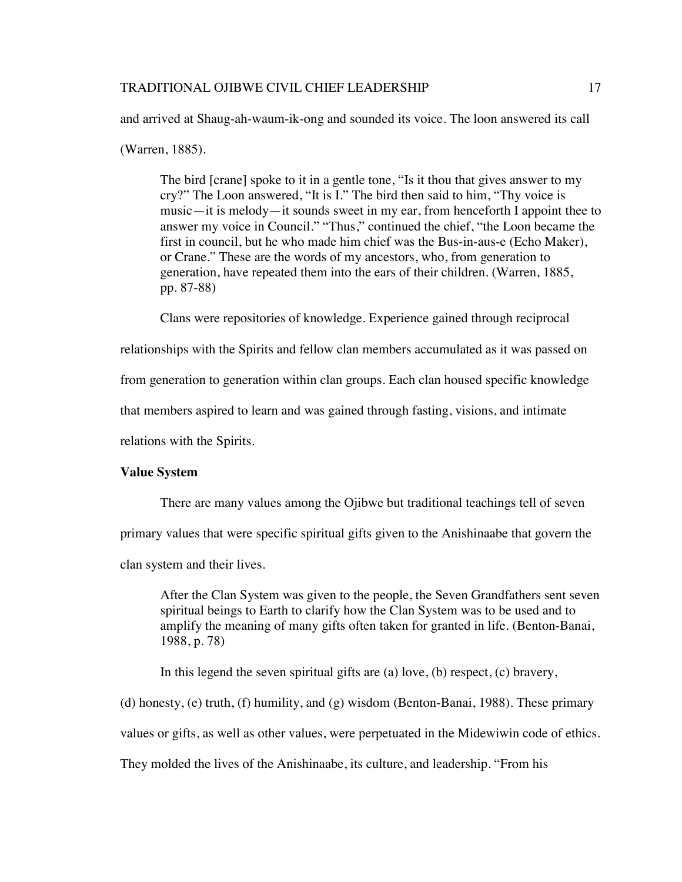and arrived at Shaug-ah-waum-ik-ong and sounded its voice. The loon answered its call

(Warren, 1885).

The bird [crane] spoke to it in a gentle tone, "Is it thou that gives answer to my cry?" The Loon answered, "It is I." The bird then said to him, "Thy voice is music—it is melody—it sounds sweet in my ear, from henceforth I appoint thee to answer my voice in Council." "Thus," continued the chief, "the Loon became the first in council, but he who made him chief was the Bus-in-aus-e (Echo Maker), or Crane." These are the words of my ancestors, who, from generation to generation, have repeated them into the ears of their children. (Warren, 1885, pp. 87-88)

Clans were repositories of knowledge. Experience gained through reciprocal

relationships with the Spirits and fellow clan members accumulated as it was passed on

from generation to generation within clan groups. Each clan housed specific knowledge

that members aspired to learn and was gained through fasting, visions, and intimate

relations with the Spirits.

#### **Value System**

There are many values among the Ojibwe but traditional teachings tell of seven

primary values that were specific spiritual gifts given to the Anishinaabe that govern the

clan system and their lives.

After the Clan System was given to the people, the Seven Grandfathers sent seven spiritual beings to Earth to clarify how the Clan System was to be used and to amplify the meaning of many gifts often taken for granted in life. (Benton-Banai, 1988, p. 78)

In this legend the seven spiritual gifts are (a) love, (b) respect, (c) bravery,

(d) honesty, (e) truth, (f) humility, and (g) wisdom (Benton-Banai, 1988). These primary

values or gifts, as well as other values, were perpetuated in the Midewiwin code of ethics.

They molded the lives of the Anishinaabe, its culture, and leadership. "From his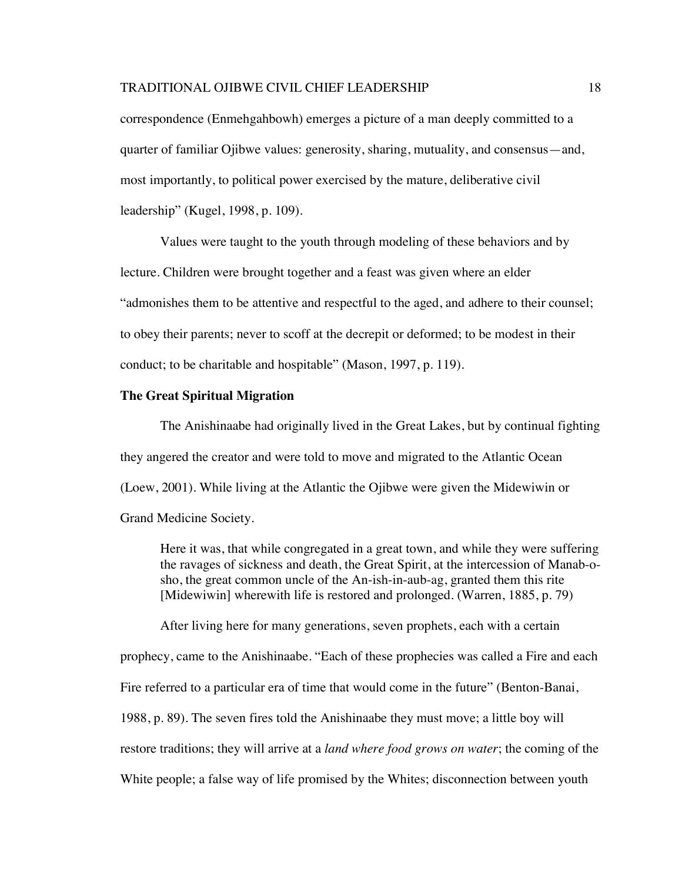correspondence (Enmehgahbowh) emerges a picture of a man deeply committed to a quarter of familiar Ojibwe values: generosity, sharing, mutuality, and consensus—and, most importantly, to political power exercised by the mature, deliberative civil leadership" (Kugel, 1998, p. 109).

Values were taught to the youth through modeling of these behaviors and by lecture. Children were brought together and a feast was given where an elder "admonishes them to be attentive and respectful to the aged, and adhere to their counsel; to obey their parents; never to scoff at the decrepit or deformed; to be modest in their conduct; to be charitable and hospitable" (Mason, 1997, p. 119).

#### **The Great Spiritual Migration**

The Anishinaabe had originally lived in the Great Lakes, but by continual fighting they angered the creator and were told to move and migrated to the Atlantic Ocean (Loew, 2001). While living at the Atlantic the Ojibwe were given the Midewiwin or Grand Medicine Society.

Here it was, that while congregated in a great town, and while they were suffering the ravages of sickness and death, the Great Spirit, at the intercession of Manab-osho, the great common uncle of the An-ish-in-aub-ag, granted them this rite [Midewiwin] wherewith life is restored and prolonged. (Warren, 1885, p. 79)

After living here for many generations, seven prophets, each with a certain prophecy, came to the Anishinaabe. "Each of these prophecies was called a Fire and each Fire referred to a particular era of time that would come in the future" (Benton-Banai, 1988, p. 89). The seven fires told the Anishinaabe they must move; a little boy will restore traditions; they will arrive at a *land where food grows on water*; the coming of the White people; a false way of life promised by the Whites; disconnection between youth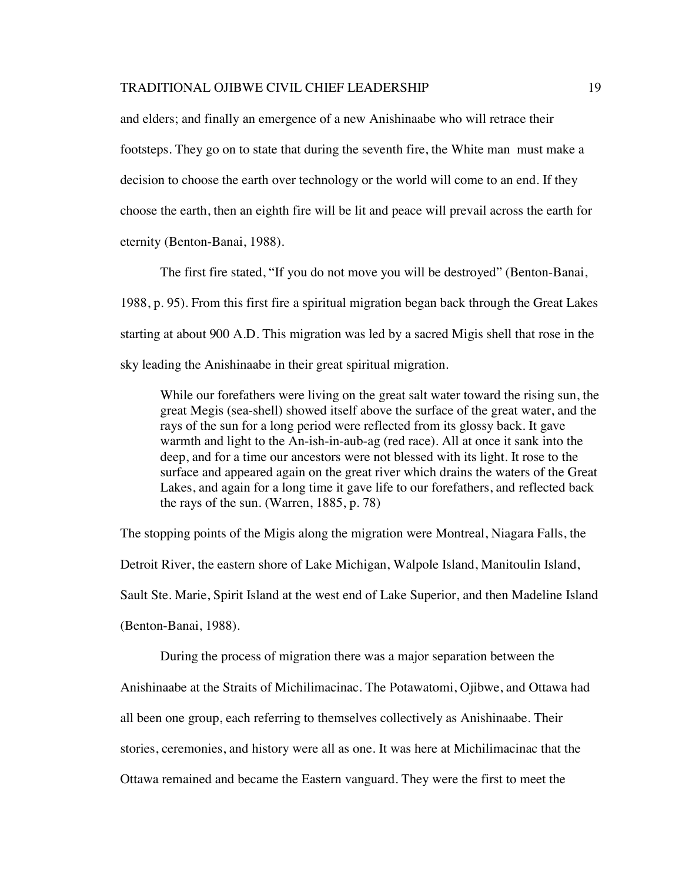and elders; and finally an emergence of a new Anishinaabe who will retrace their footsteps. They go on to state that during the seventh fire, the White man must make a decision to choose the earth over technology or the world will come to an end. If they choose the earth, then an eighth fire will be lit and peace will prevail across the earth for eternity (Benton-Banai, 1988).

The first fire stated, "If you do not move you will be destroyed" (Benton-Banai, 1988, p. 95). From this first fire a spiritual migration began back through the Great Lakes starting at about 900 A.D. This migration was led by a sacred Migis shell that rose in the sky leading the Anishinaabe in their great spiritual migration.

While our forefathers were living on the great salt water toward the rising sun, the great Megis (sea-shell) showed itself above the surface of the great water, and the rays of the sun for a long period were reflected from its glossy back. It gave warmth and light to the An-ish-in-aub-ag (red race). All at once it sank into the deep, and for a time our ancestors were not blessed with its light. It rose to the surface and appeared again on the great river which drains the waters of the Great Lakes, and again for a long time it gave life to our forefathers, and reflected back the rays of the sun. (Warren, 1885, p. 78)

The stopping points of the Migis along the migration were Montreal, Niagara Falls, the Detroit River, the eastern shore of Lake Michigan, Walpole Island, Manitoulin Island, Sault Ste. Marie, Spirit Island at the west end of Lake Superior, and then Madeline Island (Benton-Banai, 1988).

During the process of migration there was a major separation between the Anishinaabe at the Straits of Michilimacinac. The Potawatomi, Ojibwe, and Ottawa had all been one group, each referring to themselves collectively as Anishinaabe. Their stories, ceremonies, and history were all as one. It was here at Michilimacinac that the Ottawa remained and became the Eastern vanguard. They were the first to meet the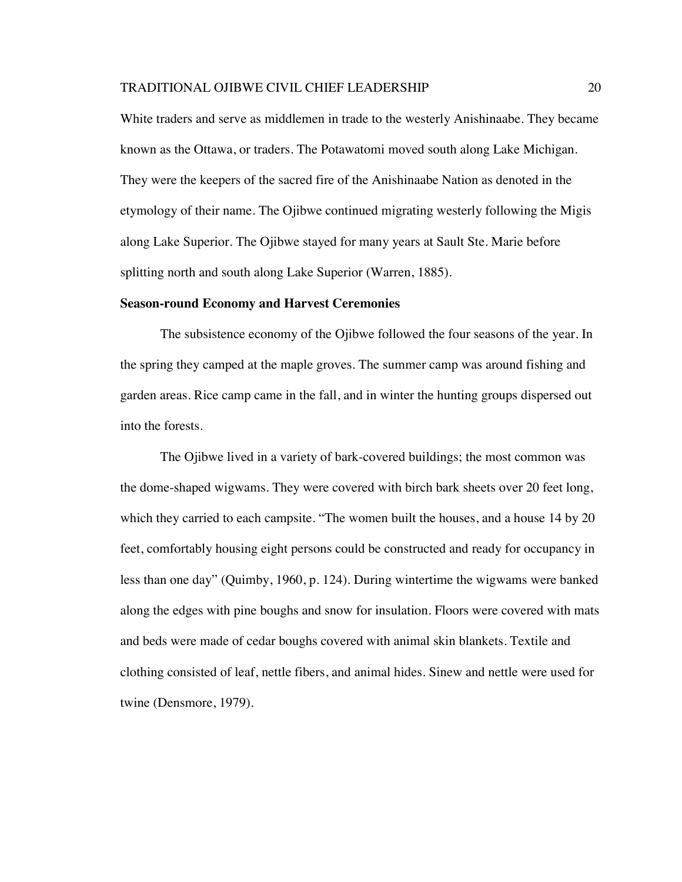White traders and serve as middlemen in trade to the westerly Anishinaabe. They became known as the Ottawa, or traders. The Potawatomi moved south along Lake Michigan. They were the keepers of the sacred fire of the Anishinaabe Nation as denoted in the etymology of their name. The Ojibwe continued migrating westerly following the Migis along Lake Superior. The Ojibwe stayed for many years at Sault Ste. Marie before splitting north and south along Lake Superior (Warren, 1885).

#### **Season-round Economy and Harvest Ceremonies**

The subsistence economy of the Ojibwe followed the four seasons of the year. In the spring they camped at the maple groves. The summer camp was around fishing and garden areas. Rice camp came in the fall, and in winter the hunting groups dispersed out into the forests.

The Ojibwe lived in a variety of bark-covered buildings; the most common was the dome-shaped wigwams. They were covered with birch bark sheets over 20 feet long, which they carried to each campsite. "The women built the houses, and a house 14 by 20 feet, comfortably housing eight persons could be constructed and ready for occupancy in less than one day" (Quimby, 1960, p. 124). During wintertime the wigwams were banked along the edges with pine boughs and snow for insulation. Floors were covered with mats and beds were made of cedar boughs covered with animal skin blankets. Textile and clothing consisted of leaf, nettle fibers, and animal hides. Sinew and nettle were used for twine (Densmore, 1979).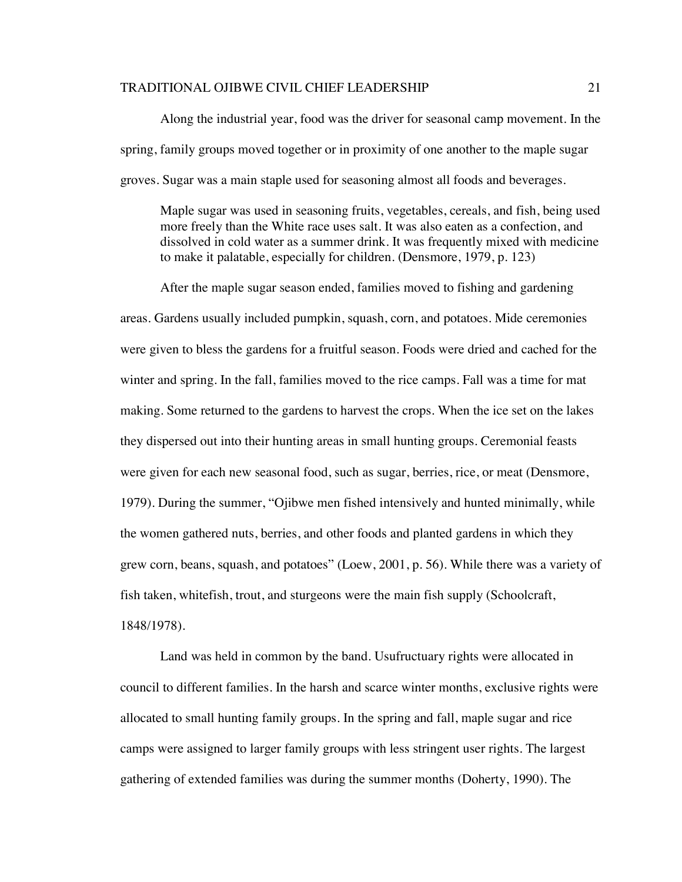Along the industrial year, food was the driver for seasonal camp movement. In the spring, family groups moved together or in proximity of one another to the maple sugar groves. Sugar was a main staple used for seasoning almost all foods and beverages.

Maple sugar was used in seasoning fruits, vegetables, cereals, and fish, being used more freely than the White race uses salt. It was also eaten as a confection, and dissolved in cold water as a summer drink. It was frequently mixed with medicine to make it palatable, especially for children. (Densmore, 1979, p. 123)

After the maple sugar season ended, families moved to fishing and gardening areas. Gardens usually included pumpkin, squash, corn, and potatoes. Mide ceremonies were given to bless the gardens for a fruitful season. Foods were dried and cached for the winter and spring. In the fall, families moved to the rice camps. Fall was a time for mat making. Some returned to the gardens to harvest the crops. When the ice set on the lakes they dispersed out into their hunting areas in small hunting groups. Ceremonial feasts were given for each new seasonal food, such as sugar, berries, rice, or meat (Densmore, 1979). During the summer, "Ojibwe men fished intensively and hunted minimally, while the women gathered nuts, berries, and other foods and planted gardens in which they grew corn, beans, squash, and potatoes" (Loew, 2001, p. 56). While there was a variety of fish taken, whitefish, trout, and sturgeons were the main fish supply (Schoolcraft, 1848/1978).

Land was held in common by the band. Usufructuary rights were allocated in council to different families. In the harsh and scarce winter months, exclusive rights were allocated to small hunting family groups. In the spring and fall, maple sugar and rice camps were assigned to larger family groups with less stringent user rights. The largest gathering of extended families was during the summer months (Doherty, 1990). The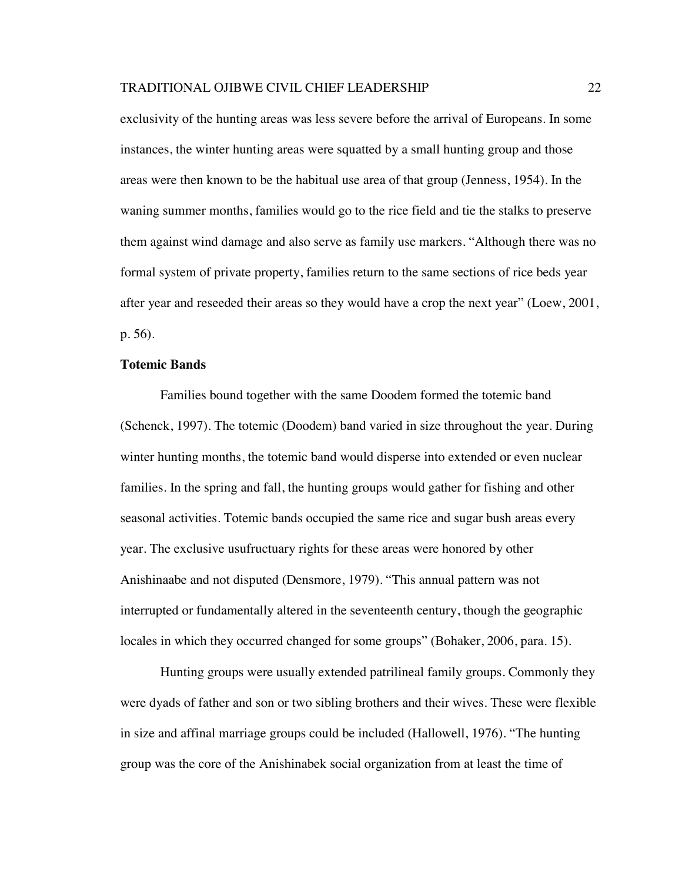exclusivity of the hunting areas was less severe before the arrival of Europeans. In some instances, the winter hunting areas were squatted by a small hunting group and those areas were then known to be the habitual use area of that group (Jenness, 1954). In the waning summer months, families would go to the rice field and tie the stalks to preserve them against wind damage and also serve as family use markers. "Although there was no formal system of private property, families return to the same sections of rice beds year after year and reseeded their areas so they would have a crop the next year" (Loew, 2001, p. 56).

## **Totemic Bands**

Families bound together with the same Doodem formed the totemic band (Schenck, 1997). The totemic (Doodem) band varied in size throughout the year. During winter hunting months, the totemic band would disperse into extended or even nuclear families. In the spring and fall, the hunting groups would gather for fishing and other seasonal activities. Totemic bands occupied the same rice and sugar bush areas every year. The exclusive usufructuary rights for these areas were honored by other Anishinaabe and not disputed (Densmore, 1979). "This annual pattern was not interrupted or fundamentally altered in the seventeenth century, though the geographic locales in which they occurred changed for some groups" (Bohaker, 2006, para. 15).

Hunting groups were usually extended patrilineal family groups. Commonly they were dyads of father and son or two sibling brothers and their wives. These were flexible in size and affinal marriage groups could be included (Hallowell, 1976). "The hunting group was the core of the Anishinabek social organization from at least the time of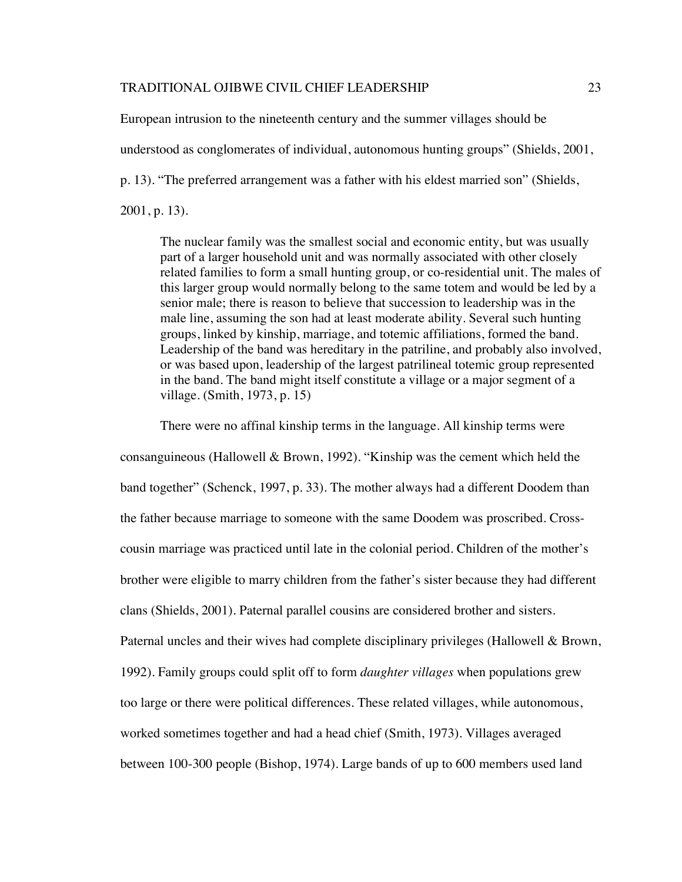European intrusion to the nineteenth century and the summer villages should be

understood as conglomerates of individual, autonomous hunting groups" (Shields, 2001,

p. 13). "The preferred arrangement was a father with his eldest married son" (Shields,

2001, p. 13).

The nuclear family was the smallest social and economic entity, but was usually part of a larger household unit and was normally associated with other closely related families to form a small hunting group, or co-residential unit. The males of this larger group would normally belong to the same totem and would be led by a senior male; there is reason to believe that succession to leadership was in the male line, assuming the son had at least moderate ability. Several such hunting groups, linked by kinship, marriage, and totemic affiliations, formed the band. Leadership of the band was hereditary in the patriline, and probably also involved, or was based upon, leadership of the largest patrilineal totemic group represented in the band. The band might itself constitute a village or a major segment of a village. (Smith, 1973, p. 15)

consanguineous (Hallowell & Brown, 1992). "Kinship was the cement which held the band together" (Schenck, 1997, p. 33). The mother always had a different Doodem than the father because marriage to someone with the same Doodem was proscribed. Crosscousin marriage was practiced until late in the colonial period. Children of the mother's brother were eligible to marry children from the father's sister because they had different clans (Shields, 2001). Paternal parallel cousins are considered brother and sisters. Paternal uncles and their wives had complete disciplinary privileges (Hallowell & Brown, 1992). Family groups could split off to form *daughter villages* when populations grew too large or there were political differences. These related villages, while autonomous, worked sometimes together and had a head chief (Smith, 1973). Villages averaged between 100-300 people (Bishop, 1974). Large bands of up to 600 members used land

There were no affinal kinship terms in the language. All kinship terms were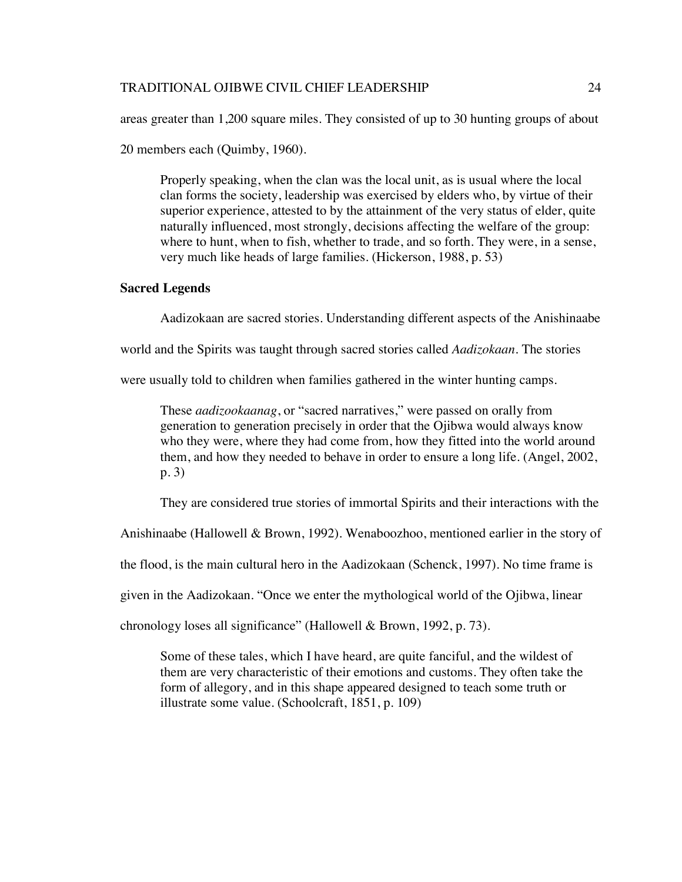areas greater than 1,200 square miles. They consisted of up to 30 hunting groups of about

20 members each (Quimby, 1960).

Properly speaking, when the clan was the local unit, as is usual where the local clan forms the society, leadership was exercised by elders who, by virtue of their superior experience, attested to by the attainment of the very status of elder, quite naturally influenced, most strongly, decisions affecting the welfare of the group: where to hunt, when to fish, whether to trade, and so forth. They were, in a sense, very much like heads of large families. (Hickerson, 1988, p. 53)

# **Sacred Legends**

Aadizokaan are sacred stories. Understanding different aspects of the Anishinaabe

world and the Spirits was taught through sacred stories called *Aadizokaan*. The stories

were usually told to children when families gathered in the winter hunting camps.

These *aadizookaanag*, or "sacred narratives," were passed on orally from generation to generation precisely in order that the Ojibwa would always know who they were, where they had come from, how they fitted into the world around them, and how they needed to behave in order to ensure a long life. (Angel, 2002, p. 3)

They are considered true stories of immortal Spirits and their interactions with the

Anishinaabe (Hallowell & Brown, 1992). Wenaboozhoo, mentioned earlier in the story of

the flood, is the main cultural hero in the Aadizokaan (Schenck, 1997). No time frame is

given in the Aadizokaan. "Once we enter the mythological world of the Ojibwa, linear

chronology loses all significance" (Hallowell & Brown, 1992, p. 73).

Some of these tales, which I have heard, are quite fanciful, and the wildest of them are very characteristic of their emotions and customs. They often take the form of allegory, and in this shape appeared designed to teach some truth or illustrate some value. (Schoolcraft, 1851, p. 109)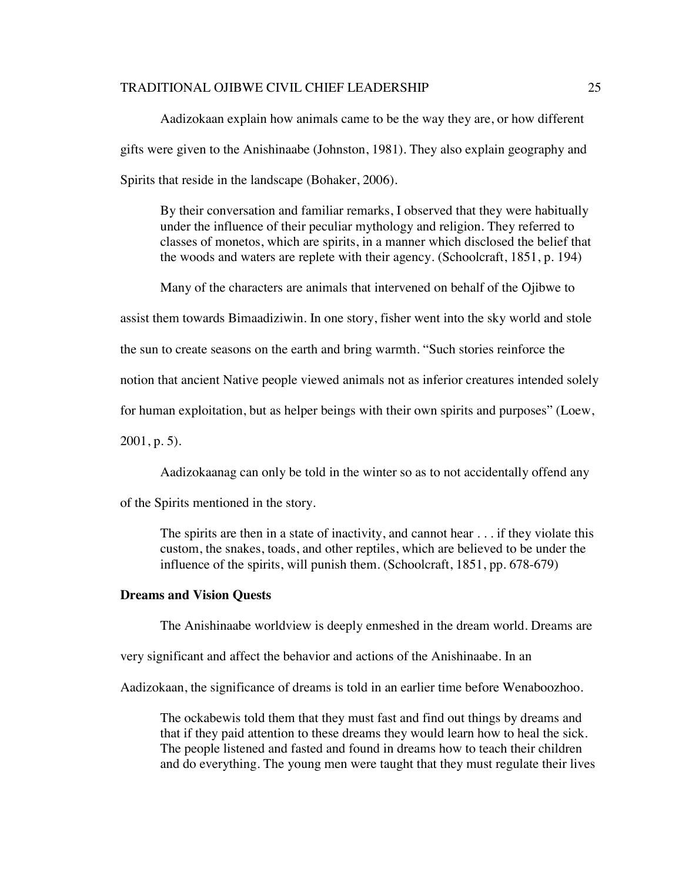Aadizokaan explain how animals came to be the way they are, or how different gifts were given to the Anishinaabe (Johnston, 1981). They also explain geography and Spirits that reside in the landscape (Bohaker, 2006).

By their conversation and familiar remarks, I observed that they were habitually under the influence of their peculiar mythology and religion. They referred to classes of monetos, which are spirits, in a manner which disclosed the belief that the woods and waters are replete with their agency. (Schoolcraft, 1851, p. 194)

Many of the characters are animals that intervened on behalf of the Ojibwe to

assist them towards Bimaadiziwin. In one story, fisher went into the sky world and stole

the sun to create seasons on the earth and bring warmth. "Such stories reinforce the

notion that ancient Native people viewed animals not as inferior creatures intended solely

for human exploitation, but as helper beings with their own spirits and purposes" (Loew,

2001, p. 5).

Aadizokaanag can only be told in the winter so as to not accidentally offend any

of the Spirits mentioned in the story.

The spirits are then in a state of inactivity, and cannot hear . . . if they violate this custom, the snakes, toads, and other reptiles, which are believed to be under the influence of the spirits, will punish them. (Schoolcraft, 1851, pp. 678-679)

# **Dreams and Vision Quests**

The Anishinaabe worldview is deeply enmeshed in the dream world. Dreams are

very significant and affect the behavior and actions of the Anishinaabe. In an

Aadizokaan, the significance of dreams is told in an earlier time before Wenaboozhoo.

The ockabewis told them that they must fast and find out things by dreams and that if they paid attention to these dreams they would learn how to heal the sick. The people listened and fasted and found in dreams how to teach their children and do everything. The young men were taught that they must regulate their lives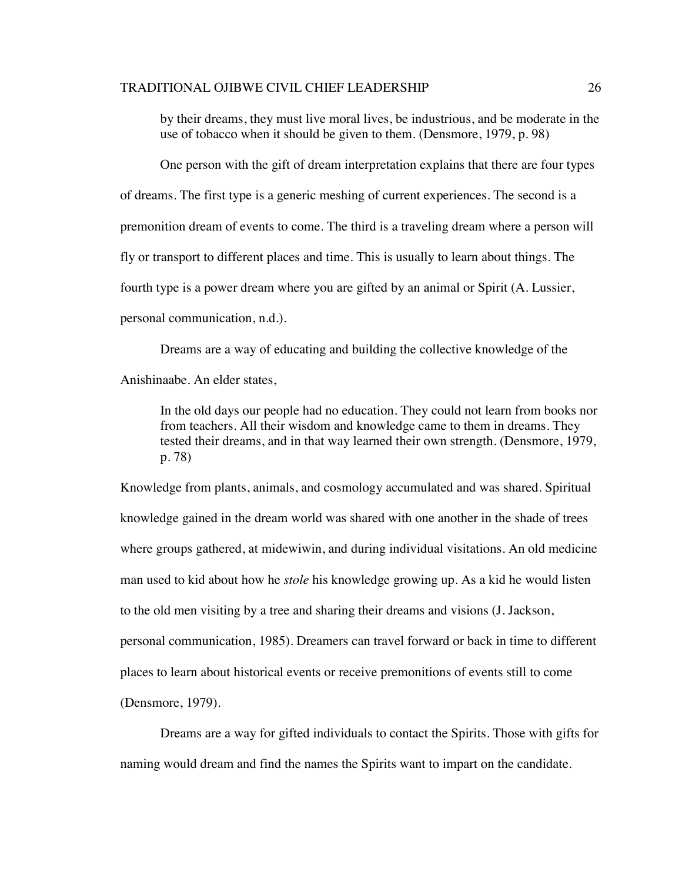by their dreams, they must live moral lives, be industrious, and be moderate in the use of tobacco when it should be given to them. (Densmore, 1979, p. 98)

One person with the gift of dream interpretation explains that there are four types of dreams. The first type is a generic meshing of current experiences. The second is a premonition dream of events to come. The third is a traveling dream where a person will fly or transport to different places and time. This is usually to learn about things. The fourth type is a power dream where you are gifted by an animal or Spirit (A. Lussier, personal communication, n.d.).

Dreams are a way of educating and building the collective knowledge of the Anishinaabe. An elder states,

In the old days our people had no education. They could not learn from books nor from teachers. All their wisdom and knowledge came to them in dreams. They tested their dreams, and in that way learned their own strength. (Densmore, 1979, p. 78)

Knowledge from plants, animals, and cosmology accumulated and was shared. Spiritual knowledge gained in the dream world was shared with one another in the shade of trees where groups gathered, at midewiwin, and during individual visitations. An old medicine man used to kid about how he *stole* his knowledge growing up. As a kid he would listen to the old men visiting by a tree and sharing their dreams and visions (J. Jackson, personal communication, 1985). Dreamers can travel forward or back in time to different places to learn about historical events or receive premonitions of events still to come (Densmore, 1979).

Dreams are a way for gifted individuals to contact the Spirits. Those with gifts for naming would dream and find the names the Spirits want to impart on the candidate.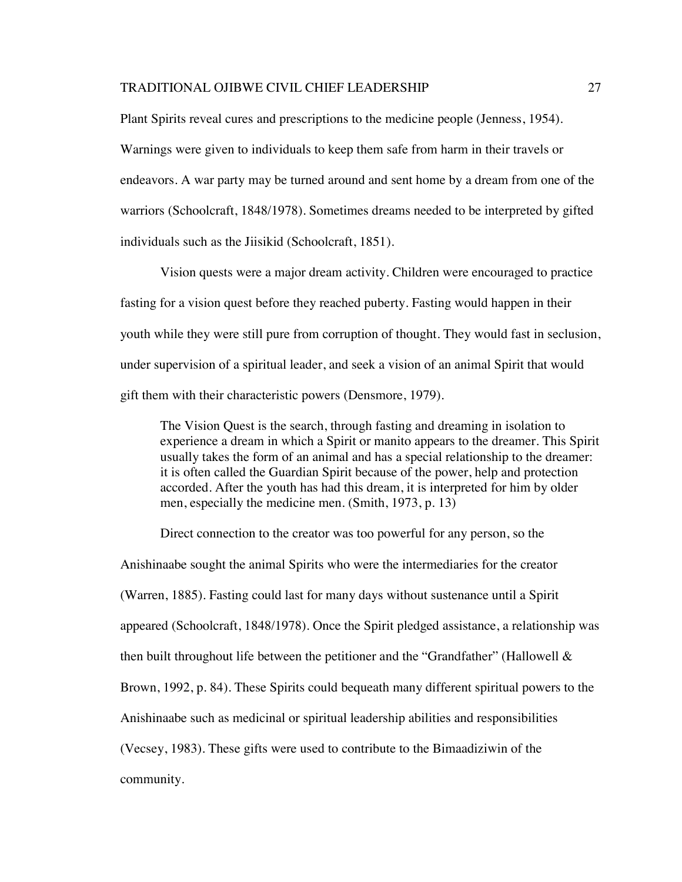Plant Spirits reveal cures and prescriptions to the medicine people (Jenness, 1954). Warnings were given to individuals to keep them safe from harm in their travels or endeavors. A war party may be turned around and sent home by a dream from one of the warriors (Schoolcraft, 1848/1978). Sometimes dreams needed to be interpreted by gifted individuals such as the Jiisikid (Schoolcraft, 1851).

Vision quests were a major dream activity. Children were encouraged to practice fasting for a vision quest before they reached puberty. Fasting would happen in their youth while they were still pure from corruption of thought. They would fast in seclusion, under supervision of a spiritual leader, and seek a vision of an animal Spirit that would gift them with their characteristic powers (Densmore, 1979).

The Vision Quest is the search, through fasting and dreaming in isolation to experience a dream in which a Spirit or manito appears to the dreamer. This Spirit usually takes the form of an animal and has a special relationship to the dreamer: it is often called the Guardian Spirit because of the power, help and protection accorded. After the youth has had this dream, it is interpreted for him by older men, especially the medicine men. (Smith, 1973, p. 13)

Direct connection to the creator was too powerful for any person, so the

Anishinaabe sought the animal Spirits who were the intermediaries for the creator (Warren, 1885). Fasting could last for many days without sustenance until a Spirit appeared (Schoolcraft, 1848/1978). Once the Spirit pledged assistance, a relationship was then built throughout life between the petitioner and the "Grandfather" (Hallowell & Brown, 1992, p. 84). These Spirits could bequeath many different spiritual powers to the Anishinaabe such as medicinal or spiritual leadership abilities and responsibilities (Vecsey, 1983). These gifts were used to contribute to the Bimaadiziwin of the community.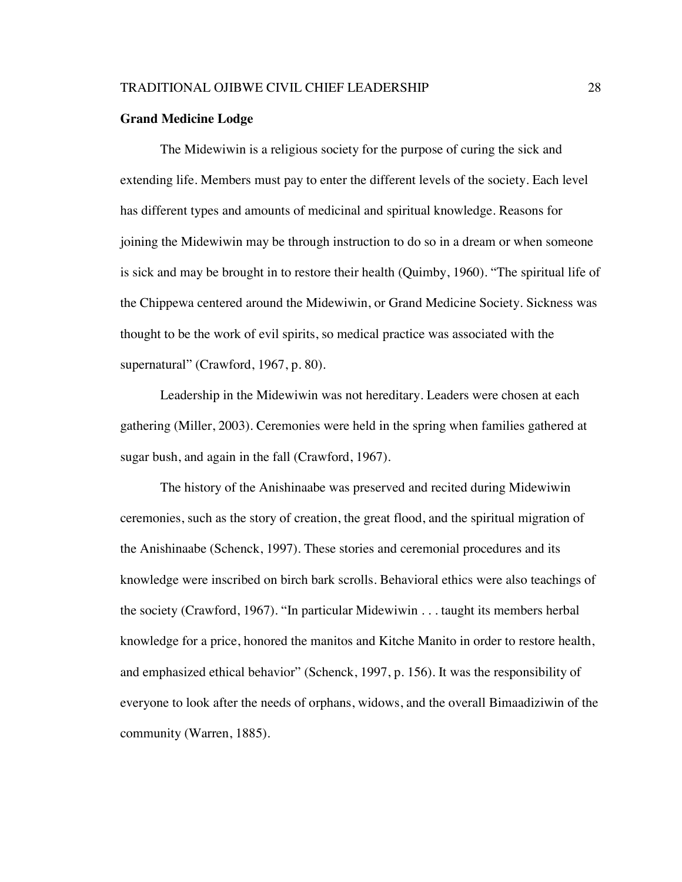#### **Grand Medicine Lodge**

The Midewiwin is a religious society for the purpose of curing the sick and extending life. Members must pay to enter the different levels of the society. Each level has different types and amounts of medicinal and spiritual knowledge. Reasons for joining the Midewiwin may be through instruction to do so in a dream or when someone is sick and may be brought in to restore their health (Quimby, 1960). "The spiritual life of the Chippewa centered around the Midewiwin, or Grand Medicine Society. Sickness was thought to be the work of evil spirits, so medical practice was associated with the supernatural" (Crawford, 1967, p. 80).

Leadership in the Midewiwin was not hereditary. Leaders were chosen at each gathering (Miller, 2003). Ceremonies were held in the spring when families gathered at sugar bush, and again in the fall (Crawford, 1967).

The history of the Anishinaabe was preserved and recited during Midewiwin ceremonies, such as the story of creation, the great flood, and the spiritual migration of the Anishinaabe (Schenck, 1997). These stories and ceremonial procedures and its knowledge were inscribed on birch bark scrolls. Behavioral ethics were also teachings of the society (Crawford, 1967). "In particular Midewiwin . . . taught its members herbal knowledge for a price, honored the manitos and Kitche Manito in order to restore health, and emphasized ethical behavior" (Schenck, 1997, p. 156). It was the responsibility of everyone to look after the needs of orphans, widows, and the overall Bimaadiziwin of the community (Warren, 1885).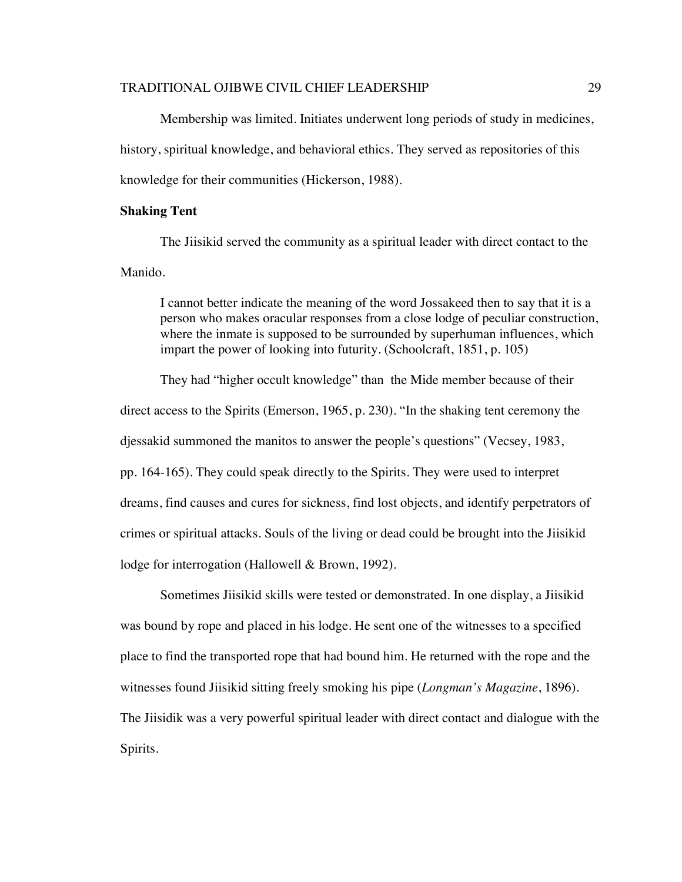Membership was limited. Initiates underwent long periods of study in medicines, history, spiritual knowledge, and behavioral ethics. They served as repositories of this knowledge for their communities (Hickerson, 1988).

### **Shaking Tent**

The Jiisikid served the community as a spiritual leader with direct contact to the Manido.

I cannot better indicate the meaning of the word Jossakeed then to say that it is a person who makes oracular responses from a close lodge of peculiar construction, where the inmate is supposed to be surrounded by superhuman influences, which impart the power of looking into futurity. (Schoolcraft, 1851, p. 105)

They had "higher occult knowledge" than the Mide member because of their direct access to the Spirits (Emerson, 1965, p. 230). "In the shaking tent ceremony the djessakid summoned the manitos to answer the people's questions" (Vecsey, 1983, pp. 164-165). They could speak directly to the Spirits. They were used to interpret dreams, find causes and cures for sickness, find lost objects, and identify perpetrators of crimes or spiritual attacks. Souls of the living or dead could be brought into the Jiisikid lodge for interrogation (Hallowell & Brown, 1992).

Sometimes Jiisikid skills were tested or demonstrated. In one display, a Jiisikid was bound by rope and placed in his lodge. He sent one of the witnesses to a specified place to find the transported rope that had bound him. He returned with the rope and the witnesses found Jiisikid sitting freely smoking his pipe (*Longman's Magazine*, 1896). The Jiisidik was a very powerful spiritual leader with direct contact and dialogue with the Spirits.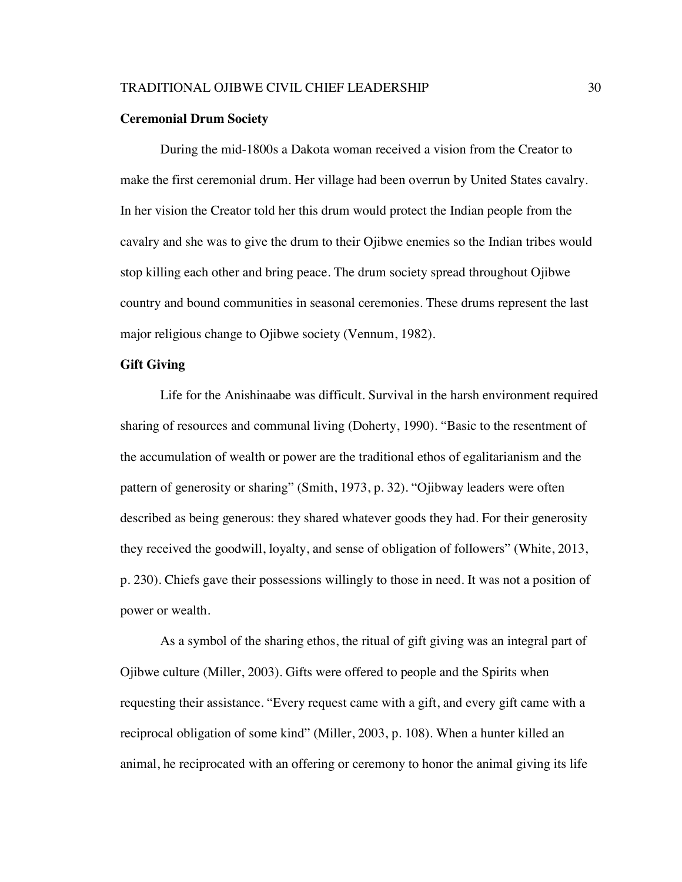#### **Ceremonial Drum Society**

During the mid-1800s a Dakota woman received a vision from the Creator to make the first ceremonial drum. Her village had been overrun by United States cavalry. In her vision the Creator told her this drum would protect the Indian people from the cavalry and she was to give the drum to their Ojibwe enemies so the Indian tribes would stop killing each other and bring peace. The drum society spread throughout Ojibwe country and bound communities in seasonal ceremonies. These drums represent the last major religious change to Ojibwe society (Vennum, 1982).

# **Gift Giving**

Life for the Anishinaabe was difficult. Survival in the harsh environment required sharing of resources and communal living (Doherty, 1990). "Basic to the resentment of the accumulation of wealth or power are the traditional ethos of egalitarianism and the pattern of generosity or sharing" (Smith, 1973, p. 32). "Ojibway leaders were often described as being generous: they shared whatever goods they had. For their generosity they received the goodwill, loyalty, and sense of obligation of followers" (White, 2013, p. 230). Chiefs gave their possessions willingly to those in need. It was not a position of power or wealth.

As a symbol of the sharing ethos, the ritual of gift giving was an integral part of Ojibwe culture (Miller, 2003). Gifts were offered to people and the Spirits when requesting their assistance. "Every request came with a gift, and every gift came with a reciprocal obligation of some kind" (Miller, 2003, p. 108). When a hunter killed an animal, he reciprocated with an offering or ceremony to honor the animal giving its life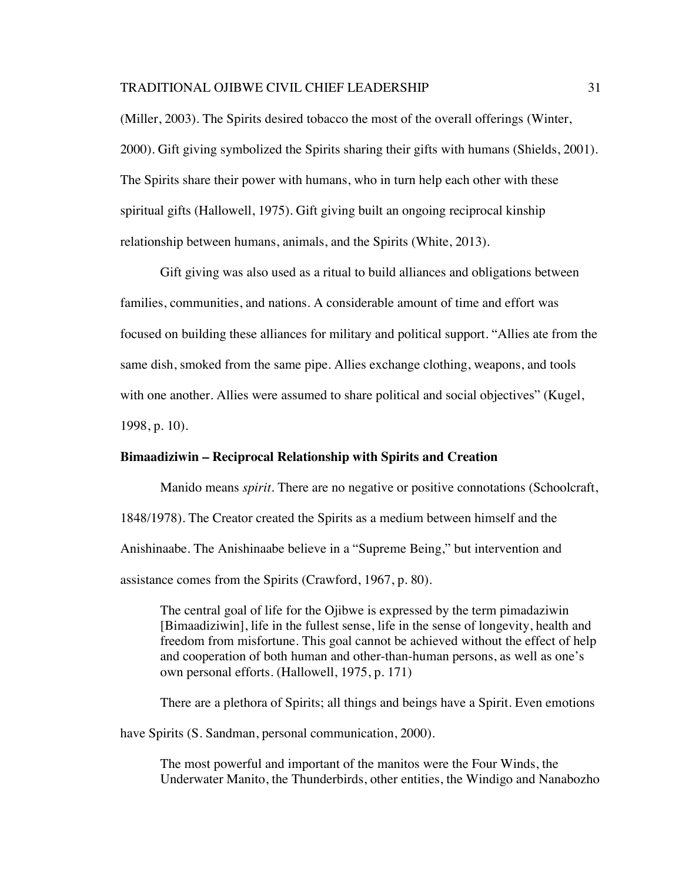(Miller, 2003). The Spirits desired tobacco the most of the overall offerings (Winter, 2000). Gift giving symbolized the Spirits sharing their gifts with humans (Shields, 2001). The Spirits share their power with humans, who in turn help each other with these spiritual gifts (Hallowell, 1975). Gift giving built an ongoing reciprocal kinship relationship between humans, animals, and the Spirits (White, 2013).

Gift giving was also used as a ritual to build alliances and obligations between families, communities, and nations. A considerable amount of time and effort was focused on building these alliances for military and political support. "Allies ate from the same dish, smoked from the same pipe. Allies exchange clothing, weapons, and tools with one another. Allies were assumed to share political and social objectives" (Kugel, 1998, p. 10).

## **Bimaadiziwin – Reciprocal Relationship with Spirits and Creation**

Manido means *spirit*. There are no negative or positive connotations (Schoolcraft, 1848/1978). The Creator created the Spirits as a medium between himself and the Anishinaabe. The Anishinaabe believe in a "Supreme Being," but intervention and assistance comes from the Spirits (Crawford, 1967, p. 80).

The central goal of life for the Ojibwe is expressed by the term pimadaziwin [Bimaadiziwin], life in the fullest sense, life in the sense of longevity, health and freedom from misfortune. This goal cannot be achieved without the effect of help and cooperation of both human and other-than-human persons, as well as one's own personal efforts. (Hallowell, 1975, p. 171)

There are a plethora of Spirits; all things and beings have a Spirit. Even emotions

have Spirits (S. Sandman, personal communication, 2000).

The most powerful and important of the manitos were the Four Winds, the Underwater Manito, the Thunderbirds, other entities, the Windigo and Nanabozho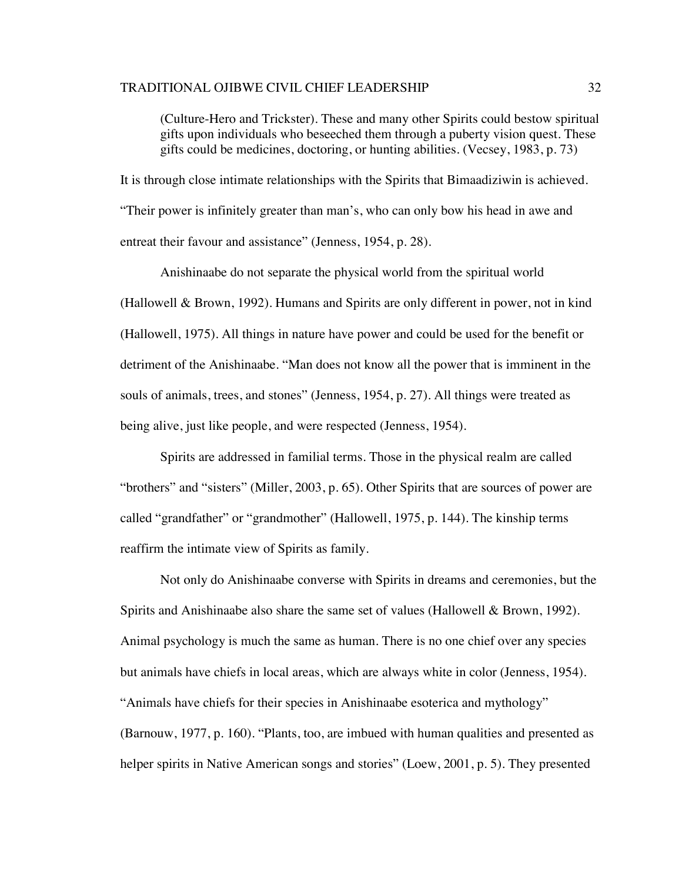(Culture-Hero and Trickster). These and many other Spirits could bestow spiritual gifts upon individuals who beseeched them through a puberty vision quest. These gifts could be medicines, doctoring, or hunting abilities. (Vecsey, 1983, p. 73)

It is through close intimate relationships with the Spirits that Bimaadiziwin is achieved. "Their power is infinitely greater than man's, who can only bow his head in awe and entreat their favour and assistance" (Jenness, 1954, p. 28).

Anishinaabe do not separate the physical world from the spiritual world (Hallowell & Brown, 1992). Humans and Spirits are only different in power, not in kind (Hallowell, 1975). All things in nature have power and could be used for the benefit or detriment of the Anishinaabe. "Man does not know all the power that is imminent in the souls of animals, trees, and stones" (Jenness, 1954, p. 27). All things were treated as being alive, just like people, and were respected (Jenness, 1954).

Spirits are addressed in familial terms. Those in the physical realm are called "brothers" and "sisters" (Miller, 2003, p. 65). Other Spirits that are sources of power are called "grandfather" or "grandmother" (Hallowell, 1975, p. 144). The kinship terms reaffirm the intimate view of Spirits as family.

Not only do Anishinaabe converse with Spirits in dreams and ceremonies, but the Spirits and Anishinaabe also share the same set of values (Hallowell & Brown, 1992). Animal psychology is much the same as human. There is no one chief over any species but animals have chiefs in local areas, which are always white in color (Jenness, 1954). "Animals have chiefs for their species in Anishinaabe esoterica and mythology" (Barnouw, 1977, p. 160). "Plants, too, are imbued with human qualities and presented as helper spirits in Native American songs and stories" (Loew, 2001, p. 5). They presented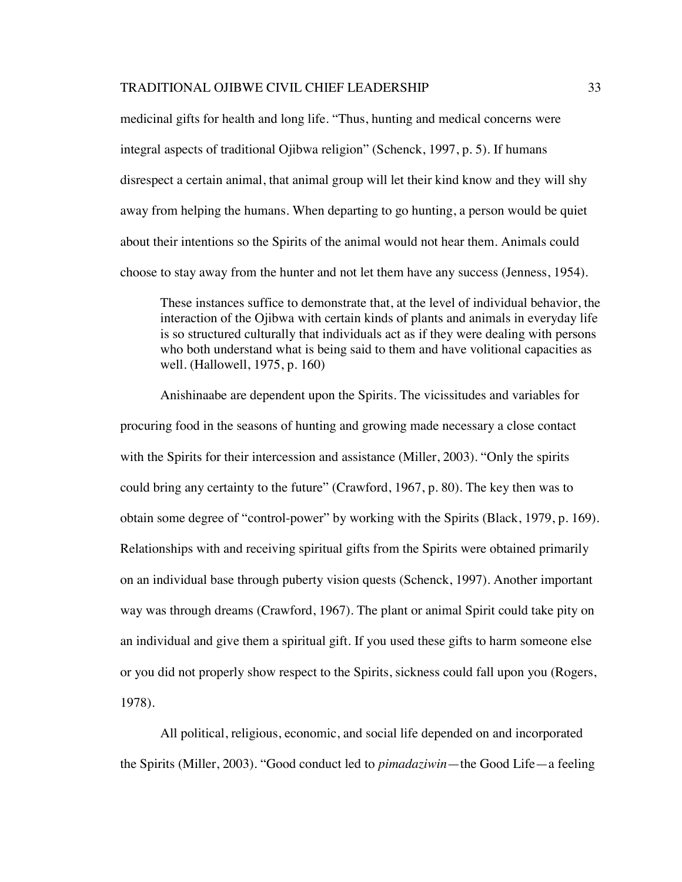medicinal gifts for health and long life. "Thus, hunting and medical concerns were integral aspects of traditional Ojibwa religion" (Schenck, 1997, p. 5). If humans disrespect a certain animal, that animal group will let their kind know and they will shy away from helping the humans. When departing to go hunting, a person would be quiet about their intentions so the Spirits of the animal would not hear them. Animals could choose to stay away from the hunter and not let them have any success (Jenness, 1954).

These instances suffice to demonstrate that, at the level of individual behavior, the interaction of the Ojibwa with certain kinds of plants and animals in everyday life is so structured culturally that individuals act as if they were dealing with persons who both understand what is being said to them and have volitional capacities as well. (Hallowell, 1975, p. 160)

Anishinaabe are dependent upon the Spirits. The vicissitudes and variables for procuring food in the seasons of hunting and growing made necessary a close contact with the Spirits for their intercession and assistance (Miller, 2003). "Only the spirits could bring any certainty to the future" (Crawford, 1967, p. 80). The key then was to obtain some degree of "control-power" by working with the Spirits (Black, 1979, p. 169). Relationships with and receiving spiritual gifts from the Spirits were obtained primarily on an individual base through puberty vision quests (Schenck, 1997). Another important way was through dreams (Crawford, 1967). The plant or animal Spirit could take pity on an individual and give them a spiritual gift. If you used these gifts to harm someone else or you did not properly show respect to the Spirits, sickness could fall upon you (Rogers, 1978).

All political, religious, economic, and social life depended on and incorporated the Spirits (Miller, 2003). "Good conduct led to *pimadaziwin*—the Good Life—a feeling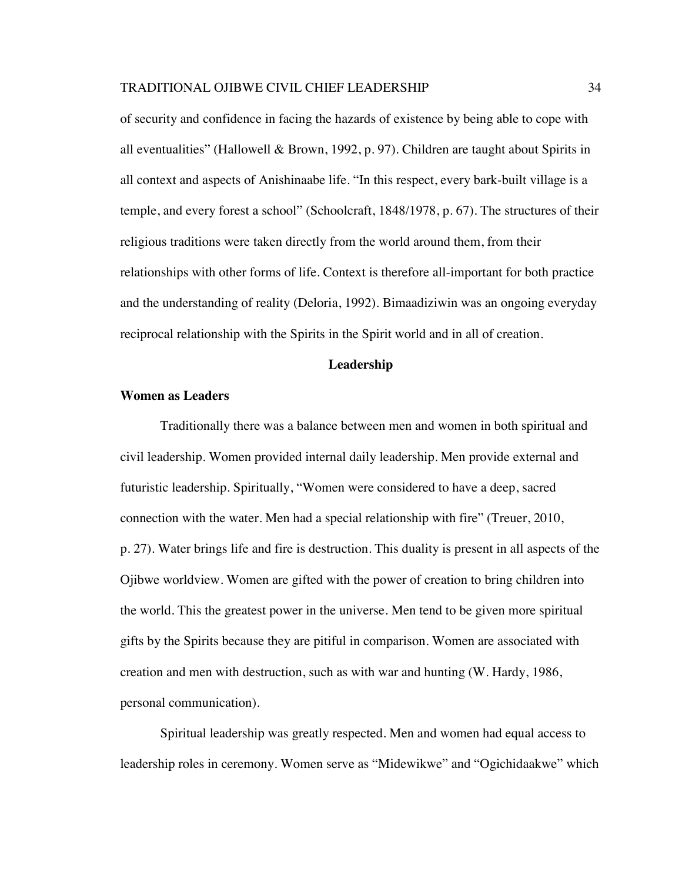of security and confidence in facing the hazards of existence by being able to cope with all eventualities" (Hallowell & Brown, 1992, p. 97). Children are taught about Spirits in all context and aspects of Anishinaabe life. "In this respect, every bark-built village is a temple, and every forest a school" (Schoolcraft, 1848/1978, p. 67). The structures of their religious traditions were taken directly from the world around them, from their relationships with other forms of life. Context is therefore all-important for both practice and the understanding of reality (Deloria, 1992). Bimaadiziwin was an ongoing everyday reciprocal relationship with the Spirits in the Spirit world and in all of creation.

#### **Leadership**

#### **Women as Leaders**

Traditionally there was a balance between men and women in both spiritual and civil leadership. Women provided internal daily leadership. Men provide external and futuristic leadership. Spiritually, "Women were considered to have a deep, sacred connection with the water. Men had a special relationship with fire" (Treuer, 2010, p. 27). Water brings life and fire is destruction. This duality is present in all aspects of the Ojibwe worldview. Women are gifted with the power of creation to bring children into the world. This the greatest power in the universe. Men tend to be given more spiritual gifts by the Spirits because they are pitiful in comparison. Women are associated with creation and men with destruction, such as with war and hunting (W. Hardy, 1986, personal communication).

Spiritual leadership was greatly respected. Men and women had equal access to leadership roles in ceremony. Women serve as "Midewikwe" and "Ogichidaakwe" which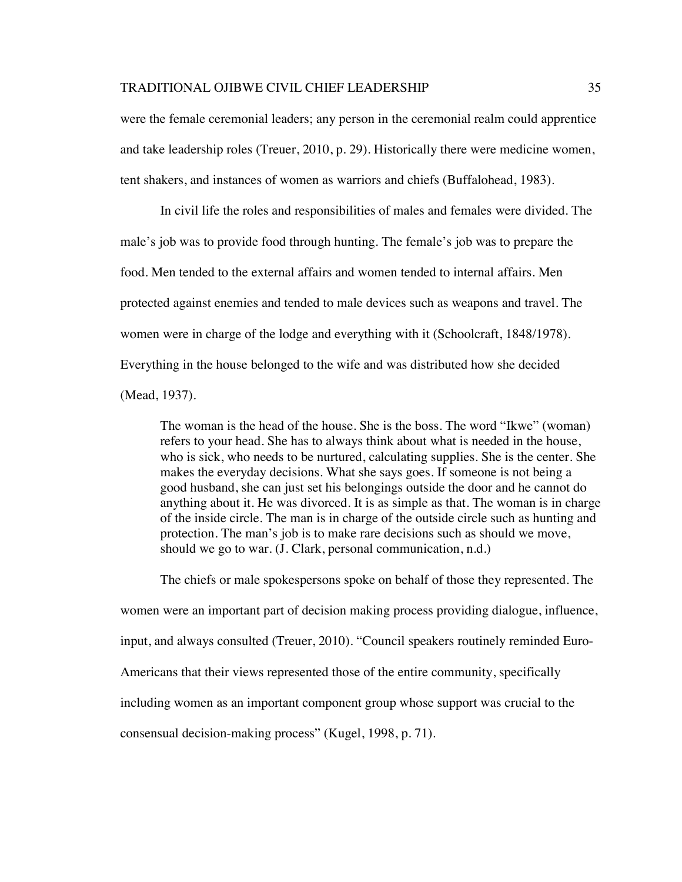were the female ceremonial leaders; any person in the ceremonial realm could apprentice and take leadership roles (Treuer, 2010, p. 29). Historically there were medicine women, tent shakers, and instances of women as warriors and chiefs (Buffalohead, 1983).

In civil life the roles and responsibilities of males and females were divided. The male's job was to provide food through hunting. The female's job was to prepare the food. Men tended to the external affairs and women tended to internal affairs. Men protected against enemies and tended to male devices such as weapons and travel. The women were in charge of the lodge and everything with it (Schoolcraft, 1848/1978). Everything in the house belonged to the wife and was distributed how she decided (Mead, 1937).

The woman is the head of the house. She is the boss. The word "Ikwe" (woman) refers to your head. She has to always think about what is needed in the house, who is sick, who needs to be nurtured, calculating supplies. She is the center. She makes the everyday decisions. What she says goes. If someone is not being a good husband, she can just set his belongings outside the door and he cannot do anything about it. He was divorced. It is as simple as that. The woman is in charge of the inside circle. The man is in charge of the outside circle such as hunting and protection. The man's job is to make rare decisions such as should we move, should we go to war. (J. Clark, personal communication, n.d.)

The chiefs or male spokespersons spoke on behalf of those they represented. The women were an important part of decision making process providing dialogue, influence, input, and always consulted (Treuer, 2010). "Council speakers routinely reminded Euro-Americans that their views represented those of the entire community, specifically including women as an important component group whose support was crucial to the consensual decision-making process" (Kugel, 1998, p. 71).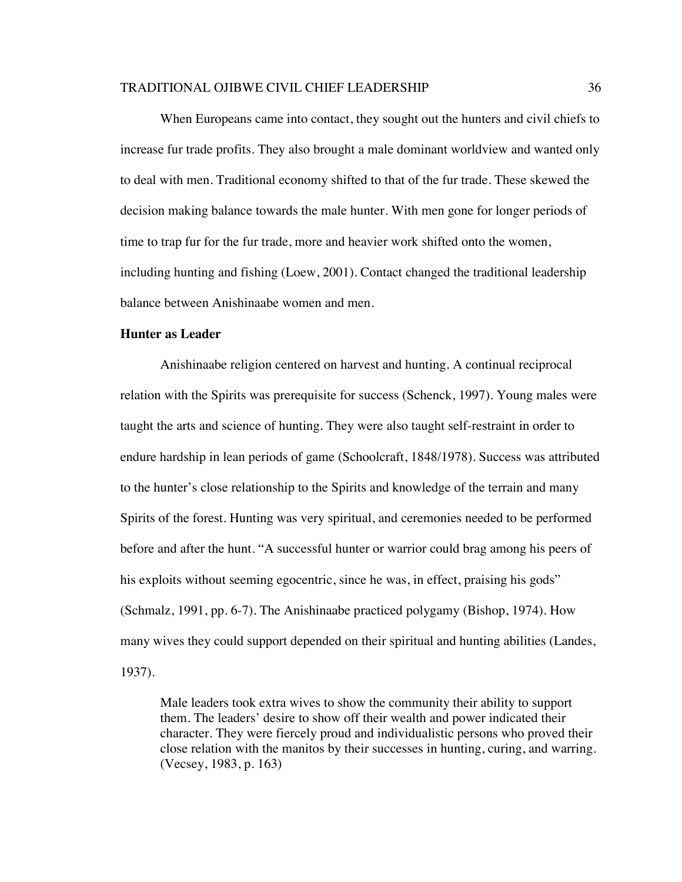When Europeans came into contact, they sought out the hunters and civil chiefs to increase fur trade profits. They also brought a male dominant worldview and wanted only to deal with men. Traditional economy shifted to that of the fur trade. These skewed the decision making balance towards the male hunter. With men gone for longer periods of time to trap fur for the fur trade, more and heavier work shifted onto the women, including hunting and fishing (Loew, 2001). Contact changed the traditional leadership balance between Anishinaabe women and men.

## **Hunter as Leader**

Anishinaabe religion centered on harvest and hunting. A continual reciprocal relation with the Spirits was prerequisite for success (Schenck, 1997). Young males were taught the arts and science of hunting. They were also taught self-restraint in order to endure hardship in lean periods of game (Schoolcraft, 1848/1978). Success was attributed to the hunter's close relationship to the Spirits and knowledge of the terrain and many Spirits of the forest. Hunting was very spiritual, and ceremonies needed to be performed before and after the hunt. "A successful hunter or warrior could brag among his peers of his exploits without seeming egocentric, since he was, in effect, praising his gods" (Schmalz, 1991, pp. 6-7). The Anishinaabe practiced polygamy (Bishop, 1974). How many wives they could support depended on their spiritual and hunting abilities (Landes, 1937).

Male leaders took extra wives to show the community their ability to support them. The leaders' desire to show off their wealth and power indicated their character. They were fiercely proud and individualistic persons who proved their close relation with the manitos by their successes in hunting, curing, and warring. (Vecsey, 1983, p. 163)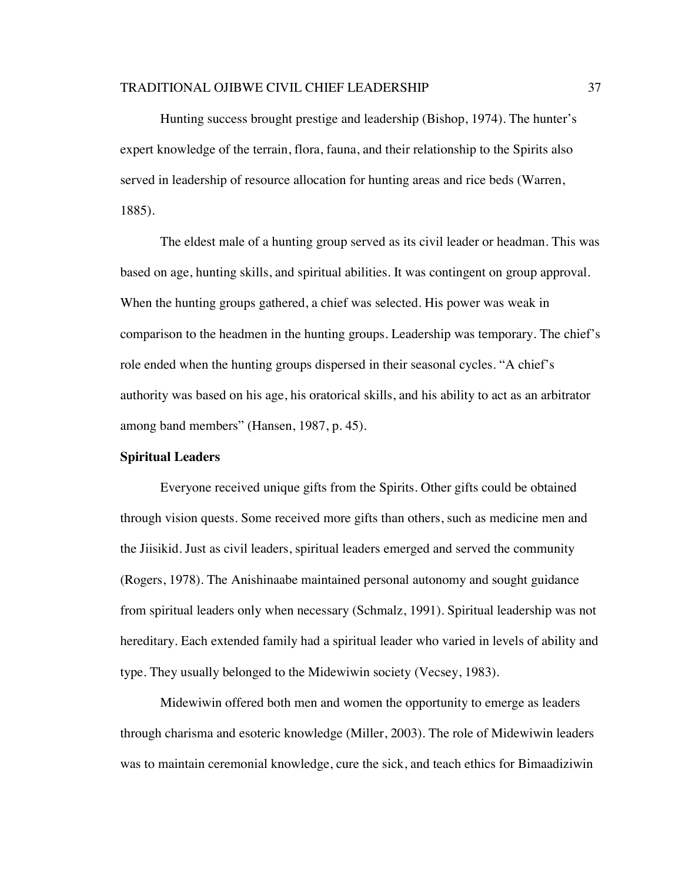Hunting success brought prestige and leadership (Bishop, 1974). The hunter's expert knowledge of the terrain, flora, fauna, and their relationship to the Spirits also served in leadership of resource allocation for hunting areas and rice beds (Warren, 1885).

The eldest male of a hunting group served as its civil leader or headman. This was based on age, hunting skills, and spiritual abilities. It was contingent on group approval. When the hunting groups gathered, a chief was selected. His power was weak in comparison to the headmen in the hunting groups. Leadership was temporary. The chief's role ended when the hunting groups dispersed in their seasonal cycles. "A chief's authority was based on his age, his oratorical skills, and his ability to act as an arbitrator among band members" (Hansen, 1987, p. 45).

## **Spiritual Leaders**

Everyone received unique gifts from the Spirits. Other gifts could be obtained through vision quests. Some received more gifts than others, such as medicine men and the Jiisikid. Just as civil leaders, spiritual leaders emerged and served the community (Rogers, 1978). The Anishinaabe maintained personal autonomy and sought guidance from spiritual leaders only when necessary (Schmalz, 1991). Spiritual leadership was not hereditary. Each extended family had a spiritual leader who varied in levels of ability and type. They usually belonged to the Midewiwin society (Vecsey, 1983).

Midewiwin offered both men and women the opportunity to emerge as leaders through charisma and esoteric knowledge (Miller, 2003). The role of Midewiwin leaders was to maintain ceremonial knowledge, cure the sick, and teach ethics for Bimaadiziwin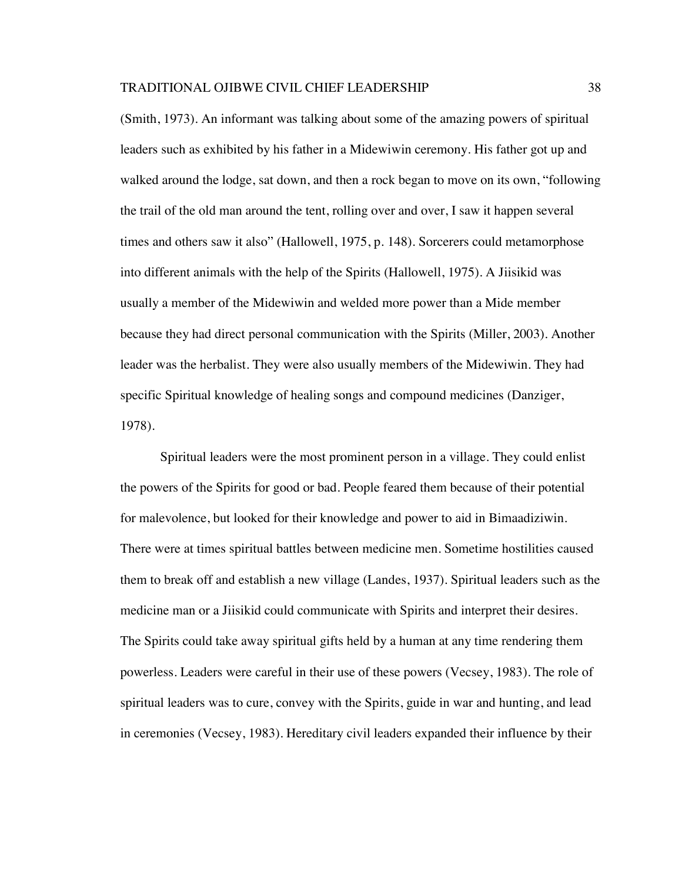(Smith, 1973). An informant was talking about some of the amazing powers of spiritual leaders such as exhibited by his father in a Midewiwin ceremony. His father got up and walked around the lodge, sat down, and then a rock began to move on its own, "following the trail of the old man around the tent, rolling over and over, I saw it happen several times and others saw it also" (Hallowell, 1975, p. 148). Sorcerers could metamorphose into different animals with the help of the Spirits (Hallowell, 1975). A Jiisikid was usually a member of the Midewiwin and welded more power than a Mide member because they had direct personal communication with the Spirits (Miller, 2003). Another leader was the herbalist. They were also usually members of the Midewiwin. They had specific Spiritual knowledge of healing songs and compound medicines (Danziger, 1978).

Spiritual leaders were the most prominent person in a village. They could enlist the powers of the Spirits for good or bad. People feared them because of their potential for malevolence, but looked for their knowledge and power to aid in Bimaadiziwin. There were at times spiritual battles between medicine men. Sometime hostilities caused them to break off and establish a new village (Landes, 1937). Spiritual leaders such as the medicine man or a Jiisikid could communicate with Spirits and interpret their desires. The Spirits could take away spiritual gifts held by a human at any time rendering them powerless. Leaders were careful in their use of these powers (Vecsey, 1983). The role of spiritual leaders was to cure, convey with the Spirits, guide in war and hunting, and lead in ceremonies (Vecsey, 1983). Hereditary civil leaders expanded their influence by their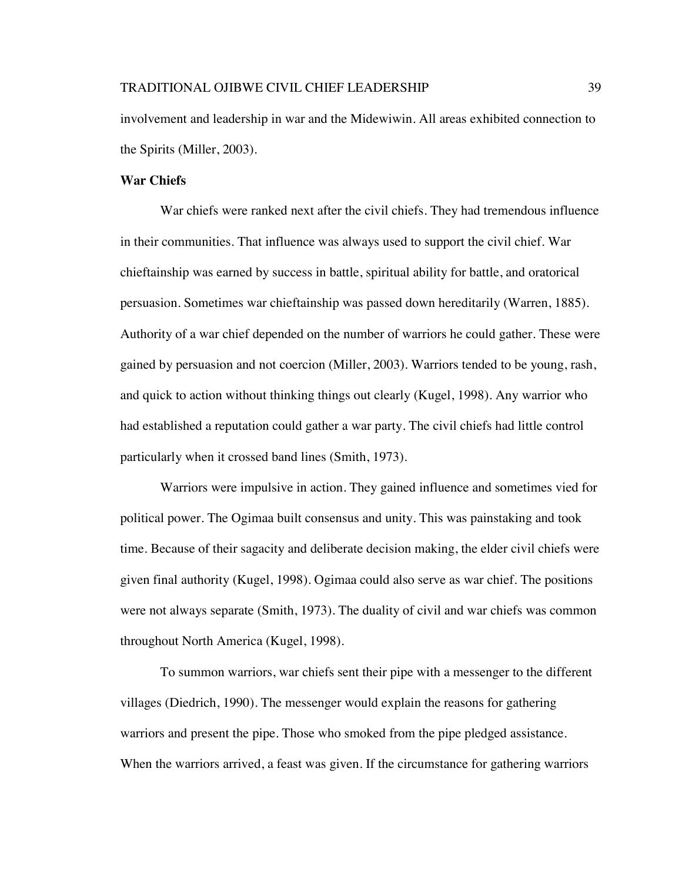involvement and leadership in war and the Midewiwin. All areas exhibited connection to the Spirits (Miller, 2003).

### **War Chiefs**

War chiefs were ranked next after the civil chiefs. They had tremendous influence in their communities. That influence was always used to support the civil chief. War chieftainship was earned by success in battle, spiritual ability for battle, and oratorical persuasion. Sometimes war chieftainship was passed down hereditarily (Warren, 1885). Authority of a war chief depended on the number of warriors he could gather. These were gained by persuasion and not coercion (Miller, 2003). Warriors tended to be young, rash, and quick to action without thinking things out clearly (Kugel, 1998). Any warrior who had established a reputation could gather a war party. The civil chiefs had little control particularly when it crossed band lines (Smith, 1973).

Warriors were impulsive in action. They gained influence and sometimes vied for political power. The Ogimaa built consensus and unity. This was painstaking and took time. Because of their sagacity and deliberate decision making, the elder civil chiefs were given final authority (Kugel, 1998). Ogimaa could also serve as war chief. The positions were not always separate (Smith, 1973). The duality of civil and war chiefs was common throughout North America (Kugel, 1998).

To summon warriors, war chiefs sent their pipe with a messenger to the different villages (Diedrich, 1990). The messenger would explain the reasons for gathering warriors and present the pipe. Those who smoked from the pipe pledged assistance. When the warriors arrived, a feast was given. If the circumstance for gathering warriors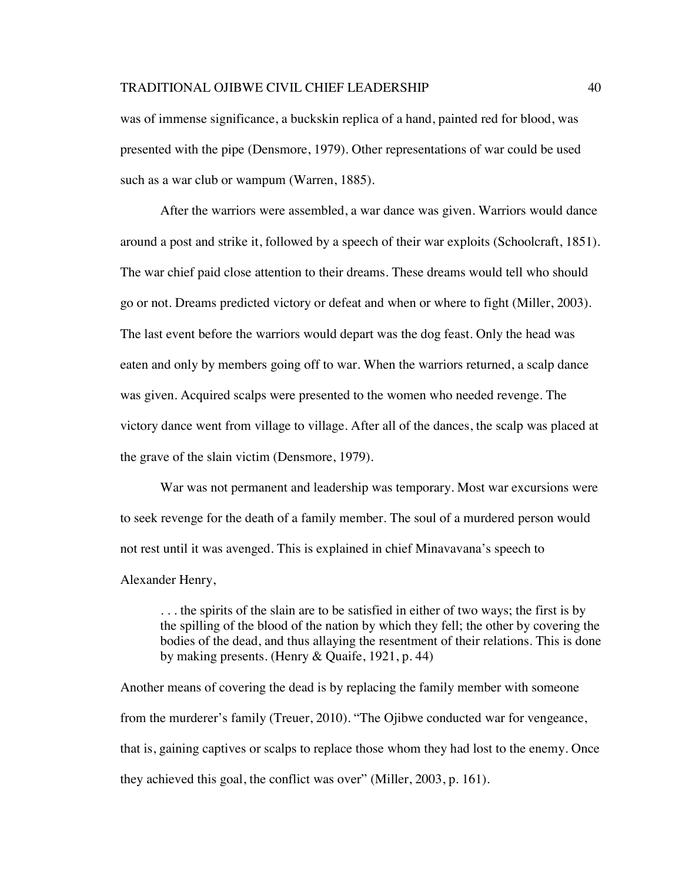was of immense significance, a buckskin replica of a hand, painted red for blood, was presented with the pipe (Densmore, 1979). Other representations of war could be used such as a war club or wampum (Warren, 1885).

After the warriors were assembled, a war dance was given. Warriors would dance around a post and strike it, followed by a speech of their war exploits (Schoolcraft, 1851). The war chief paid close attention to their dreams. These dreams would tell who should go or not. Dreams predicted victory or defeat and when or where to fight (Miller, 2003). The last event before the warriors would depart was the dog feast. Only the head was eaten and only by members going off to war. When the warriors returned, a scalp dance was given. Acquired scalps were presented to the women who needed revenge. The victory dance went from village to village. After all of the dances, the scalp was placed at the grave of the slain victim (Densmore, 1979).

War was not permanent and leadership was temporary. Most war excursions were to seek revenge for the death of a family member. The soul of a murdered person would not rest until it was avenged. This is explained in chief Minavavana's speech to Alexander Henry,

. . . the spirits of the slain are to be satisfied in either of two ways; the first is by the spilling of the blood of the nation by which they fell; the other by covering the bodies of the dead, and thus allaying the resentment of their relations. This is done by making presents. (Henry & Quaife, 1921, p. 44)

Another means of covering the dead is by replacing the family member with someone from the murderer's family (Treuer, 2010). "The Ojibwe conducted war for vengeance, that is, gaining captives or scalps to replace those whom they had lost to the enemy. Once they achieved this goal, the conflict was over" (Miller, 2003, p. 161).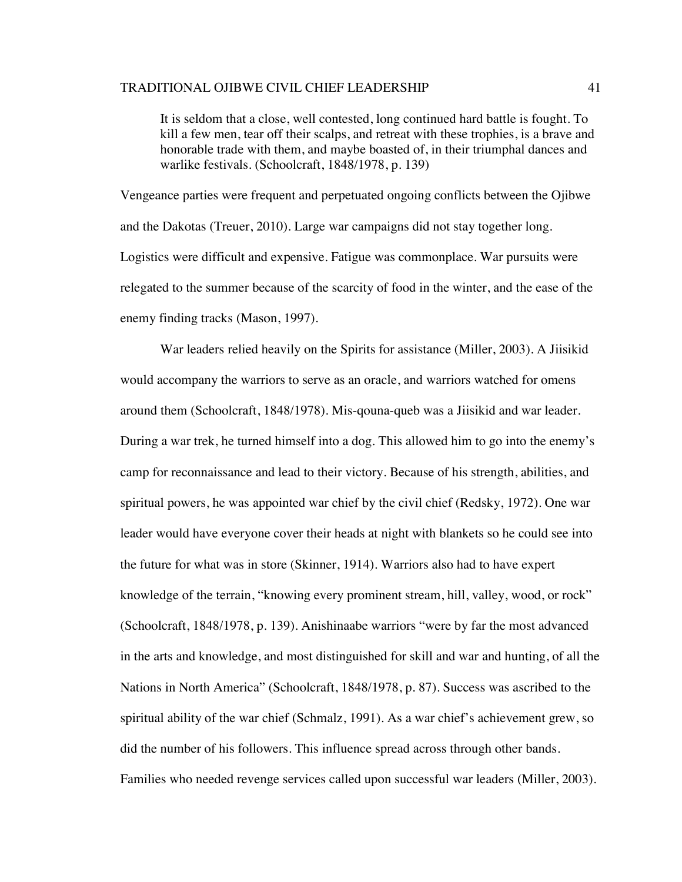It is seldom that a close, well contested, long continued hard battle is fought. To kill a few men, tear off their scalps, and retreat with these trophies, is a brave and honorable trade with them, and maybe boasted of, in their triumphal dances and warlike festivals. (Schoolcraft, 1848/1978, p. 139)

Vengeance parties were frequent and perpetuated ongoing conflicts between the Ojibwe and the Dakotas (Treuer, 2010). Large war campaigns did not stay together long. Logistics were difficult and expensive. Fatigue was commonplace. War pursuits were relegated to the summer because of the scarcity of food in the winter, and the ease of the enemy finding tracks (Mason, 1997).

War leaders relied heavily on the Spirits for assistance (Miller, 2003). A Jiisikid would accompany the warriors to serve as an oracle, and warriors watched for omens around them (Schoolcraft, 1848/1978). Mis-qouna-queb was a Jiisikid and war leader. During a war trek, he turned himself into a dog. This allowed him to go into the enemy's camp for reconnaissance and lead to their victory. Because of his strength, abilities, and spiritual powers, he was appointed war chief by the civil chief (Redsky, 1972). One war leader would have everyone cover their heads at night with blankets so he could see into the future for what was in store (Skinner, 1914). Warriors also had to have expert knowledge of the terrain, "knowing every prominent stream, hill, valley, wood, or rock" (Schoolcraft, 1848/1978, p. 139). Anishinaabe warriors "were by far the most advanced in the arts and knowledge, and most distinguished for skill and war and hunting, of all the Nations in North America" (Schoolcraft, 1848/1978, p. 87). Success was ascribed to the spiritual ability of the war chief (Schmalz, 1991). As a war chief's achievement grew, so did the number of his followers. This influence spread across through other bands. Families who needed revenge services called upon successful war leaders (Miller, 2003).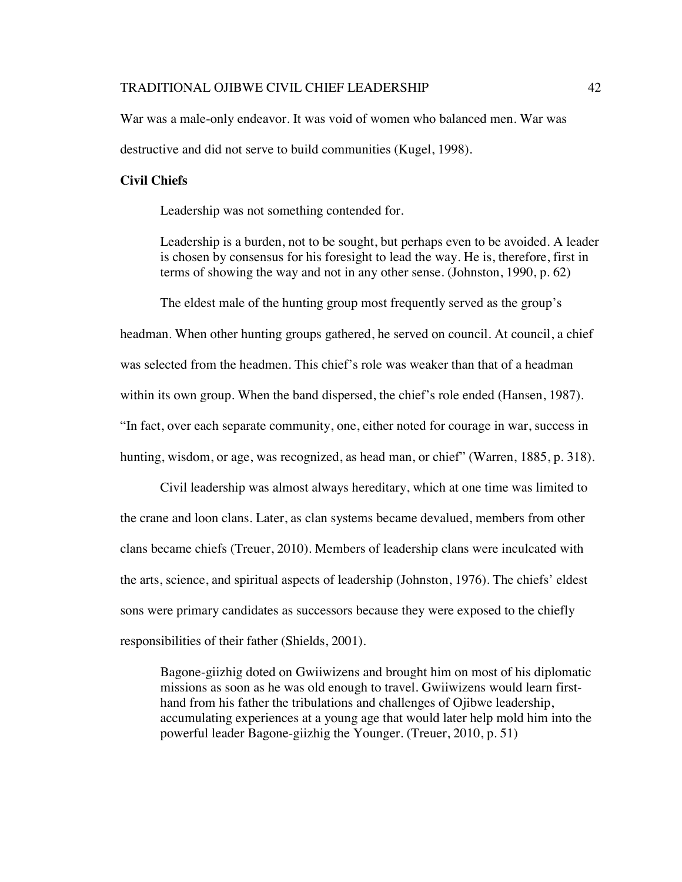War was a male-only endeavor. It was void of women who balanced men. War was destructive and did not serve to build communities (Kugel, 1998).

### **Civil Chiefs**

Leadership was not something contended for.

Leadership is a burden, not to be sought, but perhaps even to be avoided. A leader is chosen by consensus for his foresight to lead the way. He is, therefore, first in terms of showing the way and not in any other sense. (Johnston, 1990, p. 62)

The eldest male of the hunting group most frequently served as the group's headman. When other hunting groups gathered, he served on council. At council, a chief was selected from the headmen. This chief's role was weaker than that of a headman within its own group. When the band dispersed, the chief's role ended (Hansen, 1987). "In fact, over each separate community, one, either noted for courage in war, success in hunting, wisdom, or age, was recognized, as head man, or chief" (Warren, 1885, p. 318).

Civil leadership was almost always hereditary, which at one time was limited to the crane and loon clans. Later, as clan systems became devalued, members from other clans became chiefs (Treuer, 2010). Members of leadership clans were inculcated with the arts, science, and spiritual aspects of leadership (Johnston, 1976). The chiefs' eldest sons were primary candidates as successors because they were exposed to the chiefly responsibilities of their father (Shields, 2001).

Bagone-giizhig doted on Gwiiwizens and brought him on most of his diplomatic missions as soon as he was old enough to travel. Gwiiwizens would learn firsthand from his father the tribulations and challenges of Ojibwe leadership, accumulating experiences at a young age that would later help mold him into the powerful leader Bagone-giizhig the Younger. (Treuer, 2010, p. 51)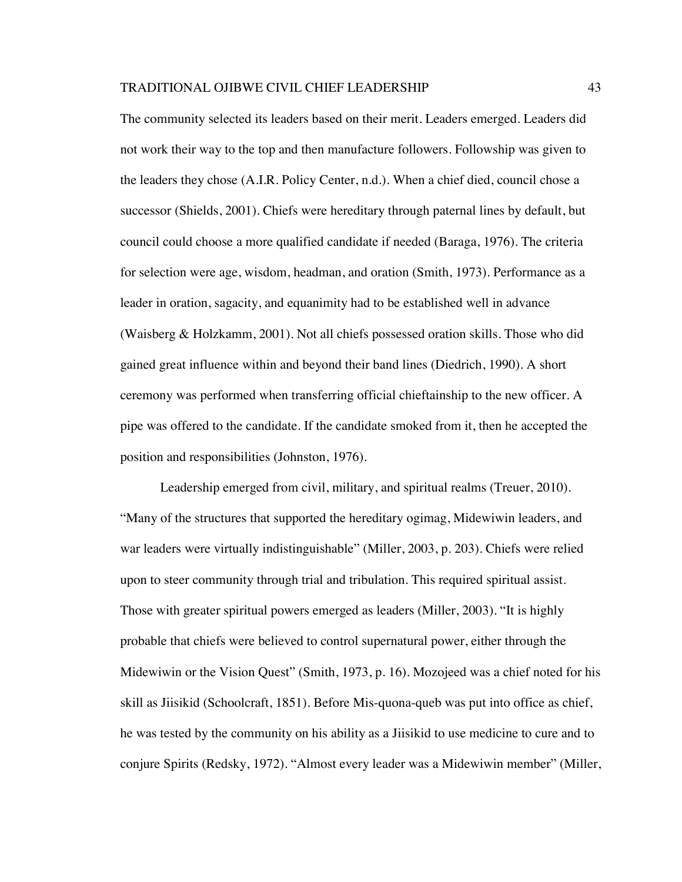The community selected its leaders based on their merit. Leaders emerged. Leaders did not work their way to the top and then manufacture followers. Followship was given to the leaders they chose (A.I.R. Policy Center, n.d.). When a chief died, council chose a successor (Shields, 2001). Chiefs were hereditary through paternal lines by default, but council could choose a more qualified candidate if needed (Baraga, 1976). The criteria for selection were age, wisdom, headman, and oration (Smith, 1973). Performance as a leader in oration, sagacity, and equanimity had to be established well in advance (Waisberg & Holzkamm, 2001). Not all chiefs possessed oration skills. Those who did gained great influence within and beyond their band lines (Diedrich, 1990). A short ceremony was performed when transferring official chieftainship to the new officer. A pipe was offered to the candidate. If the candidate smoked from it, then he accepted the position and responsibilities (Johnston, 1976).

Leadership emerged from civil, military, and spiritual realms (Treuer, 2010). "Many of the structures that supported the hereditary ogimag, Midewiwin leaders, and war leaders were virtually indistinguishable" (Miller, 2003, p. 203). Chiefs were relied upon to steer community through trial and tribulation. This required spiritual assist. Those with greater spiritual powers emerged as leaders (Miller, 2003). "It is highly probable that chiefs were believed to control supernatural power, either through the Midewiwin or the Vision Quest" (Smith, 1973, p. 16). Mozojeed was a chief noted for his skill as Jiisikid (Schoolcraft, 1851). Before Mis-quona-queb was put into office as chief, he was tested by the community on his ability as a Jiisikid to use medicine to cure and to conjure Spirits (Redsky, 1972). "Almost every leader was a Midewiwin member" (Miller,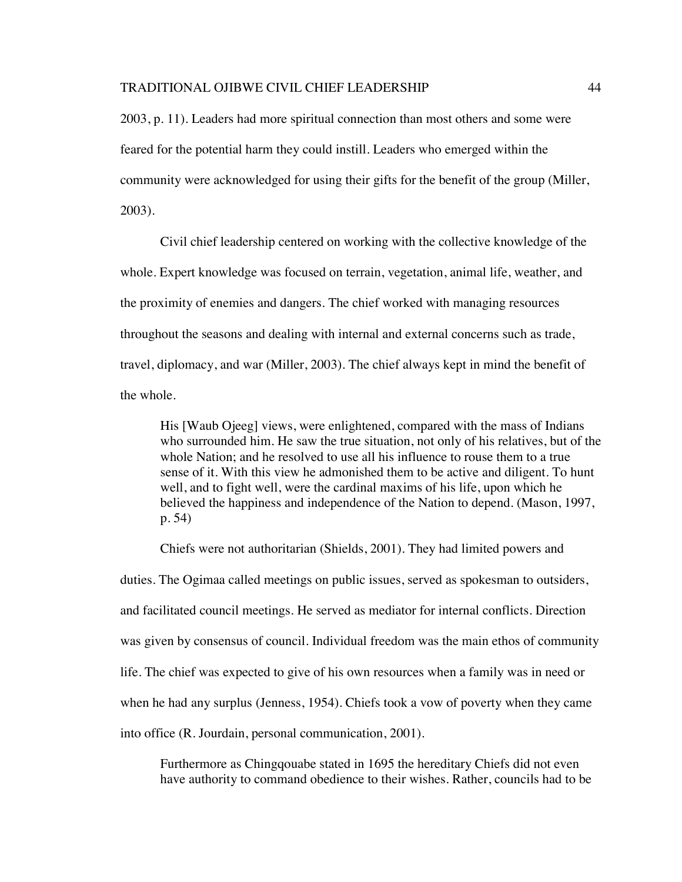2003, p. 11). Leaders had more spiritual connection than most others and some were feared for the potential harm they could instill. Leaders who emerged within the community were acknowledged for using their gifts for the benefit of the group (Miller, 2003).

Civil chief leadership centered on working with the collective knowledge of the whole. Expert knowledge was focused on terrain, vegetation, animal life, weather, and the proximity of enemies and dangers. The chief worked with managing resources throughout the seasons and dealing with internal and external concerns such as trade, travel, diplomacy, and war (Miller, 2003). The chief always kept in mind the benefit of the whole.

His [Waub Ojeeg] views, were enlightened, compared with the mass of Indians who surrounded him. He saw the true situation, not only of his relatives, but of the whole Nation; and he resolved to use all his influence to rouse them to a true sense of it. With this view he admonished them to be active and diligent. To hunt well, and to fight well, were the cardinal maxims of his life, upon which he believed the happiness and independence of the Nation to depend. (Mason, 1997, p. 54)

Chiefs were not authoritarian (Shields, 2001). They had limited powers and duties. The Ogimaa called meetings on public issues, served as spokesman to outsiders, and facilitated council meetings. He served as mediator for internal conflicts. Direction was given by consensus of council. Individual freedom was the main ethos of community life. The chief was expected to give of his own resources when a family was in need or when he had any surplus (Jenness, 1954). Chiefs took a vow of poverty when they came into office (R. Jourdain, personal communication, 2001).

Furthermore as Chingqouabe stated in 1695 the hereditary Chiefs did not even have authority to command obedience to their wishes. Rather, councils had to be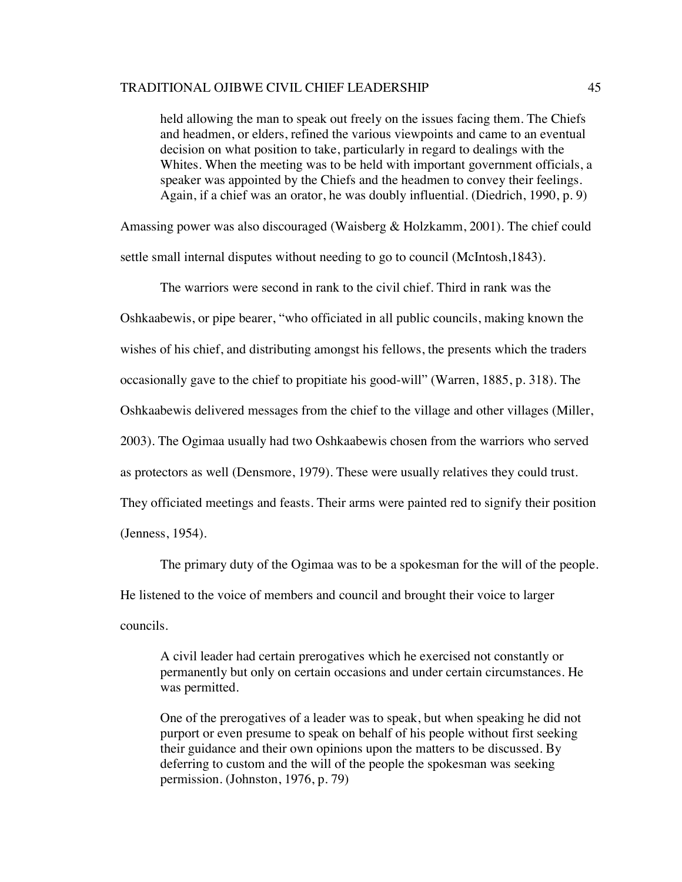held allowing the man to speak out freely on the issues facing them. The Chiefs and headmen, or elders, refined the various viewpoints and came to an eventual decision on what position to take, particularly in regard to dealings with the Whites. When the meeting was to be held with important government officials, a speaker was appointed by the Chiefs and the headmen to convey their feelings. Again, if a chief was an orator, he was doubly influential. (Diedrich, 1990, p. 9)

Amassing power was also discouraged (Waisberg & Holzkamm, 2001). The chief could settle small internal disputes without needing to go to council (McIntosh,1843).

The warriors were second in rank to the civil chief. Third in rank was the Oshkaabewis, or pipe bearer, "who officiated in all public councils, making known the wishes of his chief, and distributing amongst his fellows, the presents which the traders occasionally gave to the chief to propitiate his good-will" (Warren, 1885, p. 318). The Oshkaabewis delivered messages from the chief to the village and other villages (Miller, 2003). The Ogimaa usually had two Oshkaabewis chosen from the warriors who served as protectors as well (Densmore, 1979). These were usually relatives they could trust. They officiated meetings and feasts. Their arms were painted red to signify their position (Jenness, 1954).

The primary duty of the Ogimaa was to be a spokesman for the will of the people. He listened to the voice of members and council and brought their voice to larger councils.

A civil leader had certain prerogatives which he exercised not constantly or permanently but only on certain occasions and under certain circumstances. He was permitted.

One of the prerogatives of a leader was to speak, but when speaking he did not purport or even presume to speak on behalf of his people without first seeking their guidance and their own opinions upon the matters to be discussed. By deferring to custom and the will of the people the spokesman was seeking permission. (Johnston, 1976, p. 79)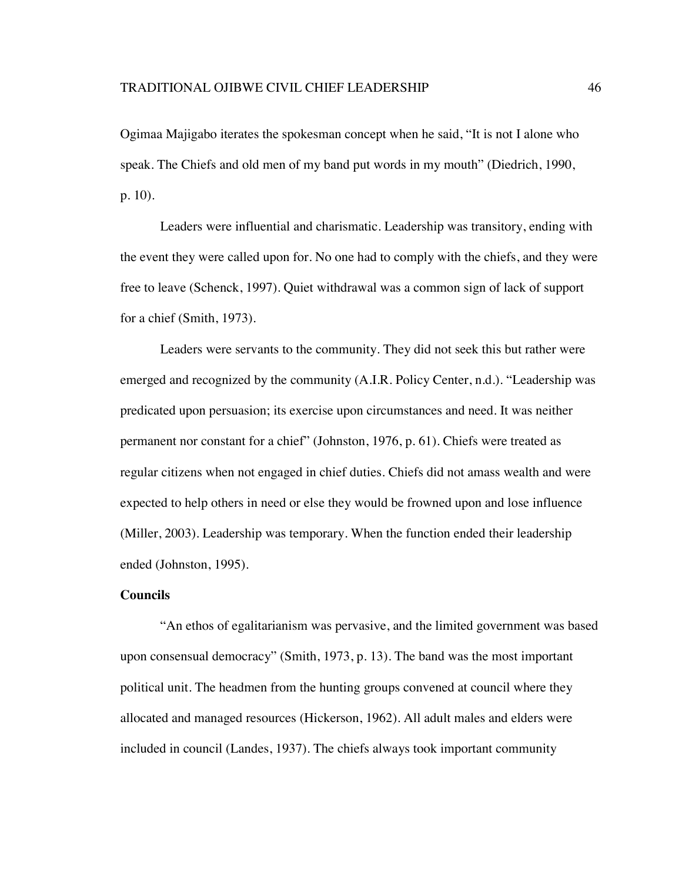Ogimaa Majigabo iterates the spokesman concept when he said, "It is not I alone who speak. The Chiefs and old men of my band put words in my mouth" (Diedrich, 1990, p. 10).

Leaders were influential and charismatic. Leadership was transitory, ending with the event they were called upon for. No one had to comply with the chiefs, and they were free to leave (Schenck, 1997). Quiet withdrawal was a common sign of lack of support for a chief (Smith, 1973).

Leaders were servants to the community. They did not seek this but rather were emerged and recognized by the community (A.I.R. Policy Center, n.d.). "Leadership was predicated upon persuasion; its exercise upon circumstances and need. It was neither permanent nor constant for a chief" (Johnston, 1976, p. 61). Chiefs were treated as regular citizens when not engaged in chief duties. Chiefs did not amass wealth and were expected to help others in need or else they would be frowned upon and lose influence (Miller, 2003). Leadership was temporary. When the function ended their leadership ended (Johnston, 1995).

## **Councils**

"An ethos of egalitarianism was pervasive, and the limited government was based upon consensual democracy" (Smith, 1973, p. 13). The band was the most important political unit. The headmen from the hunting groups convened at council where they allocated and managed resources (Hickerson, 1962). All adult males and elders were included in council (Landes, 1937). The chiefs always took important community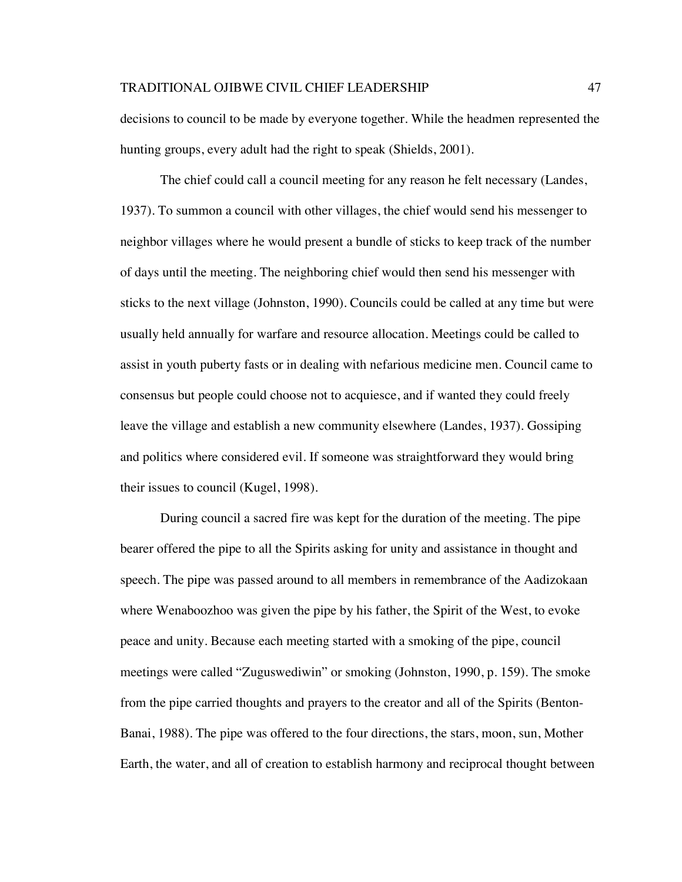decisions to council to be made by everyone together. While the headmen represented the hunting groups, every adult had the right to speak (Shields, 2001).

The chief could call a council meeting for any reason he felt necessary (Landes, 1937). To summon a council with other villages, the chief would send his messenger to neighbor villages where he would present a bundle of sticks to keep track of the number of days until the meeting. The neighboring chief would then send his messenger with sticks to the next village (Johnston, 1990). Councils could be called at any time but were usually held annually for warfare and resource allocation. Meetings could be called to assist in youth puberty fasts or in dealing with nefarious medicine men. Council came to consensus but people could choose not to acquiesce, and if wanted they could freely leave the village and establish a new community elsewhere (Landes, 1937). Gossiping and politics where considered evil. If someone was straightforward they would bring their issues to council (Kugel, 1998).

During council a sacred fire was kept for the duration of the meeting. The pipe bearer offered the pipe to all the Spirits asking for unity and assistance in thought and speech. The pipe was passed around to all members in remembrance of the Aadizokaan where Wenaboozhoo was given the pipe by his father, the Spirit of the West, to evoke peace and unity. Because each meeting started with a smoking of the pipe, council meetings were called "Zuguswediwin" or smoking (Johnston, 1990, p. 159). The smoke from the pipe carried thoughts and prayers to the creator and all of the Spirits (Benton-Banai, 1988). The pipe was offered to the four directions, the stars, moon, sun, Mother Earth, the water, and all of creation to establish harmony and reciprocal thought between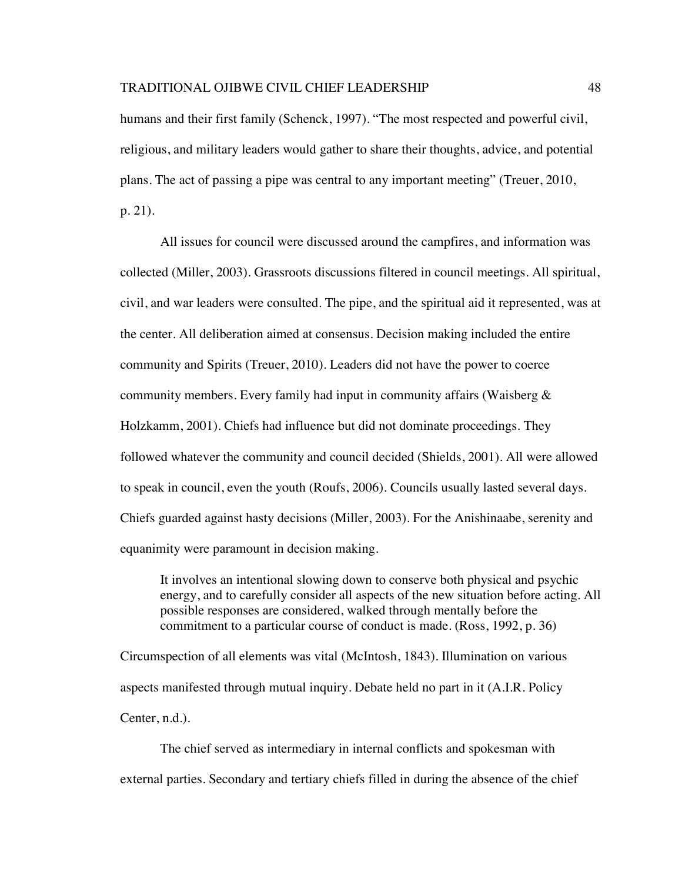humans and their first family (Schenck, 1997). "The most respected and powerful civil, religious, and military leaders would gather to share their thoughts, advice, and potential plans. The act of passing a pipe was central to any important meeting" (Treuer, 2010, p. 21).

All issues for council were discussed around the campfires, and information was collected (Miller, 2003). Grassroots discussions filtered in council meetings. All spiritual, civil, and war leaders were consulted. The pipe, and the spiritual aid it represented, was at the center. All deliberation aimed at consensus. Decision making included the entire community and Spirits (Treuer, 2010). Leaders did not have the power to coerce community members. Every family had input in community affairs (Waisberg & Holzkamm, 2001). Chiefs had influence but did not dominate proceedings. They followed whatever the community and council decided (Shields, 2001). All were allowed to speak in council, even the youth (Roufs, 2006). Councils usually lasted several days. Chiefs guarded against hasty decisions (Miller, 2003). For the Anishinaabe, serenity and equanimity were paramount in decision making.

It involves an intentional slowing down to conserve both physical and psychic energy, and to carefully consider all aspects of the new situation before acting. All possible responses are considered, walked through mentally before the commitment to a particular course of conduct is made. (Ross, 1992, p. 36)

Circumspection of all elements was vital (McIntosh, 1843). Illumination on various aspects manifested through mutual inquiry. Debate held no part in it (A.I.R. Policy Center, n.d.).

The chief served as intermediary in internal conflicts and spokesman with external parties. Secondary and tertiary chiefs filled in during the absence of the chief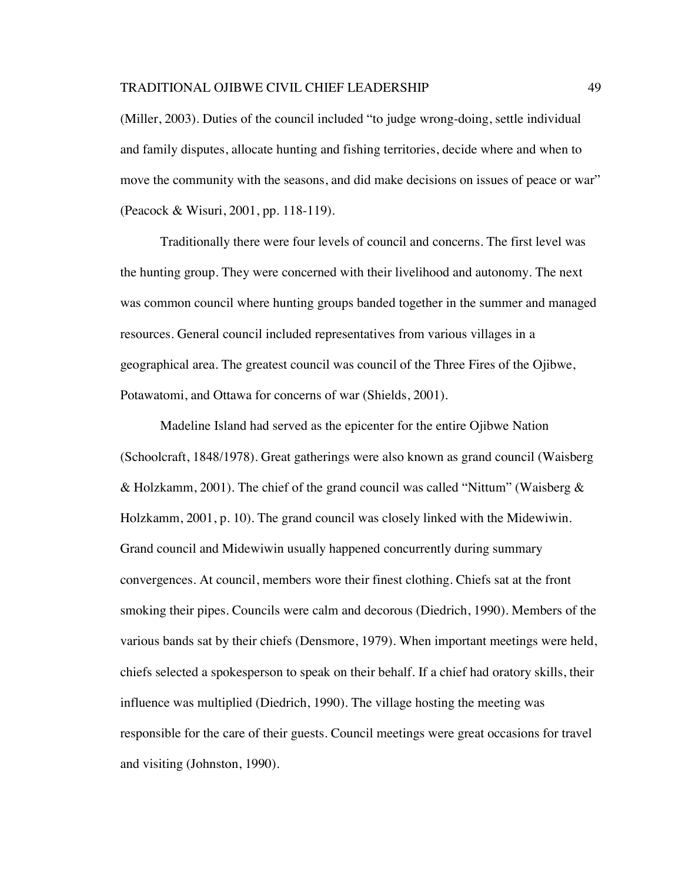(Miller, 2003). Duties of the council included "to judge wrong-doing, settle individual and family disputes, allocate hunting and fishing territories, decide where and when to move the community with the seasons, and did make decisions on issues of peace or war" (Peacock & Wisuri, 2001, pp. 118-119).

Traditionally there were four levels of council and concerns. The first level was the hunting group. They were concerned with their livelihood and autonomy. The next was common council where hunting groups banded together in the summer and managed resources. General council included representatives from various villages in a geographical area. The greatest council was council of the Three Fires of the Ojibwe, Potawatomi, and Ottawa for concerns of war (Shields, 2001).

Madeline Island had served as the epicenter for the entire Ojibwe Nation (Schoolcraft, 1848/1978). Great gatherings were also known as grand council (Waisberg & Holzkamm, 2001). The chief of the grand council was called "Nittum" (Waisberg  $\&$ Holzkamm, 2001, p. 10). The grand council was closely linked with the Midewiwin. Grand council and Midewiwin usually happened concurrently during summary convergences. At council, members wore their finest clothing. Chiefs sat at the front smoking their pipes. Councils were calm and decorous (Diedrich, 1990). Members of the various bands sat by their chiefs (Densmore, 1979). When important meetings were held, chiefs selected a spokesperson to speak on their behalf. If a chief had oratory skills, their influence was multiplied (Diedrich, 1990). The village hosting the meeting was responsible for the care of their guests. Council meetings were great occasions for travel and visiting (Johnston, 1990).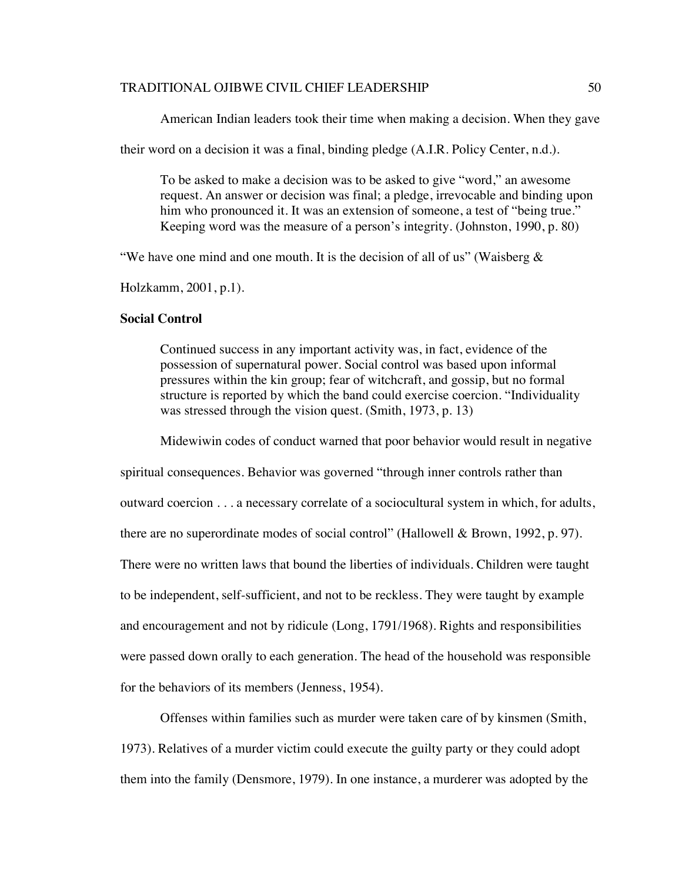American Indian leaders took their time when making a decision. When they gave

their word on a decision it was a final, binding pledge (A.I.R. Policy Center, n.d.).

To be asked to make a decision was to be asked to give "word," an awesome request. An answer or decision was final; a pledge, irrevocable and binding upon him who pronounced it. It was an extension of someone, a test of "being true." Keeping word was the measure of a person's integrity. (Johnston, 1990, p. 80)

"We have one mind and one mouth. It is the decision of all of us" (Waisberg  $\&$ 

Holzkamm, 2001, p.1).

# **Social Control**

Continued success in any important activity was, in fact, evidence of the possession of supernatural power. Social control was based upon informal pressures within the kin group; fear of witchcraft, and gossip, but no formal structure is reported by which the band could exercise coercion. "Individuality was stressed through the vision quest. (Smith, 1973, p. 13)

Midewiwin codes of conduct warned that poor behavior would result in negative

spiritual consequences. Behavior was governed "through inner controls rather than outward coercion . . . a necessary correlate of a sociocultural system in which, for adults, there are no superordinate modes of social control" (Hallowell & Brown, 1992, p. 97). There were no written laws that bound the liberties of individuals. Children were taught to be independent, self-sufficient, and not to be reckless. They were taught by example and encouragement and not by ridicule (Long, 1791/1968). Rights and responsibilities were passed down orally to each generation. The head of the household was responsible for the behaviors of its members (Jenness, 1954).

Offenses within families such as murder were taken care of by kinsmen (Smith, 1973). Relatives of a murder victim could execute the guilty party or they could adopt them into the family (Densmore, 1979). In one instance, a murderer was adopted by the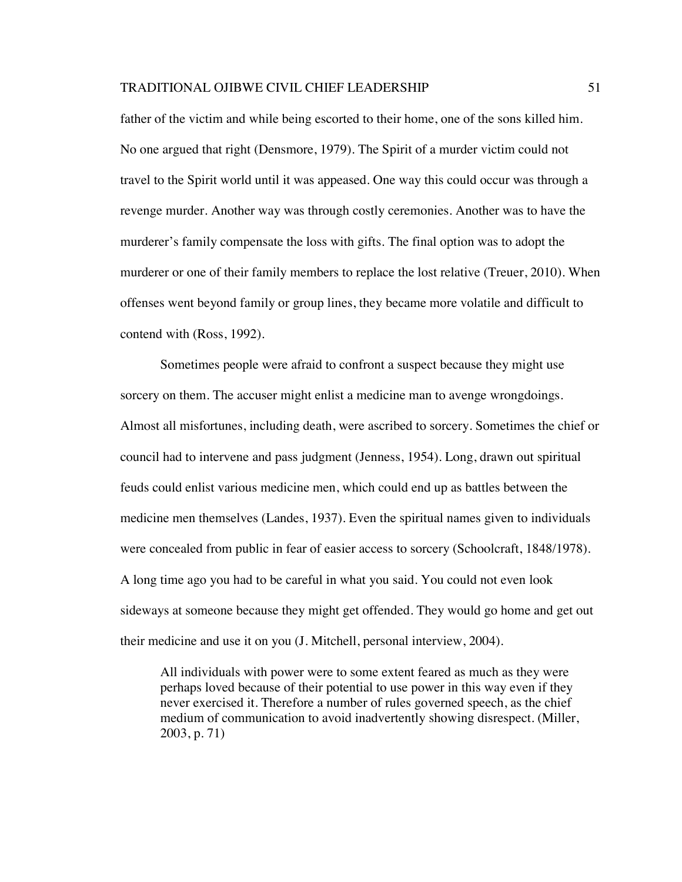father of the victim and while being escorted to their home, one of the sons killed him. No one argued that right (Densmore, 1979). The Spirit of a murder victim could not travel to the Spirit world until it was appeased. One way this could occur was through a revenge murder. Another way was through costly ceremonies. Another was to have the murderer's family compensate the loss with gifts. The final option was to adopt the murderer or one of their family members to replace the lost relative (Treuer, 2010). When offenses went beyond family or group lines, they became more volatile and difficult to contend with (Ross, 1992).

Sometimes people were afraid to confront a suspect because they might use sorcery on them. The accuser might enlist a medicine man to avenge wrongdoings. Almost all misfortunes, including death, were ascribed to sorcery. Sometimes the chief or council had to intervene and pass judgment (Jenness, 1954). Long, drawn out spiritual feuds could enlist various medicine men, which could end up as battles between the medicine men themselves (Landes, 1937). Even the spiritual names given to individuals were concealed from public in fear of easier access to sorcery (Schoolcraft, 1848/1978). A long time ago you had to be careful in what you said. You could not even look sideways at someone because they might get offended. They would go home and get out their medicine and use it on you (J. Mitchell, personal interview, 2004).

All individuals with power were to some extent feared as much as they were perhaps loved because of their potential to use power in this way even if they never exercised it. Therefore a number of rules governed speech, as the chief medium of communication to avoid inadvertently showing disrespect. (Miller, 2003, p. 71)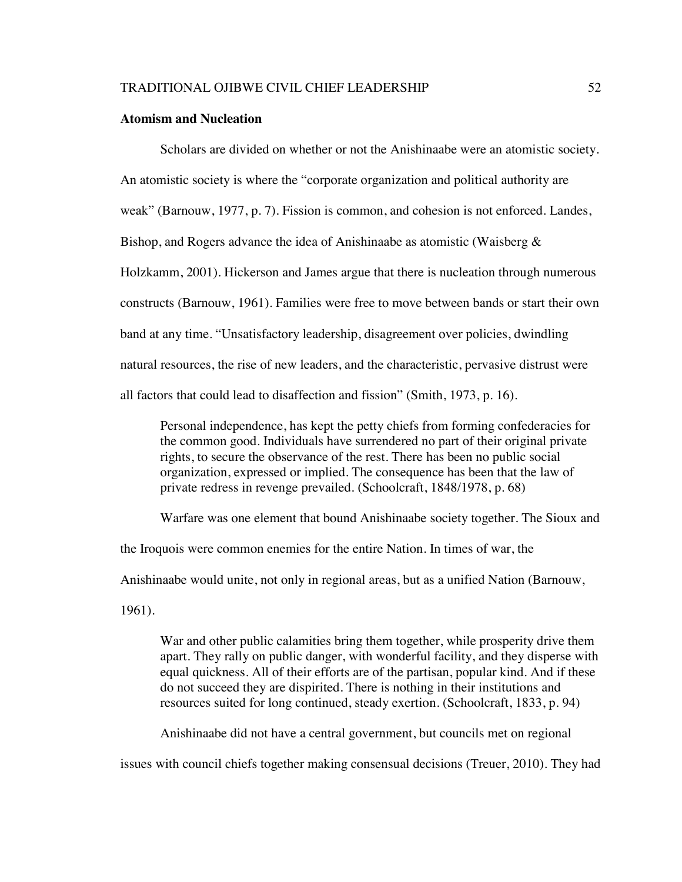#### **Atomism and Nucleation**

Scholars are divided on whether or not the Anishinaabe were an atomistic society. An atomistic society is where the "corporate organization and political authority are weak" (Barnouw, 1977, p. 7). Fission is common, and cohesion is not enforced. Landes, Bishop, and Rogers advance the idea of Anishinaabe as atomistic (Waisberg  $\&$ Holzkamm, 2001). Hickerson and James argue that there is nucleation through numerous constructs (Barnouw, 1961). Families were free to move between bands or start their own band at any time. "Unsatisfactory leadership, disagreement over policies, dwindling natural resources, the rise of new leaders, and the characteristic, pervasive distrust were all factors that could lead to disaffection and fission" (Smith, 1973, p. 16).

Personal independence, has kept the petty chiefs from forming confederacies for the common good. Individuals have surrendered no part of their original private rights, to secure the observance of the rest. There has been no public social organization, expressed or implied. The consequence has been that the law of private redress in revenge prevailed. (Schoolcraft, 1848/1978, p. 68)

Warfare was one element that bound Anishinaabe society together. The Sioux and the Iroquois were common enemies for the entire Nation. In times of war, the Anishinaabe would unite, not only in regional areas, but as a unified Nation (Barnouw, 1961).

War and other public calamities bring them together, while prosperity drive them apart. They rally on public danger, with wonderful facility, and they disperse with equal quickness. All of their efforts are of the partisan, popular kind. And if these do not succeed they are dispirited. There is nothing in their institutions and resources suited for long continued, steady exertion. (Schoolcraft, 1833, p. 94)

Anishinaabe did not have a central government, but councils met on regional

issues with council chiefs together making consensual decisions (Treuer, 2010). They had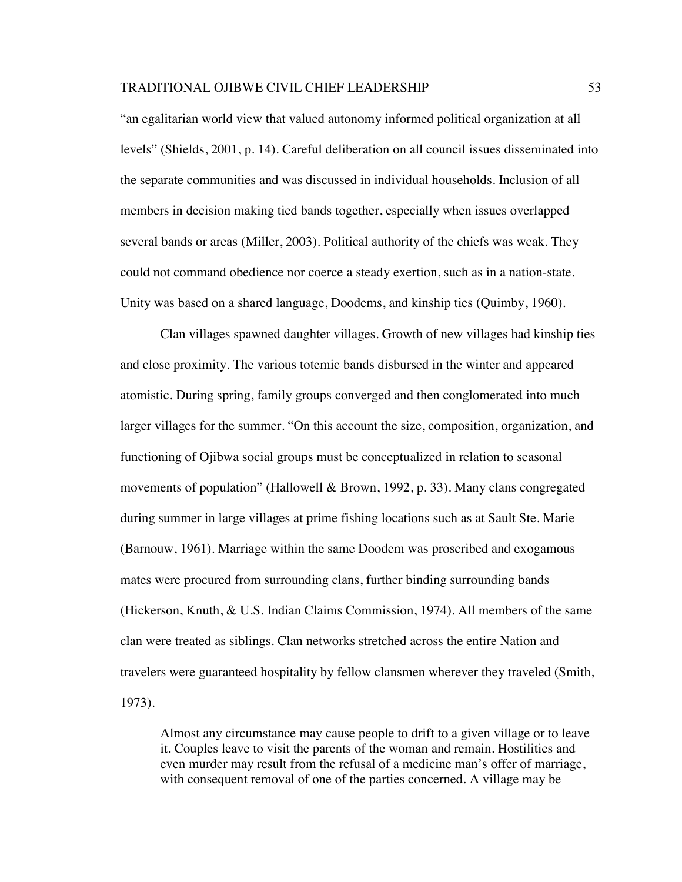"an egalitarian world view that valued autonomy informed political organization at all levels" (Shields, 2001, p. 14). Careful deliberation on all council issues disseminated into the separate communities and was discussed in individual households. Inclusion of all members in decision making tied bands together, especially when issues overlapped several bands or areas (Miller, 2003). Political authority of the chiefs was weak. They could not command obedience nor coerce a steady exertion, such as in a nation-state. Unity was based on a shared language, Doodems, and kinship ties (Quimby, 1960).

Clan villages spawned daughter villages. Growth of new villages had kinship ties and close proximity. The various totemic bands disbursed in the winter and appeared atomistic. During spring, family groups converged and then conglomerated into much larger villages for the summer. "On this account the size, composition, organization, and functioning of Ojibwa social groups must be conceptualized in relation to seasonal movements of population" (Hallowell & Brown, 1992, p. 33). Many clans congregated during summer in large villages at prime fishing locations such as at Sault Ste. Marie (Barnouw, 1961). Marriage within the same Doodem was proscribed and exogamous mates were procured from surrounding clans, further binding surrounding bands (Hickerson, Knuth, & U.S. Indian Claims Commission, 1974). All members of the same clan were treated as siblings. Clan networks stretched across the entire Nation and travelers were guaranteed hospitality by fellow clansmen wherever they traveled (Smith, 1973).

Almost any circumstance may cause people to drift to a given village or to leave it. Couples leave to visit the parents of the woman and remain. Hostilities and even murder may result from the refusal of a medicine man's offer of marriage, with consequent removal of one of the parties concerned. A village may be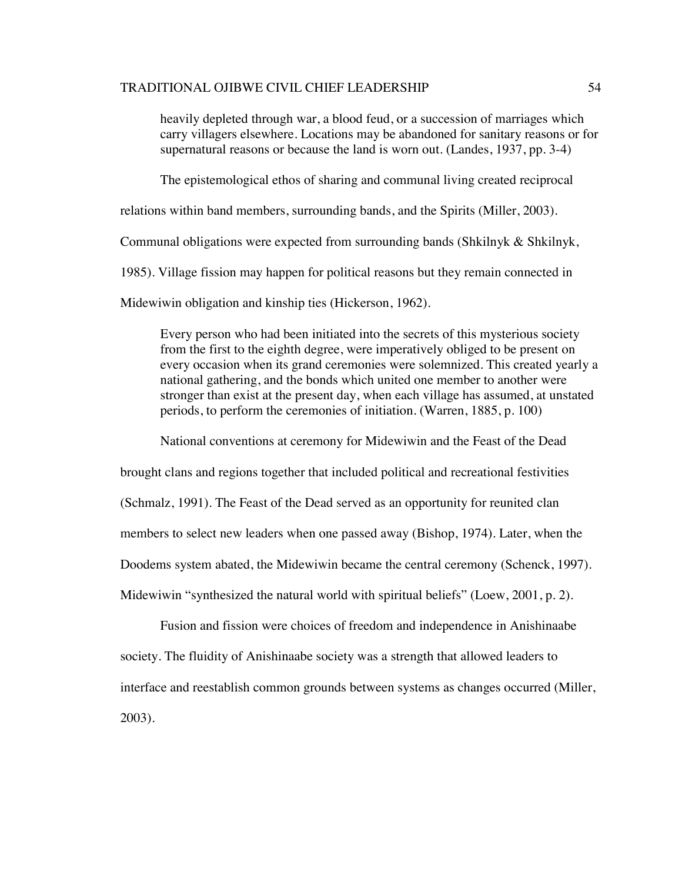heavily depleted through war, a blood feud, or a succession of marriages which carry villagers elsewhere. Locations may be abandoned for sanitary reasons or for supernatural reasons or because the land is worn out. (Landes, 1937, pp. 3-4)

The epistemological ethos of sharing and communal living created reciprocal

relations within band members, surrounding bands, and the Spirits (Miller, 2003).

Communal obligations were expected from surrounding bands (Shkilnyk & Shkilnyk,

1985). Village fission may happen for political reasons but they remain connected in

Midewiwin obligation and kinship ties (Hickerson, 1962).

Every person who had been initiated into the secrets of this mysterious society from the first to the eighth degree, were imperatively obliged to be present on every occasion when its grand ceremonies were solemnized. This created yearly a national gathering, and the bonds which united one member to another were stronger than exist at the present day, when each village has assumed, at unstated periods, to perform the ceremonies of initiation. (Warren, 1885, p. 100)

National conventions at ceremony for Midewiwin and the Feast of the Dead

brought clans and regions together that included political and recreational festivities (Schmalz, 1991). The Feast of the Dead served as an opportunity for reunited clan members to select new leaders when one passed away (Bishop, 1974). Later, when the Doodems system abated, the Midewiwin became the central ceremony (Schenck, 1997). Midewiwin "synthesized the natural world with spiritual beliefs" (Loew, 2001, p. 2).

Fusion and fission were choices of freedom and independence in Anishinaabe society. The fluidity of Anishinaabe society was a strength that allowed leaders to interface and reestablish common grounds between systems as changes occurred (Miller, 2003).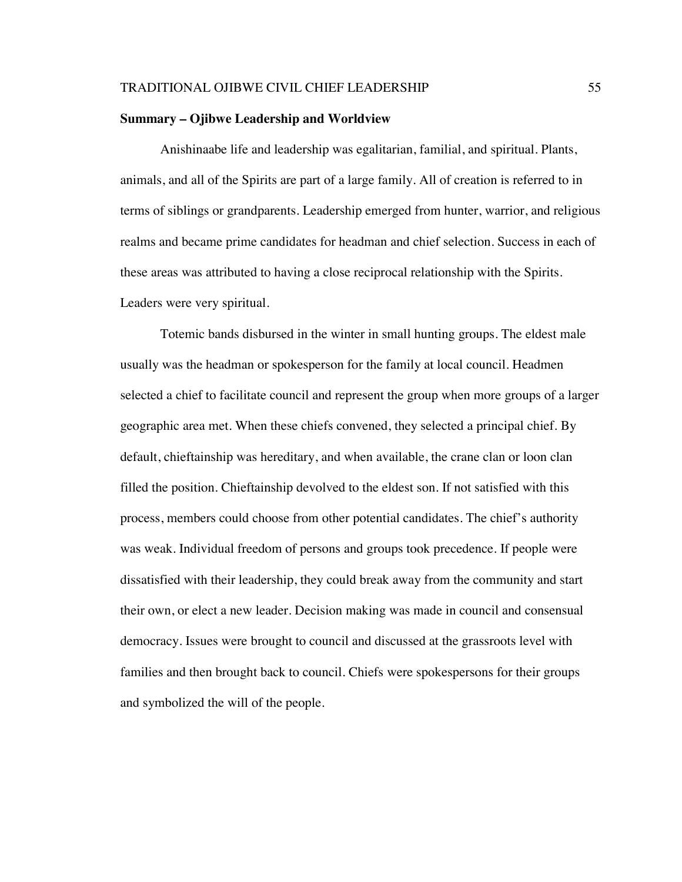#### **Summary – Ojibwe Leadership and Worldview**

Anishinaabe life and leadership was egalitarian, familial, and spiritual. Plants, animals, and all of the Spirits are part of a large family. All of creation is referred to in terms of siblings or grandparents. Leadership emerged from hunter, warrior, and religious realms and became prime candidates for headman and chief selection. Success in each of these areas was attributed to having a close reciprocal relationship with the Spirits. Leaders were very spiritual.

Totemic bands disbursed in the winter in small hunting groups. The eldest male usually was the headman or spokesperson for the family at local council. Headmen selected a chief to facilitate council and represent the group when more groups of a larger geographic area met. When these chiefs convened, they selected a principal chief. By default, chieftainship was hereditary, and when available, the crane clan or loon clan filled the position. Chieftainship devolved to the eldest son. If not satisfied with this process, members could choose from other potential candidates. The chief's authority was weak. Individual freedom of persons and groups took precedence. If people were dissatisfied with their leadership, they could break away from the community and start their own, or elect a new leader. Decision making was made in council and consensual democracy. Issues were brought to council and discussed at the grassroots level with families and then brought back to council. Chiefs were spokespersons for their groups and symbolized the will of the people.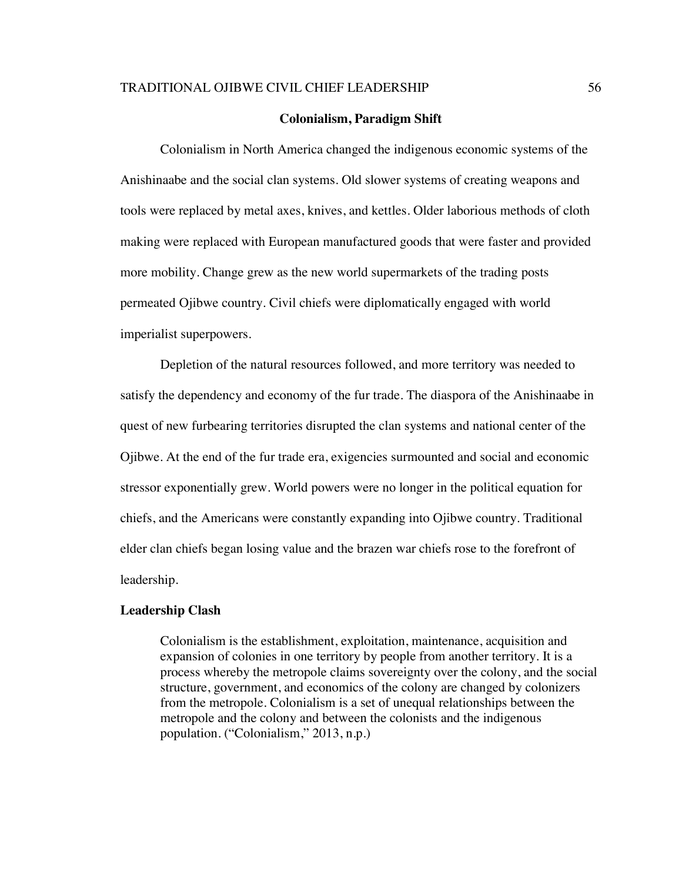#### **Colonialism, Paradigm Shift**

Colonialism in North America changed the indigenous economic systems of the Anishinaabe and the social clan systems. Old slower systems of creating weapons and tools were replaced by metal axes, knives, and kettles. Older laborious methods of cloth making were replaced with European manufactured goods that were faster and provided more mobility. Change grew as the new world supermarkets of the trading posts permeated Ojibwe country. Civil chiefs were diplomatically engaged with world imperialist superpowers.

Depletion of the natural resources followed, and more territory was needed to satisfy the dependency and economy of the fur trade. The diaspora of the Anishinaabe in quest of new furbearing territories disrupted the clan systems and national center of the Ojibwe. At the end of the fur trade era, exigencies surmounted and social and economic stressor exponentially grew. World powers were no longer in the political equation for chiefs, and the Americans were constantly expanding into Ojibwe country. Traditional elder clan chiefs began losing value and the brazen war chiefs rose to the forefront of leadership.

#### **Leadership Clash**

Colonialism is the establishment, exploitation, maintenance, acquisition and expansion of colonies in one territory by people from another territory. It is a process whereby the metropole claims sovereignty over the colony, and the social structure, government, and economics of the colony are changed by colonizers from the metropole. Colonialism is a set of unequal relationships between the metropole and the colony and between the colonists and the indigenous population. ("Colonialism," 2013, n.p.)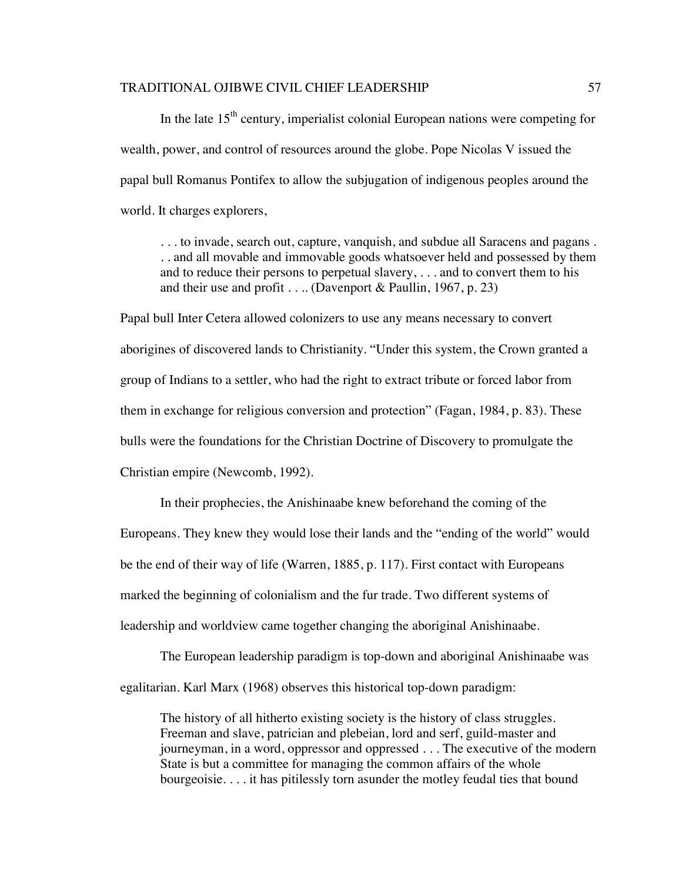In the late  $15<sup>th</sup>$  century, imperialist colonial European nations were competing for wealth, power, and control of resources around the globe. Pope Nicolas V issued the papal bull Romanus Pontifex to allow the subjugation of indigenous peoples around the world. It charges explorers,

. . . to invade, search out, capture, vanquish, and subdue all Saracens and pagans . . . and all movable and immovable goods whatsoever held and possessed by them and to reduce their persons to perpetual slavery, . . . and to convert them to his and their use and profit . . .. (Davenport & Paullin, 1967, p. 23)

Papal bull Inter Cetera allowed colonizers to use any means necessary to convert aborigines of discovered lands to Christianity. "Under this system, the Crown granted a group of Indians to a settler, who had the right to extract tribute or forced labor from them in exchange for religious conversion and protection" (Fagan, 1984, p. 83). These bulls were the foundations for the Christian Doctrine of Discovery to promulgate the Christian empire (Newcomb, 1992).

In their prophecies, the Anishinaabe knew beforehand the coming of the Europeans. They knew they would lose their lands and the "ending of the world" would be the end of their way of life (Warren, 1885, p. 117). First contact with Europeans marked the beginning of colonialism and the fur trade. Two different systems of leadership and worldview came together changing the aboriginal Anishinaabe.

The European leadership paradigm is top-down and aboriginal Anishinaabe was egalitarian. Karl Marx (1968) observes this historical top-down paradigm:

The history of all hitherto existing society is the history of class struggles. Freeman and slave, patrician and plebeian, lord and serf, guild-master and journeyman, in a word, oppressor and oppressed . . . The executive of the modern State is but a committee for managing the common affairs of the whole bourgeoisie. . . . it has pitilessly torn asunder the motley feudal ties that bound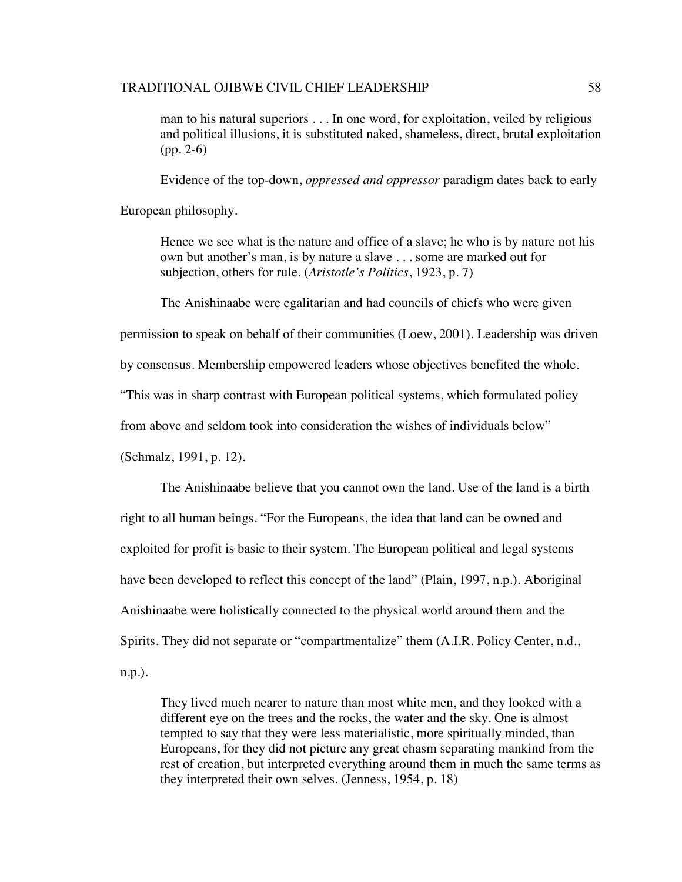man to his natural superiors . . . In one word, for exploitation, veiled by religious and political illusions, it is substituted naked, shameless, direct, brutal exploitation (pp. 2-6)

Evidence of the top-down, *oppressed and oppressor* paradigm dates back to early

European philosophy.

Hence we see what is the nature and office of a slave; he who is by nature not his own but another's man, is by nature a slave . . . some are marked out for subjection, others for rule. (*Aristotle's Politics*, 1923, p. 7)

The Anishinaabe were egalitarian and had councils of chiefs who were given

permission to speak on behalf of their communities (Loew, 2001). Leadership was driven

by consensus. Membership empowered leaders whose objectives benefited the whole.

"This was in sharp contrast with European political systems, which formulated policy

from above and seldom took into consideration the wishes of individuals below"

(Schmalz, 1991, p. 12).

The Anishinaabe believe that you cannot own the land. Use of the land is a birth right to all human beings. "For the Europeans, the idea that land can be owned and exploited for profit is basic to their system. The European political and legal systems have been developed to reflect this concept of the land" (Plain, 1997, n.p.). Aboriginal Anishinaabe were holistically connected to the physical world around them and the Spirits. They did not separate or "compartmentalize" them (A.I.R. Policy Center, n.d., n.p.).

They lived much nearer to nature than most white men, and they looked with a different eye on the trees and the rocks, the water and the sky. One is almost tempted to say that they were less materialistic, more spiritually minded, than Europeans, for they did not picture any great chasm separating mankind from the rest of creation, but interpreted everything around them in much the same terms as they interpreted their own selves. (Jenness, 1954, p. 18)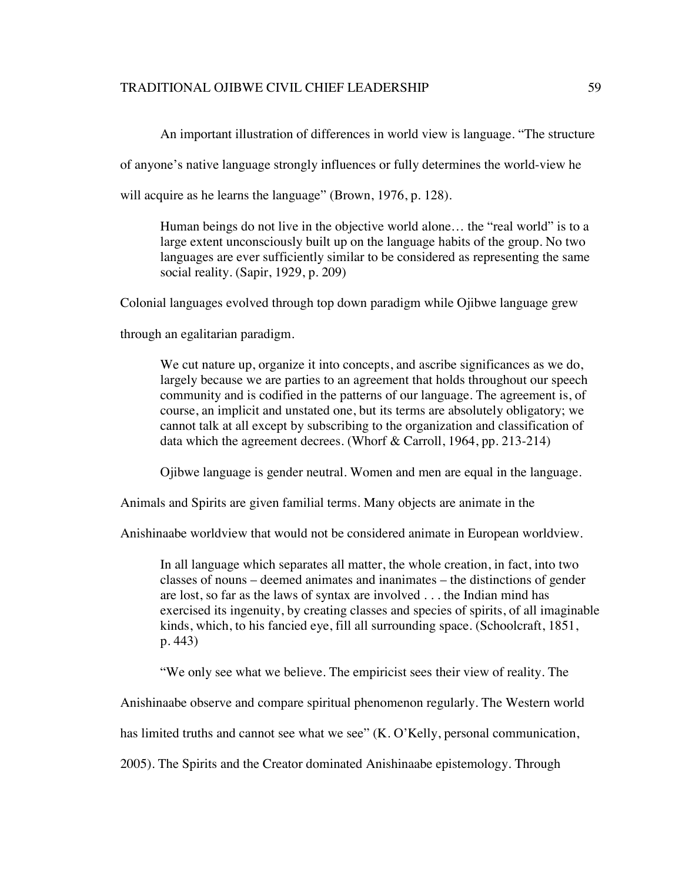An important illustration of differences in world view is language. "The structure

of anyone's native language strongly influences or fully determines the world-view he

will acquire as he learns the language" (Brown, 1976, p. 128).

Human beings do not live in the objective world alone… the "real world" is to a large extent unconsciously built up on the language habits of the group. No two languages are ever sufficiently similar to be considered as representing the same social reality. (Sapir, 1929, p. 209)

Colonial languages evolved through top down paradigm while Ojibwe language grew

through an egalitarian paradigm.

We cut nature up, organize it into concepts, and ascribe significances as we do, largely because we are parties to an agreement that holds throughout our speech community and is codified in the patterns of our language. The agreement is, of course, an implicit and unstated one, but its terms are absolutely obligatory; we cannot talk at all except by subscribing to the organization and classification of data which the agreement decrees. (Whorf & Carroll, 1964, pp. 213-214)

Ojibwe language is gender neutral. Women and men are equal in the language.

Animals and Spirits are given familial terms. Many objects are animate in the

Anishinaabe worldview that would not be considered animate in European worldview.

In all language which separates all matter, the whole creation, in fact, into two classes of nouns – deemed animates and inanimates – the distinctions of gender are lost, so far as the laws of syntax are involved . . . the Indian mind has exercised its ingenuity, by creating classes and species of spirits, of all imaginable kinds, which, to his fancied eye, fill all surrounding space. (Schoolcraft, 1851, p. 443)

"We only see what we believe. The empiricist sees their view of reality. The

Anishinaabe observe and compare spiritual phenomenon regularly. The Western world

has limited truths and cannot see what we see" (K. O'Kelly, personal communication,

2005). The Spirits and the Creator dominated Anishinaabe epistemology. Through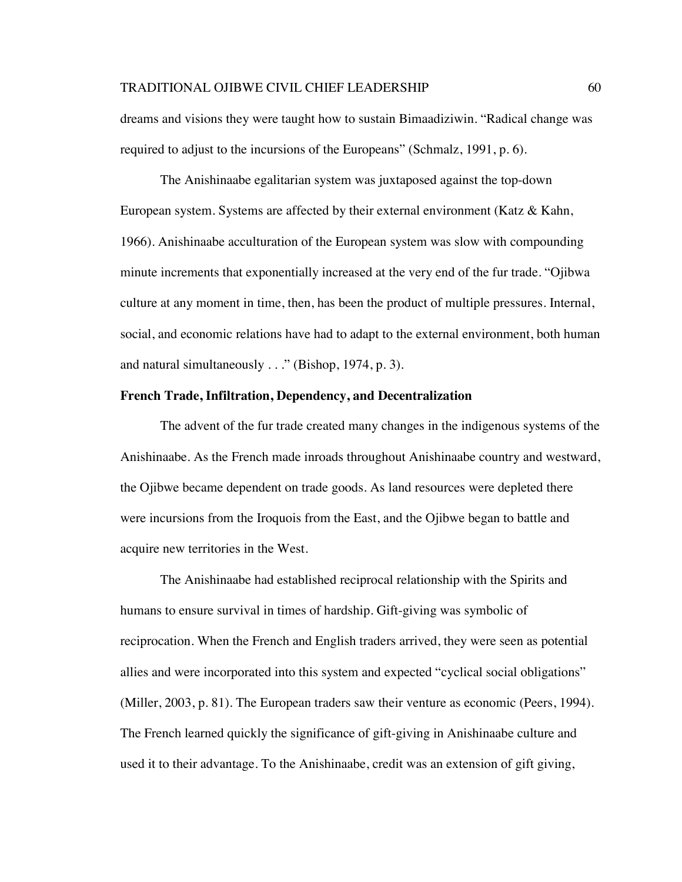dreams and visions they were taught how to sustain Bimaadiziwin. "Radical change was required to adjust to the incursions of the Europeans" (Schmalz, 1991, p. 6).

The Anishinaabe egalitarian system was juxtaposed against the top-down European system. Systems are affected by their external environment (Katz & Kahn, 1966). Anishinaabe acculturation of the European system was slow with compounding minute increments that exponentially increased at the very end of the fur trade. "Ojibwa culture at any moment in time, then, has been the product of multiple pressures. Internal, social, and economic relations have had to adapt to the external environment, both human and natural simultaneously . . ." (Bishop, 1974, p. 3).

# **French Trade, Infiltration, Dependency, and Decentralization**

The advent of the fur trade created many changes in the indigenous systems of the Anishinaabe. As the French made inroads throughout Anishinaabe country and westward, the Ojibwe became dependent on trade goods. As land resources were depleted there were incursions from the Iroquois from the East, and the Ojibwe began to battle and acquire new territories in the West.

The Anishinaabe had established reciprocal relationship with the Spirits and humans to ensure survival in times of hardship. Gift-giving was symbolic of reciprocation. When the French and English traders arrived, they were seen as potential allies and were incorporated into this system and expected "cyclical social obligations" (Miller, 2003, p. 81). The European traders saw their venture as economic (Peers, 1994). The French learned quickly the significance of gift-giving in Anishinaabe culture and used it to their advantage. To the Anishinaabe, credit was an extension of gift giving,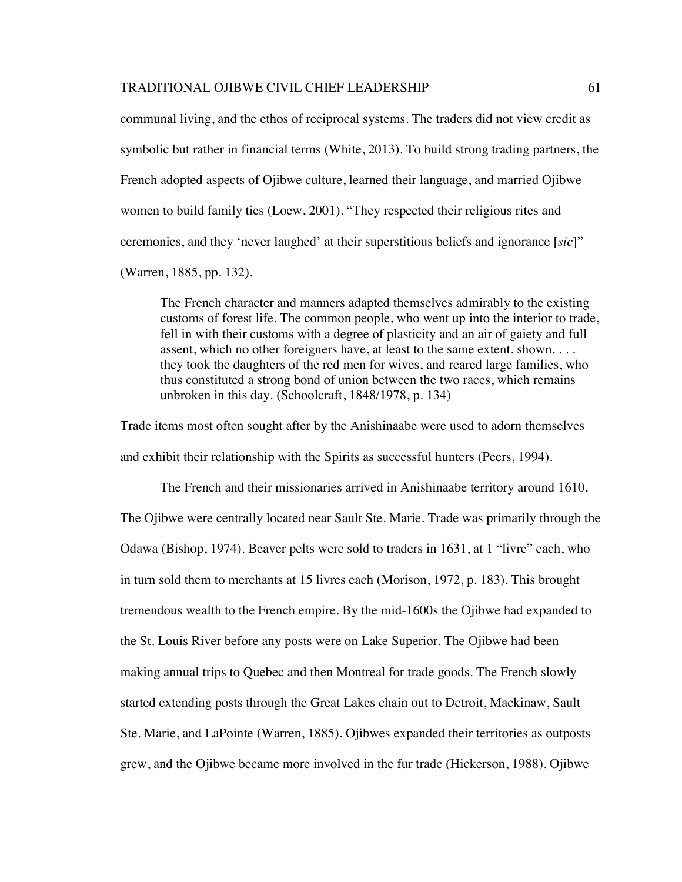communal living, and the ethos of reciprocal systems. The traders did not view credit as symbolic but rather in financial terms (White, 2013). To build strong trading partners, the French adopted aspects of Ojibwe culture, learned their language, and married Ojibwe women to build family ties (Loew, 2001). "They respected their religious rites and ceremonies, and they 'never laughed' at their superstitious beliefs and ignorance [*sic*]" (Warren, 1885, pp. 132).

The French character and manners adapted themselves admirably to the existing customs of forest life. The common people, who went up into the interior to trade, fell in with their customs with a degree of plasticity and an air of gaiety and full assent, which no other foreigners have, at least to the same extent, shown. . . . they took the daughters of the red men for wives, and reared large families, who thus constituted a strong bond of union between the two races, which remains unbroken in this day. (Schoolcraft, 1848/1978, p. 134)

Trade items most often sought after by the Anishinaabe were used to adorn themselves and exhibit their relationship with the Spirits as successful hunters (Peers, 1994).

The French and their missionaries arrived in Anishinaabe territory around 1610. The Ojibwe were centrally located near Sault Ste. Marie. Trade was primarily through the Odawa (Bishop, 1974). Beaver pelts were sold to traders in 1631, at 1 "livre" each, who in turn sold them to merchants at 15 livres each (Morison, 1972, p. 183). This brought tremendous wealth to the French empire. By the mid-1600s the Ojibwe had expanded to the St. Louis River before any posts were on Lake Superior. The Ojibwe had been making annual trips to Quebec and then Montreal for trade goods. The French slowly started extending posts through the Great Lakes chain out to Detroit, Mackinaw, Sault Ste. Marie, and LaPointe (Warren, 1885). Ojibwes expanded their territories as outposts grew, and the Ojibwe became more involved in the fur trade (Hickerson, 1988). Ojibwe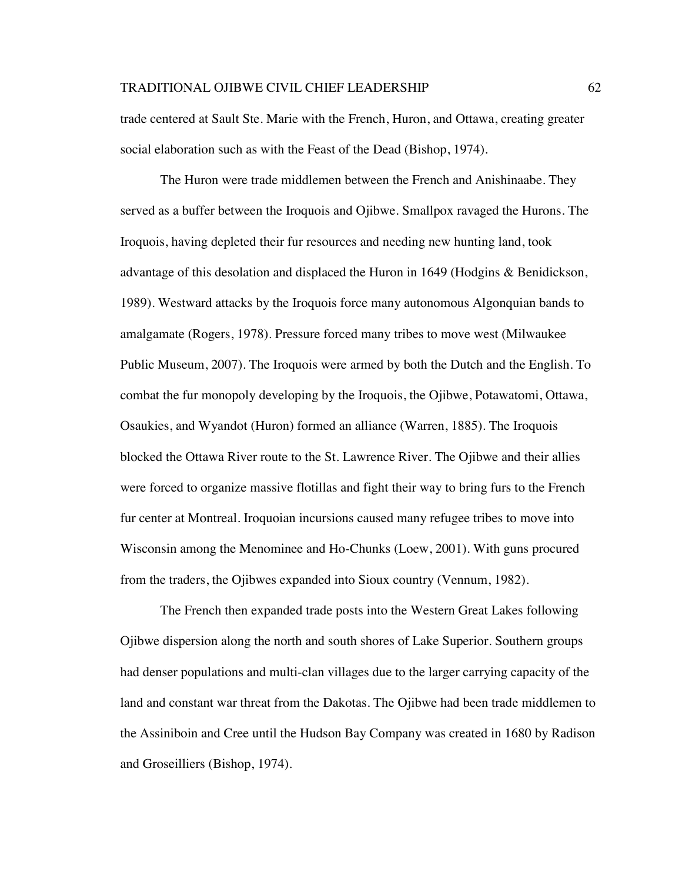trade centered at Sault Ste. Marie with the French, Huron, and Ottawa, creating greater social elaboration such as with the Feast of the Dead (Bishop, 1974).

The Huron were trade middlemen between the French and Anishinaabe. They served as a buffer between the Iroquois and Ojibwe. Smallpox ravaged the Hurons. The Iroquois, having depleted their fur resources and needing new hunting land, took advantage of this desolation and displaced the Huron in 1649 (Hodgins & Benidickson, 1989). Westward attacks by the Iroquois force many autonomous Algonquian bands to amalgamate (Rogers, 1978). Pressure forced many tribes to move west (Milwaukee Public Museum, 2007). The Iroquois were armed by both the Dutch and the English. To combat the fur monopoly developing by the Iroquois, the Ojibwe, Potawatomi, Ottawa, Osaukies, and Wyandot (Huron) formed an alliance (Warren, 1885). The Iroquois blocked the Ottawa River route to the St. Lawrence River. The Ojibwe and their allies were forced to organize massive flotillas and fight their way to bring furs to the French fur center at Montreal. Iroquoian incursions caused many refugee tribes to move into Wisconsin among the Menominee and Ho-Chunks (Loew, 2001). With guns procured from the traders, the Ojibwes expanded into Sioux country (Vennum, 1982).

The French then expanded trade posts into the Western Great Lakes following Ojibwe dispersion along the north and south shores of Lake Superior. Southern groups had denser populations and multi-clan villages due to the larger carrying capacity of the land and constant war threat from the Dakotas. The Ojibwe had been trade middlemen to the Assiniboin and Cree until the Hudson Bay Company was created in 1680 by Radison and Groseilliers (Bishop, 1974).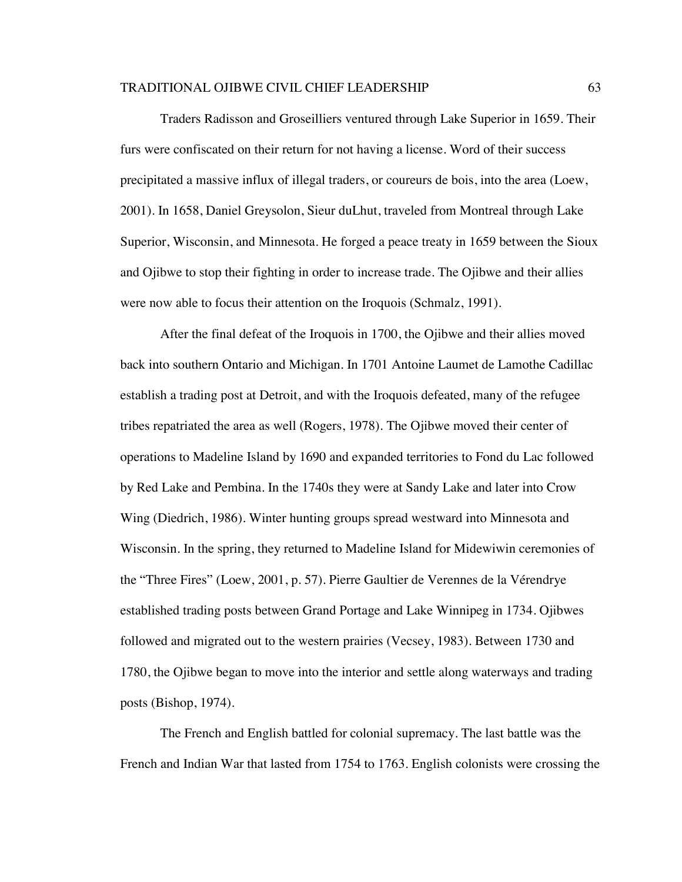Traders Radisson and Groseilliers ventured through Lake Superior in 1659. Their furs were confiscated on their return for not having a license. Word of their success precipitated a massive influx of illegal traders, or coureurs de bois, into the area (Loew, 2001). In 1658, Daniel Greysolon, Sieur duLhut, traveled from Montreal through Lake Superior, Wisconsin, and Minnesota. He forged a peace treaty in 1659 between the Sioux and Ojibwe to stop their fighting in order to increase trade. The Ojibwe and their allies were now able to focus their attention on the Iroquois (Schmalz, 1991).

After the final defeat of the Iroquois in 1700, the Ojibwe and their allies moved back into southern Ontario and Michigan. In 1701 Antoine Laumet de Lamothe Cadillac establish a trading post at Detroit, and with the Iroquois defeated, many of the refugee tribes repatriated the area as well (Rogers, 1978). The Ojibwe moved their center of operations to Madeline Island by 1690 and expanded territories to Fond du Lac followed by Red Lake and Pembina. In the 1740s they were at Sandy Lake and later into Crow Wing (Diedrich, 1986). Winter hunting groups spread westward into Minnesota and Wisconsin. In the spring, they returned to Madeline Island for Midewiwin ceremonies of the "Three Fires" (Loew, 2001, p. 57). Pierre Gaultier de Verennes de la Vérendrye established trading posts between Grand Portage and Lake Winnipeg in 1734. Ojibwes followed and migrated out to the western prairies (Vecsey, 1983). Between 1730 and 1780, the Ojibwe began to move into the interior and settle along waterways and trading posts (Bishop, 1974).

The French and English battled for colonial supremacy. The last battle was the French and Indian War that lasted from 1754 to 1763. English colonists were crossing the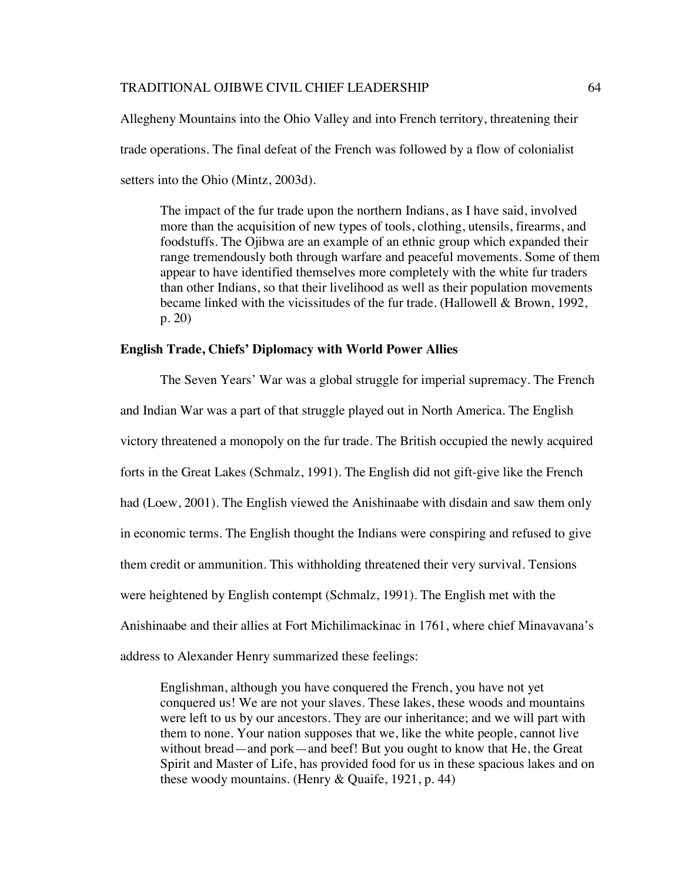Allegheny Mountains into the Ohio Valley and into French territory, threatening their trade operations. The final defeat of the French was followed by a flow of colonialist setters into the Ohio (Mintz, 2003d).

The impact of the fur trade upon the northern Indians, as I have said, involved more than the acquisition of new types of tools, clothing, utensils, firearms, and foodstuffs. The Ojibwa are an example of an ethnic group which expanded their range tremendously both through warfare and peaceful movements. Some of them appear to have identified themselves more completely with the white fur traders than other Indians, so that their livelihood as well as their population movements became linked with the vicissitudes of the fur trade. (Hallowell & Brown, 1992, p. 20)

#### **English Trade, Chiefs' Diplomacy with World Power Allies**

The Seven Years' War was a global struggle for imperial supremacy. The French and Indian War was a part of that struggle played out in North America. The English victory threatened a monopoly on the fur trade. The British occupied the newly acquired forts in the Great Lakes (Schmalz, 1991). The English did not gift-give like the French had (Loew, 2001). The English viewed the Anishinaabe with disdain and saw them only in economic terms. The English thought the Indians were conspiring and refused to give them credit or ammunition. This withholding threatened their very survival. Tensions were heightened by English contempt (Schmalz, 1991). The English met with the Anishinaabe and their allies at Fort Michilimackinac in 1761, where chief Minavavana's address to Alexander Henry summarized these feelings:

Englishman, although you have conquered the French, you have not yet conquered us! We are not your slaves. These lakes, these woods and mountains were left to us by our ancestors. They are our inheritance; and we will part with them to none. Your nation supposes that we, like the white people, cannot live without bread—and pork—and beef! But you ought to know that He, the Great Spirit and Master of Life, has provided food for us in these spacious lakes and on these woody mountains. (Henry & Quaife, 1921, p. 44)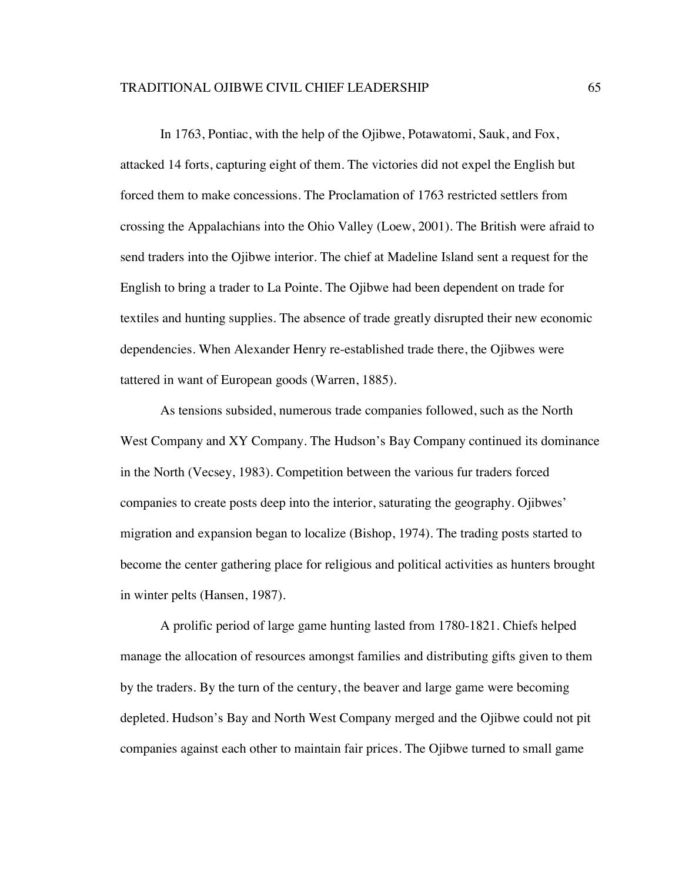In 1763, Pontiac, with the help of the Ojibwe, Potawatomi, Sauk, and Fox, attacked 14 forts, capturing eight of them. The victories did not expel the English but forced them to make concessions. The Proclamation of 1763 restricted settlers from crossing the Appalachians into the Ohio Valley (Loew, 2001). The British were afraid to send traders into the Ojibwe interior. The chief at Madeline Island sent a request for the English to bring a trader to La Pointe. The Ojibwe had been dependent on trade for textiles and hunting supplies. The absence of trade greatly disrupted their new economic dependencies. When Alexander Henry re-established trade there, the Ojibwes were tattered in want of European goods (Warren, 1885).

As tensions subsided, numerous trade companies followed, such as the North West Company and XY Company. The Hudson's Bay Company continued its dominance in the North (Vecsey, 1983). Competition between the various fur traders forced companies to create posts deep into the interior, saturating the geography. Ojibwes' migration and expansion began to localize (Bishop, 1974). The trading posts started to become the center gathering place for religious and political activities as hunters brought in winter pelts (Hansen, 1987).

A prolific period of large game hunting lasted from 1780-1821. Chiefs helped manage the allocation of resources amongst families and distributing gifts given to them by the traders. By the turn of the century, the beaver and large game were becoming depleted. Hudson's Bay and North West Company merged and the Ojibwe could not pit companies against each other to maintain fair prices. The Ojibwe turned to small game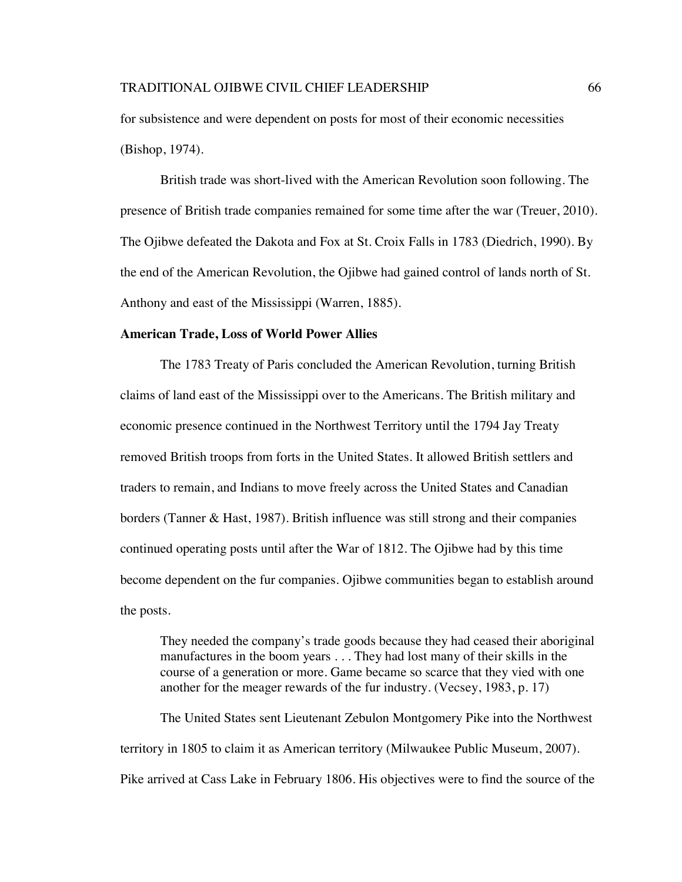for subsistence and were dependent on posts for most of their economic necessities (Bishop, 1974).

British trade was short-lived with the American Revolution soon following. The presence of British trade companies remained for some time after the war (Treuer, 2010). The Ojibwe defeated the Dakota and Fox at St. Croix Falls in 1783 (Diedrich, 1990). By the end of the American Revolution, the Ojibwe had gained control of lands north of St. Anthony and east of the Mississippi (Warren, 1885).

### **American Trade, Loss of World Power Allies**

The 1783 Treaty of Paris concluded the American Revolution, turning British claims of land east of the Mississippi over to the Americans. The British military and economic presence continued in the Northwest Territory until the 1794 Jay Treaty removed British troops from forts in the United States. It allowed British settlers and traders to remain, and Indians to move freely across the United States and Canadian borders (Tanner & Hast, 1987). British influence was still strong and their companies continued operating posts until after the War of 1812. The Ojibwe had by this time become dependent on the fur companies. Ojibwe communities began to establish around the posts.

They needed the company's trade goods because they had ceased their aboriginal manufactures in the boom years . . . They had lost many of their skills in the course of a generation or more. Game became so scarce that they vied with one another for the meager rewards of the fur industry. (Vecsey, 1983, p. 17)

The United States sent Lieutenant Zebulon Montgomery Pike into the Northwest territory in 1805 to claim it as American territory (Milwaukee Public Museum, 2007). Pike arrived at Cass Lake in February 1806. His objectives were to find the source of the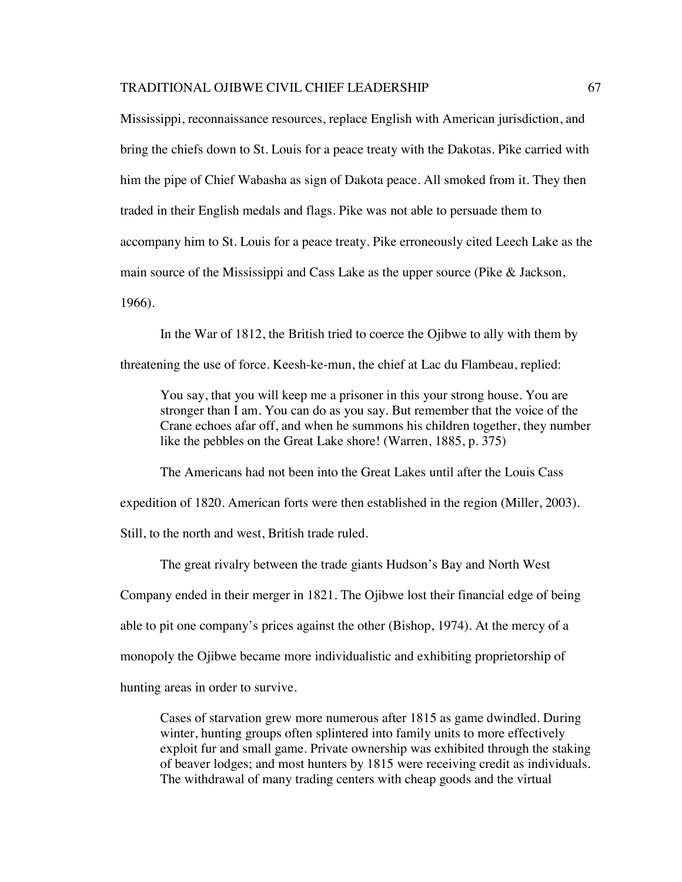Mississippi, reconnaissance resources, replace English with American jurisdiction, and bring the chiefs down to St. Louis for a peace treaty with the Dakotas. Pike carried with him the pipe of Chief Wabasha as sign of Dakota peace. All smoked from it. They then traded in their English medals and flags. Pike was not able to persuade them to accompany him to St. Louis for a peace treaty. Pike erroneously cited Leech Lake as the main source of the Mississippi and Cass Lake as the upper source (Pike & Jackson, 1966).

In the War of 1812, the British tried to coerce the Ojibwe to ally with them by

threatening the use of force. Keesh-ke-mun, the chief at Lac du Flambeau, replied:

You say, that you will keep me a prisoner in this your strong house. You are stronger than I am. You can do as you say. But remember that the voice of the Crane echoes afar off, and when he summons his children together, they number like the pebbles on the Great Lake shore! (Warren, 1885, p. 375)

The Americans had not been into the Great Lakes until after the Louis Cass expedition of 1820. American forts were then established in the region (Miller, 2003). Still, to the north and west, British trade ruled.

The great rivalry between the trade giants Hudson's Bay and North West Company ended in their merger in 1821. The Ojibwe lost their financial edge of being able to pit one company's prices against the other (Bishop, 1974). At the mercy of a monopoly the Ojibwe became more individualistic and exhibiting proprietorship of hunting areas in order to survive.

Cases of starvation grew more numerous after 1815 as game dwindled. During winter, hunting groups often splintered into family units to more effectively exploit fur and small game. Private ownership was exhibited through the staking of beaver lodges; and most hunters by 1815 were receiving credit as individuals. The withdrawal of many trading centers with cheap goods and the virtual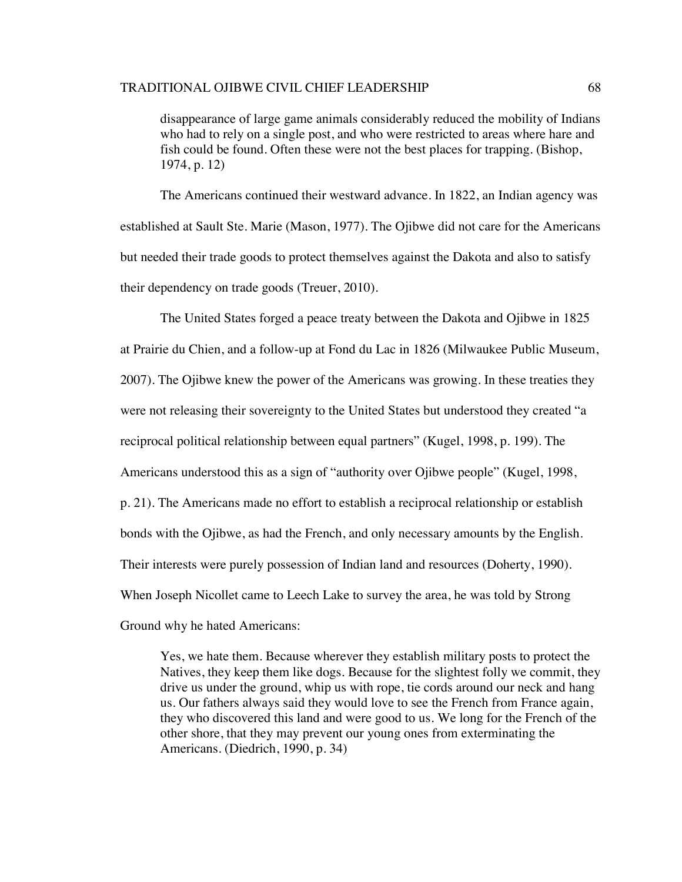disappearance of large game animals considerably reduced the mobility of Indians who had to rely on a single post, and who were restricted to areas where hare and fish could be found. Often these were not the best places for trapping. (Bishop, 1974, p. 12)

The Americans continued their westward advance. In 1822, an Indian agency was established at Sault Ste. Marie (Mason, 1977). The Ojibwe did not care for the Americans but needed their trade goods to protect themselves against the Dakota and also to satisfy their dependency on trade goods (Treuer, 2010).

The United States forged a peace treaty between the Dakota and Ojibwe in 1825 at Prairie du Chien, and a follow-up at Fond du Lac in 1826 (Milwaukee Public Museum, 2007). The Ojibwe knew the power of the Americans was growing. In these treaties they were not releasing their sovereignty to the United States but understood they created "a reciprocal political relationship between equal partners" (Kugel, 1998, p. 199). The Americans understood this as a sign of "authority over Ojibwe people" (Kugel, 1998, p. 21). The Americans made no effort to establish a reciprocal relationship or establish bonds with the Ojibwe, as had the French, and only necessary amounts by the English. Their interests were purely possession of Indian land and resources (Doherty, 1990). When Joseph Nicollet came to Leech Lake to survey the area, he was told by Strong Ground why he hated Americans:

Yes, we hate them. Because wherever they establish military posts to protect the Natives, they keep them like dogs. Because for the slightest folly we commit, they drive us under the ground, whip us with rope, tie cords around our neck and hang us. Our fathers always said they would love to see the French from France again, they who discovered this land and were good to us. We long for the French of the other shore, that they may prevent our young ones from exterminating the Americans. (Diedrich, 1990, p. 34)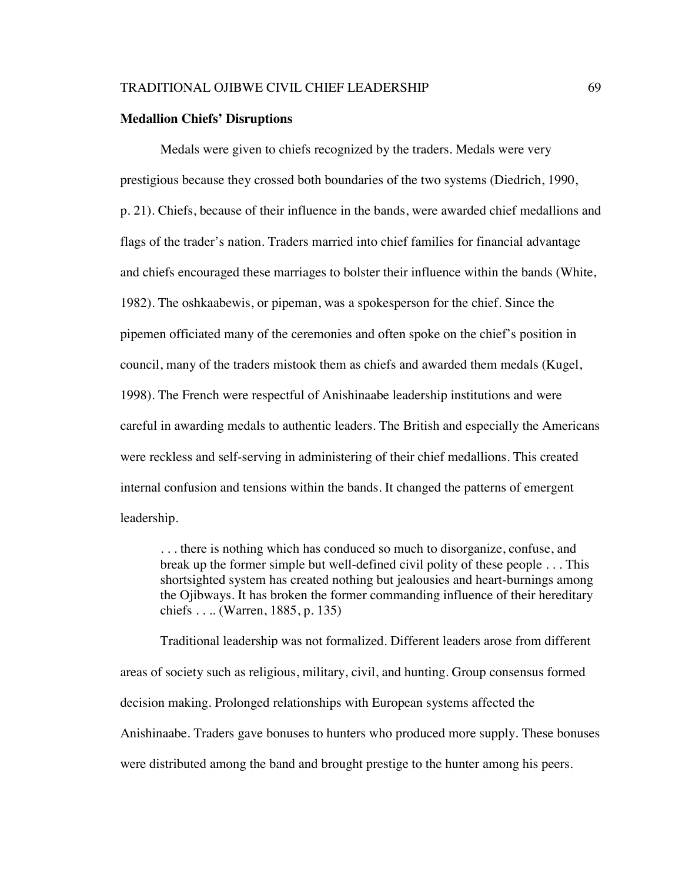#### **Medallion Chiefs' Disruptions**

Medals were given to chiefs recognized by the traders. Medals were very prestigious because they crossed both boundaries of the two systems (Diedrich, 1990, p. 21). Chiefs, because of their influence in the bands, were awarded chief medallions and flags of the trader's nation. Traders married into chief families for financial advantage and chiefs encouraged these marriages to bolster their influence within the bands (White, 1982). The oshkaabewis, or pipeman, was a spokesperson for the chief. Since the pipemen officiated many of the ceremonies and often spoke on the chief's position in council, many of the traders mistook them as chiefs and awarded them medals (Kugel, 1998). The French were respectful of Anishinaabe leadership institutions and were careful in awarding medals to authentic leaders. The British and especially the Americans were reckless and self-serving in administering of their chief medallions. This created internal confusion and tensions within the bands. It changed the patterns of emergent leadership.

. . . there is nothing which has conduced so much to disorganize, confuse, and break up the former simple but well-defined civil polity of these people . . . This shortsighted system has created nothing but jealousies and heart-burnings among the Ojibways. It has broken the former commanding influence of their hereditary chiefs . . .. (Warren, 1885, p. 135)

Traditional leadership was not formalized. Different leaders arose from different areas of society such as religious, military, civil, and hunting. Group consensus formed decision making. Prolonged relationships with European systems affected the Anishinaabe. Traders gave bonuses to hunters who produced more supply. These bonuses were distributed among the band and brought prestige to the hunter among his peers.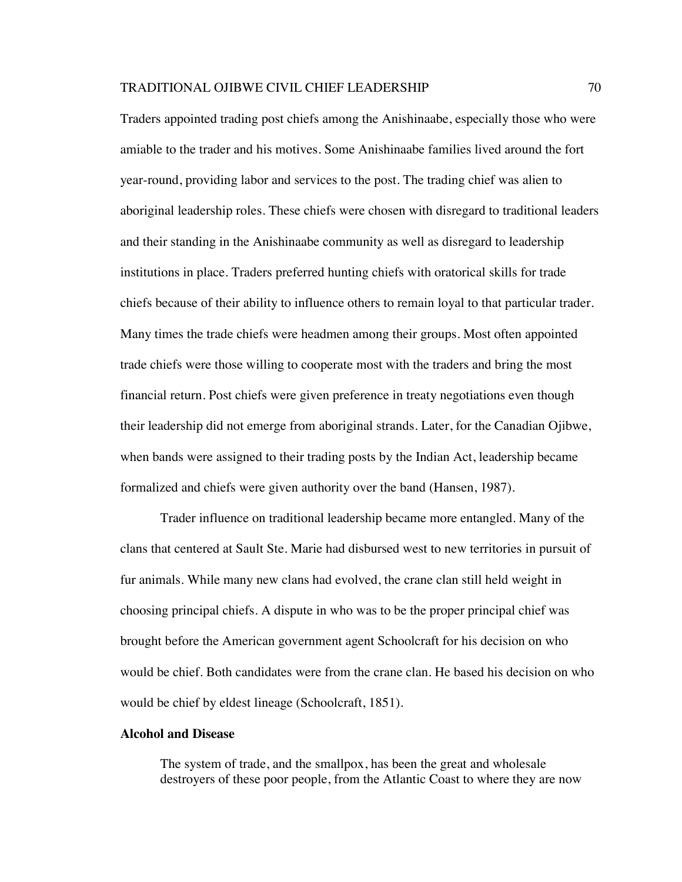Traders appointed trading post chiefs among the Anishinaabe, especially those who were amiable to the trader and his motives. Some Anishinaabe families lived around the fort year-round, providing labor and services to the post. The trading chief was alien to aboriginal leadership roles. These chiefs were chosen with disregard to traditional leaders and their standing in the Anishinaabe community as well as disregard to leadership institutions in place. Traders preferred hunting chiefs with oratorical skills for trade chiefs because of their ability to influence others to remain loyal to that particular trader. Many times the trade chiefs were headmen among their groups. Most often appointed trade chiefs were those willing to cooperate most with the traders and bring the most financial return. Post chiefs were given preference in treaty negotiations even though their leadership did not emerge from aboriginal strands. Later, for the Canadian Ojibwe, when bands were assigned to their trading posts by the Indian Act, leadership became formalized and chiefs were given authority over the band (Hansen, 1987).

Trader influence on traditional leadership became more entangled. Many of the clans that centered at Sault Ste. Marie had disbursed west to new territories in pursuit of fur animals. While many new clans had evolved, the crane clan still held weight in choosing principal chiefs. A dispute in who was to be the proper principal chief was brought before the American government agent Schoolcraft for his decision on who would be chief. Both candidates were from the crane clan. He based his decision on who would be chief by eldest lineage (Schoolcraft, 1851).

## **Alcohol and Disease**

The system of trade, and the smallpox, has been the great and wholesale destroyers of these poor people, from the Atlantic Coast to where they are now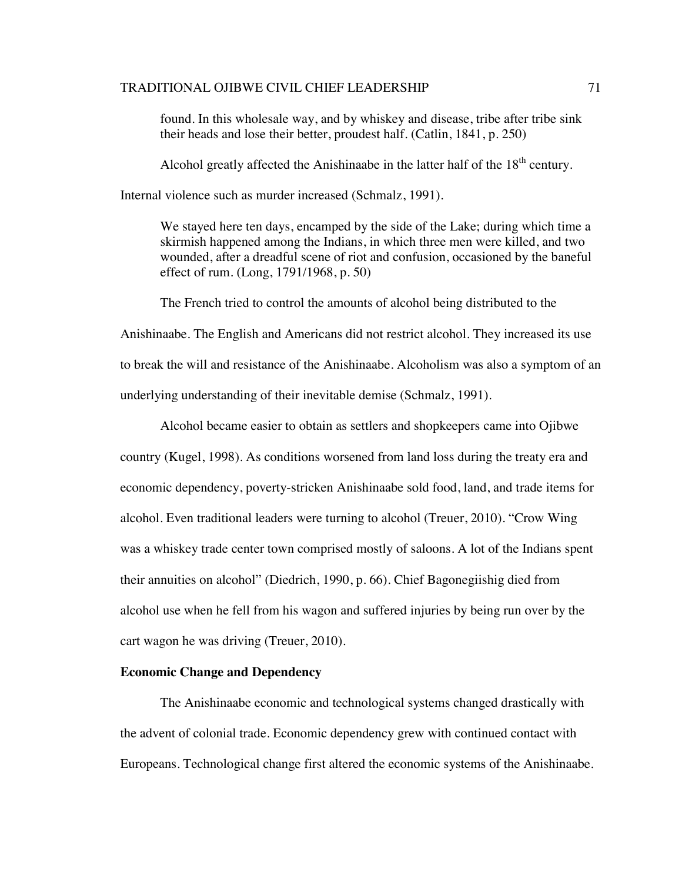found. In this wholesale way, and by whiskey and disease, tribe after tribe sink their heads and lose their better, proudest half. (Catlin, 1841, p. 250)

Alcohol greatly affected the Anishinaabe in the latter half of the  $18<sup>th</sup>$  century.

Internal violence such as murder increased (Schmalz, 1991).

We stayed here ten days, encamped by the side of the Lake; during which time a skirmish happened among the Indians, in which three men were killed, and two wounded, after a dreadful scene of riot and confusion, occasioned by the baneful effect of rum. (Long, 1791/1968, p. 50)

The French tried to control the amounts of alcohol being distributed to the

Anishinaabe. The English and Americans did not restrict alcohol. They increased its use to break the will and resistance of the Anishinaabe. Alcoholism was also a symptom of an underlying understanding of their inevitable demise (Schmalz, 1991).

Alcohol became easier to obtain as settlers and shopkeepers came into Ojibwe country (Kugel, 1998). As conditions worsened from land loss during the treaty era and economic dependency, poverty-stricken Anishinaabe sold food, land, and trade items for alcohol. Even traditional leaders were turning to alcohol (Treuer, 2010). "Crow Wing was a whiskey trade center town comprised mostly of saloons. A lot of the Indians spent their annuities on alcohol" (Diedrich, 1990, p. 66). Chief Bagonegiishig died from alcohol use when he fell from his wagon and suffered injuries by being run over by the cart wagon he was driving (Treuer, 2010).

# **Economic Change and Dependency**

The Anishinaabe economic and technological systems changed drastically with the advent of colonial trade. Economic dependency grew with continued contact with Europeans. Technological change first altered the economic systems of the Anishinaabe.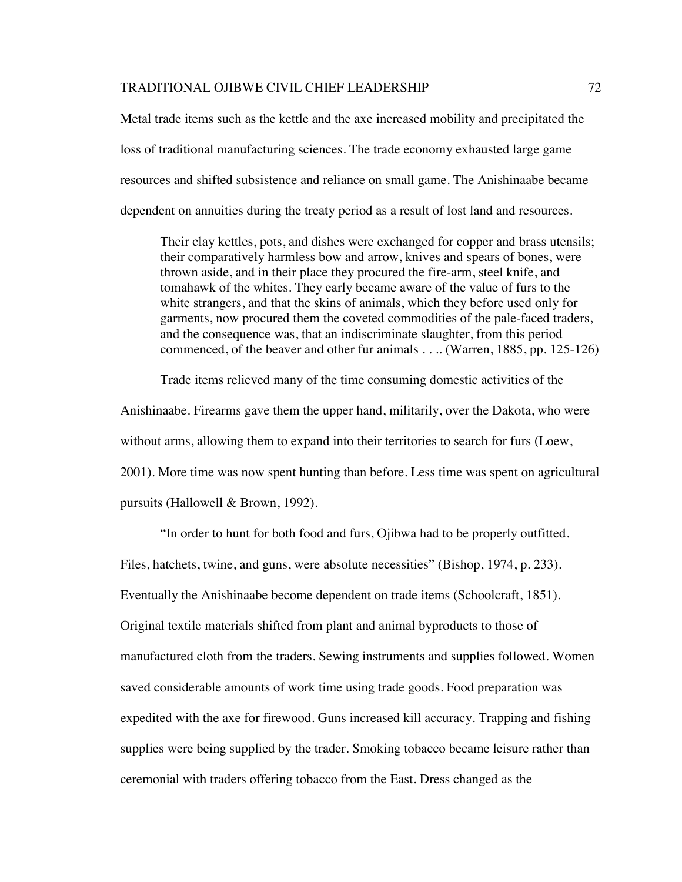Metal trade items such as the kettle and the axe increased mobility and precipitated the loss of traditional manufacturing sciences. The trade economy exhausted large game resources and shifted subsistence and reliance on small game. The Anishinaabe became dependent on annuities during the treaty period as a result of lost land and resources.

Their clay kettles, pots, and dishes were exchanged for copper and brass utensils; their comparatively harmless bow and arrow, knives and spears of bones, were thrown aside, and in their place they procured the fire-arm, steel knife, and tomahawk of the whites. They early became aware of the value of furs to the white strangers, and that the skins of animals, which they before used only for garments, now procured them the coveted commodities of the pale-faced traders, and the consequence was, that an indiscriminate slaughter, from this period commenced, of the beaver and other fur animals . . .. (Warren, 1885, pp. 125-126)

Trade items relieved many of the time consuming domestic activities of the Anishinaabe. Firearms gave them the upper hand, militarily, over the Dakota, who were without arms, allowing them to expand into their territories to search for furs (Loew, 2001). More time was now spent hunting than before. Less time was spent on agricultural pursuits (Hallowell & Brown, 1992).

"In order to hunt for both food and furs, Ojibwa had to be properly outfitted. Files, hatchets, twine, and guns, were absolute necessities" (Bishop, 1974, p. 233). Eventually the Anishinaabe become dependent on trade items (Schoolcraft, 1851). Original textile materials shifted from plant and animal byproducts to those of manufactured cloth from the traders. Sewing instruments and supplies followed. Women saved considerable amounts of work time using trade goods. Food preparation was expedited with the axe for firewood. Guns increased kill accuracy. Trapping and fishing supplies were being supplied by the trader. Smoking tobacco became leisure rather than ceremonial with traders offering tobacco from the East. Dress changed as the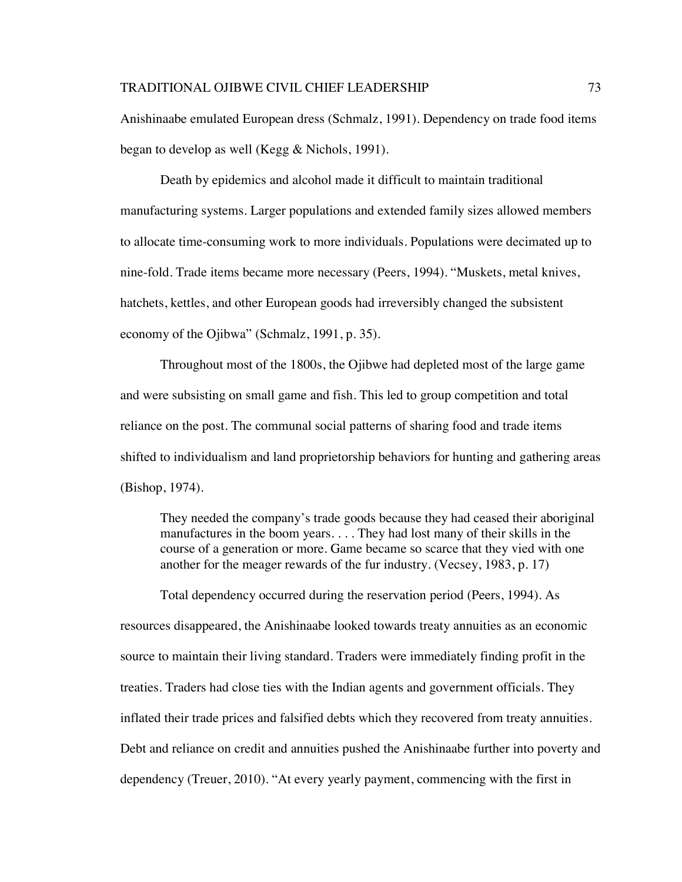Anishinaabe emulated European dress (Schmalz, 1991). Dependency on trade food items began to develop as well (Kegg & Nichols, 1991).

Death by epidemics and alcohol made it difficult to maintain traditional manufacturing systems. Larger populations and extended family sizes allowed members to allocate time-consuming work to more individuals. Populations were decimated up to nine-fold. Trade items became more necessary (Peers, 1994). "Muskets, metal knives, hatchets, kettles, and other European goods had irreversibly changed the subsistent economy of the Ojibwa" (Schmalz, 1991, p. 35).

Throughout most of the 1800s, the Ojibwe had depleted most of the large game and were subsisting on small game and fish. This led to group competition and total reliance on the post. The communal social patterns of sharing food and trade items shifted to individualism and land proprietorship behaviors for hunting and gathering areas (Bishop, 1974).

They needed the company's trade goods because they had ceased their aboriginal manufactures in the boom years. . . . They had lost many of their skills in the course of a generation or more. Game became so scarce that they vied with one another for the meager rewards of the fur industry. (Vecsey, 1983, p. 17)

Total dependency occurred during the reservation period (Peers, 1994). As resources disappeared, the Anishinaabe looked towards treaty annuities as an economic source to maintain their living standard. Traders were immediately finding profit in the treaties. Traders had close ties with the Indian agents and government officials. They inflated their trade prices and falsified debts which they recovered from treaty annuities. Debt and reliance on credit and annuities pushed the Anishinaabe further into poverty and dependency (Treuer, 2010). "At every yearly payment, commencing with the first in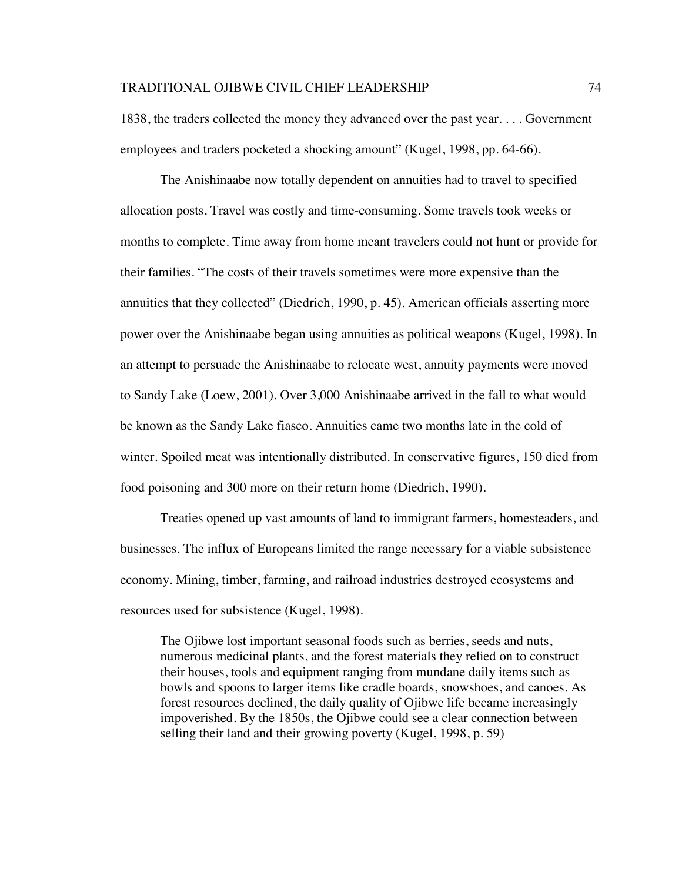1838, the traders collected the money they advanced over the past year. . . . Government employees and traders pocketed a shocking amount" (Kugel, 1998, pp. 64-66).

The Anishinaabe now totally dependent on annuities had to travel to specified allocation posts. Travel was costly and time-consuming. Some travels took weeks or months to complete. Time away from home meant travelers could not hunt or provide for their families. "The costs of their travels sometimes were more expensive than the annuities that they collected" (Diedrich, 1990, p. 45). American officials asserting more power over the Anishinaabe began using annuities as political weapons (Kugel, 1998). In an attempt to persuade the Anishinaabe to relocate west, annuity payments were moved to Sandy Lake (Loew, 2001). Over 3,000 Anishinaabe arrived in the fall to what would be known as the Sandy Lake fiasco. Annuities came two months late in the cold of winter. Spoiled meat was intentionally distributed. In conservative figures, 150 died from food poisoning and 300 more on their return home (Diedrich, 1990).

Treaties opened up vast amounts of land to immigrant farmers, homesteaders, and businesses. The influx of Europeans limited the range necessary for a viable subsistence economy. Mining, timber, farming, and railroad industries destroyed ecosystems and resources used for subsistence (Kugel, 1998).

The Ojibwe lost important seasonal foods such as berries, seeds and nuts, numerous medicinal plants, and the forest materials they relied on to construct their houses, tools and equipment ranging from mundane daily items such as bowls and spoons to larger items like cradle boards, snowshoes, and canoes. As forest resources declined, the daily quality of Ojibwe life became increasingly impoverished. By the 1850s, the Ojibwe could see a clear connection between selling their land and their growing poverty (Kugel, 1998, p. 59)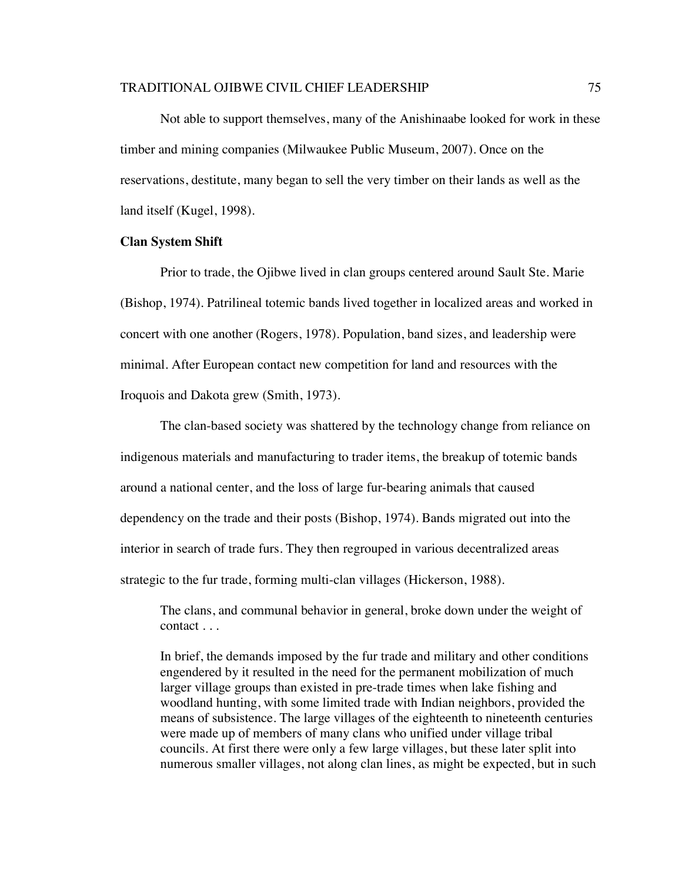Not able to support themselves, many of the Anishinaabe looked for work in these timber and mining companies (Milwaukee Public Museum, 2007). Once on the reservations, destitute, many began to sell the very timber on their lands as well as the land itself (Kugel, 1998).

## **Clan System Shift**

Prior to trade, the Ojibwe lived in clan groups centered around Sault Ste. Marie (Bishop, 1974). Patrilineal totemic bands lived together in localized areas and worked in concert with one another (Rogers, 1978). Population, band sizes, and leadership were minimal. After European contact new competition for land and resources with the Iroquois and Dakota grew (Smith, 1973).

The clan-based society was shattered by the technology change from reliance on indigenous materials and manufacturing to trader items, the breakup of totemic bands around a national center, and the loss of large fur-bearing animals that caused dependency on the trade and their posts (Bishop, 1974). Bands migrated out into the interior in search of trade furs. They then regrouped in various decentralized areas strategic to the fur trade, forming multi-clan villages (Hickerson, 1988).

The clans, and communal behavior in general, broke down under the weight of contact . . .

In brief, the demands imposed by the fur trade and military and other conditions engendered by it resulted in the need for the permanent mobilization of much larger village groups than existed in pre-trade times when lake fishing and woodland hunting, with some limited trade with Indian neighbors, provided the means of subsistence. The large villages of the eighteenth to nineteenth centuries were made up of members of many clans who unified under village tribal councils. At first there were only a few large villages, but these later split into numerous smaller villages, not along clan lines, as might be expected, but in such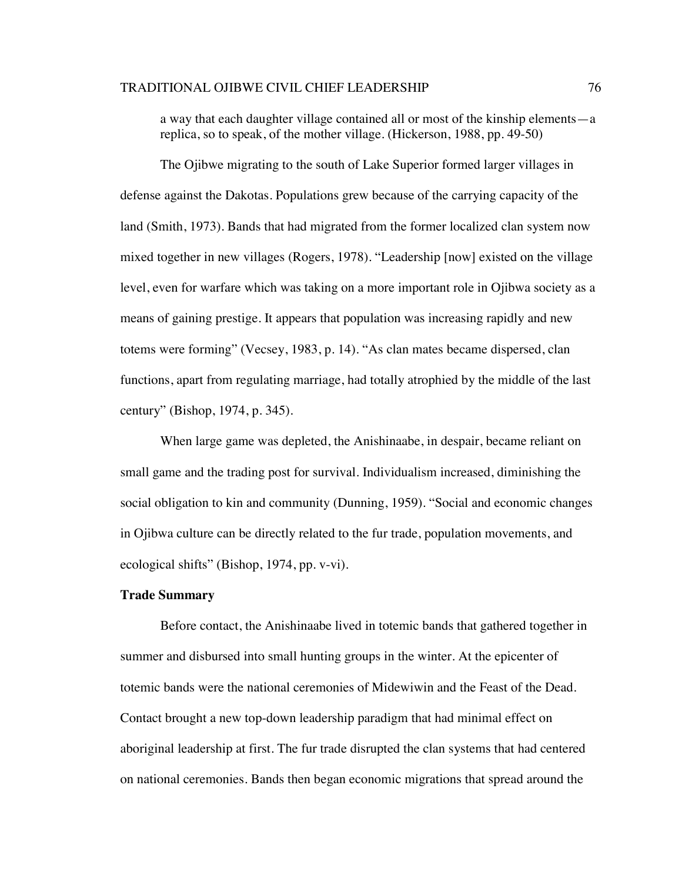a way that each daughter village contained all or most of the kinship elements—a replica, so to speak, of the mother village. (Hickerson, 1988, pp. 49-50)

The Ojibwe migrating to the south of Lake Superior formed larger villages in defense against the Dakotas. Populations grew because of the carrying capacity of the land (Smith, 1973). Bands that had migrated from the former localized clan system now mixed together in new villages (Rogers, 1978). "Leadership [now] existed on the village level, even for warfare which was taking on a more important role in Ojibwa society as a means of gaining prestige. It appears that population was increasing rapidly and new totems were forming" (Vecsey, 1983, p. 14). "As clan mates became dispersed, clan functions, apart from regulating marriage, had totally atrophied by the middle of the last century" (Bishop, 1974, p. 345).

When large game was depleted, the Anishinaabe, in despair, became reliant on small game and the trading post for survival. Individualism increased, diminishing the social obligation to kin and community (Dunning, 1959). "Social and economic changes in Ojibwa culture can be directly related to the fur trade, population movements, and ecological shifts" (Bishop, 1974, pp. v-vi).

#### **Trade Summary**

Before contact, the Anishinaabe lived in totemic bands that gathered together in summer and disbursed into small hunting groups in the winter. At the epicenter of totemic bands were the national ceremonies of Midewiwin and the Feast of the Dead. Contact brought a new top-down leadership paradigm that had minimal effect on aboriginal leadership at first. The fur trade disrupted the clan systems that had centered on national ceremonies. Bands then began economic migrations that spread around the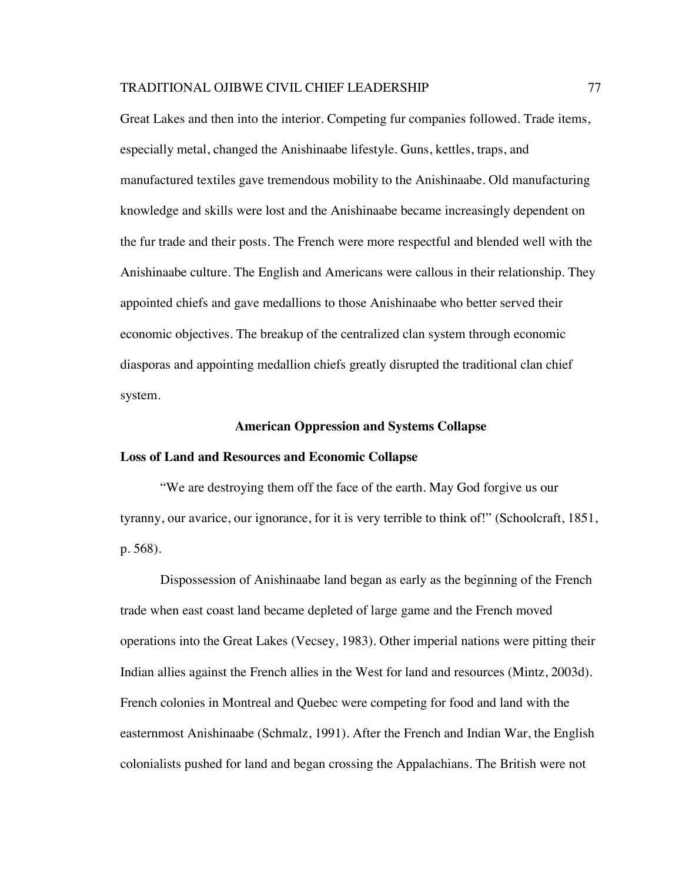Great Lakes and then into the interior. Competing fur companies followed. Trade items, especially metal, changed the Anishinaabe lifestyle. Guns, kettles, traps, and manufactured textiles gave tremendous mobility to the Anishinaabe. Old manufacturing knowledge and skills were lost and the Anishinaabe became increasingly dependent on the fur trade and their posts. The French were more respectful and blended well with the Anishinaabe culture. The English and Americans were callous in their relationship. They appointed chiefs and gave medallions to those Anishinaabe who better served their economic objectives. The breakup of the centralized clan system through economic diasporas and appointing medallion chiefs greatly disrupted the traditional clan chief system.

#### **American Oppression and Systems Collapse**

#### **Loss of Land and Resources and Economic Collapse**

"We are destroying them off the face of the earth. May God forgive us our tyranny, our avarice, our ignorance, for it is very terrible to think of!" (Schoolcraft, 1851, p. 568).

Dispossession of Anishinaabe land began as early as the beginning of the French trade when east coast land became depleted of large game and the French moved operations into the Great Lakes (Vecsey, 1983). Other imperial nations were pitting their Indian allies against the French allies in the West for land and resources (Mintz, 2003d). French colonies in Montreal and Quebec were competing for food and land with the easternmost Anishinaabe (Schmalz, 1991). After the French and Indian War, the English colonialists pushed for land and began crossing the Appalachians. The British were not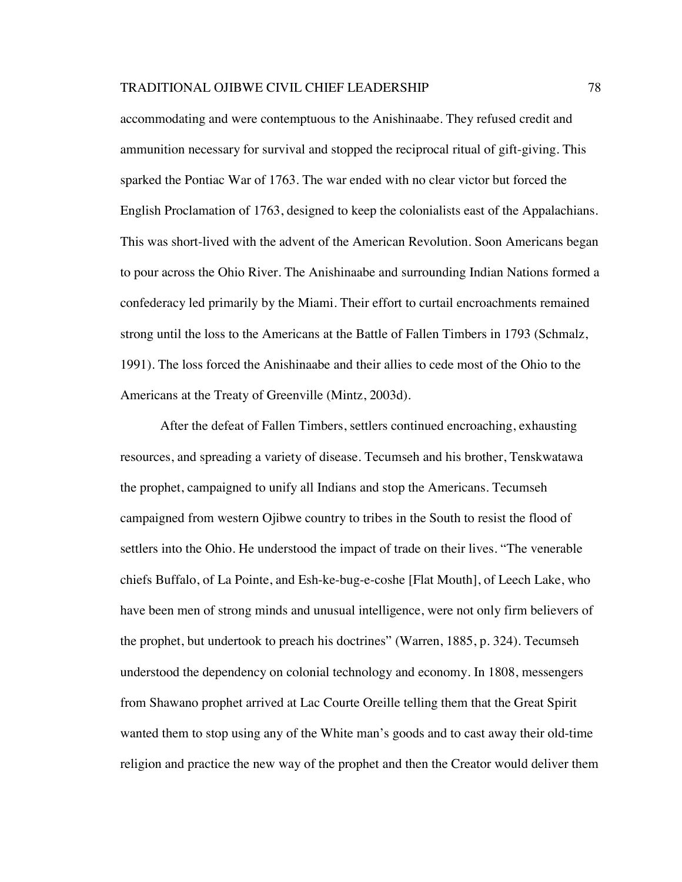accommodating and were contemptuous to the Anishinaabe. They refused credit and ammunition necessary for survival and stopped the reciprocal ritual of gift-giving. This sparked the Pontiac War of 1763. The war ended with no clear victor but forced the English Proclamation of 1763, designed to keep the colonialists east of the Appalachians. This was short-lived with the advent of the American Revolution. Soon Americans began to pour across the Ohio River. The Anishinaabe and surrounding Indian Nations formed a confederacy led primarily by the Miami. Their effort to curtail encroachments remained strong until the loss to the Americans at the Battle of Fallen Timbers in 1793 (Schmalz, 1991). The loss forced the Anishinaabe and their allies to cede most of the Ohio to the Americans at the Treaty of Greenville (Mintz, 2003d).

After the defeat of Fallen Timbers, settlers continued encroaching, exhausting resources, and spreading a variety of disease. Tecumseh and his brother, Tenskwatawa the prophet, campaigned to unify all Indians and stop the Americans. Tecumseh campaigned from western Ojibwe country to tribes in the South to resist the flood of settlers into the Ohio. He understood the impact of trade on their lives. "The venerable chiefs Buffalo, of La Pointe, and Esh-ke-bug-e-coshe [Flat Mouth], of Leech Lake, who have been men of strong minds and unusual intelligence, were not only firm believers of the prophet, but undertook to preach his doctrines" (Warren, 1885, p. 324). Tecumseh understood the dependency on colonial technology and economy. In 1808, messengers from Shawano prophet arrived at Lac Courte Oreille telling them that the Great Spirit wanted them to stop using any of the White man's goods and to cast away their old-time religion and practice the new way of the prophet and then the Creator would deliver them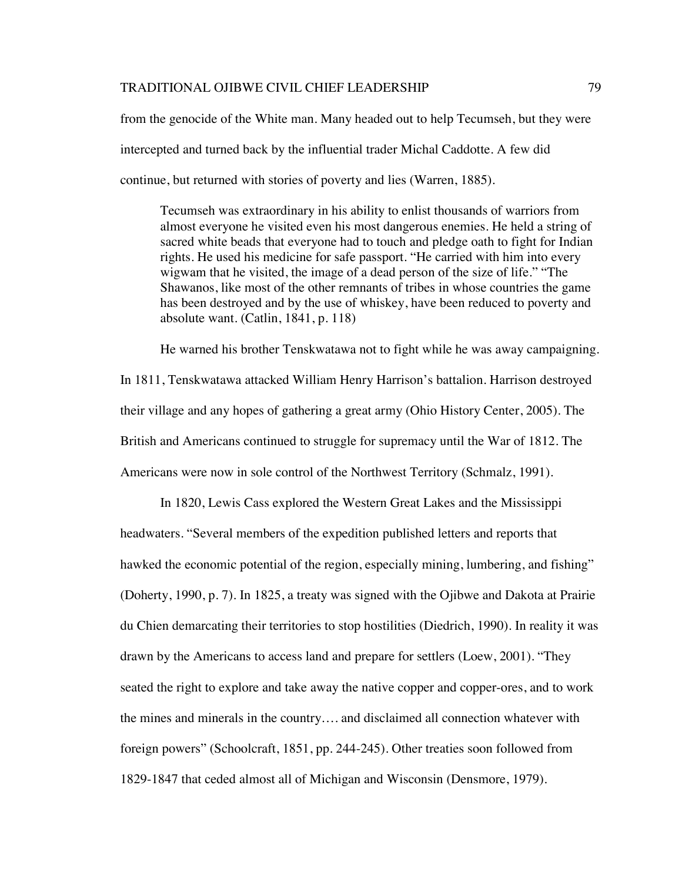from the genocide of the White man. Many headed out to help Tecumseh, but they were intercepted and turned back by the influential trader Michal Caddotte. A few did continue, but returned with stories of poverty and lies (Warren, 1885).

Tecumseh was extraordinary in his ability to enlist thousands of warriors from almost everyone he visited even his most dangerous enemies. He held a string of sacred white beads that everyone had to touch and pledge oath to fight for Indian rights. He used his medicine for safe passport. "He carried with him into every wigwam that he visited, the image of a dead person of the size of life." "The Shawanos, like most of the other remnants of tribes in whose countries the game has been destroyed and by the use of whiskey, have been reduced to poverty and absolute want. (Catlin, 1841, p. 118)

He warned his brother Tenskwatawa not to fight while he was away campaigning. In 1811, Tenskwatawa attacked William Henry Harrison's battalion. Harrison destroyed their village and any hopes of gathering a great army (Ohio History Center, 2005). The British and Americans continued to struggle for supremacy until the War of 1812. The Americans were now in sole control of the Northwest Territory (Schmalz, 1991).

In 1820, Lewis Cass explored the Western Great Lakes and the Mississippi headwaters. "Several members of the expedition published letters and reports that hawked the economic potential of the region, especially mining, lumbering, and fishing" (Doherty, 1990, p. 7). In 1825, a treaty was signed with the Ojibwe and Dakota at Prairie du Chien demarcating their territories to stop hostilities (Diedrich, 1990). In reality it was drawn by the Americans to access land and prepare for settlers (Loew, 2001). "They seated the right to explore and take away the native copper and copper-ores, and to work the mines and minerals in the country…. and disclaimed all connection whatever with foreign powers" (Schoolcraft, 1851, pp. 244-245). Other treaties soon followed from 1829-1847 that ceded almost all of Michigan and Wisconsin (Densmore, 1979).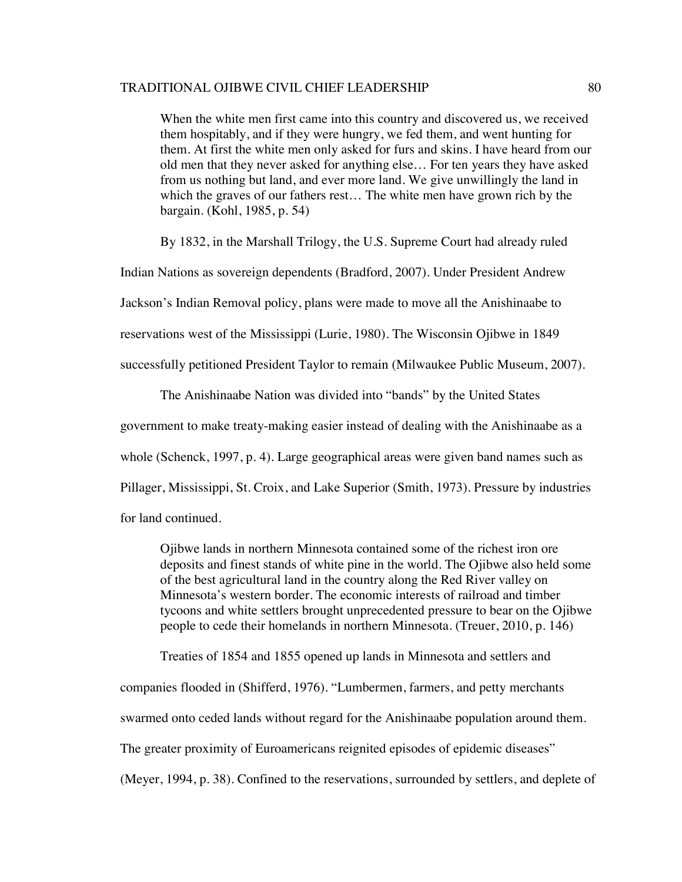When the white men first came into this country and discovered us, we received them hospitably, and if they were hungry, we fed them, and went hunting for them. At first the white men only asked for furs and skins. I have heard from our old men that they never asked for anything else… For ten years they have asked from us nothing but land, and ever more land. We give unwillingly the land in which the graves of our fathers rest… The white men have grown rich by the bargain. (Kohl, 1985, p. 54)

By 1832, in the Marshall Trilogy, the U.S. Supreme Court had already ruled

Indian Nations as sovereign dependents (Bradford, 2007). Under President Andrew

Jackson's Indian Removal policy, plans were made to move all the Anishinaabe to

reservations west of the Mississippi (Lurie, 1980). The Wisconsin Ojibwe in 1849

successfully petitioned President Taylor to remain (Milwaukee Public Museum, 2007).

The Anishinaabe Nation was divided into "bands" by the United States

government to make treaty-making easier instead of dealing with the Anishinaabe as a

whole (Schenck, 1997, p. 4). Large geographical areas were given band names such as

Pillager, Mississippi, St. Croix, and Lake Superior (Smith, 1973). Pressure by industries

for land continued.

Ojibwe lands in northern Minnesota contained some of the richest iron ore deposits and finest stands of white pine in the world. The Ojibwe also held some of the best agricultural land in the country along the Red River valley on Minnesota's western border. The economic interests of railroad and timber tycoons and white settlers brought unprecedented pressure to bear on the Ojibwe people to cede their homelands in northern Minnesota. (Treuer, 2010, p. 146)

Treaties of 1854 and 1855 opened up lands in Minnesota and settlers and

companies flooded in (Shifferd, 1976). "Lumbermen, farmers, and petty merchants

swarmed onto ceded lands without regard for the Anishinaabe population around them.

The greater proximity of Euroamericans reignited episodes of epidemic diseases"

(Meyer, 1994, p. 38). Confined to the reservations, surrounded by settlers, and deplete of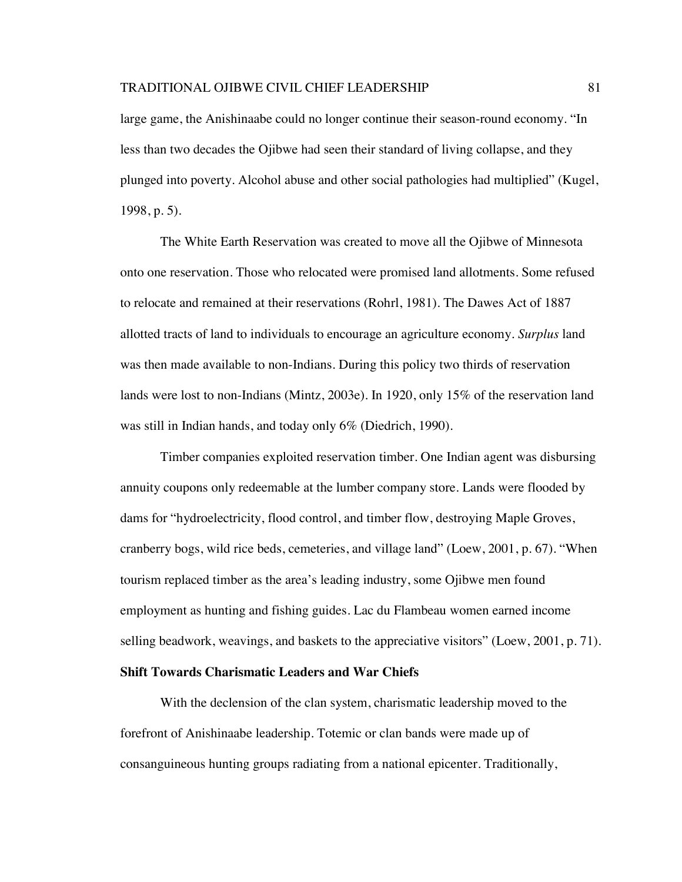large game, the Anishinaabe could no longer continue their season-round economy. "In less than two decades the Ojibwe had seen their standard of living collapse, and they plunged into poverty. Alcohol abuse and other social pathologies had multiplied" (Kugel, 1998, p. 5).

The White Earth Reservation was created to move all the Ojibwe of Minnesota onto one reservation. Those who relocated were promised land allotments. Some refused to relocate and remained at their reservations (Rohrl, 1981). The Dawes Act of 1887 allotted tracts of land to individuals to encourage an agriculture economy. *Surplus* land was then made available to non-Indians. During this policy two thirds of reservation lands were lost to non-Indians (Mintz, 2003e). In 1920, only 15% of the reservation land was still in Indian hands, and today only 6% (Diedrich, 1990).

Timber companies exploited reservation timber. One Indian agent was disbursing annuity coupons only redeemable at the lumber company store. Lands were flooded by dams for "hydroelectricity, flood control, and timber flow, destroying Maple Groves, cranberry bogs, wild rice beds, cemeteries, and village land" (Loew, 2001, p. 67). "When tourism replaced timber as the area's leading industry, some Ojibwe men found employment as hunting and fishing guides. Lac du Flambeau women earned income selling beadwork, weavings, and baskets to the appreciative visitors" (Loew, 2001, p. 71).

## **Shift Towards Charismatic Leaders and War Chiefs**

With the declension of the clan system, charismatic leadership moved to the forefront of Anishinaabe leadership. Totemic or clan bands were made up of consanguineous hunting groups radiating from a national epicenter. Traditionally,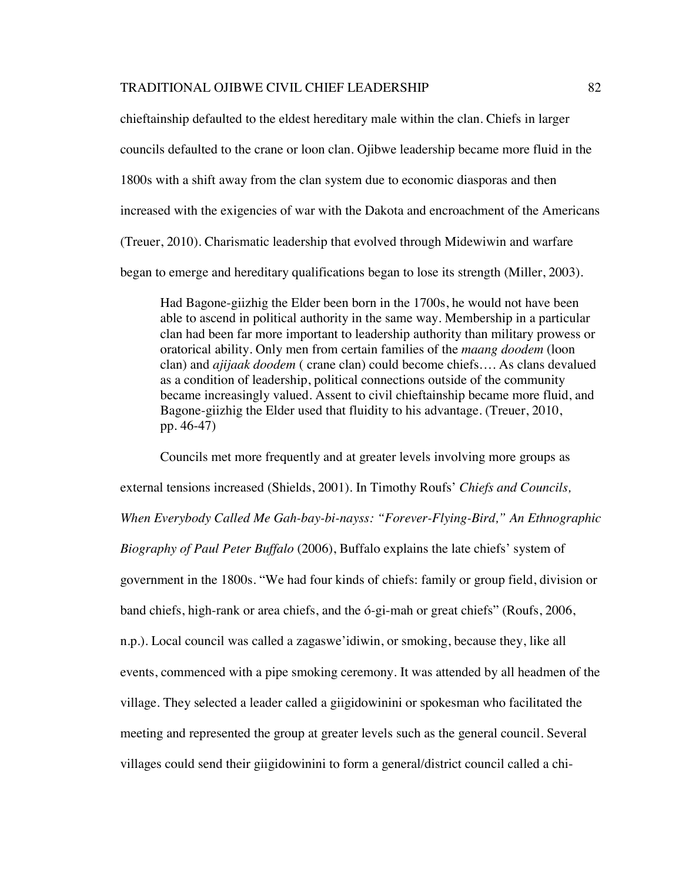chieftainship defaulted to the eldest hereditary male within the clan. Chiefs in larger councils defaulted to the crane or loon clan. Ojibwe leadership became more fluid in the 1800s with a shift away from the clan system due to economic diasporas and then increased with the exigencies of war with the Dakota and encroachment of the Americans (Treuer, 2010). Charismatic leadership that evolved through Midewiwin and warfare began to emerge and hereditary qualifications began to lose its strength (Miller, 2003).

Had Bagone-giizhig the Elder been born in the 1700s, he would not have been able to ascend in political authority in the same way. Membership in a particular clan had been far more important to leadership authority than military prowess or oratorical ability. Only men from certain families of the *maang doodem* (loon clan) and *ajijaak doodem* ( crane clan) could become chiefs…. As clans devalued as a condition of leadership, political connections outside of the community became increasingly valued. Assent to civil chieftainship became more fluid, and Bagone-giizhig the Elder used that fluidity to his advantage. (Treuer, 2010, pp. 46-47)

Councils met more frequently and at greater levels involving more groups as external tensions increased (Shields, 2001). In Timothy Roufs' *Chiefs and Councils, When Everybody Called Me Gah-bay-bi-nayss: "Forever-Flying-Bird," An Ethnographic Biography of Paul Peter Buffalo* (2006), Buffalo explains the late chiefs' system of government in the 1800s. "We had four kinds of chiefs: family or group field, division or band chiefs, high-rank or area chiefs, and the ó-gi-mah or great chiefs" (Roufs, 2006, n.p.). Local council was called a zagaswe'idiwin, or smoking, because they, like all events, commenced with a pipe smoking ceremony. It was attended by all headmen of the village. They selected a leader called a giigidowinini or spokesman who facilitated the meeting and represented the group at greater levels such as the general council. Several villages could send their giigidowinini to form a general/district council called a chi-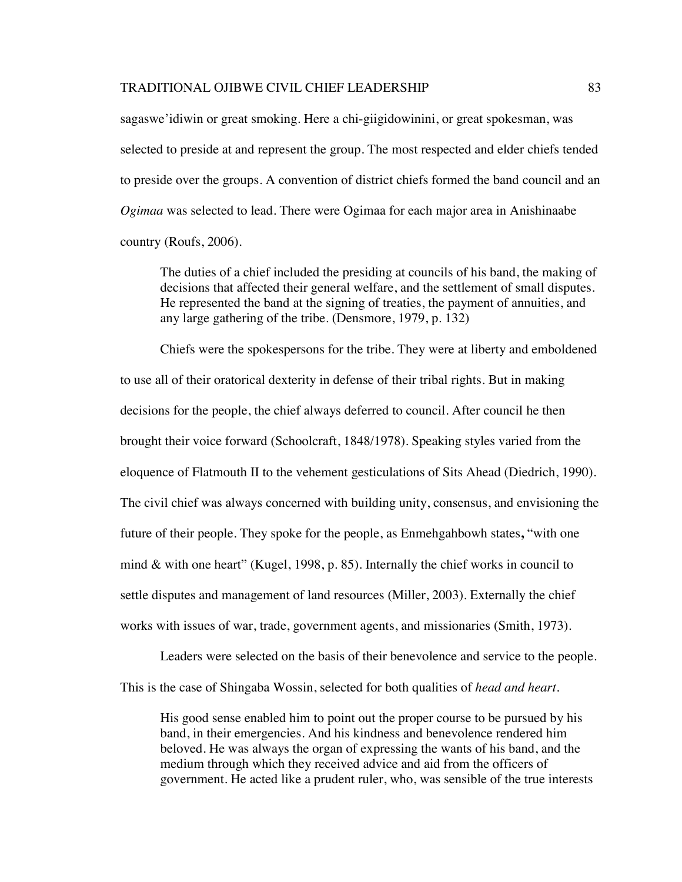sagaswe'idiwin or great smoking. Here a chi-giigidowinini, or great spokesman, was selected to preside at and represent the group. The most respected and elder chiefs tended to preside over the groups. A convention of district chiefs formed the band council and an *Ogimaa* was selected to lead. There were Ogimaa for each major area in Anishinaabe country (Roufs, 2006).

The duties of a chief included the presiding at councils of his band, the making of decisions that affected their general welfare, and the settlement of small disputes. He represented the band at the signing of treaties, the payment of annuities, and any large gathering of the tribe. (Densmore, 1979, p. 132)

Chiefs were the spokespersons for the tribe. They were at liberty and emboldened to use all of their oratorical dexterity in defense of their tribal rights. But in making decisions for the people, the chief always deferred to council. After council he then brought their voice forward (Schoolcraft, 1848/1978). Speaking styles varied from the eloquence of Flatmouth II to the vehement gesticulations of Sits Ahead (Diedrich, 1990). The civil chief was always concerned with building unity, consensus, and envisioning the future of their people. They spoke for the people, as Enmehgahbowh states**,** "with one mind  $\&$  with one heart" (Kugel, 1998, p. 85). Internally the chief works in council to settle disputes and management of land resources (Miller, 2003). Externally the chief works with issues of war, trade, government agents, and missionaries (Smith, 1973).

Leaders were selected on the basis of their benevolence and service to the people. This is the case of Shingaba Wossin, selected for both qualities of *head and heart*.

His good sense enabled him to point out the proper course to be pursued by his band, in their emergencies. And his kindness and benevolence rendered him beloved. He was always the organ of expressing the wants of his band, and the medium through which they received advice and aid from the officers of government. He acted like a prudent ruler, who, was sensible of the true interests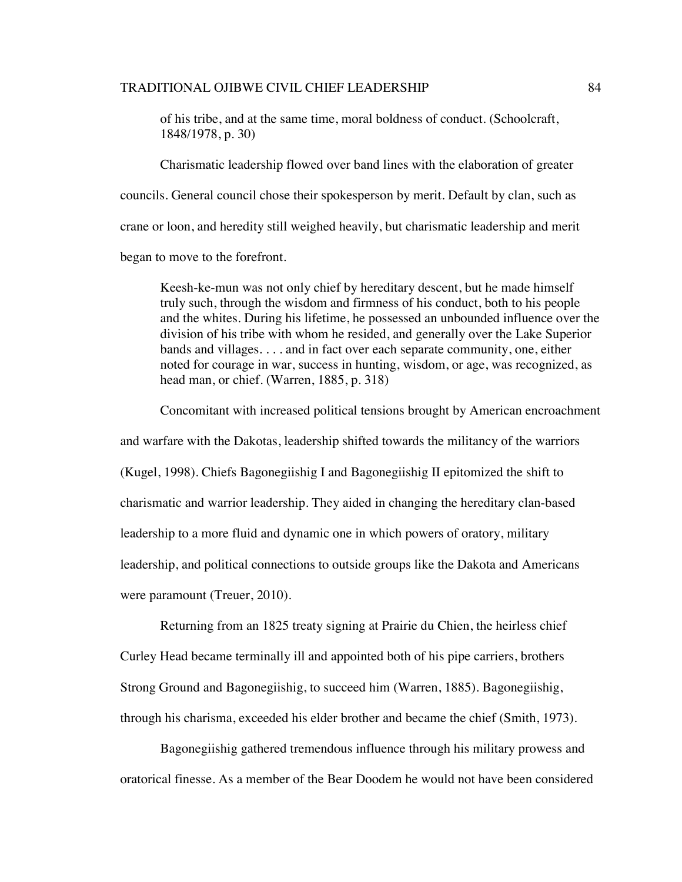of his tribe, and at the same time, moral boldness of conduct. (Schoolcraft, 1848/1978, p. 30)

Charismatic leadership flowed over band lines with the elaboration of greater councils. General council chose their spokesperson by merit. Default by clan, such as crane or loon, and heredity still weighed heavily, but charismatic leadership and merit began to move to the forefront.

Keesh-ke-mun was not only chief by hereditary descent, but he made himself truly such, through the wisdom and firmness of his conduct, both to his people and the whites. During his lifetime, he possessed an unbounded influence over the division of his tribe with whom he resided, and generally over the Lake Superior bands and villages. . . . and in fact over each separate community, one, either noted for courage in war, success in hunting, wisdom, or age, was recognized, as head man, or chief. (Warren, 1885, p. 318)

Concomitant with increased political tensions brought by American encroachment

and warfare with the Dakotas, leadership shifted towards the militancy of the warriors (Kugel, 1998). Chiefs Bagonegiishig I and Bagonegiishig II epitomized the shift to charismatic and warrior leadership. They aided in changing the hereditary clan-based leadership to a more fluid and dynamic one in which powers of oratory, military leadership, and political connections to outside groups like the Dakota and Americans were paramount (Treuer, 2010).

Returning from an 1825 treaty signing at Prairie du Chien, the heirless chief Curley Head became terminally ill and appointed both of his pipe carriers, brothers Strong Ground and Bagonegiishig, to succeed him (Warren, 1885). Bagonegiishig, through his charisma, exceeded his elder brother and became the chief (Smith, 1973).

Bagonegiishig gathered tremendous influence through his military prowess and oratorical finesse. As a member of the Bear Doodem he would not have been considered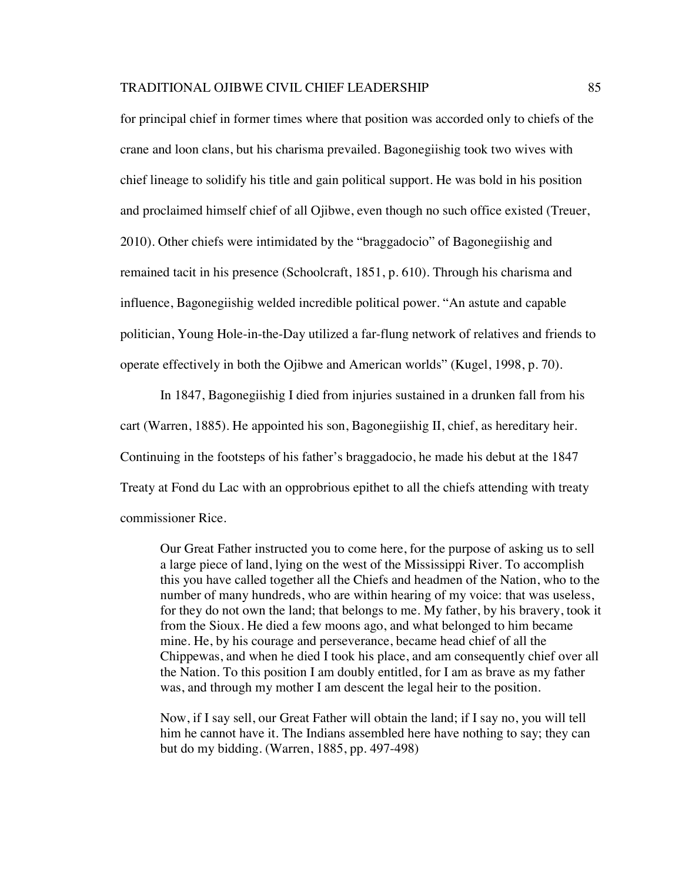for principal chief in former times where that position was accorded only to chiefs of the crane and loon clans, but his charisma prevailed. Bagonegiishig took two wives with chief lineage to solidify his title and gain political support. He was bold in his position and proclaimed himself chief of all Ojibwe, even though no such office existed (Treuer, 2010). Other chiefs were intimidated by the "braggadocio" of Bagonegiishig and remained tacit in his presence (Schoolcraft, 1851, p. 610). Through his charisma and influence, Bagonegiishig welded incredible political power. "An astute and capable politician, Young Hole-in-the-Day utilized a far-flung network of relatives and friends to operate effectively in both the Ojibwe and American worlds" (Kugel, 1998, p. 70).

In 1847, Bagonegiishig I died from injuries sustained in a drunken fall from his cart (Warren, 1885). He appointed his son, Bagonegiishig II, chief, as hereditary heir. Continuing in the footsteps of his father's braggadocio, he made his debut at the 1847 Treaty at Fond du Lac with an opprobrious epithet to all the chiefs attending with treaty commissioner Rice.

Our Great Father instructed you to come here, for the purpose of asking us to sell a large piece of land, lying on the west of the Mississippi River. To accomplish this you have called together all the Chiefs and headmen of the Nation, who to the number of many hundreds, who are within hearing of my voice: that was useless, for they do not own the land; that belongs to me. My father, by his bravery, took it from the Sioux. He died a few moons ago, and what belonged to him became mine. He, by his courage and perseverance, became head chief of all the Chippewas, and when he died I took his place, and am consequently chief over all the Nation. To this position I am doubly entitled, for I am as brave as my father was, and through my mother I am descent the legal heir to the position.

Now, if I say sell, our Great Father will obtain the land; if I say no, you will tell him he cannot have it. The Indians assembled here have nothing to say; they can but do my bidding. (Warren, 1885, pp. 497-498)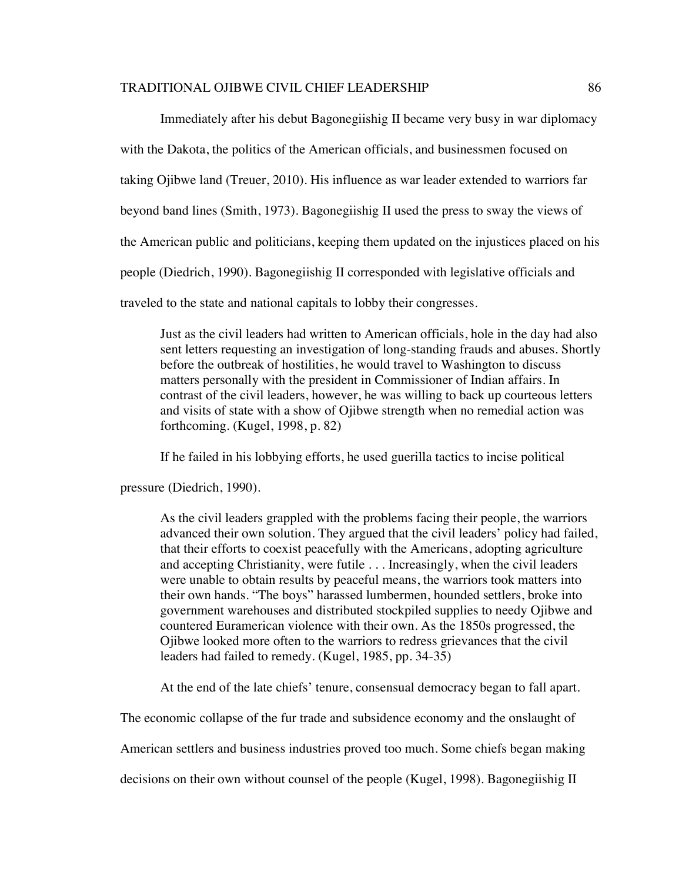Immediately after his debut Bagonegiishig II became very busy in war diplomacy with the Dakota, the politics of the American officials, and businessmen focused on taking Ojibwe land (Treuer, 2010). His influence as war leader extended to warriors far beyond band lines (Smith, 1973). Bagonegiishig II used the press to sway the views of the American public and politicians, keeping them updated on the injustices placed on his people (Diedrich, 1990). Bagonegiishig II corresponded with legislative officials and traveled to the state and national capitals to lobby their congresses.

Just as the civil leaders had written to American officials, hole in the day had also sent letters requesting an investigation of long-standing frauds and abuses. Shortly before the outbreak of hostilities, he would travel to Washington to discuss matters personally with the president in Commissioner of Indian affairs. In contrast of the civil leaders, however, he was willing to back up courteous letters and visits of state with a show of Ojibwe strength when no remedial action was forthcoming. (Kugel, 1998, p. 82)

If he failed in his lobbying efforts, he used guerilla tactics to incise political

pressure (Diedrich, 1990).

As the civil leaders grappled with the problems facing their people, the warriors advanced their own solution. They argued that the civil leaders' policy had failed, that their efforts to coexist peacefully with the Americans, adopting agriculture and accepting Christianity, were futile . . . Increasingly, when the civil leaders were unable to obtain results by peaceful means, the warriors took matters into their own hands. "The boys" harassed lumbermen, hounded settlers, broke into government warehouses and distributed stockpiled supplies to needy Ojibwe and countered Euramerican violence with their own. As the 1850s progressed, the Ojibwe looked more often to the warriors to redress grievances that the civil leaders had failed to remedy. (Kugel, 1985, pp. 34-35)

At the end of the late chiefs' tenure, consensual democracy began to fall apart.

The economic collapse of the fur trade and subsidence economy and the onslaught of

American settlers and business industries proved too much. Some chiefs began making

decisions on their own without counsel of the people (Kugel, 1998). Bagonegiishig II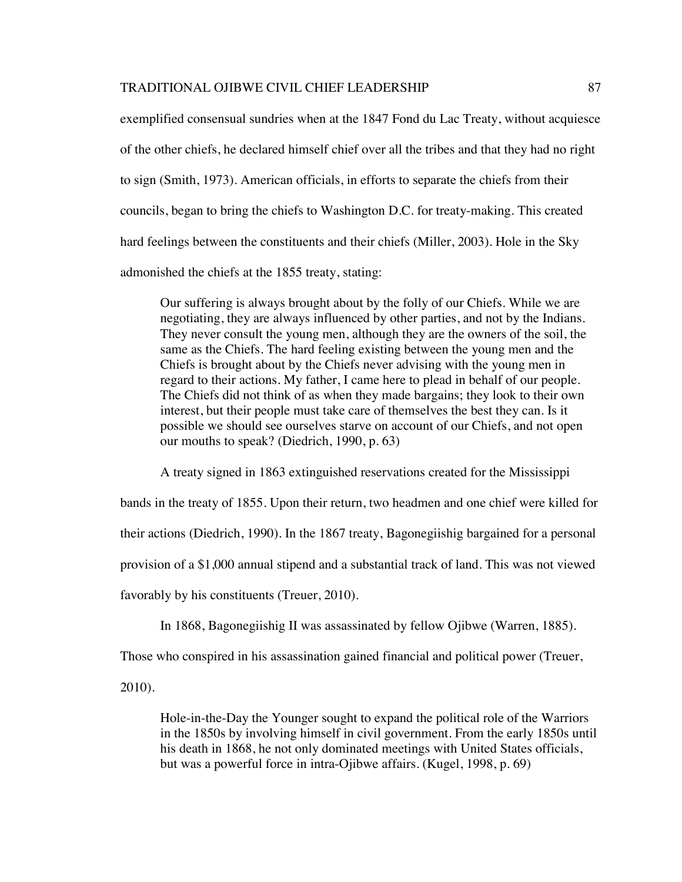exemplified consensual sundries when at the 1847 Fond du Lac Treaty, without acquiesce of the other chiefs, he declared himself chief over all the tribes and that they had no right to sign (Smith, 1973). American officials, in efforts to separate the chiefs from their councils, began to bring the chiefs to Washington D.C. for treaty-making. This created hard feelings between the constituents and their chiefs (Miller, 2003). Hole in the Sky admonished the chiefs at the 1855 treaty, stating:

Our suffering is always brought about by the folly of our Chiefs. While we are negotiating, they are always influenced by other parties, and not by the Indians. They never consult the young men, although they are the owners of the soil, the same as the Chiefs. The hard feeling existing between the young men and the Chiefs is brought about by the Chiefs never advising with the young men in regard to their actions. My father, I came here to plead in behalf of our people. The Chiefs did not think of as when they made bargains; they look to their own interest, but their people must take care of themselves the best they can. Is it possible we should see ourselves starve on account of our Chiefs, and not open our mouths to speak? (Diedrich, 1990, p. 63)

A treaty signed in 1863 extinguished reservations created for the Mississippi

bands in the treaty of 1855. Upon their return, two headmen and one chief were killed for

their actions (Diedrich, 1990). In the 1867 treaty, Bagonegiishig bargained for a personal

provision of a \$1,000 annual stipend and a substantial track of land. This was not viewed

favorably by his constituents (Treuer, 2010).

In 1868, Bagonegiishig II was assassinated by fellow Ojibwe (Warren, 1885).

Those who conspired in his assassination gained financial and political power (Treuer,

2010).

Hole-in-the-Day the Younger sought to expand the political role of the Warriors in the 1850s by involving himself in civil government. From the early 1850s until his death in 1868, he not only dominated meetings with United States officials, but was a powerful force in intra-Ojibwe affairs. (Kugel, 1998, p. 69)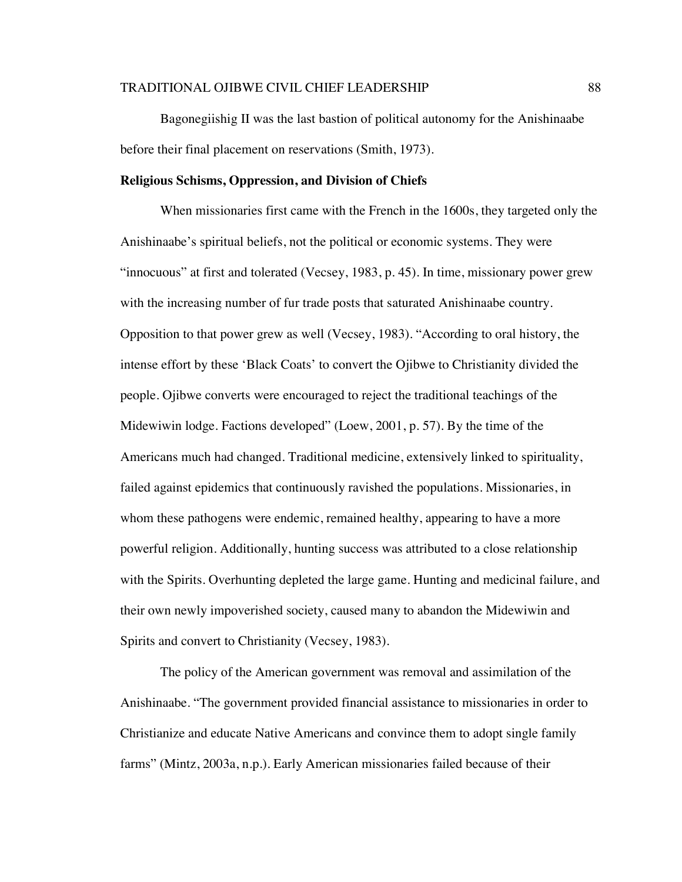Bagonegiishig II was the last bastion of political autonomy for the Anishinaabe before their final placement on reservations (Smith, 1973).

## **Religious Schisms, Oppression, and Division of Chiefs**

When missionaries first came with the French in the 1600s, they targeted only the Anishinaabe's spiritual beliefs, not the political or economic systems. They were "innocuous" at first and tolerated (Vecsey, 1983, p. 45). In time, missionary power grew with the increasing number of fur trade posts that saturated Anishinaabe country. Opposition to that power grew as well (Vecsey, 1983). "According to oral history, the intense effort by these 'Black Coats' to convert the Ojibwe to Christianity divided the people. Ojibwe converts were encouraged to reject the traditional teachings of the Midewiwin lodge. Factions developed" (Loew, 2001, p. 57). By the time of the Americans much had changed. Traditional medicine, extensively linked to spirituality, failed against epidemics that continuously ravished the populations. Missionaries, in whom these pathogens were endemic, remained healthy, appearing to have a more powerful religion. Additionally, hunting success was attributed to a close relationship with the Spirits. Overhunting depleted the large game. Hunting and medicinal failure, and their own newly impoverished society, caused many to abandon the Midewiwin and Spirits and convert to Christianity (Vecsey, 1983).

The policy of the American government was removal and assimilation of the Anishinaabe. "The government provided financial assistance to missionaries in order to Christianize and educate Native Americans and convince them to adopt single family farms" (Mintz, 2003a, n.p.). Early American missionaries failed because of their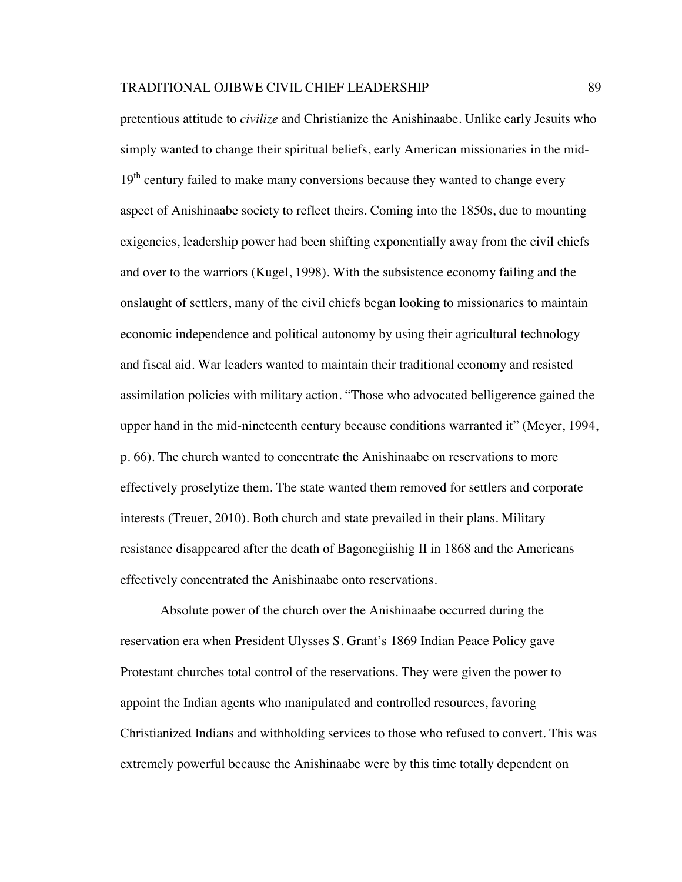pretentious attitude to *civilize* and Christianize the Anishinaabe. Unlike early Jesuits who simply wanted to change their spiritual beliefs, early American missionaries in the mid- $19<sup>th</sup>$  century failed to make many conversions because they wanted to change every aspect of Anishinaabe society to reflect theirs. Coming into the 1850s, due to mounting exigencies, leadership power had been shifting exponentially away from the civil chiefs and over to the warriors (Kugel, 1998). With the subsistence economy failing and the onslaught of settlers, many of the civil chiefs began looking to missionaries to maintain economic independence and political autonomy by using their agricultural technology and fiscal aid. War leaders wanted to maintain their traditional economy and resisted assimilation policies with military action. "Those who advocated belligerence gained the upper hand in the mid-nineteenth century because conditions warranted it" (Meyer, 1994, p. 66). The church wanted to concentrate the Anishinaabe on reservations to more effectively proselytize them. The state wanted them removed for settlers and corporate interests (Treuer, 2010). Both church and state prevailed in their plans. Military resistance disappeared after the death of Bagonegiishig II in 1868 and the Americans effectively concentrated the Anishinaabe onto reservations.

Absolute power of the church over the Anishinaabe occurred during the reservation era when President Ulysses S. Grant's 1869 Indian Peace Policy gave Protestant churches total control of the reservations. They were given the power to appoint the Indian agents who manipulated and controlled resources, favoring Christianized Indians and withholding services to those who refused to convert. This was extremely powerful because the Anishinaabe were by this time totally dependent on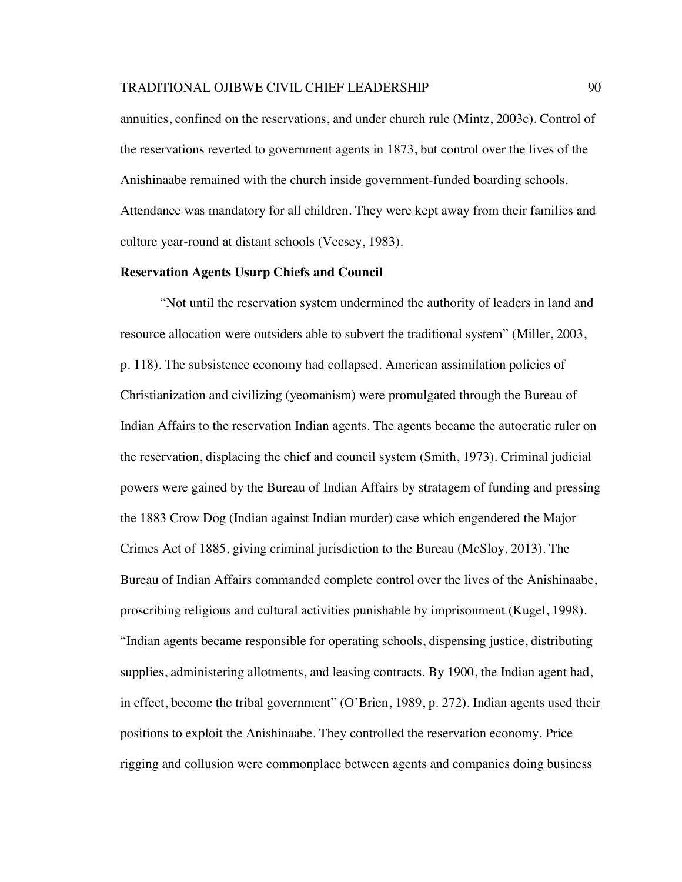annuities, confined on the reservations, and under church rule (Mintz, 2003c). Control of the reservations reverted to government agents in 1873, but control over the lives of the Anishinaabe remained with the church inside government-funded boarding schools. Attendance was mandatory for all children. They were kept away from their families and culture year-round at distant schools (Vecsey, 1983).

## **Reservation Agents Usurp Chiefs and Council**

"Not until the reservation system undermined the authority of leaders in land and resource allocation were outsiders able to subvert the traditional system" (Miller, 2003, p. 118). The subsistence economy had collapsed. American assimilation policies of Christianization and civilizing (yeomanism) were promulgated through the Bureau of Indian Affairs to the reservation Indian agents. The agents became the autocratic ruler on the reservation, displacing the chief and council system (Smith, 1973). Criminal judicial powers were gained by the Bureau of Indian Affairs by stratagem of funding and pressing the 1883 Crow Dog (Indian against Indian murder) case which engendered the Major Crimes Act of 1885, giving criminal jurisdiction to the Bureau (McSloy, 2013). The Bureau of Indian Affairs commanded complete control over the lives of the Anishinaabe, proscribing religious and cultural activities punishable by imprisonment (Kugel, 1998). "Indian agents became responsible for operating schools, dispensing justice, distributing supplies, administering allotments, and leasing contracts. By 1900, the Indian agent had, in effect, become the tribal government" (O'Brien, 1989, p. 272). Indian agents used their positions to exploit the Anishinaabe. They controlled the reservation economy. Price rigging and collusion were commonplace between agents and companies doing business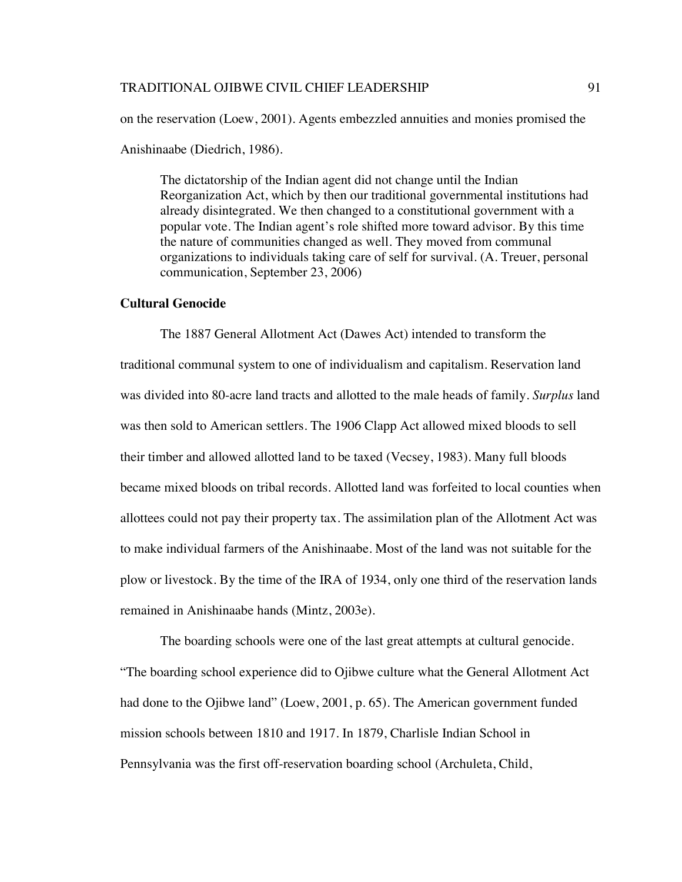on the reservation (Loew, 2001). Agents embezzled annuities and monies promised the Anishinaabe (Diedrich, 1986).

The dictatorship of the Indian agent did not change until the Indian Reorganization Act, which by then our traditional governmental institutions had already disintegrated. We then changed to a constitutional government with a popular vote. The Indian agent's role shifted more toward advisor. By this time the nature of communities changed as well. They moved from communal organizations to individuals taking care of self for survival. (A. Treuer, personal communication, September 23, 2006)

#### **Cultural Genocide**

The 1887 General Allotment Act (Dawes Act) intended to transform the traditional communal system to one of individualism and capitalism. Reservation land was divided into 80-acre land tracts and allotted to the male heads of family. *Surplus* land was then sold to American settlers. The 1906 Clapp Act allowed mixed bloods to sell their timber and allowed allotted land to be taxed (Vecsey, 1983). Many full bloods became mixed bloods on tribal records. Allotted land was forfeited to local counties when allottees could not pay their property tax. The assimilation plan of the Allotment Act was to make individual farmers of the Anishinaabe. Most of the land was not suitable for the plow or livestock. By the time of the IRA of 1934, only one third of the reservation lands remained in Anishinaabe hands (Mintz, 2003e).

The boarding schools were one of the last great attempts at cultural genocide. "The boarding school experience did to Ojibwe culture what the General Allotment Act had done to the Ojibwe land" (Loew, 2001, p. 65). The American government funded mission schools between 1810 and 1917. In 1879, Charlisle Indian School in Pennsylvania was the first off-reservation boarding school (Archuleta, Child,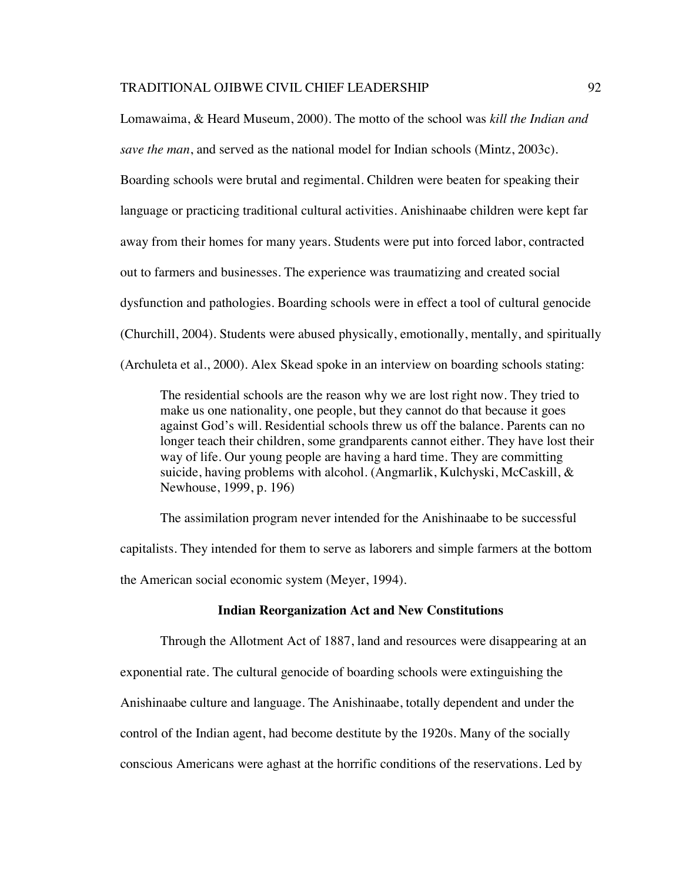Lomawaima, & Heard Museum, 2000). The motto of the school was *kill the Indian and save the man*, and served as the national model for Indian schools (Mintz, 2003c). Boarding schools were brutal and regimental. Children were beaten for speaking their language or practicing traditional cultural activities. Anishinaabe children were kept far away from their homes for many years. Students were put into forced labor, contracted out to farmers and businesses. The experience was traumatizing and created social dysfunction and pathologies. Boarding schools were in effect a tool of cultural genocide (Churchill, 2004). Students were abused physically, emotionally, mentally, and spiritually (Archuleta et al., 2000). Alex Skead spoke in an interview on boarding schools stating:

The residential schools are the reason why we are lost right now. They tried to make us one nationality, one people, but they cannot do that because it goes against God's will. Residential schools threw us off the balance. Parents can no longer teach their children, some grandparents cannot either. They have lost their way of life. Our young people are having a hard time. They are committing suicide, having problems with alcohol. (Angmarlik, Kulchyski, McCaskill, & Newhouse, 1999, p. 196)

The assimilation program never intended for the Anishinaabe to be successful capitalists. They intended for them to serve as laborers and simple farmers at the bottom the American social economic system (Meyer, 1994).

#### **Indian Reorganization Act and New Constitutions**

Through the Allotment Act of 1887, land and resources were disappearing at an exponential rate. The cultural genocide of boarding schools were extinguishing the Anishinaabe culture and language. The Anishinaabe, totally dependent and under the control of the Indian agent, had become destitute by the 1920s. Many of the socially conscious Americans were aghast at the horrific conditions of the reservations. Led by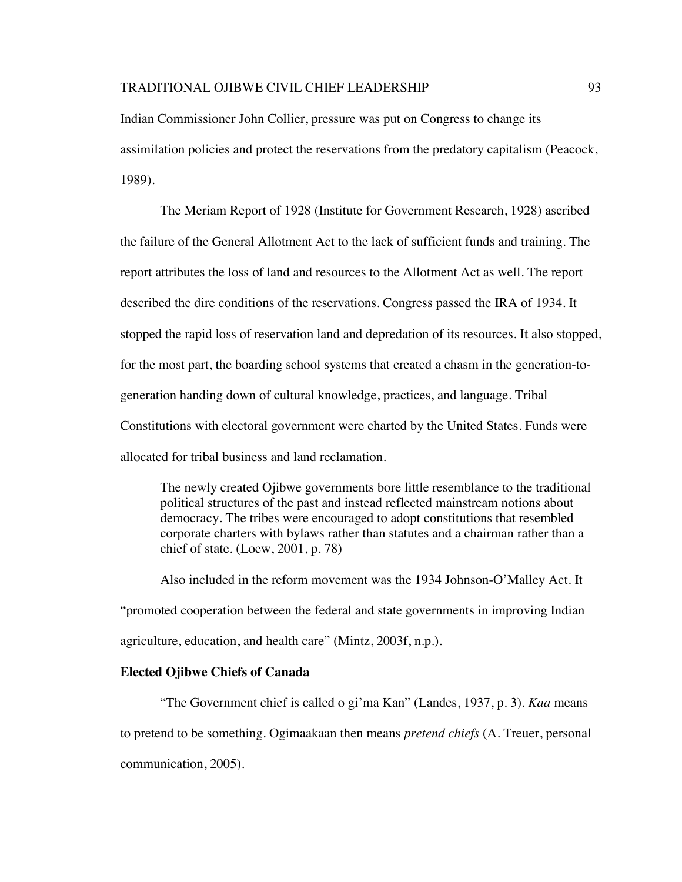Indian Commissioner John Collier, pressure was put on Congress to change its assimilation policies and protect the reservations from the predatory capitalism (Peacock, 1989).

The Meriam Report of 1928 (Institute for Government Research, 1928) ascribed the failure of the General Allotment Act to the lack of sufficient funds and training. The report attributes the loss of land and resources to the Allotment Act as well. The report described the dire conditions of the reservations. Congress passed the IRA of 1934. It stopped the rapid loss of reservation land and depredation of its resources. It also stopped, for the most part, the boarding school systems that created a chasm in the generation-togeneration handing down of cultural knowledge, practices, and language. Tribal Constitutions with electoral government were charted by the United States. Funds were allocated for tribal business and land reclamation.

The newly created Ojibwe governments bore little resemblance to the traditional political structures of the past and instead reflected mainstream notions about democracy. The tribes were encouraged to adopt constitutions that resembled corporate charters with bylaws rather than statutes and a chairman rather than a chief of state. (Loew, 2001, p. 78)

Also included in the reform movement was the 1934 Johnson-O'Malley Act. It "promoted cooperation between the federal and state governments in improving Indian agriculture, education, and health care" (Mintz, 2003f, n.p.).

#### **Elected Ojibwe Chiefs of Canada**

"The Government chief is called o gi'ma Kan" (Landes, 1937, p. 3). *Kaa* means to pretend to be something. Ogimaakaan then means *pretend chiefs* (A. Treuer, personal communication, 2005).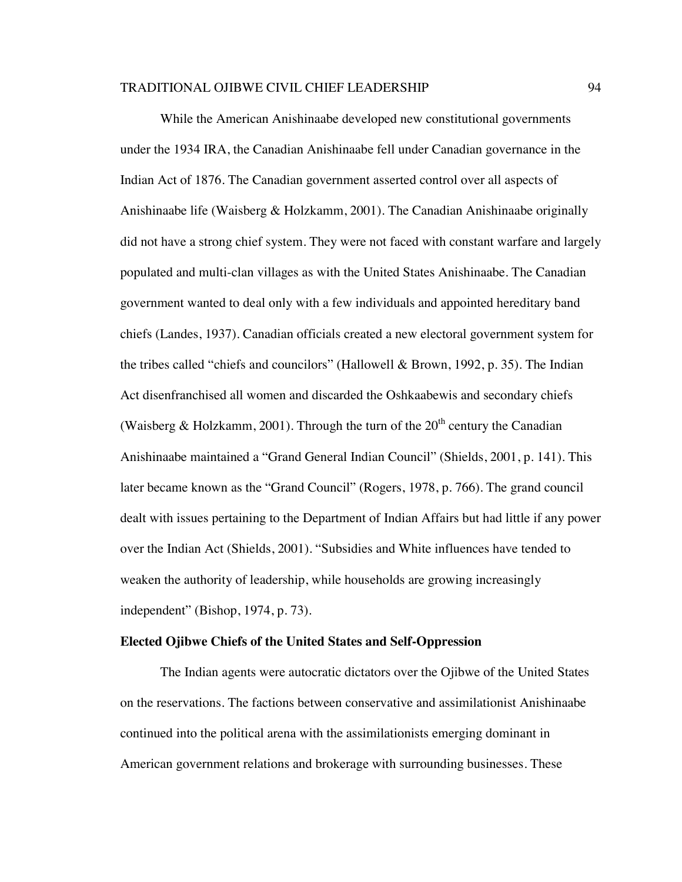While the American Anishinaabe developed new constitutional governments under the 1934 IRA, the Canadian Anishinaabe fell under Canadian governance in the Indian Act of 1876. The Canadian government asserted control over all aspects of Anishinaabe life (Waisberg & Holzkamm, 2001). The Canadian Anishinaabe originally did not have a strong chief system. They were not faced with constant warfare and largely populated and multi-clan villages as with the United States Anishinaabe. The Canadian government wanted to deal only with a few individuals and appointed hereditary band chiefs (Landes, 1937). Canadian officials created a new electoral government system for the tribes called "chiefs and councilors" (Hallowell & Brown, 1992, p. 35). The Indian Act disenfranchised all women and discarded the Oshkaabewis and secondary chiefs (Waisberg & Holzkamm, 2001). Through the turn of the  $20<sup>th</sup>$  century the Canadian Anishinaabe maintained a "Grand General Indian Council" (Shields, 2001, p. 141). This later became known as the "Grand Council" (Rogers, 1978, p. 766). The grand council dealt with issues pertaining to the Department of Indian Affairs but had little if any power over the Indian Act (Shields, 2001). "Subsidies and White influences have tended to weaken the authority of leadership, while households are growing increasingly independent" (Bishop, 1974, p. 73).

#### **Elected Ojibwe Chiefs of the United States and Self-Oppression**

The Indian agents were autocratic dictators over the Ojibwe of the United States on the reservations. The factions between conservative and assimilationist Anishinaabe continued into the political arena with the assimilationists emerging dominant in American government relations and brokerage with surrounding businesses. These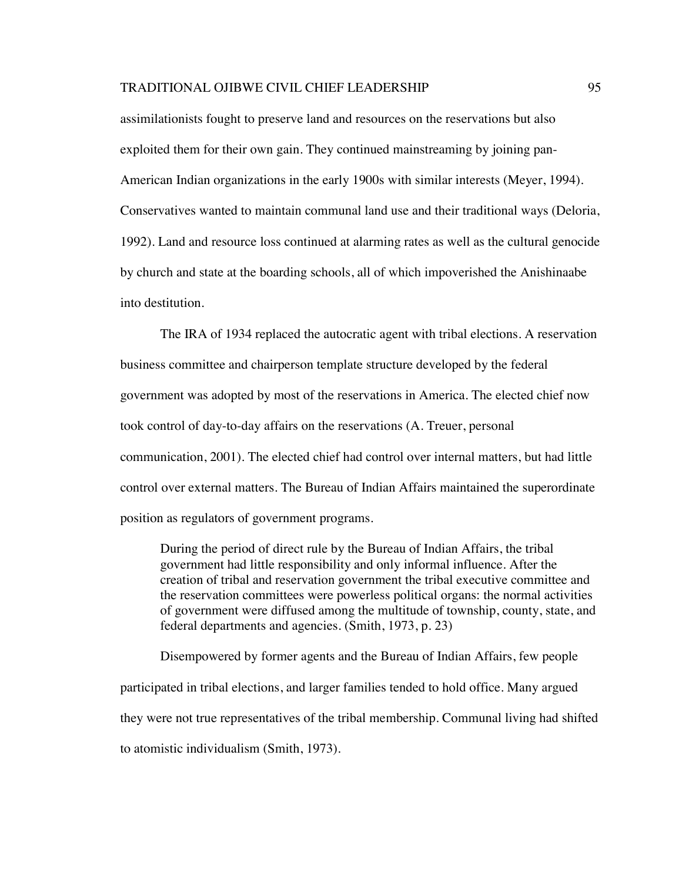assimilationists fought to preserve land and resources on the reservations but also exploited them for their own gain. They continued mainstreaming by joining pan-American Indian organizations in the early 1900s with similar interests (Meyer, 1994). Conservatives wanted to maintain communal land use and their traditional ways (Deloria, 1992). Land and resource loss continued at alarming rates as well as the cultural genocide by church and state at the boarding schools, all of which impoverished the Anishinaabe into destitution.

The IRA of 1934 replaced the autocratic agent with tribal elections. A reservation business committee and chairperson template structure developed by the federal government was adopted by most of the reservations in America. The elected chief now took control of day-to-day affairs on the reservations (A. Treuer, personal communication, 2001). The elected chief had control over internal matters, but had little control over external matters. The Bureau of Indian Affairs maintained the superordinate position as regulators of government programs.

During the period of direct rule by the Bureau of Indian Affairs, the tribal government had little responsibility and only informal influence. After the creation of tribal and reservation government the tribal executive committee and the reservation committees were powerless political organs: the normal activities of government were diffused among the multitude of township, county, state, and federal departments and agencies. (Smith, 1973, p. 23)

Disempowered by former agents and the Bureau of Indian Affairs, few people participated in tribal elections, and larger families tended to hold office. Many argued they were not true representatives of the tribal membership. Communal living had shifted to atomistic individualism (Smith, 1973).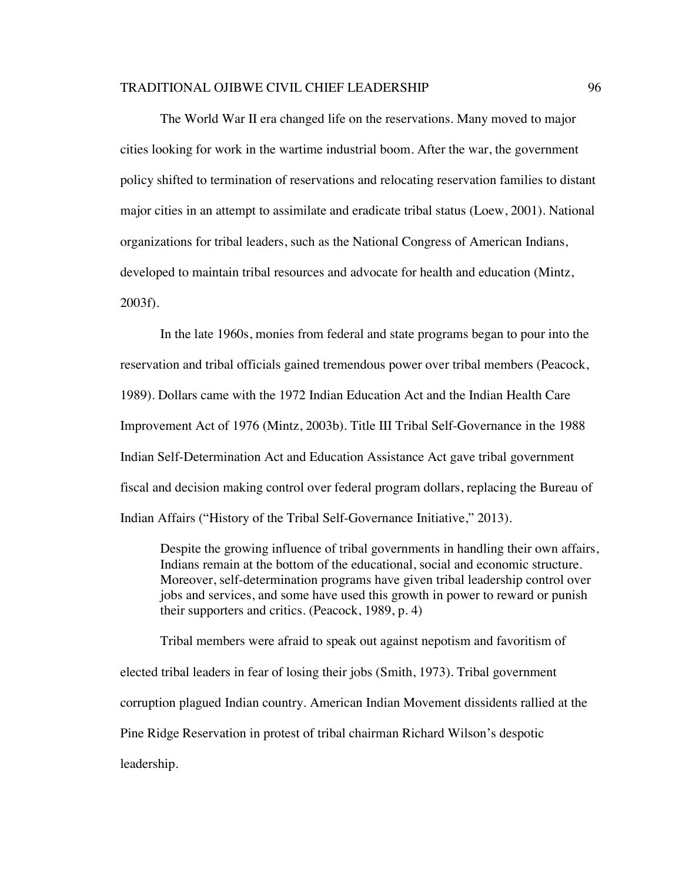The World War II era changed life on the reservations. Many moved to major cities looking for work in the wartime industrial boom. After the war, the government policy shifted to termination of reservations and relocating reservation families to distant major cities in an attempt to assimilate and eradicate tribal status (Loew, 2001). National organizations for tribal leaders, such as the National Congress of American Indians, developed to maintain tribal resources and advocate for health and education (Mintz, 2003f).

In the late 1960s, monies from federal and state programs began to pour into the reservation and tribal officials gained tremendous power over tribal members (Peacock, 1989). Dollars came with the 1972 Indian Education Act and the Indian Health Care Improvement Act of 1976 (Mintz, 2003b). Title III Tribal Self-Governance in the 1988 Indian Self-Determination Act and Education Assistance Act gave tribal government fiscal and decision making control over federal program dollars, replacing the Bureau of Indian Affairs ("History of the Tribal Self-Governance Initiative," 2013).

Despite the growing influence of tribal governments in handling their own affairs, Indians remain at the bottom of the educational, social and economic structure. Moreover, self-determination programs have given tribal leadership control over jobs and services, and some have used this growth in power to reward or punish their supporters and critics. (Peacock, 1989, p. 4)

Tribal members were afraid to speak out against nepotism and favoritism of elected tribal leaders in fear of losing their jobs (Smith, 1973). Tribal government corruption plagued Indian country. American Indian Movement dissidents rallied at the Pine Ridge Reservation in protest of tribal chairman Richard Wilson's despotic leadership.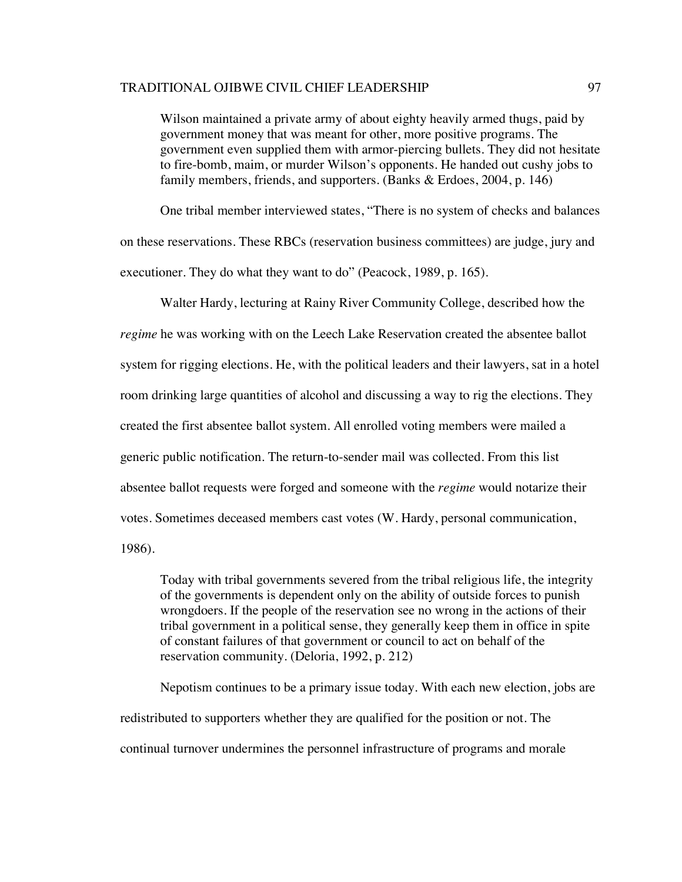Wilson maintained a private army of about eighty heavily armed thugs, paid by government money that was meant for other, more positive programs. The government even supplied them with armor-piercing bullets. They did not hesitate to fire-bomb, maim, or murder Wilson's opponents. He handed out cushy jobs to family members, friends, and supporters. (Banks & Erdoes, 2004, p. 146)

One tribal member interviewed states, "There is no system of checks and balances on these reservations. These RBCs (reservation business committees) are judge, jury and executioner. They do what they want to do" (Peacock, 1989, p. 165).

Walter Hardy, lecturing at Rainy River Community College, described how the *regime* he was working with on the Leech Lake Reservation created the absentee ballot system for rigging elections. He, with the political leaders and their lawyers, sat in a hotel room drinking large quantities of alcohol and discussing a way to rig the elections. They created the first absentee ballot system. All enrolled voting members were mailed a generic public notification. The return-to-sender mail was collected. From this list absentee ballot requests were forged and someone with the *regime* would notarize their votes. Sometimes deceased members cast votes (W. Hardy, personal communication, 1986).

Today with tribal governments severed from the tribal religious life, the integrity of the governments is dependent only on the ability of outside forces to punish wrongdoers. If the people of the reservation see no wrong in the actions of their tribal government in a political sense, they generally keep them in office in spite of constant failures of that government or council to act on behalf of the reservation community. (Deloria, 1992, p. 212)

Nepotism continues to be a primary issue today. With each new election, jobs are redistributed to supporters whether they are qualified for the position or not. The continual turnover undermines the personnel infrastructure of programs and morale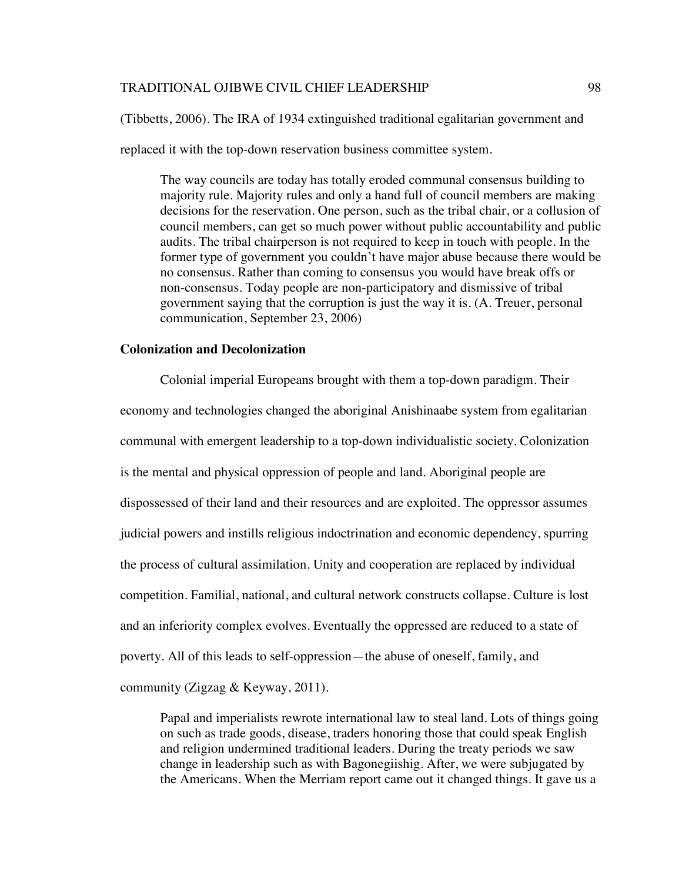(Tibbetts, 2006). The IRA of 1934 extinguished traditional egalitarian government and

replaced it with the top-down reservation business committee system.

The way councils are today has totally eroded communal consensus building to majority rule. Majority rules and only a hand full of council members are making decisions for the reservation. One person, such as the tribal chair, or a collusion of council members, can get so much power without public accountability and public audits. The tribal chairperson is not required to keep in touch with people. In the former type of government you couldn't have major abuse because there would be no consensus. Rather than coming to consensus you would have break offs or non-consensus. Today people are non-participatory and dismissive of tribal government saying that the corruption is just the way it is. (A. Treuer, personal communication, September 23, 2006)

### **Colonization and Decolonization**

Colonial imperial Europeans brought with them a top-down paradigm. Their economy and technologies changed the aboriginal Anishinaabe system from egalitarian communal with emergent leadership to a top-down individualistic society. Colonization is the mental and physical oppression of people and land. Aboriginal people are dispossessed of their land and their resources and are exploited. The oppressor assumes judicial powers and instills religious indoctrination and economic dependency, spurring the process of cultural assimilation. Unity and cooperation are replaced by individual competition. Familial, national, and cultural network constructs collapse. Culture is lost and an inferiority complex evolves. Eventually the oppressed are reduced to a state of poverty. All of this leads to self-oppression—the abuse of oneself, family, and community (Zigzag & Keyway, 2011).

Papal and imperialists rewrote international law to steal land. Lots of things going on such as trade goods, disease, traders honoring those that could speak English and religion undermined traditional leaders. During the treaty periods we saw change in leadership such as with Bagonegiishig. After, we were subjugated by the Americans. When the Merriam report came out it changed things. It gave us a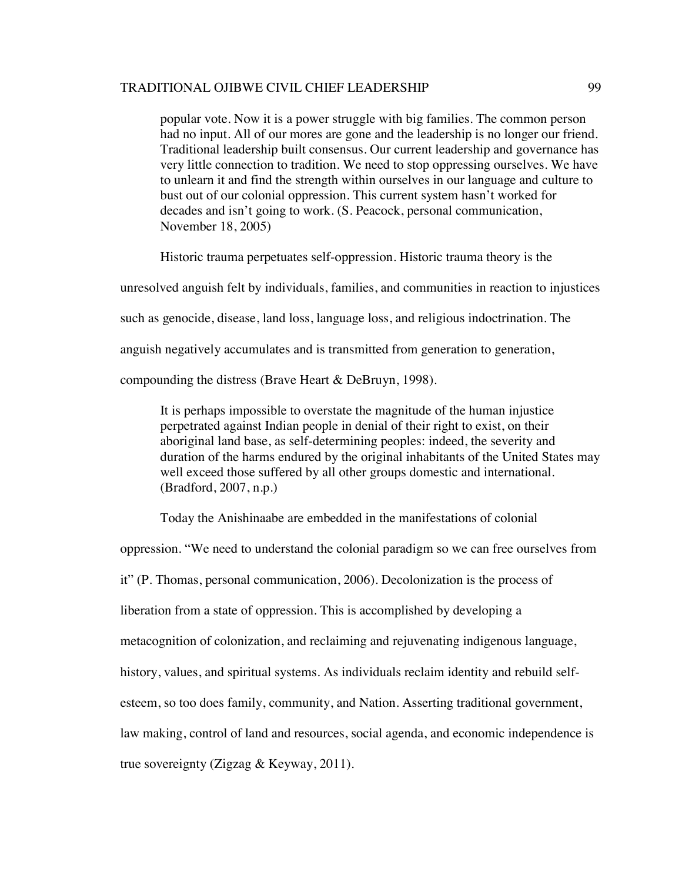popular vote. Now it is a power struggle with big families. The common person had no input. All of our mores are gone and the leadership is no longer our friend. Traditional leadership built consensus. Our current leadership and governance has very little connection to tradition. We need to stop oppressing ourselves. We have to unlearn it and find the strength within ourselves in our language and culture to bust out of our colonial oppression. This current system hasn't worked for decades and isn't going to work. (S. Peacock, personal communication, November 18, 2005)

Historic trauma perpetuates self-oppression. Historic trauma theory is the

unresolved anguish felt by individuals, families, and communities in reaction to injustices such as genocide, disease, land loss, language loss, and religious indoctrination. The anguish negatively accumulates and is transmitted from generation to generation,

compounding the distress (Brave Heart & DeBruyn, 1998).

It is perhaps impossible to overstate the magnitude of the human injustice perpetrated against Indian people in denial of their right to exist, on their aboriginal land base, as self-determining peoples: indeed, the severity and duration of the harms endured by the original inhabitants of the United States may well exceed those suffered by all other groups domestic and international. (Bradford, 2007, n.p.)

Today the Anishinaabe are embedded in the manifestations of colonial

oppression. "We need to understand the colonial paradigm so we can free ourselves from it" (P. Thomas, personal communication, 2006). Decolonization is the process of liberation from a state of oppression. This is accomplished by developing a metacognition of colonization, and reclaiming and rejuvenating indigenous language, history, values, and spiritual systems. As individuals reclaim identity and rebuild selfesteem, so too does family, community, and Nation. Asserting traditional government, law making, control of land and resources, social agenda, and economic independence is true sovereignty (Zigzag & Keyway, 2011).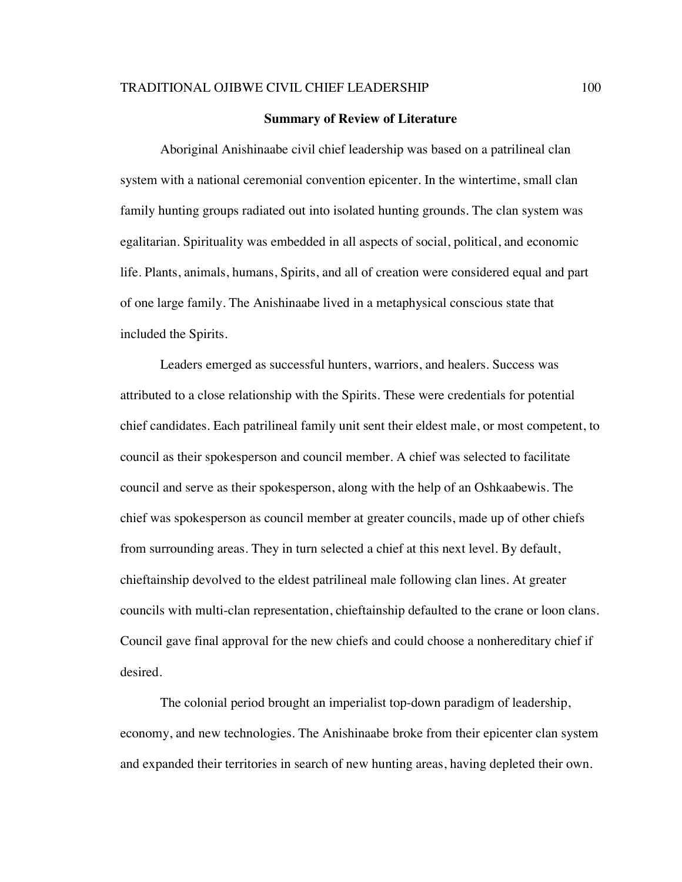#### **Summary of Review of Literature**

Aboriginal Anishinaabe civil chief leadership was based on a patrilineal clan system with a national ceremonial convention epicenter. In the wintertime, small clan family hunting groups radiated out into isolated hunting grounds. The clan system was egalitarian. Spirituality was embedded in all aspects of social, political, and economic life. Plants, animals, humans, Spirits, and all of creation were considered equal and part of one large family. The Anishinaabe lived in a metaphysical conscious state that included the Spirits.

Leaders emerged as successful hunters, warriors, and healers. Success was attributed to a close relationship with the Spirits. These were credentials for potential chief candidates. Each patrilineal family unit sent their eldest male, or most competent, to council as their spokesperson and council member. A chief was selected to facilitate council and serve as their spokesperson, along with the help of an Oshkaabewis. The chief was spokesperson as council member at greater councils, made up of other chiefs from surrounding areas. They in turn selected a chief at this next level. By default, chieftainship devolved to the eldest patrilineal male following clan lines. At greater councils with multi-clan representation, chieftainship defaulted to the crane or loon clans. Council gave final approval for the new chiefs and could choose a nonhereditary chief if desired.

The colonial period brought an imperialist top-down paradigm of leadership, economy, and new technologies. The Anishinaabe broke from their epicenter clan system and expanded their territories in search of new hunting areas, having depleted their own.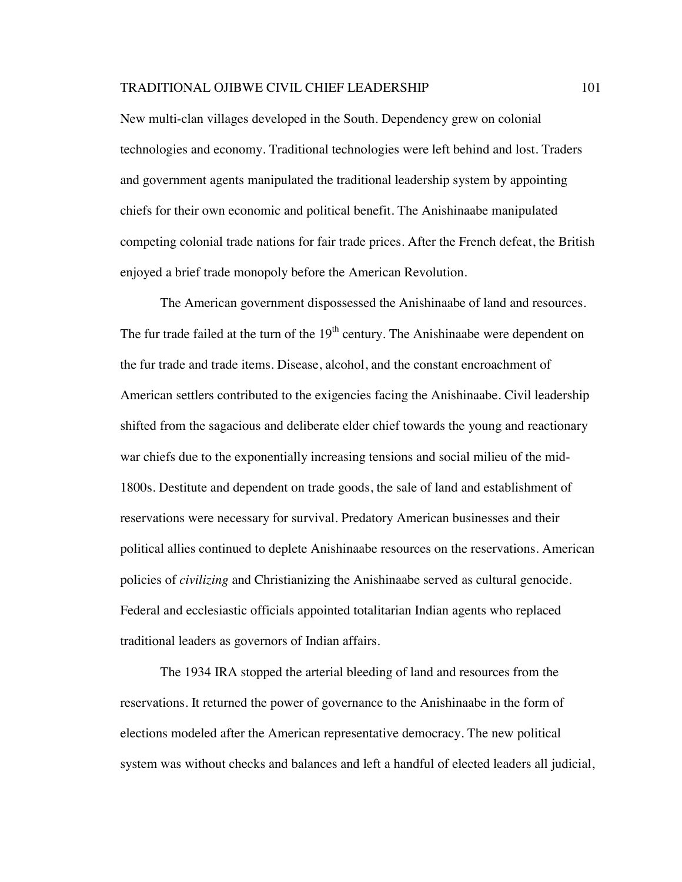New multi-clan villages developed in the South. Dependency grew on colonial technologies and economy. Traditional technologies were left behind and lost. Traders and government agents manipulated the traditional leadership system by appointing chiefs for their own economic and political benefit. The Anishinaabe manipulated competing colonial trade nations for fair trade prices. After the French defeat, the British enjoyed a brief trade monopoly before the American Revolution.

The American government dispossessed the Anishinaabe of land and resources. The fur trade failed at the turn of the  $19<sup>th</sup>$  century. The Anishinaabe were dependent on the fur trade and trade items. Disease, alcohol, and the constant encroachment of American settlers contributed to the exigencies facing the Anishinaabe. Civil leadership shifted from the sagacious and deliberate elder chief towards the young and reactionary war chiefs due to the exponentially increasing tensions and social milieu of the mid-1800s. Destitute and dependent on trade goods, the sale of land and establishment of reservations were necessary for survival. Predatory American businesses and their political allies continued to deplete Anishinaabe resources on the reservations. American policies of *civilizing* and Christianizing the Anishinaabe served as cultural genocide. Federal and ecclesiastic officials appointed totalitarian Indian agents who replaced traditional leaders as governors of Indian affairs.

The 1934 IRA stopped the arterial bleeding of land and resources from the reservations. It returned the power of governance to the Anishinaabe in the form of elections modeled after the American representative democracy. The new political system was without checks and balances and left a handful of elected leaders all judicial,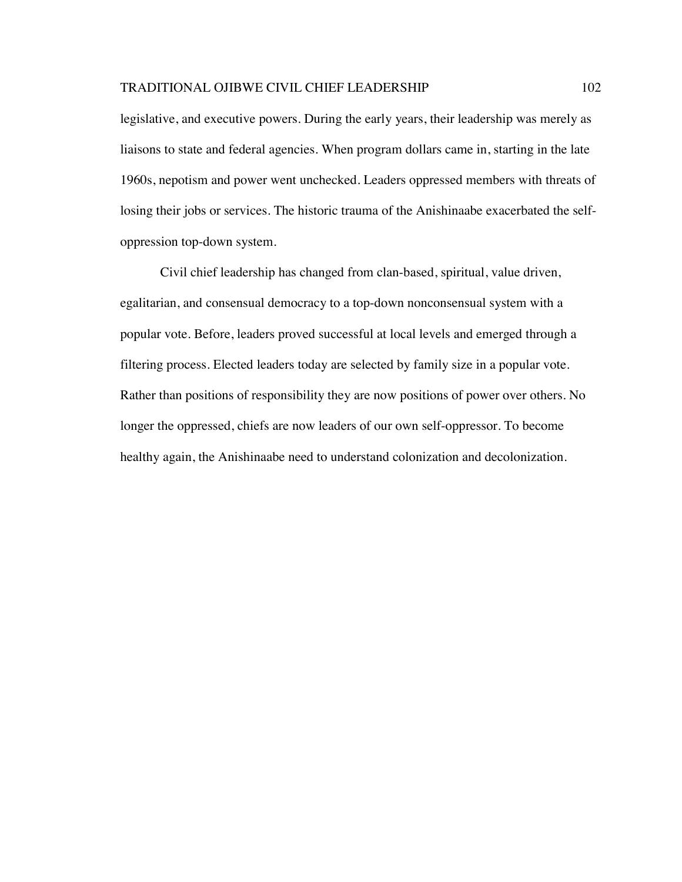legislative, and executive powers. During the early years, their leadership was merely as liaisons to state and federal agencies. When program dollars came in, starting in the late 1960s, nepotism and power went unchecked. Leaders oppressed members with threats of losing their jobs or services. The historic trauma of the Anishinaabe exacerbated the selfoppression top-down system.

Civil chief leadership has changed from clan-based, spiritual, value driven, egalitarian, and consensual democracy to a top-down nonconsensual system with a popular vote. Before, leaders proved successful at local levels and emerged through a filtering process. Elected leaders today are selected by family size in a popular vote. Rather than positions of responsibility they are now positions of power over others. No longer the oppressed, chiefs are now leaders of our own self-oppressor. To become healthy again, the Anishinaabe need to understand colonization and decolonization.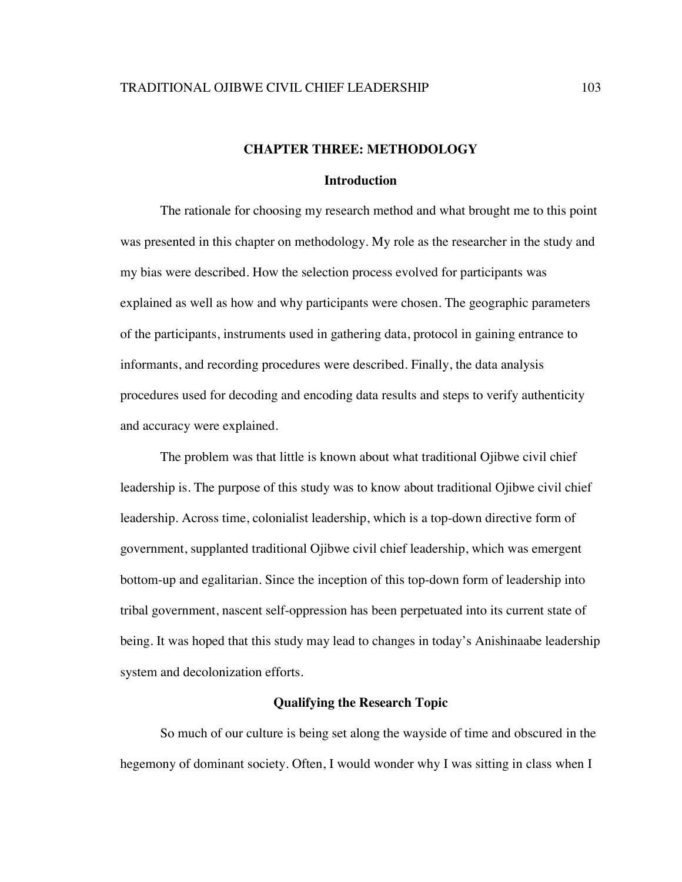### **CHAPTER THREE: METHODOLOGY**

## **Introduction**

The rationale for choosing my research method and what brought me to this point was presented in this chapter on methodology. My role as the researcher in the study and my bias were described. How the selection process evolved for participants was explained as well as how and why participants were chosen. The geographic parameters of the participants, instruments used in gathering data, protocol in gaining entrance to informants, and recording procedures were described. Finally, the data analysis procedures used for decoding and encoding data results and steps to verify authenticity and accuracy were explained.

The problem was that little is known about what traditional Ojibwe civil chief leadership is. The purpose of this study was to know about traditional Ojibwe civil chief leadership. Across time, colonialist leadership, which is a top-down directive form of government, supplanted traditional Ojibwe civil chief leadership, which was emergent bottom-up and egalitarian. Since the inception of this top-down form of leadership into tribal government, nascent self-oppression has been perpetuated into its current state of being. It was hoped that this study may lead to changes in today's Anishinaabe leadership system and decolonization efforts.

### **Qualifying the Research Topic**

So much of our culture is being set along the wayside of time and obscured in the hegemony of dominant society. Often, I would wonder why I was sitting in class when I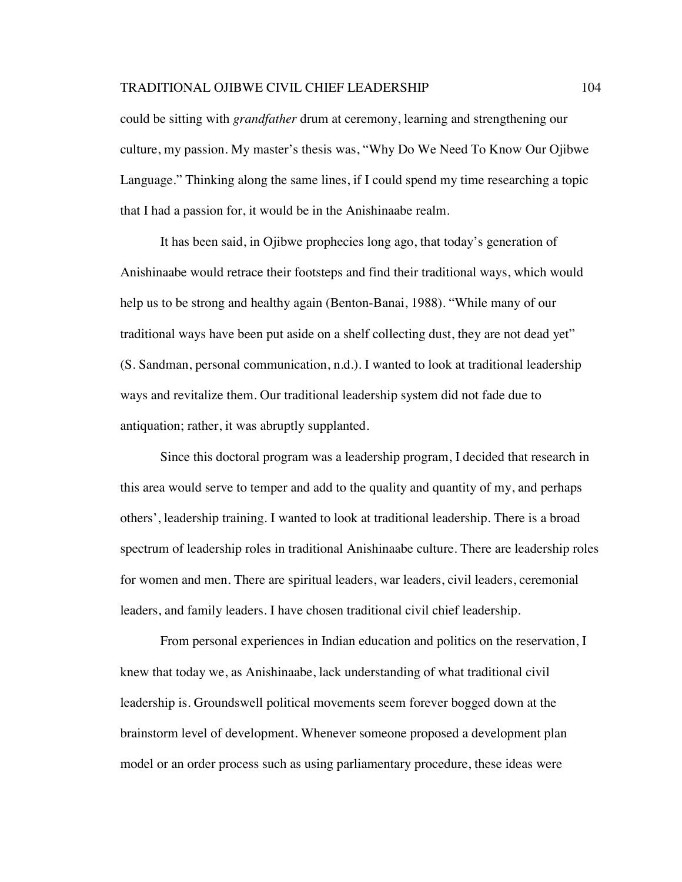could be sitting with *grandfather* drum at ceremony, learning and strengthening our culture, my passion. My master's thesis was, "Why Do We Need To Know Our Ojibwe Language." Thinking along the same lines, if I could spend my time researching a topic that I had a passion for, it would be in the Anishinaabe realm.

It has been said, in Ojibwe prophecies long ago, that today's generation of Anishinaabe would retrace their footsteps and find their traditional ways, which would help us to be strong and healthy again (Benton-Banai, 1988). "While many of our traditional ways have been put aside on a shelf collecting dust, they are not dead yet" (S. Sandman, personal communication, n.d.). I wanted to look at traditional leadership ways and revitalize them. Our traditional leadership system did not fade due to antiquation; rather, it was abruptly supplanted.

Since this doctoral program was a leadership program, I decided that research in this area would serve to temper and add to the quality and quantity of my, and perhaps others', leadership training. I wanted to look at traditional leadership. There is a broad spectrum of leadership roles in traditional Anishinaabe culture. There are leadership roles for women and men. There are spiritual leaders, war leaders, civil leaders, ceremonial leaders, and family leaders. I have chosen traditional civil chief leadership.

From personal experiences in Indian education and politics on the reservation, I knew that today we, as Anishinaabe, lack understanding of what traditional civil leadership is. Groundswell political movements seem forever bogged down at the brainstorm level of development. Whenever someone proposed a development plan model or an order process such as using parliamentary procedure, these ideas were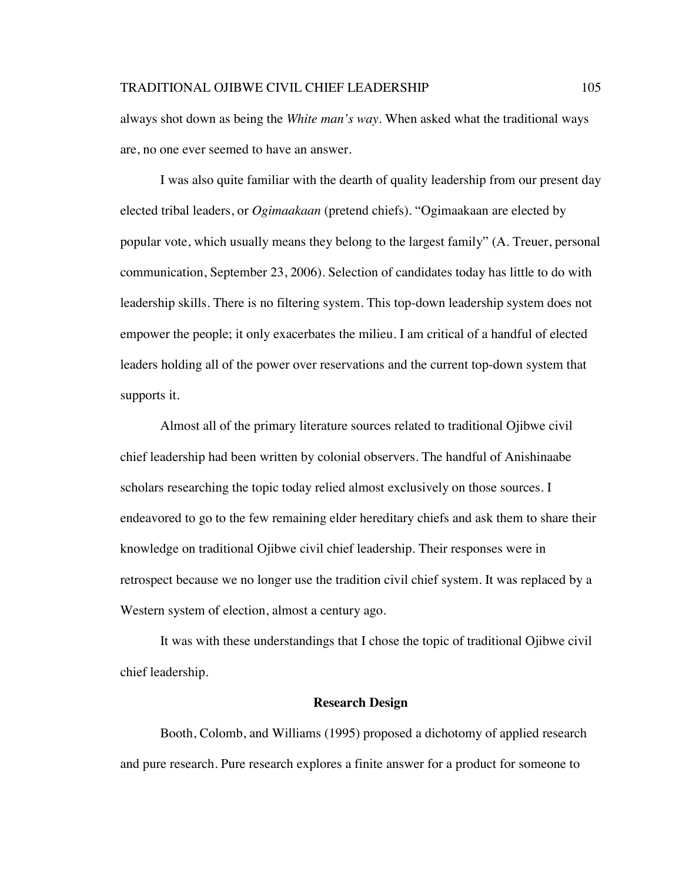always shot down as being the *White man's way*. When asked what the traditional ways are, no one ever seemed to have an answer.

I was also quite familiar with the dearth of quality leadership from our present day elected tribal leaders, or *Ogimaakaan* (pretend chiefs). "Ogimaakaan are elected by popular vote, which usually means they belong to the largest family" (A. Treuer, personal communication, September 23, 2006). Selection of candidates today has little to do with leadership skills. There is no filtering system. This top-down leadership system does not empower the people; it only exacerbates the milieu. I am critical of a handful of elected leaders holding all of the power over reservations and the current top-down system that supports it.

Almost all of the primary literature sources related to traditional Ojibwe civil chief leadership had been written by colonial observers. The handful of Anishinaabe scholars researching the topic today relied almost exclusively on those sources. I endeavored to go to the few remaining elder hereditary chiefs and ask them to share their knowledge on traditional Ojibwe civil chief leadership. Their responses were in retrospect because we no longer use the tradition civil chief system. It was replaced by a Western system of election, almost a century ago.

It was with these understandings that I chose the topic of traditional Ojibwe civil chief leadership.

#### **Research Design**

Booth, Colomb, and Williams (1995) proposed a dichotomy of applied research and pure research. Pure research explores a finite answer for a product for someone to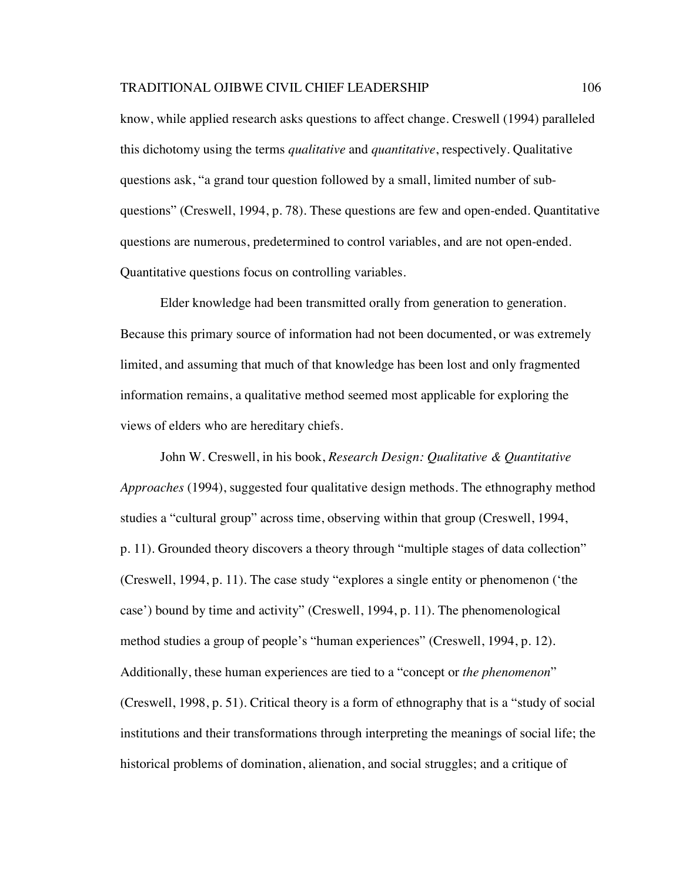know, while applied research asks questions to affect change. Creswell (1994) paralleled this dichotomy using the terms *qualitative* and *quantitative*, respectively. Qualitative questions ask, "a grand tour question followed by a small, limited number of subquestions" (Creswell, 1994, p. 78). These questions are few and open-ended. Quantitative questions are numerous, predetermined to control variables, and are not open-ended. Quantitative questions focus on controlling variables.

Elder knowledge had been transmitted orally from generation to generation. Because this primary source of information had not been documented, or was extremely limited, and assuming that much of that knowledge has been lost and only fragmented information remains, a qualitative method seemed most applicable for exploring the views of elders who are hereditary chiefs.

John W. Creswell, in his book, *Research Design: Qualitative & Quantitative Approaches* (1994), suggested four qualitative design methods. The ethnography method studies a "cultural group" across time, observing within that group (Creswell, 1994, p. 11). Grounded theory discovers a theory through "multiple stages of data collection" (Creswell, 1994, p. 11). The case study "explores a single entity or phenomenon ('the case') bound by time and activity" (Creswell, 1994, p. 11). The phenomenological method studies a group of people's "human experiences" (Creswell, 1994, p. 12). Additionally, these human experiences are tied to a "concept or *the phenomenon*" (Creswell, 1998, p. 51). Critical theory is a form of ethnography that is a "study of social institutions and their transformations through interpreting the meanings of social life; the historical problems of domination, alienation, and social struggles; and a critique of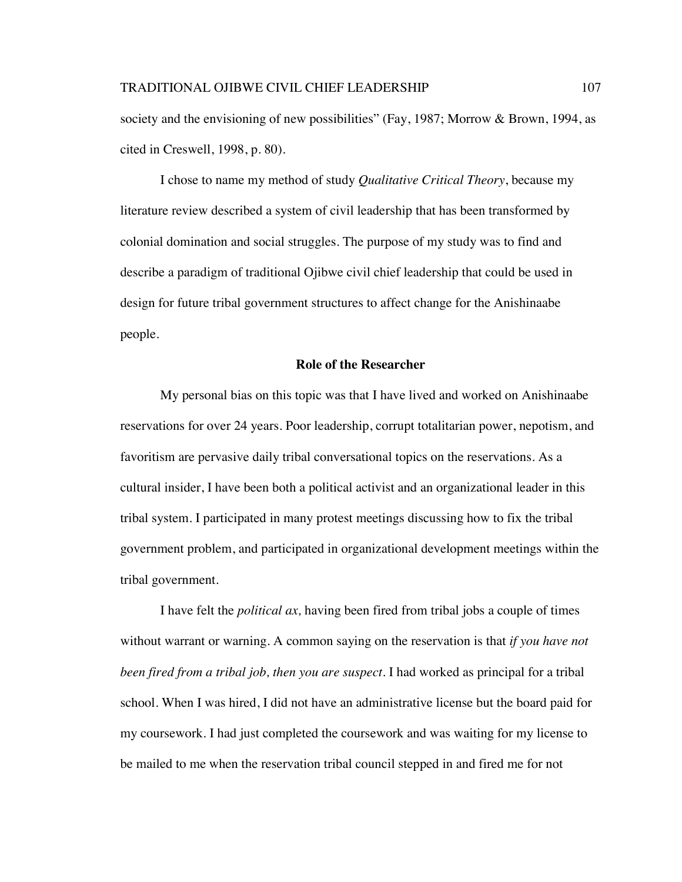society and the envisioning of new possibilities" (Fay, 1987; Morrow & Brown, 1994, as cited in Creswell, 1998, p. 80).

I chose to name my method of study *Qualitative Critical Theory*, because my literature review described a system of civil leadership that has been transformed by colonial domination and social struggles. The purpose of my study was to find and describe a paradigm of traditional Ojibwe civil chief leadership that could be used in design for future tribal government structures to affect change for the Anishinaabe people.

## **Role of the Researcher**

My personal bias on this topic was that I have lived and worked on Anishinaabe reservations for over 24 years. Poor leadership, corrupt totalitarian power, nepotism, and favoritism are pervasive daily tribal conversational topics on the reservations. As a cultural insider, I have been both a political activist and an organizational leader in this tribal system. I participated in many protest meetings discussing how to fix the tribal government problem, and participated in organizational development meetings within the tribal government.

I have felt the *political ax,* having been fired from tribal jobs a couple of times without warrant or warning. A common saying on the reservation is that *if you have not been fired from a tribal job, then you are suspect*. I had worked as principal for a tribal school. When I was hired, I did not have an administrative license but the board paid for my coursework. I had just completed the coursework and was waiting for my license to be mailed to me when the reservation tribal council stepped in and fired me for not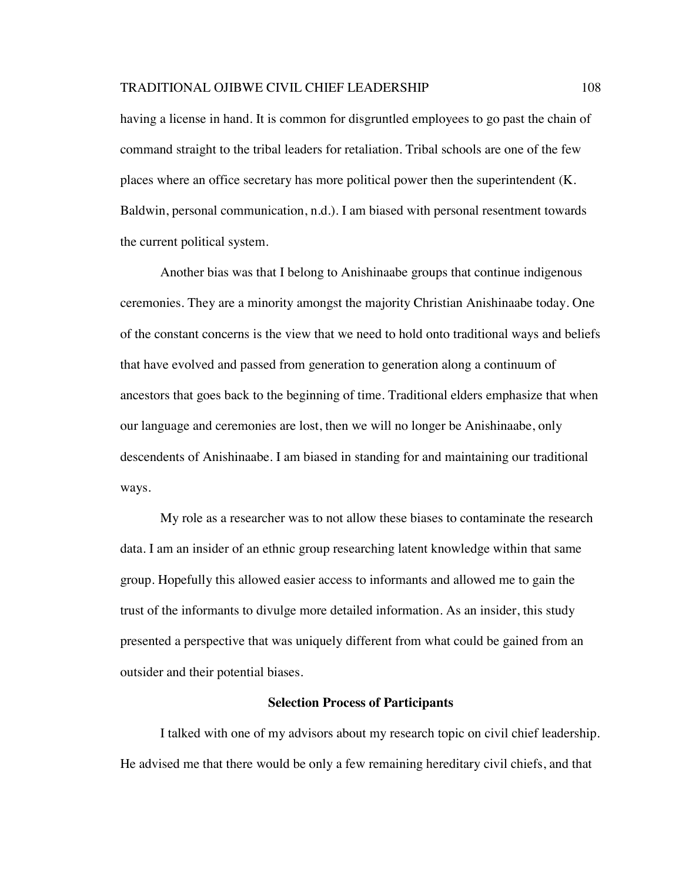having a license in hand. It is common for disgruntled employees to go past the chain of command straight to the tribal leaders for retaliation. Tribal schools are one of the few places where an office secretary has more political power then the superintendent (K. Baldwin, personal communication, n.d.). I am biased with personal resentment towards the current political system.

Another bias was that I belong to Anishinaabe groups that continue indigenous ceremonies. They are a minority amongst the majority Christian Anishinaabe today. One of the constant concerns is the view that we need to hold onto traditional ways and beliefs that have evolved and passed from generation to generation along a continuum of ancestors that goes back to the beginning of time. Traditional elders emphasize that when our language and ceremonies are lost, then we will no longer be Anishinaabe, only descendents of Anishinaabe. I am biased in standing for and maintaining our traditional ways.

My role as a researcher was to not allow these biases to contaminate the research data. I am an insider of an ethnic group researching latent knowledge within that same group. Hopefully this allowed easier access to informants and allowed me to gain the trust of the informants to divulge more detailed information. As an insider, this study presented a perspective that was uniquely different from what could be gained from an outsider and their potential biases.

### **Selection Process of Participants**

I talked with one of my advisors about my research topic on civil chief leadership. He advised me that there would be only a few remaining hereditary civil chiefs, and that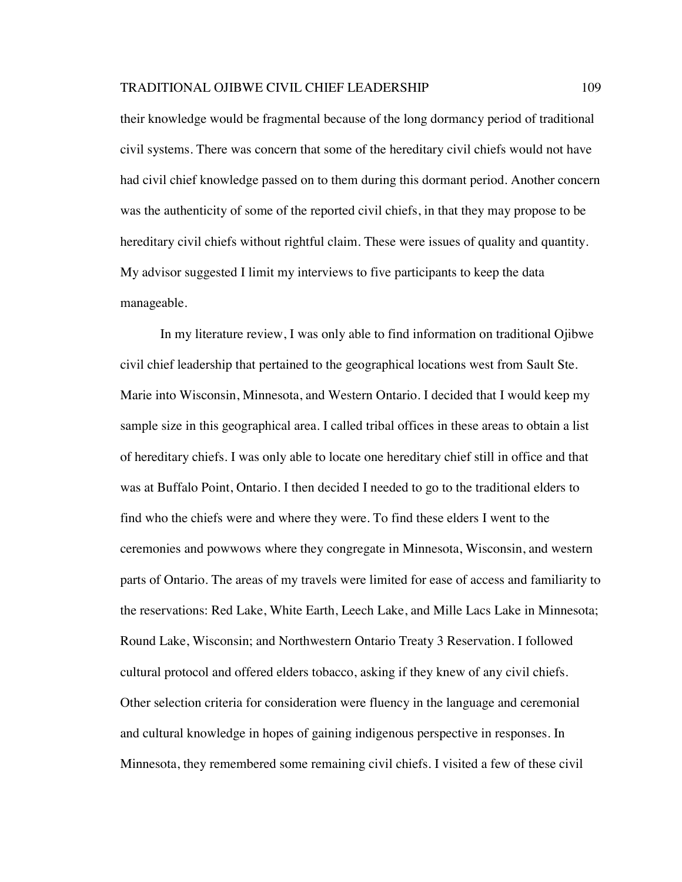their knowledge would be fragmental because of the long dormancy period of traditional civil systems. There was concern that some of the hereditary civil chiefs would not have had civil chief knowledge passed on to them during this dormant period. Another concern was the authenticity of some of the reported civil chiefs, in that they may propose to be hereditary civil chiefs without rightful claim. These were issues of quality and quantity. My advisor suggested I limit my interviews to five participants to keep the data manageable.

In my literature review, I was only able to find information on traditional Ojibwe civil chief leadership that pertained to the geographical locations west from Sault Ste. Marie into Wisconsin, Minnesota, and Western Ontario. I decided that I would keep my sample size in this geographical area. I called tribal offices in these areas to obtain a list of hereditary chiefs. I was only able to locate one hereditary chief still in office and that was at Buffalo Point, Ontario. I then decided I needed to go to the traditional elders to find who the chiefs were and where they were. To find these elders I went to the ceremonies and powwows where they congregate in Minnesota, Wisconsin, and western parts of Ontario. The areas of my travels were limited for ease of access and familiarity to the reservations: Red Lake, White Earth, Leech Lake, and Mille Lacs Lake in Minnesota; Round Lake, Wisconsin; and Northwestern Ontario Treaty 3 Reservation. I followed cultural protocol and offered elders tobacco, asking if they knew of any civil chiefs. Other selection criteria for consideration were fluency in the language and ceremonial and cultural knowledge in hopes of gaining indigenous perspective in responses. In Minnesota, they remembered some remaining civil chiefs. I visited a few of these civil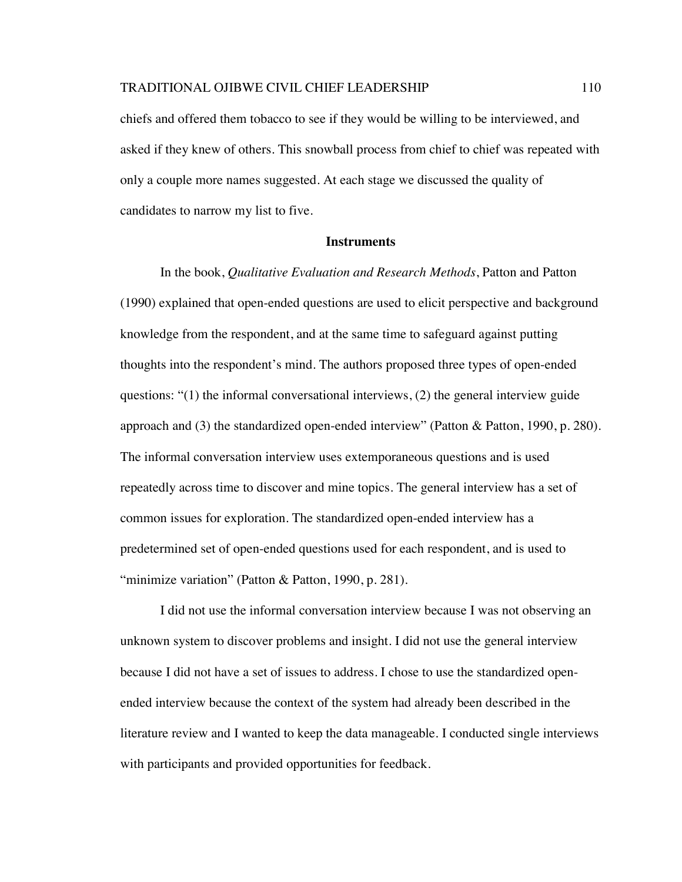chiefs and offered them tobacco to see if they would be willing to be interviewed, and asked if they knew of others. This snowball process from chief to chief was repeated with only a couple more names suggested. At each stage we discussed the quality of candidates to narrow my list to five.

## **Instruments**

In the book, *Qualitative Evaluation and Research Methods*, Patton and Patton (1990) explained that open-ended questions are used to elicit perspective and background knowledge from the respondent, and at the same time to safeguard against putting thoughts into the respondent's mind. The authors proposed three types of open-ended questions: "(1) the informal conversational interviews, (2) the general interview guide approach and (3) the standardized open-ended interview" (Patton & Patton, 1990, p. 280). The informal conversation interview uses extemporaneous questions and is used repeatedly across time to discover and mine topics. The general interview has a set of common issues for exploration. The standardized open-ended interview has a predetermined set of open-ended questions used for each respondent, and is used to "minimize variation" (Patton & Patton, 1990, p. 281).

I did not use the informal conversation interview because I was not observing an unknown system to discover problems and insight. I did not use the general interview because I did not have a set of issues to address. I chose to use the standardized openended interview because the context of the system had already been described in the literature review and I wanted to keep the data manageable. I conducted single interviews with participants and provided opportunities for feedback.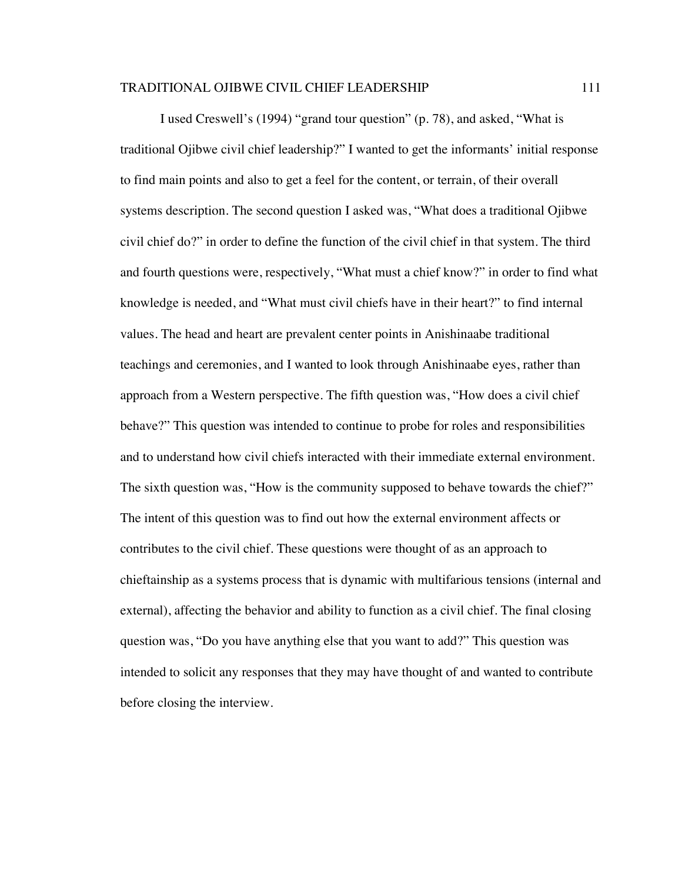I used Creswell's (1994) "grand tour question" (p. 78), and asked, "What is traditional Ojibwe civil chief leadership?" I wanted to get the informants' initial response to find main points and also to get a feel for the content, or terrain, of their overall systems description. The second question I asked was, "What does a traditional Ojibwe civil chief do?" in order to define the function of the civil chief in that system. The third and fourth questions were, respectively, "What must a chief know?" in order to find what knowledge is needed, and "What must civil chiefs have in their heart?" to find internal values. The head and heart are prevalent center points in Anishinaabe traditional teachings and ceremonies, and I wanted to look through Anishinaabe eyes, rather than approach from a Western perspective. The fifth question was, "How does a civil chief behave?" This question was intended to continue to probe for roles and responsibilities and to understand how civil chiefs interacted with their immediate external environment. The sixth question was, "How is the community supposed to behave towards the chief?" The intent of this question was to find out how the external environment affects or contributes to the civil chief. These questions were thought of as an approach to chieftainship as a systems process that is dynamic with multifarious tensions (internal and external), affecting the behavior and ability to function as a civil chief. The final closing question was, "Do you have anything else that you want to add?" This question was intended to solicit any responses that they may have thought of and wanted to contribute before closing the interview.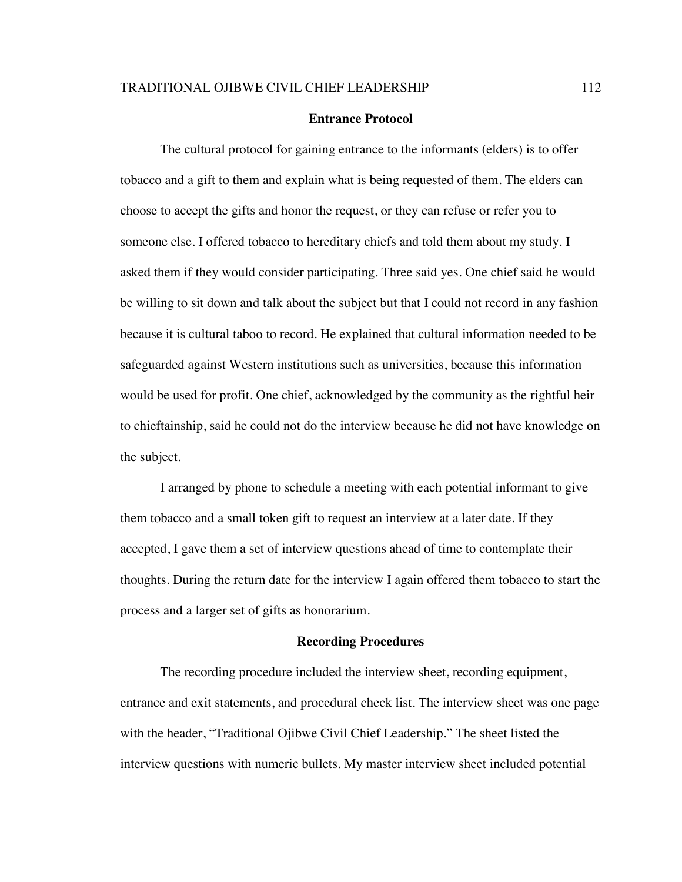### **Entrance Protocol**

The cultural protocol for gaining entrance to the informants (elders) is to offer tobacco and a gift to them and explain what is being requested of them. The elders can choose to accept the gifts and honor the request, or they can refuse or refer you to someone else. I offered tobacco to hereditary chiefs and told them about my study. I asked them if they would consider participating. Three said yes. One chief said he would be willing to sit down and talk about the subject but that I could not record in any fashion because it is cultural taboo to record. He explained that cultural information needed to be safeguarded against Western institutions such as universities, because this information would be used for profit. One chief, acknowledged by the community as the rightful heir to chieftainship, said he could not do the interview because he did not have knowledge on the subject.

I arranged by phone to schedule a meeting with each potential informant to give them tobacco and a small token gift to request an interview at a later date. If they accepted, I gave them a set of interview questions ahead of time to contemplate their thoughts. During the return date for the interview I again offered them tobacco to start the process and a larger set of gifts as honorarium.

#### **Recording Procedures**

The recording procedure included the interview sheet, recording equipment, entrance and exit statements, and procedural check list. The interview sheet was one page with the header, "Traditional Ojibwe Civil Chief Leadership." The sheet listed the interview questions with numeric bullets. My master interview sheet included potential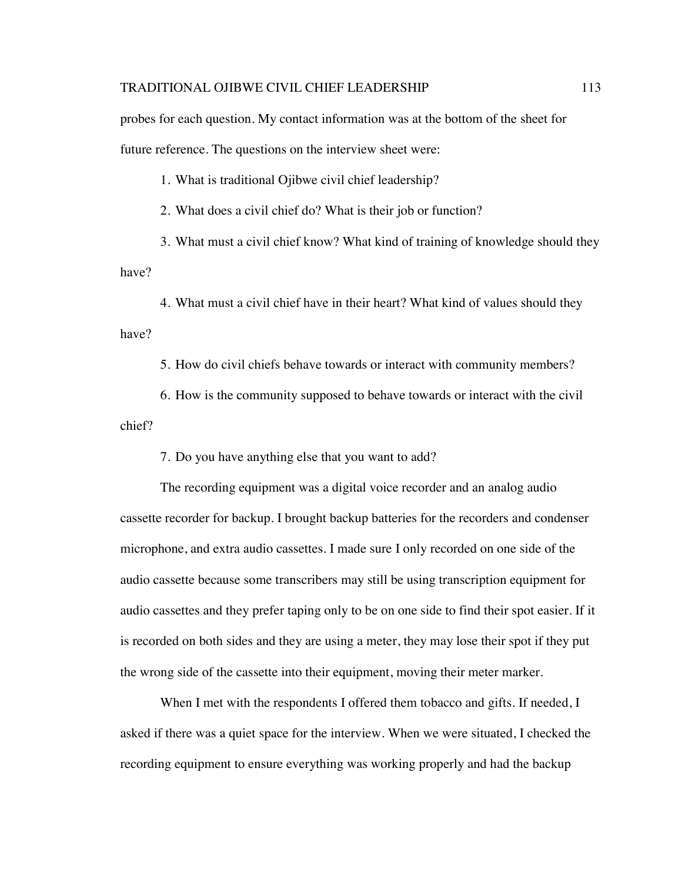probes for each question. My contact information was at the bottom of the sheet for future reference. The questions on the interview sheet were:

1. What is traditional Ojibwe civil chief leadership?

2. What does a civil chief do? What is their job or function?

3. What must a civil chief know? What kind of training of knowledge should they have?

4. What must a civil chief have in their heart? What kind of values should they have?

5. How do civil chiefs behave towards or interact with community members?

6. How is the community supposed to behave towards or interact with the civil chief?

7. Do you have anything else that you want to add?

The recording equipment was a digital voice recorder and an analog audio cassette recorder for backup. I brought backup batteries for the recorders and condenser microphone, and extra audio cassettes. I made sure I only recorded on one side of the audio cassette because some transcribers may still be using transcription equipment for audio cassettes and they prefer taping only to be on one side to find their spot easier. If it is recorded on both sides and they are using a meter, they may lose their spot if they put the wrong side of the cassette into their equipment, moving their meter marker.

When I met with the respondents I offered them tobacco and gifts. If needed, I asked if there was a quiet space for the interview. When we were situated, I checked the recording equipment to ensure everything was working properly and had the backup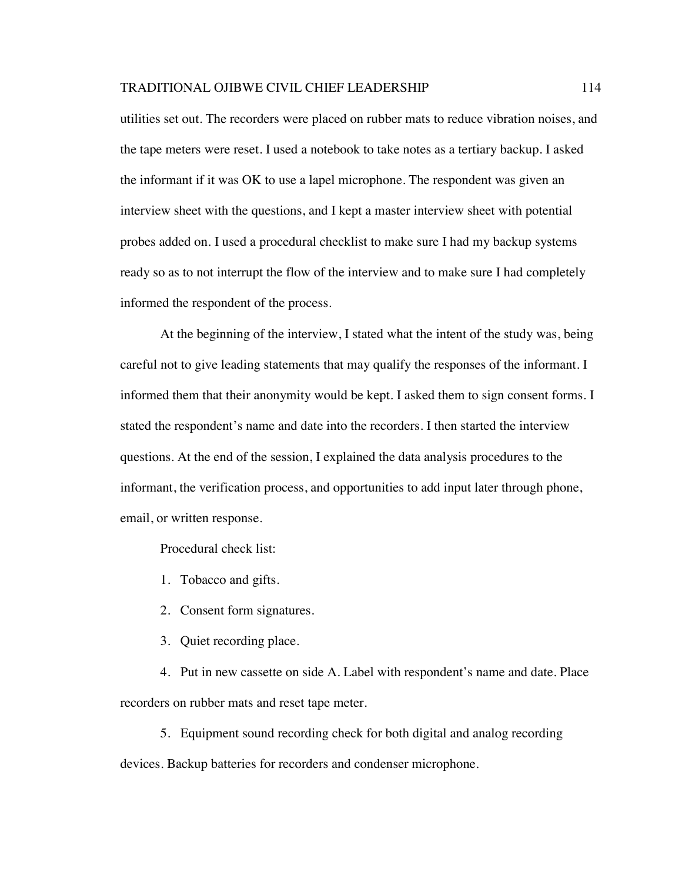utilities set out. The recorders were placed on rubber mats to reduce vibration noises, and the tape meters were reset. I used a notebook to take notes as a tertiary backup. I asked the informant if it was OK to use a lapel microphone. The respondent was given an interview sheet with the questions, and I kept a master interview sheet with potential probes added on. I used a procedural checklist to make sure I had my backup systems ready so as to not interrupt the flow of the interview and to make sure I had completely informed the respondent of the process.

At the beginning of the interview, I stated what the intent of the study was, being careful not to give leading statements that may qualify the responses of the informant. I informed them that their anonymity would be kept. I asked them to sign consent forms. I stated the respondent's name and date into the recorders. I then started the interview questions. At the end of the session, I explained the data analysis procedures to the informant, the verification process, and opportunities to add input later through phone, email, or written response.

Procedural check list:

- 1. Tobacco and gifts.
- 2. Consent form signatures.
- 3. Quiet recording place.

4. Put in new cassette on side A. Label with respondent's name and date. Place recorders on rubber mats and reset tape meter.

5. Equipment sound recording check for both digital and analog recording devices. Backup batteries for recorders and condenser microphone.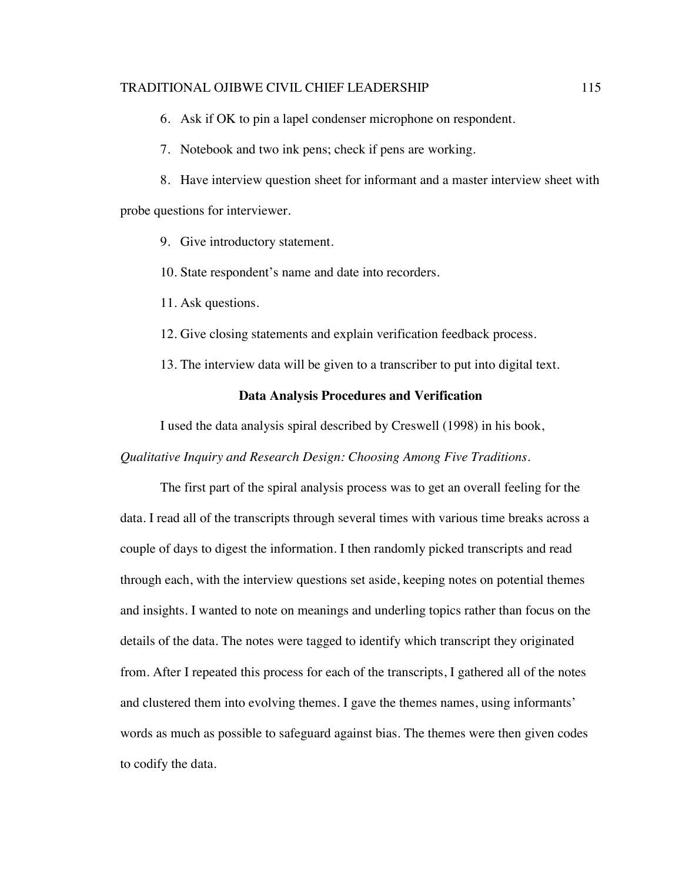6. Ask if OK to pin a lapel condenser microphone on respondent.

7. Notebook and two ink pens; check if pens are working.

8. Have interview question sheet for informant and a master interview sheet with probe questions for interviewer.

- 9. Give introductory statement.
- 10. State respondent's name and date into recorders.
- 11. Ask questions.
- 12. Give closing statements and explain verification feedback process.
- 13. The interview data will be given to a transcriber to put into digital text.

# **Data Analysis Procedures and Verification**

I used the data analysis spiral described by Creswell (1998) in his book,

*Qualitative Inquiry and Research Design: Choosing Among Five Traditions*.

The first part of the spiral analysis process was to get an overall feeling for the data. I read all of the transcripts through several times with various time breaks across a couple of days to digest the information. I then randomly picked transcripts and read through each, with the interview questions set aside, keeping notes on potential themes and insights. I wanted to note on meanings and underling topics rather than focus on the details of the data. The notes were tagged to identify which transcript they originated from. After I repeated this process for each of the transcripts, I gathered all of the notes and clustered them into evolving themes. I gave the themes names, using informants' words as much as possible to safeguard against bias. The themes were then given codes to codify the data.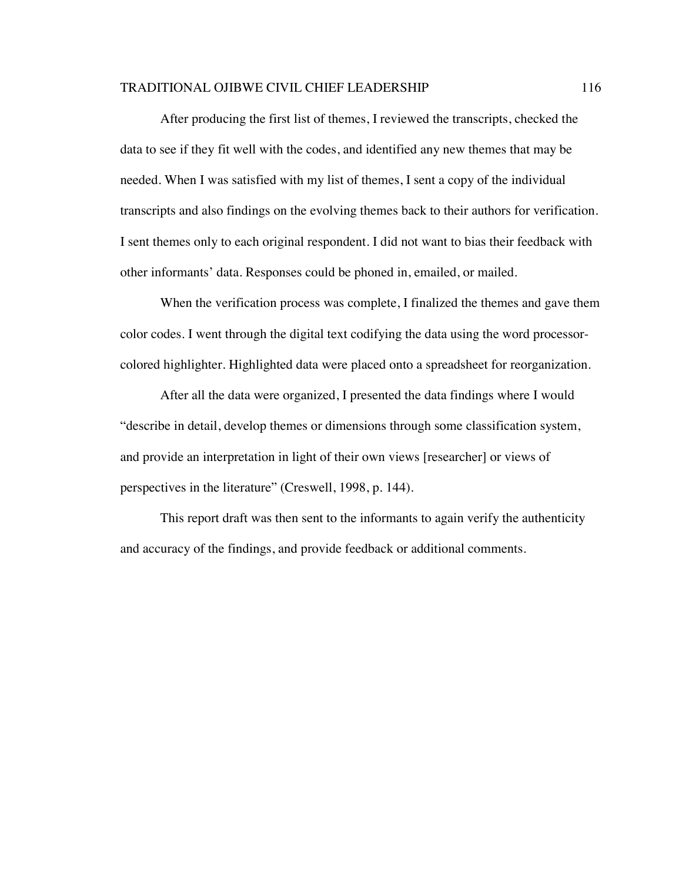After producing the first list of themes, I reviewed the transcripts, checked the data to see if they fit well with the codes, and identified any new themes that may be needed. When I was satisfied with my list of themes, I sent a copy of the individual transcripts and also findings on the evolving themes back to their authors for verification. I sent themes only to each original respondent. I did not want to bias their feedback with other informants' data. Responses could be phoned in, emailed, or mailed.

When the verification process was complete, I finalized the themes and gave them color codes. I went through the digital text codifying the data using the word processorcolored highlighter. Highlighted data were placed onto a spreadsheet for reorganization.

After all the data were organized, I presented the data findings where I would "describe in detail, develop themes or dimensions through some classification system, and provide an interpretation in light of their own views [researcher] or views of perspectives in the literature" (Creswell, 1998, p. 144).

This report draft was then sent to the informants to again verify the authenticity and accuracy of the findings, and provide feedback or additional comments.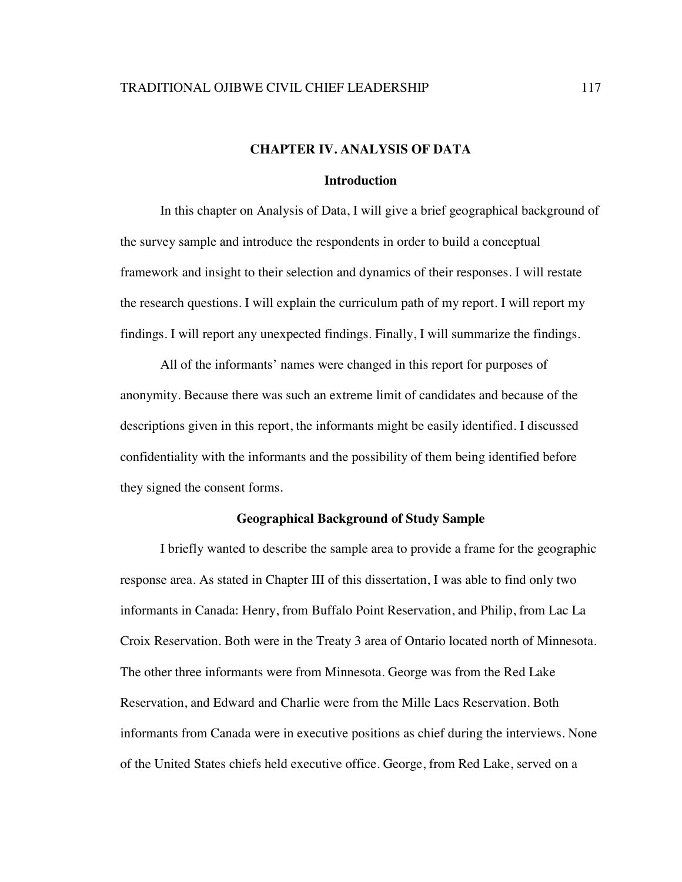# **CHAPTER IV. ANALYSIS OF DATA**

### **Introduction**

In this chapter on Analysis of Data, I will give a brief geographical background of the survey sample and introduce the respondents in order to build a conceptual framework and insight to their selection and dynamics of their responses. I will restate the research questions. I will explain the curriculum path of my report. I will report my findings. I will report any unexpected findings. Finally, I will summarize the findings.

All of the informants' names were changed in this report for purposes of anonymity. Because there was such an extreme limit of candidates and because of the descriptions given in this report, the informants might be easily identified. I discussed confidentiality with the informants and the possibility of them being identified before they signed the consent forms.

## **Geographical Background of Study Sample**

I briefly wanted to describe the sample area to provide a frame for the geographic response area. As stated in Chapter III of this dissertation, I was able to find only two informants in Canada: Henry, from Buffalo Point Reservation, and Philip, from Lac La Croix Reservation. Both were in the Treaty 3 area of Ontario located north of Minnesota. The other three informants were from Minnesota. George was from the Red Lake Reservation, and Edward and Charlie were from the Mille Lacs Reservation. Both informants from Canada were in executive positions as chief during the interviews. None of the United States chiefs held executive office. George, from Red Lake, served on a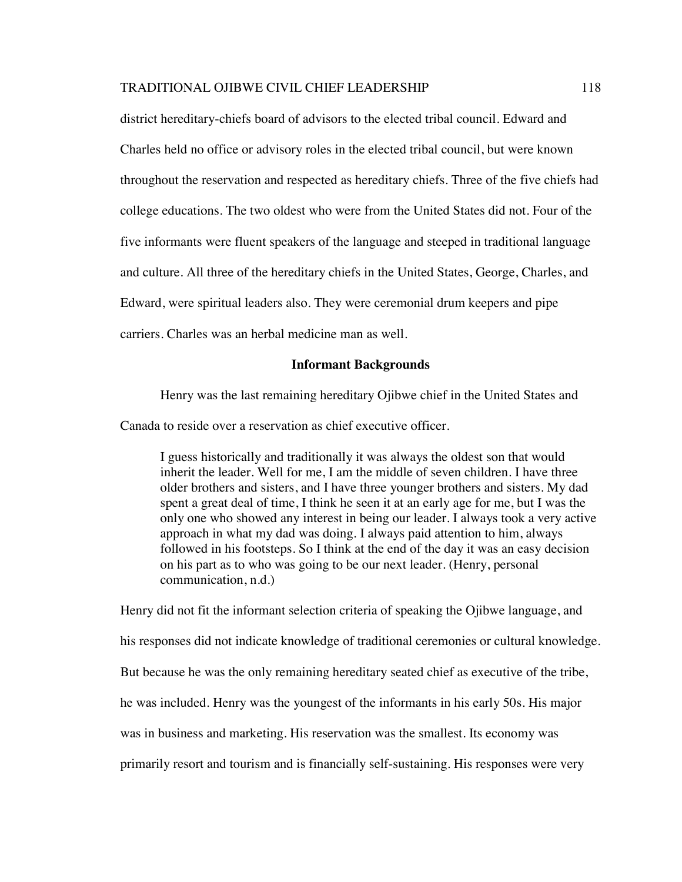district hereditary-chiefs board of advisors to the elected tribal council. Edward and Charles held no office or advisory roles in the elected tribal council, but were known throughout the reservation and respected as hereditary chiefs. Three of the five chiefs had college educations. The two oldest who were from the United States did not. Four of the five informants were fluent speakers of the language and steeped in traditional language and culture. All three of the hereditary chiefs in the United States, George, Charles, and Edward, were spiritual leaders also. They were ceremonial drum keepers and pipe carriers. Charles was an herbal medicine man as well.

### **Informant Backgrounds**

Henry was the last remaining hereditary Ojibwe chief in the United States and

Canada to reside over a reservation as chief executive officer.

I guess historically and traditionally it was always the oldest son that would inherit the leader. Well for me, I am the middle of seven children. I have three older brothers and sisters, and I have three younger brothers and sisters. My dad spent a great deal of time, I think he seen it at an early age for me, but I was the only one who showed any interest in being our leader. I always took a very active approach in what my dad was doing. I always paid attention to him, always followed in his footsteps. So I think at the end of the day it was an easy decision on his part as to who was going to be our next leader. (Henry, personal communication, n.d.)

Henry did not fit the informant selection criteria of speaking the Ojibwe language, and his responses did not indicate knowledge of traditional ceremonies or cultural knowledge. But because he was the only remaining hereditary seated chief as executive of the tribe, he was included. Henry was the youngest of the informants in his early 50s. His major was in business and marketing. His reservation was the smallest. Its economy was primarily resort and tourism and is financially self-sustaining. His responses were very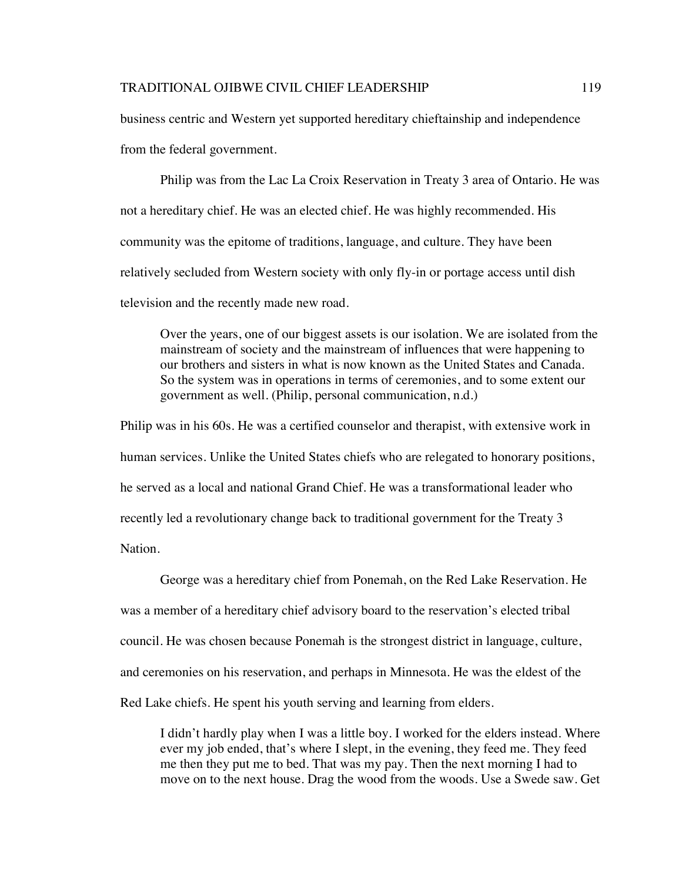business centric and Western yet supported hereditary chieftainship and independence from the federal government.

Philip was from the Lac La Croix Reservation in Treaty 3 area of Ontario. He was not a hereditary chief. He was an elected chief. He was highly recommended. His community was the epitome of traditions, language, and culture. They have been relatively secluded from Western society with only fly-in or portage access until dish television and the recently made new road.

Over the years, one of our biggest assets is our isolation. We are isolated from the mainstream of society and the mainstream of influences that were happening to our brothers and sisters in what is now known as the United States and Canada. So the system was in operations in terms of ceremonies, and to some extent our government as well. (Philip, personal communication, n.d.)

Philip was in his 60s. He was a certified counselor and therapist, with extensive work in human services. Unlike the United States chiefs who are relegated to honorary positions, he served as a local and national Grand Chief. He was a transformational leader who recently led a revolutionary change back to traditional government for the Treaty 3 Nation.

George was a hereditary chief from Ponemah, on the Red Lake Reservation. He was a member of a hereditary chief advisory board to the reservation's elected tribal council. He was chosen because Ponemah is the strongest district in language, culture, and ceremonies on his reservation, and perhaps in Minnesota. He was the eldest of the Red Lake chiefs. He spent his youth serving and learning from elders.

I didn't hardly play when I was a little boy. I worked for the elders instead. Where ever my job ended, that's where I slept, in the evening, they feed me. They feed me then they put me to bed. That was my pay. Then the next morning I had to move on to the next house. Drag the wood from the woods. Use a Swede saw. Get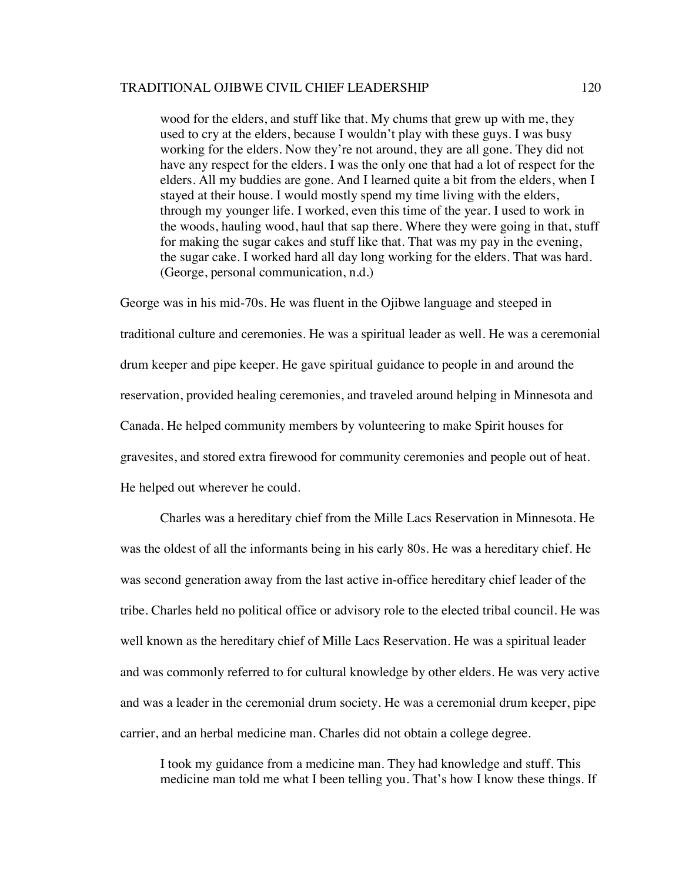wood for the elders, and stuff like that. My chums that grew up with me, they used to cry at the elders, because I wouldn't play with these guys. I was busy working for the elders. Now they're not around, they are all gone. They did not have any respect for the elders. I was the only one that had a lot of respect for the elders. All my buddies are gone. And I learned quite a bit from the elders, when I stayed at their house. I would mostly spend my time living with the elders, through my younger life. I worked, even this time of the year. I used to work in the woods, hauling wood, haul that sap there. Where they were going in that, stuff for making the sugar cakes and stuff like that. That was my pay in the evening, the sugar cake. I worked hard all day long working for the elders. That was hard. (George, personal communication, n.d.)

George was in his mid-70s. He was fluent in the Ojibwe language and steeped in traditional culture and ceremonies. He was a spiritual leader as well. He was a ceremonial drum keeper and pipe keeper. He gave spiritual guidance to people in and around the reservation, provided healing ceremonies, and traveled around helping in Minnesota and Canada. He helped community members by volunteering to make Spirit houses for gravesites, and stored extra firewood for community ceremonies and people out of heat. He helped out wherever he could.

Charles was a hereditary chief from the Mille Lacs Reservation in Minnesota. He was the oldest of all the informants being in his early 80s. He was a hereditary chief. He was second generation away from the last active in-office hereditary chief leader of the tribe. Charles held no political office or advisory role to the elected tribal council. He was well known as the hereditary chief of Mille Lacs Reservation. He was a spiritual leader and was commonly referred to for cultural knowledge by other elders. He was very active and was a leader in the ceremonial drum society. He was a ceremonial drum keeper, pipe carrier, and an herbal medicine man. Charles did not obtain a college degree.

I took my guidance from a medicine man. They had knowledge and stuff. This medicine man told me what I been telling you. That's how I know these things. If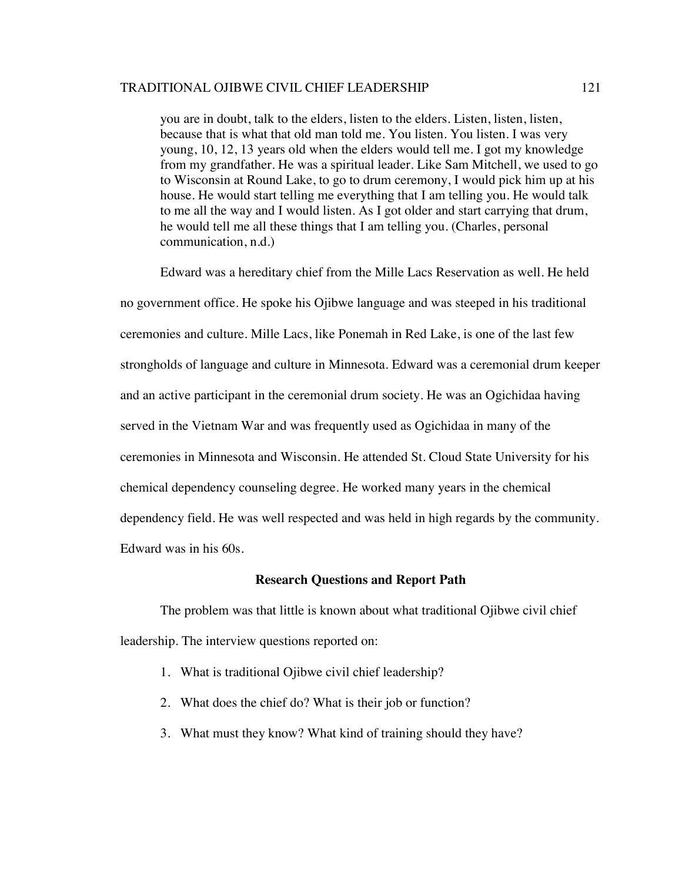you are in doubt, talk to the elders, listen to the elders. Listen, listen, listen, because that is what that old man told me. You listen. You listen. I was very young, 10, 12, 13 years old when the elders would tell me. I got my knowledge from my grandfather. He was a spiritual leader. Like Sam Mitchell, we used to go to Wisconsin at Round Lake, to go to drum ceremony, I would pick him up at his house. He would start telling me everything that I am telling you. He would talk to me all the way and I would listen. As I got older and start carrying that drum, he would tell me all these things that I am telling you. (Charles, personal communication, n.d.)

Edward was a hereditary chief from the Mille Lacs Reservation as well. He held no government office. He spoke his Ojibwe language and was steeped in his traditional ceremonies and culture. Mille Lacs, like Ponemah in Red Lake, is one of the last few strongholds of language and culture in Minnesota. Edward was a ceremonial drum keeper and an active participant in the ceremonial drum society. He was an Ogichidaa having served in the Vietnam War and was frequently used as Ogichidaa in many of the ceremonies in Minnesota and Wisconsin. He attended St. Cloud State University for his chemical dependency counseling degree. He worked many years in the chemical dependency field. He was well respected and was held in high regards by the community. Edward was in his 60s.

#### **Research Questions and Report Path**

The problem was that little is known about what traditional Ojibwe civil chief leadership. The interview questions reported on:

- 1. What is traditional Ojibwe civil chief leadership?
- 2. What does the chief do? What is their job or function?
- 3. What must they know? What kind of training should they have?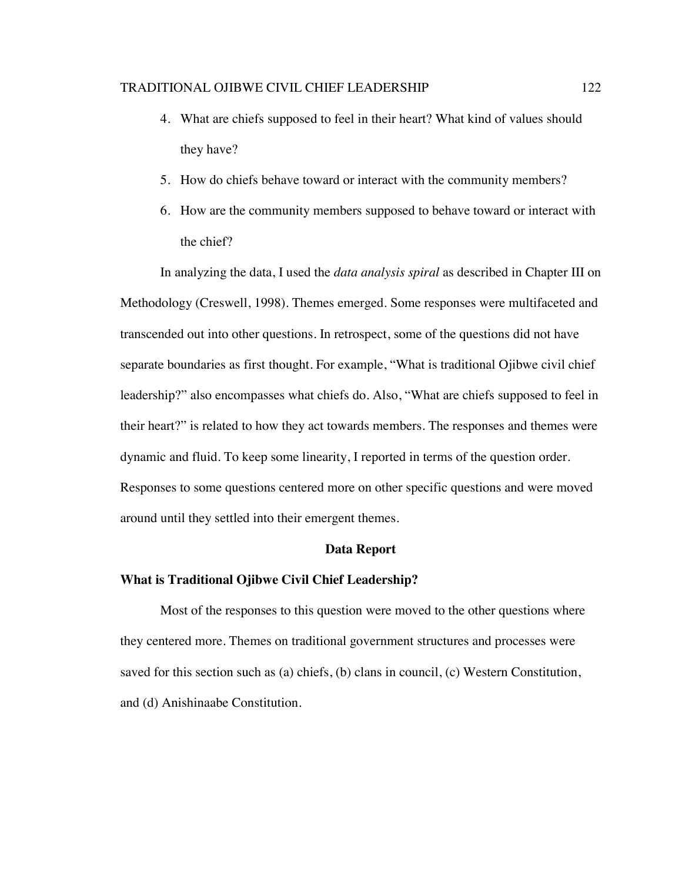- 4. What are chiefs supposed to feel in their heart? What kind of values should they have?
- 5. How do chiefs behave toward or interact with the community members?
- 6. How are the community members supposed to behave toward or interact with the chief?

In analyzing the data, I used the *data analysis spiral* as described in Chapter III on Methodology (Creswell, 1998). Themes emerged. Some responses were multifaceted and transcended out into other questions. In retrospect, some of the questions did not have separate boundaries as first thought. For example, "What is traditional Ojibwe civil chief leadership?" also encompasses what chiefs do. Also, "What are chiefs supposed to feel in their heart?" is related to how they act towards members. The responses and themes were dynamic and fluid. To keep some linearity, I reported in terms of the question order. Responses to some questions centered more on other specific questions and were moved around until they settled into their emergent themes.

### **Data Report**

# **What is Traditional Ojibwe Civil Chief Leadership?**

Most of the responses to this question were moved to the other questions where they centered more. Themes on traditional government structures and processes were saved for this section such as (a) chiefs, (b) clans in council, (c) Western Constitution, and (d) Anishinaabe Constitution.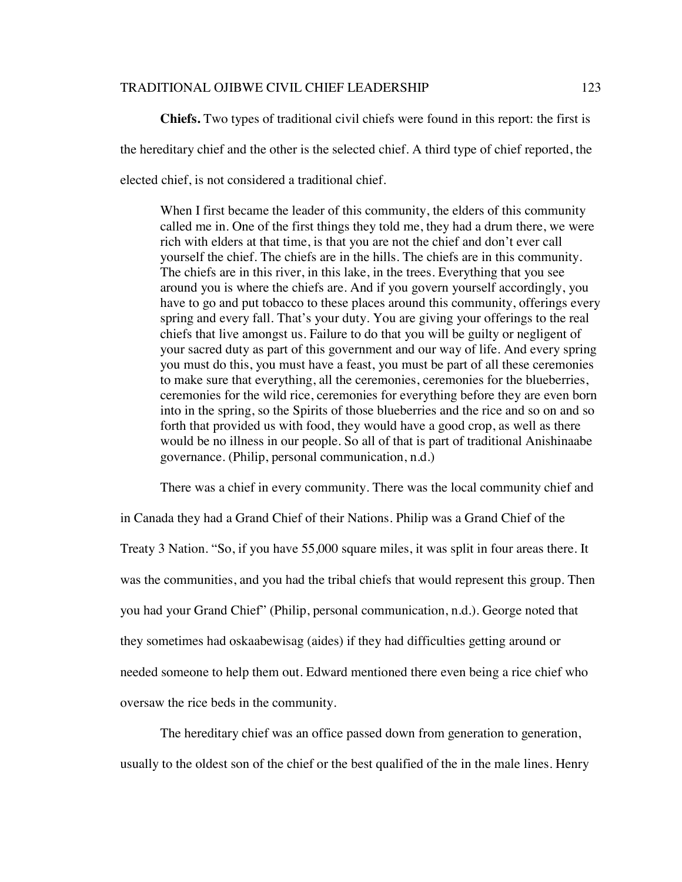**Chiefs.** Two types of traditional civil chiefs were found in this report: the first is the hereditary chief and the other is the selected chief. A third type of chief reported, the elected chief, is not considered a traditional chief.

When I first became the leader of this community, the elders of this community called me in. One of the first things they told me, they had a drum there, we were rich with elders at that time, is that you are not the chief and don't ever call yourself the chief. The chiefs are in the hills. The chiefs are in this community. The chiefs are in this river, in this lake, in the trees. Everything that you see around you is where the chiefs are. And if you govern yourself accordingly, you have to go and put tobacco to these places around this community, offerings every spring and every fall. That's your duty. You are giving your offerings to the real chiefs that live amongst us. Failure to do that you will be guilty or negligent of your sacred duty as part of this government and our way of life. And every spring you must do this, you must have a feast, you must be part of all these ceremonies to make sure that everything, all the ceremonies, ceremonies for the blueberries, ceremonies for the wild rice, ceremonies for everything before they are even born into in the spring, so the Spirits of those blueberries and the rice and so on and so forth that provided us with food, they would have a good crop, as well as there would be no illness in our people. So all of that is part of traditional Anishinaabe governance. (Philip, personal communication, n.d.)

There was a chief in every community. There was the local community chief and in Canada they had a Grand Chief of their Nations. Philip was a Grand Chief of the Treaty 3 Nation. "So, if you have 55,000 square miles, it was split in four areas there. It was the communities, and you had the tribal chiefs that would represent this group. Then you had your Grand Chief" (Philip, personal communication, n.d.). George noted that they sometimes had oskaabewisag (aides) if they had difficulties getting around or needed someone to help them out. Edward mentioned there even being a rice chief who oversaw the rice beds in the community.

The hereditary chief was an office passed down from generation to generation, usually to the oldest son of the chief or the best qualified of the in the male lines. Henry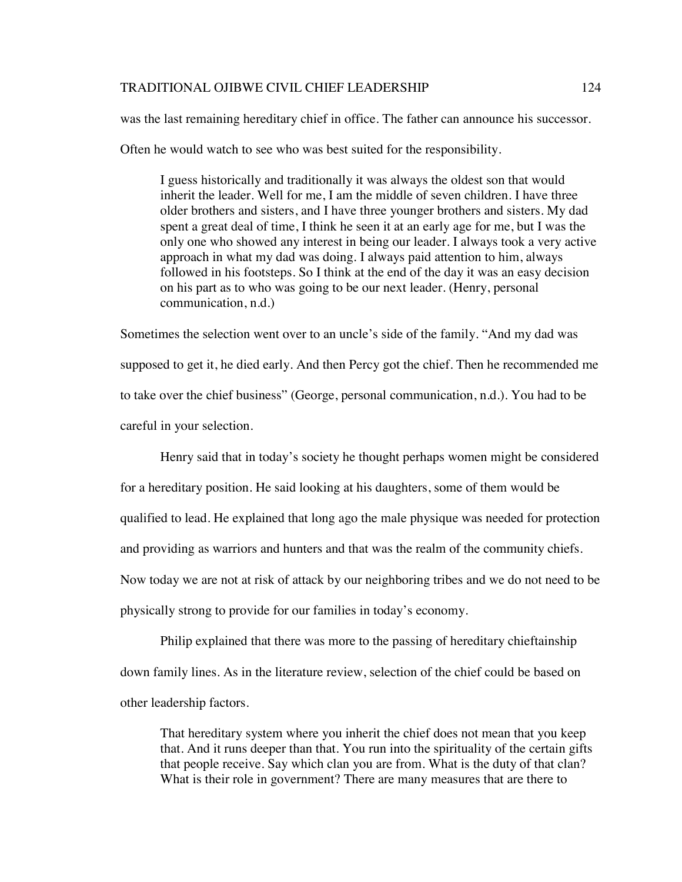was the last remaining hereditary chief in office. The father can announce his successor.

Often he would watch to see who was best suited for the responsibility.

I guess historically and traditionally it was always the oldest son that would inherit the leader. Well for me, I am the middle of seven children. I have three older brothers and sisters, and I have three younger brothers and sisters. My dad spent a great deal of time, I think he seen it at an early age for me, but I was the only one who showed any interest in being our leader. I always took a very active approach in what my dad was doing. I always paid attention to him, always followed in his footsteps. So I think at the end of the day it was an easy decision on his part as to who was going to be our next leader. (Henry, personal communication, n.d.)

Sometimes the selection went over to an uncle's side of the family. "And my dad was supposed to get it, he died early. And then Percy got the chief. Then he recommended me to take over the chief business" (George, personal communication, n.d.). You had to be careful in your selection.

Henry said that in today's society he thought perhaps women might be considered for a hereditary position. He said looking at his daughters, some of them would be qualified to lead. He explained that long ago the male physique was needed for protection and providing as warriors and hunters and that was the realm of the community chiefs. Now today we are not at risk of attack by our neighboring tribes and we do not need to be physically strong to provide for our families in today's economy.

Philip explained that there was more to the passing of hereditary chieftainship down family lines. As in the literature review, selection of the chief could be based on other leadership factors.

That hereditary system where you inherit the chief does not mean that you keep that. And it runs deeper than that. You run into the spirituality of the certain gifts that people receive. Say which clan you are from. What is the duty of that clan? What is their role in government? There are many measures that are there to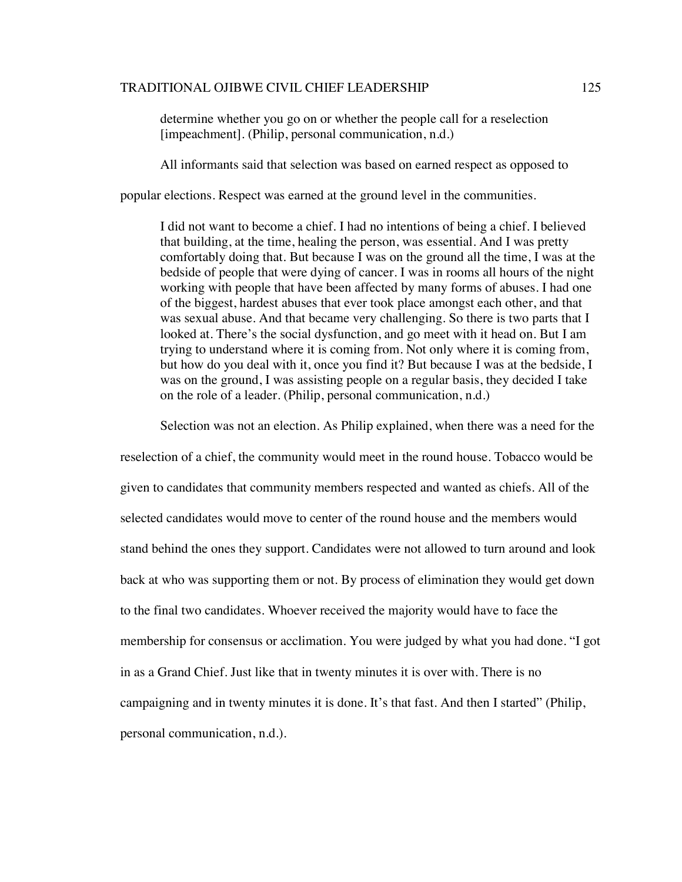determine whether you go on or whether the people call for a reselection [impeachment]. (Philip, personal communication, n.d.)

All informants said that selection was based on earned respect as opposed to

popular elections. Respect was earned at the ground level in the communities.

I did not want to become a chief. I had no intentions of being a chief. I believed that building, at the time, healing the person, was essential. And I was pretty comfortably doing that. But because I was on the ground all the time, I was at the bedside of people that were dying of cancer. I was in rooms all hours of the night working with people that have been affected by many forms of abuses. I had one of the biggest, hardest abuses that ever took place amongst each other, and that was sexual abuse. And that became very challenging. So there is two parts that I looked at. There's the social dysfunction, and go meet with it head on. But I am trying to understand where it is coming from. Not only where it is coming from, but how do you deal with it, once you find it? But because I was at the bedside, I was on the ground, I was assisting people on a regular basis, they decided I take on the role of a leader. (Philip, personal communication, n.d.)

Selection was not an election. As Philip explained, when there was a need for the

reselection of a chief, the community would meet in the round house. Tobacco would be given to candidates that community members respected and wanted as chiefs. All of the selected candidates would move to center of the round house and the members would stand behind the ones they support. Candidates were not allowed to turn around and look back at who was supporting them or not. By process of elimination they would get down to the final two candidates. Whoever received the majority would have to face the membership for consensus or acclimation. You were judged by what you had done. "I got in as a Grand Chief. Just like that in twenty minutes it is over with. There is no campaigning and in twenty minutes it is done. It's that fast. And then I started" (Philip, personal communication, n.d.).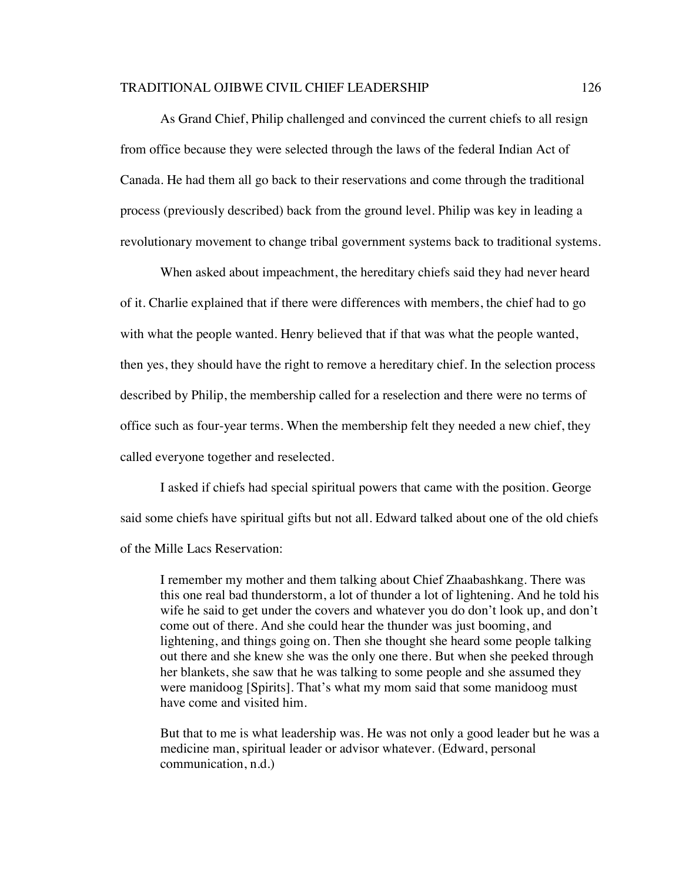As Grand Chief, Philip challenged and convinced the current chiefs to all resign from office because they were selected through the laws of the federal Indian Act of Canada. He had them all go back to their reservations and come through the traditional process (previously described) back from the ground level. Philip was key in leading a revolutionary movement to change tribal government systems back to traditional systems.

When asked about impeachment, the hereditary chiefs said they had never heard of it. Charlie explained that if there were differences with members, the chief had to go with what the people wanted. Henry believed that if that was what the people wanted, then yes, they should have the right to remove a hereditary chief. In the selection process described by Philip, the membership called for a reselection and there were no terms of office such as four-year terms. When the membership felt they needed a new chief, they called everyone together and reselected.

I asked if chiefs had special spiritual powers that came with the position. George said some chiefs have spiritual gifts but not all. Edward talked about one of the old chiefs of the Mille Lacs Reservation:

I remember my mother and them talking about Chief Zhaabashkang. There was this one real bad thunderstorm, a lot of thunder a lot of lightening. And he told his wife he said to get under the covers and whatever you do don't look up, and don't come out of there. And she could hear the thunder was just booming, and lightening, and things going on. Then she thought she heard some people talking out there and she knew she was the only one there. But when she peeked through her blankets, she saw that he was talking to some people and she assumed they were manidoog [Spirits]. That's what my mom said that some manidoog must have come and visited him.

But that to me is what leadership was. He was not only a good leader but he was a medicine man, spiritual leader or advisor whatever. (Edward, personal communication, n.d.)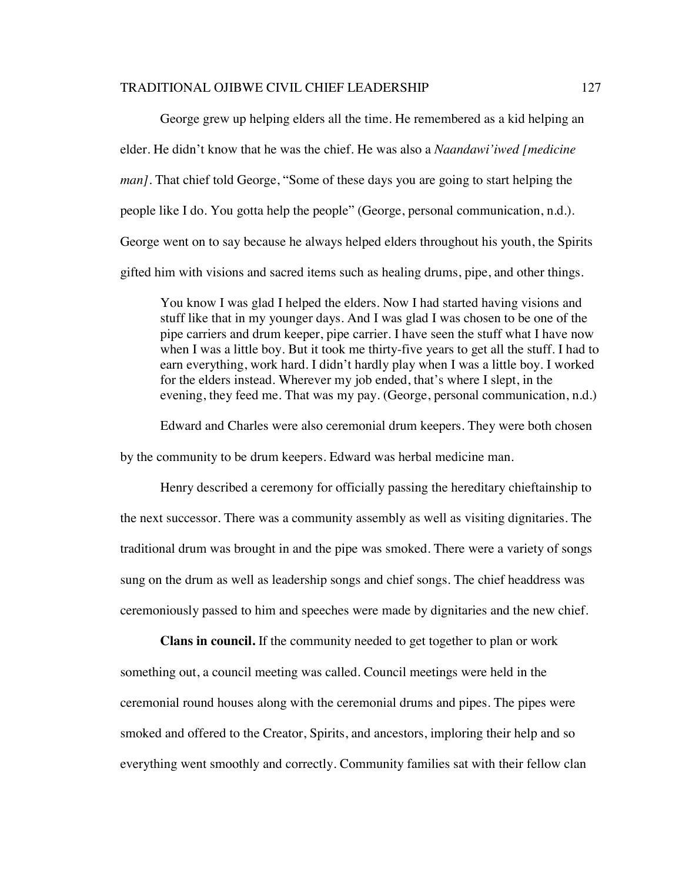George grew up helping elders all the time. He remembered as a kid helping an elder. He didn't know that he was the chief. He was also a *Naandawi'iwed [medicine man]*. That chief told George, "Some of these days you are going to start helping the people like I do. You gotta help the people" (George, personal communication, n.d.). George went on to say because he always helped elders throughout his youth, the Spirits gifted him with visions and sacred items such as healing drums, pipe, and other things.

You know I was glad I helped the elders. Now I had started having visions and stuff like that in my younger days. And I was glad I was chosen to be one of the pipe carriers and drum keeper, pipe carrier. I have seen the stuff what I have now when I was a little boy. But it took me thirty-five years to get all the stuff. I had to earn everything, work hard. I didn't hardly play when I was a little boy. I worked for the elders instead. Wherever my job ended, that's where I slept, in the evening, they feed me. That was my pay. (George, personal communication, n.d.)

Edward and Charles were also ceremonial drum keepers. They were both chosen

by the community to be drum keepers. Edward was herbal medicine man.

Henry described a ceremony for officially passing the hereditary chieftainship to the next successor. There was a community assembly as well as visiting dignitaries. The traditional drum was brought in and the pipe was smoked. There were a variety of songs sung on the drum as well as leadership songs and chief songs. The chief headdress was ceremoniously passed to him and speeches were made by dignitaries and the new chief.

**Clans in council.** If the community needed to get together to plan or work something out, a council meeting was called. Council meetings were held in the ceremonial round houses along with the ceremonial drums and pipes. The pipes were smoked and offered to the Creator, Spirits, and ancestors, imploring their help and so everything went smoothly and correctly. Community families sat with their fellow clan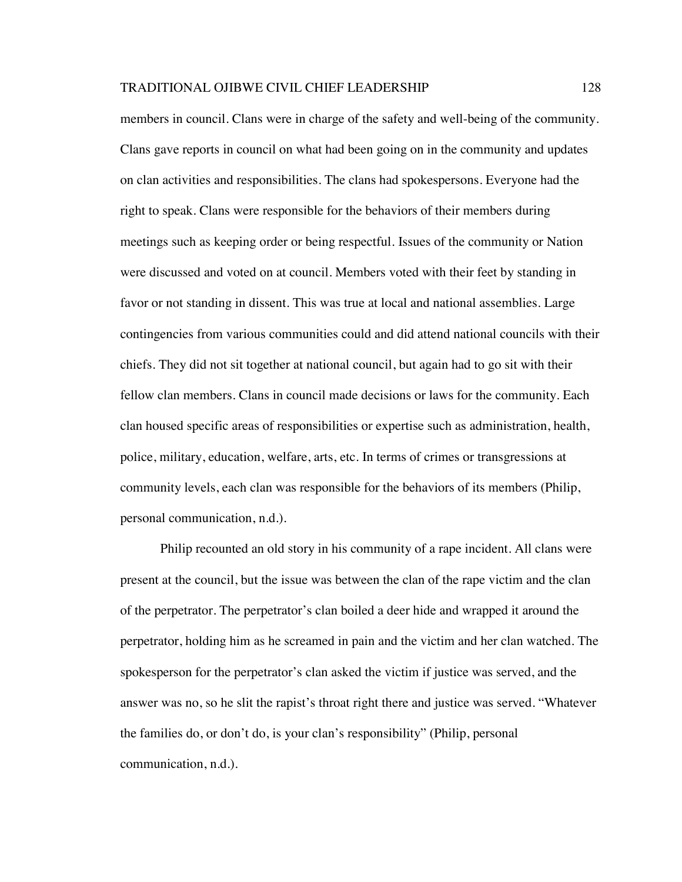members in council. Clans were in charge of the safety and well-being of the community. Clans gave reports in council on what had been going on in the community and updates on clan activities and responsibilities. The clans had spokespersons. Everyone had the right to speak. Clans were responsible for the behaviors of their members during meetings such as keeping order or being respectful. Issues of the community or Nation were discussed and voted on at council. Members voted with their feet by standing in favor or not standing in dissent. This was true at local and national assemblies. Large contingencies from various communities could and did attend national councils with their chiefs. They did not sit together at national council, but again had to go sit with their fellow clan members. Clans in council made decisions or laws for the community. Each clan housed specific areas of responsibilities or expertise such as administration, health, police, military, education, welfare, arts, etc. In terms of crimes or transgressions at community levels, each clan was responsible for the behaviors of its members (Philip, personal communication, n.d.).

Philip recounted an old story in his community of a rape incident. All clans were present at the council, but the issue was between the clan of the rape victim and the clan of the perpetrator. The perpetrator's clan boiled a deer hide and wrapped it around the perpetrator, holding him as he screamed in pain and the victim and her clan watched. The spokesperson for the perpetrator's clan asked the victim if justice was served, and the answer was no, so he slit the rapist's throat right there and justice was served. "Whatever the families do, or don't do, is your clan's responsibility" (Philip, personal communication, n.d.).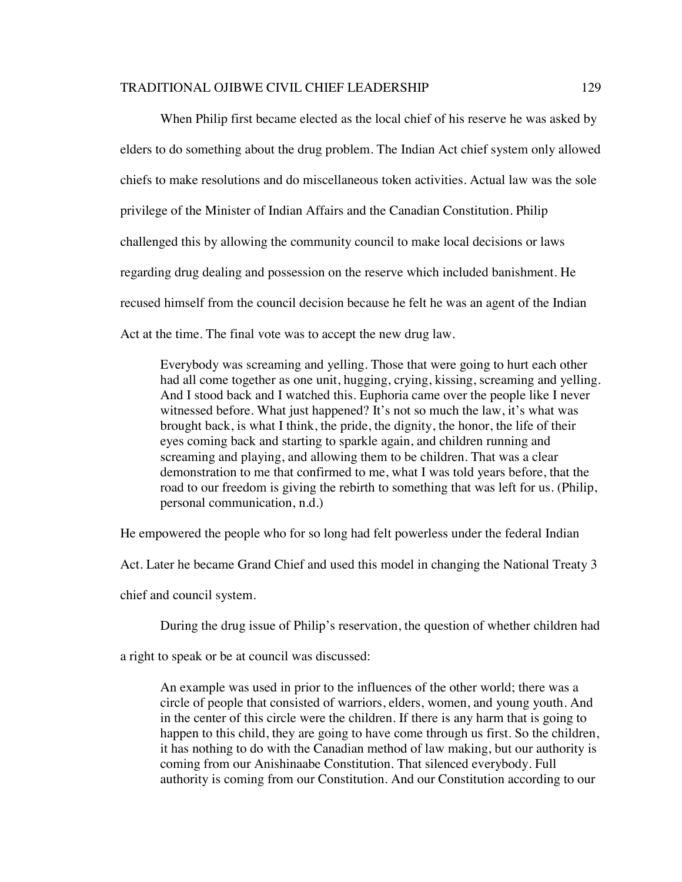When Philip first became elected as the local chief of his reserve he was asked by elders to do something about the drug problem. The Indian Act chief system only allowed chiefs to make resolutions and do miscellaneous token activities. Actual law was the sole privilege of the Minister of Indian Affairs and the Canadian Constitution. Philip challenged this by allowing the community council to make local decisions or laws regarding drug dealing and possession on the reserve which included banishment. He recused himself from the council decision because he felt he was an agent of the Indian Act at the time. The final vote was to accept the new drug law.

Everybody was screaming and yelling. Those that were going to hurt each other had all come together as one unit, hugging, crying, kissing, screaming and yelling. And I stood back and I watched this. Euphoria came over the people like I never witnessed before. What just happened? It's not so much the law, it's what was brought back, is what I think, the pride, the dignity, the honor, the life of their eyes coming back and starting to sparkle again, and children running and screaming and playing, and allowing them to be children. That was a clear demonstration to me that confirmed to me, what I was told years before, that the road to our freedom is giving the rebirth to something that was left for us. (Philip, personal communication, n.d.)

He empowered the people who for so long had felt powerless under the federal Indian

Act. Later he became Grand Chief and used this model in changing the National Treaty 3

chief and council system.

During the drug issue of Philip's reservation, the question of whether children had

a right to speak or be at council was discussed:

An example was used in prior to the influences of the other world; there was a circle of people that consisted of warriors, elders, women, and young youth. And in the center of this circle were the children. If there is any harm that is going to happen to this child, they are going to have come through us first. So the children, it has nothing to do with the Canadian method of law making, but our authority is coming from our Anishinaabe Constitution. That silenced everybody. Full authority is coming from our Constitution. And our Constitution according to our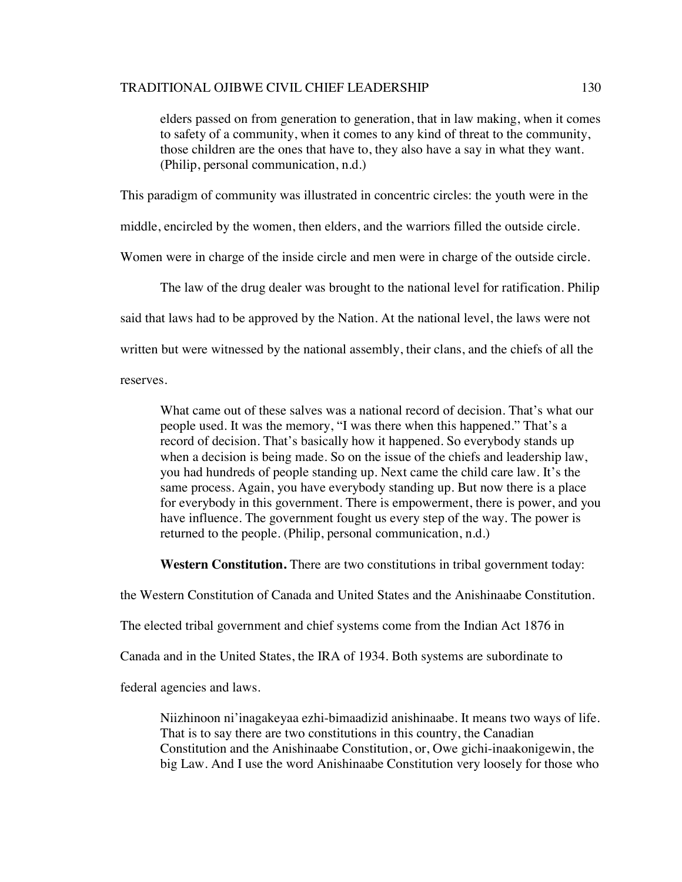elders passed on from generation to generation, that in law making, when it comes to safety of a community, when it comes to any kind of threat to the community, those children are the ones that have to, they also have a say in what they want. (Philip, personal communication, n.d.)

This paradigm of community was illustrated in concentric circles: the youth were in the

middle, encircled by the women, then elders, and the warriors filled the outside circle.

Women were in charge of the inside circle and men were in charge of the outside circle.

The law of the drug dealer was brought to the national level for ratification. Philip

said that laws had to be approved by the Nation. At the national level, the laws were not

written but were witnessed by the national assembly, their clans, and the chiefs of all the

reserves.

What came out of these salves was a national record of decision. That's what our people used. It was the memory, "I was there when this happened." That's a record of decision. That's basically how it happened. So everybody stands up when a decision is being made. So on the issue of the chiefs and leadership law, you had hundreds of people standing up. Next came the child care law. It's the same process. Again, you have everybody standing up. But now there is a place for everybody in this government. There is empowerment, there is power, and you have influence. The government fought us every step of the way. The power is returned to the people. (Philip, personal communication, n.d.)

**Western Constitution.** There are two constitutions in tribal government today:

the Western Constitution of Canada and United States and the Anishinaabe Constitution.

The elected tribal government and chief systems come from the Indian Act 1876 in

Canada and in the United States, the IRA of 1934. Both systems are subordinate to

federal agencies and laws.

Niizhinoon ni'inagakeyaa ezhi-bimaadizid anishinaabe. It means two ways of life. That is to say there are two constitutions in this country, the Canadian Constitution and the Anishinaabe Constitution, or, Owe gichi-inaakonigewin, the big Law. And I use the word Anishinaabe Constitution very loosely for those who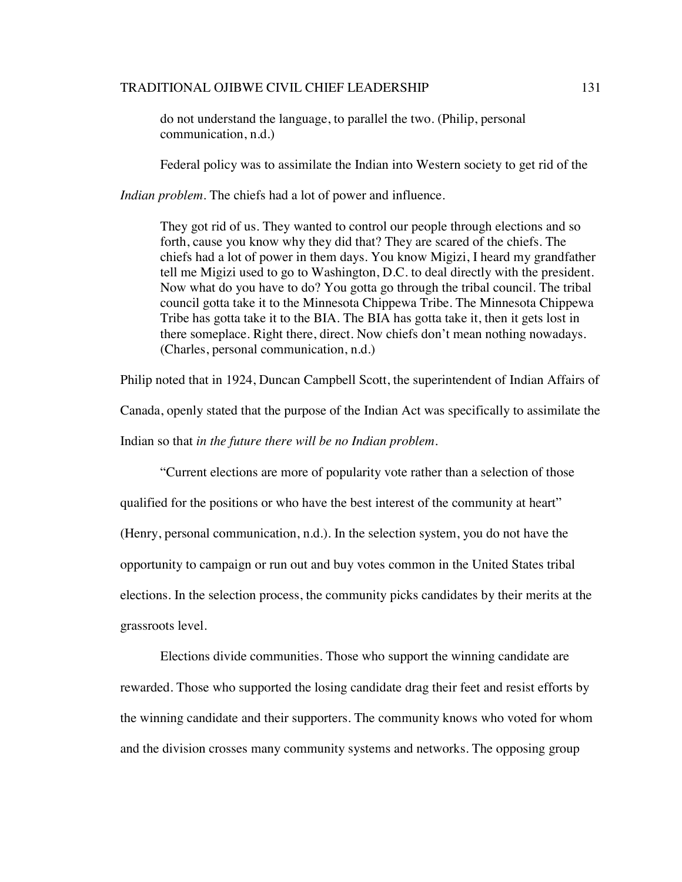do not understand the language, to parallel the two. (Philip, personal communication, n.d.)

Federal policy was to assimilate the Indian into Western society to get rid of the

*Indian problem*. The chiefs had a lot of power and influence.

They got rid of us. They wanted to control our people through elections and so forth, cause you know why they did that? They are scared of the chiefs. The chiefs had a lot of power in them days. You know Migizi, I heard my grandfather tell me Migizi used to go to Washington, D.C. to deal directly with the president. Now what do you have to do? You gotta go through the tribal council. The tribal council gotta take it to the Minnesota Chippewa Tribe. The Minnesota Chippewa Tribe has gotta take it to the BIA. The BIA has gotta take it, then it gets lost in there someplace. Right there, direct. Now chiefs don't mean nothing nowadays. (Charles, personal communication, n.d.)

Philip noted that in 1924, Duncan Campbell Scott, the superintendent of Indian Affairs of

Canada, openly stated that the purpose of the Indian Act was specifically to assimilate the

Indian so that *in the future there will be no Indian problem*.

"Current elections are more of popularity vote rather than a selection of those qualified for the positions or who have the best interest of the community at heart" (Henry, personal communication, n.d.). In the selection system, you do not have the opportunity to campaign or run out and buy votes common in the United States tribal elections. In the selection process, the community picks candidates by their merits at the grassroots level.

Elections divide communities. Those who support the winning candidate are rewarded. Those who supported the losing candidate drag their feet and resist efforts by the winning candidate and their supporters. The community knows who voted for whom and the division crosses many community systems and networks. The opposing group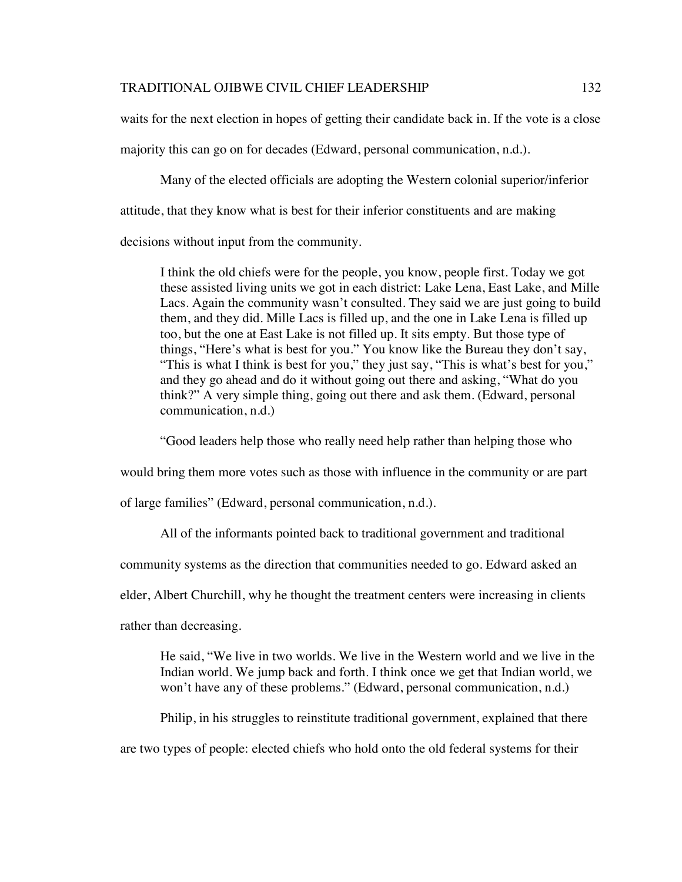waits for the next election in hopes of getting their candidate back in. If the vote is a close majority this can go on for decades (Edward, personal communication, n.d.).

Many of the elected officials are adopting the Western colonial superior/inferior attitude, that they know what is best for their inferior constituents and are making decisions without input from the community.

I think the old chiefs were for the people, you know, people first. Today we got these assisted living units we got in each district: Lake Lena, East Lake, and Mille Lacs. Again the community wasn't consulted. They said we are just going to build them, and they did. Mille Lacs is filled up, and the one in Lake Lena is filled up too, but the one at East Lake is not filled up. It sits empty. But those type of things, "Here's what is best for you." You know like the Bureau they don't say, "This is what I think is best for you," they just say, "This is what's best for you," and they go ahead and do it without going out there and asking, "What do you think?" A very simple thing, going out there and ask them. (Edward, personal communication, n.d.)

"Good leaders help those who really need help rather than helping those who

would bring them more votes such as those with influence in the community or are part

of large families" (Edward, personal communication, n.d.).

All of the informants pointed back to traditional government and traditional

community systems as the direction that communities needed to go. Edward asked an

elder, Albert Churchill, why he thought the treatment centers were increasing in clients

rather than decreasing.

He said, "We live in two worlds. We live in the Western world and we live in the Indian world. We jump back and forth. I think once we get that Indian world, we won't have any of these problems." (Edward, personal communication, n.d.)

Philip, in his struggles to reinstitute traditional government, explained that there

are two types of people: elected chiefs who hold onto the old federal systems for their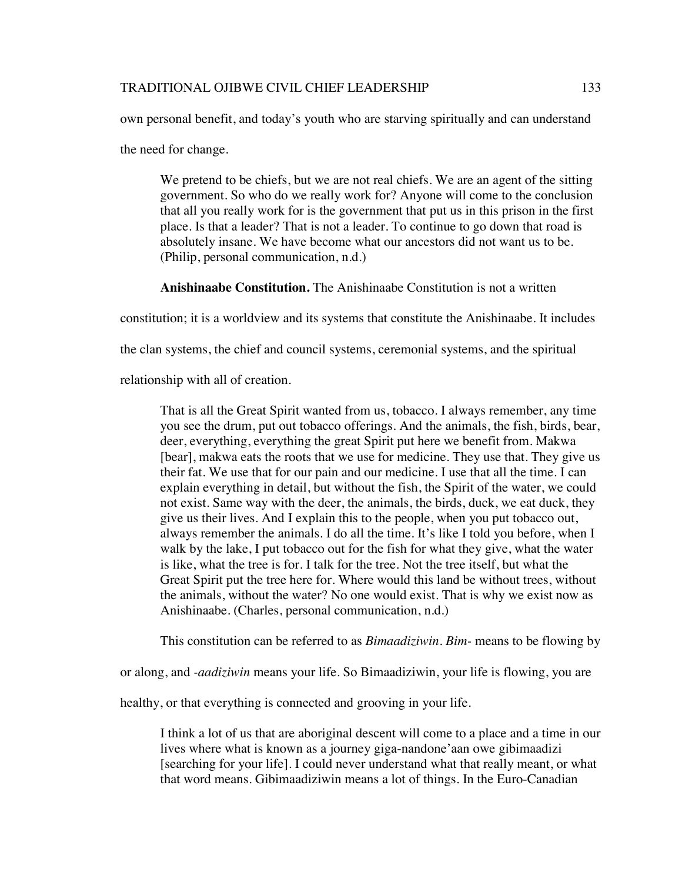own personal benefit, and today's youth who are starving spiritually and can understand

the need for change.

We pretend to be chiefs, but we are not real chiefs. We are an agent of the sitting government. So who do we really work for? Anyone will come to the conclusion that all you really work for is the government that put us in this prison in the first place. Is that a leader? That is not a leader. To continue to go down that road is absolutely insane. We have become what our ancestors did not want us to be. (Philip, personal communication, n.d.)

**Anishinaabe Constitution.** The Anishinaabe Constitution is not a written

constitution; it is a worldview and its systems that constitute the Anishinaabe. It includes

the clan systems, the chief and council systems, ceremonial systems, and the spiritual

relationship with all of creation.

That is all the Great Spirit wanted from us, tobacco. I always remember, any time you see the drum, put out tobacco offerings. And the animals, the fish, birds, bear, deer, everything, everything the great Spirit put here we benefit from. Makwa [bear], makwa eats the roots that we use for medicine. They use that. They give us their fat. We use that for our pain and our medicine. I use that all the time. I can explain everything in detail, but without the fish, the Spirit of the water, we could not exist. Same way with the deer, the animals, the birds, duck, we eat duck, they give us their lives. And I explain this to the people, when you put tobacco out, always remember the animals. I do all the time. It's like I told you before, when I walk by the lake, I put tobacco out for the fish for what they give, what the water is like, what the tree is for. I talk for the tree. Not the tree itself, but what the Great Spirit put the tree here for. Where would this land be without trees, without the animals, without the water? No one would exist. That is why we exist now as Anishinaabe. (Charles, personal communication, n.d.)

This constitution can be referred to as *Bimaadiziwin*. *Bim-* means to be flowing by

or along, and *-aadiziwin* means your life. So Bimaadiziwin, your life is flowing, you are

healthy, or that everything is connected and grooving in your life.

I think a lot of us that are aboriginal descent will come to a place and a time in our lives where what is known as a journey giga-nandone'aan owe gibimaadizi [searching for your life]. I could never understand what that really meant, or what that word means. Gibimaadiziwin means a lot of things. In the Euro-Canadian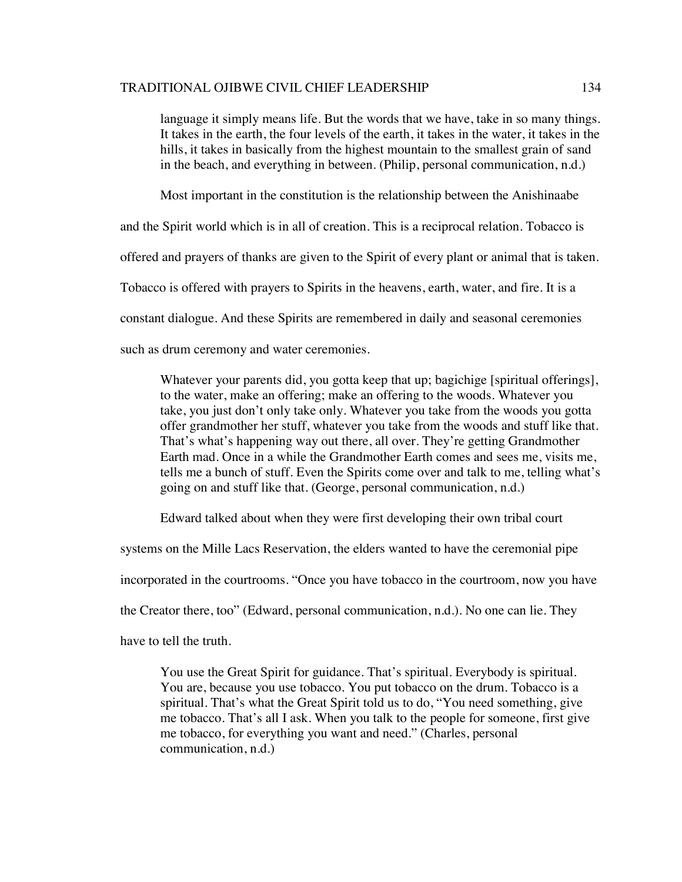language it simply means life. But the words that we have, take in so many things. It takes in the earth, the four levels of the earth, it takes in the water, it takes in the hills, it takes in basically from the highest mountain to the smallest grain of sand in the beach, and everything in between. (Philip, personal communication, n.d.)

Most important in the constitution is the relationship between the Anishinaabe

and the Spirit world which is in all of creation. This is a reciprocal relation. Tobacco is

offered and prayers of thanks are given to the Spirit of every plant or animal that is taken.

Tobacco is offered with prayers to Spirits in the heavens, earth, water, and fire. It is a

constant dialogue. And these Spirits are remembered in daily and seasonal ceremonies

such as drum ceremony and water ceremonies.

Whatever your parents did, you gotta keep that up; bagichige [spiritual offerings], to the water, make an offering; make an offering to the woods. Whatever you take, you just don't only take only. Whatever you take from the woods you gotta offer grandmother her stuff, whatever you take from the woods and stuff like that. That's what's happening way out there, all over. They're getting Grandmother Earth mad. Once in a while the Grandmother Earth comes and sees me, visits me, tells me a bunch of stuff. Even the Spirits come over and talk to me, telling what's going on and stuff like that. (George, personal communication, n.d.)

Edward talked about when they were first developing their own tribal court

systems on the Mille Lacs Reservation, the elders wanted to have the ceremonial pipe

incorporated in the courtrooms. "Once you have tobacco in the courtroom, now you have

the Creator there, too" (Edward, personal communication, n.d.). No one can lie. They

have to tell the truth.

You use the Great Spirit for guidance. That's spiritual. Everybody is spiritual. You are, because you use tobacco. You put tobacco on the drum. Tobacco is a spiritual. That's what the Great Spirit told us to do, "You need something, give me tobacco. That's all I ask. When you talk to the people for someone, first give me tobacco, for everything you want and need." (Charles, personal communication, n.d.)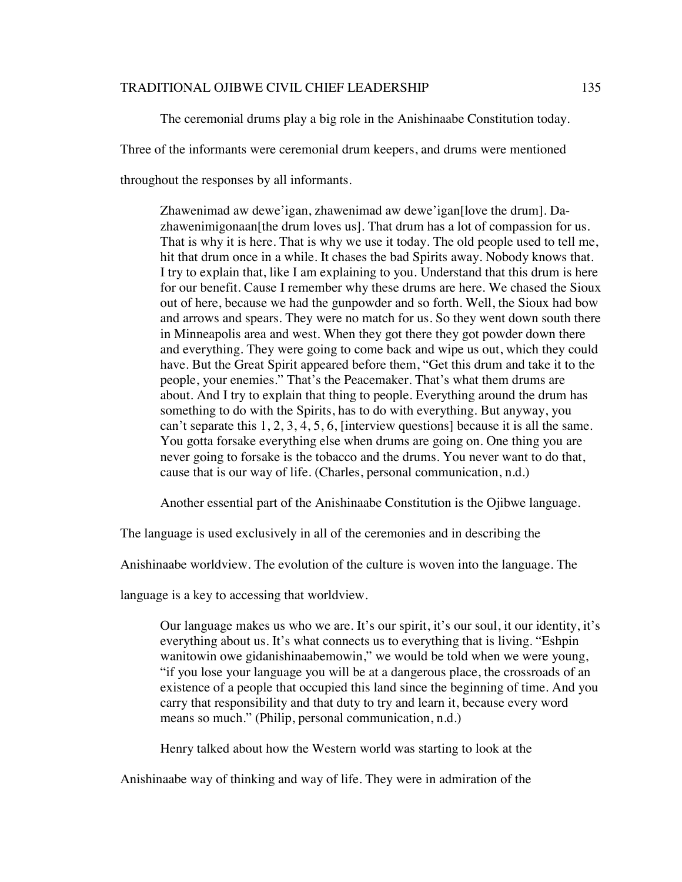The ceremonial drums play a big role in the Anishinaabe Constitution today.

Three of the informants were ceremonial drum keepers, and drums were mentioned

throughout the responses by all informants.

Zhawenimad aw dewe'igan, zhawenimad aw dewe'igan[love the drum]. Dazhawenimigonaan[the drum loves us]. That drum has a lot of compassion for us. That is why it is here. That is why we use it today. The old people used to tell me, hit that drum once in a while. It chases the bad Spirits away. Nobody knows that. I try to explain that, like I am explaining to you. Understand that this drum is here for our benefit. Cause I remember why these drums are here. We chased the Sioux out of here, because we had the gunpowder and so forth. Well, the Sioux had bow and arrows and spears. They were no match for us. So they went down south there in Minneapolis area and west. When they got there they got powder down there and everything. They were going to come back and wipe us out, which they could have. But the Great Spirit appeared before them, "Get this drum and take it to the people, your enemies." That's the Peacemaker. That's what them drums are about. And I try to explain that thing to people. Everything around the drum has something to do with the Spirits, has to do with everything. But anyway, you can't separate this 1, 2, 3, 4, 5, 6, [interview questions] because it is all the same. You gotta forsake everything else when drums are going on. One thing you are never going to forsake is the tobacco and the drums. You never want to do that, cause that is our way of life. (Charles, personal communication, n.d.)

Another essential part of the Anishinaabe Constitution is the Ojibwe language.

The language is used exclusively in all of the ceremonies and in describing the

Anishinaabe worldview. The evolution of the culture is woven into the language. The

language is a key to accessing that worldview.

Our language makes us who we are. It's our spirit, it's our soul, it our identity, it's everything about us. It's what connects us to everything that is living. "Eshpin wanitowin owe gidanishinaabemowin," we would be told when we were young, "if you lose your language you will be at a dangerous place, the crossroads of an existence of a people that occupied this land since the beginning of time. And you carry that responsibility and that duty to try and learn it, because every word means so much." (Philip, personal communication, n.d.)

Henry talked about how the Western world was starting to look at the

Anishinaabe way of thinking and way of life. They were in admiration of the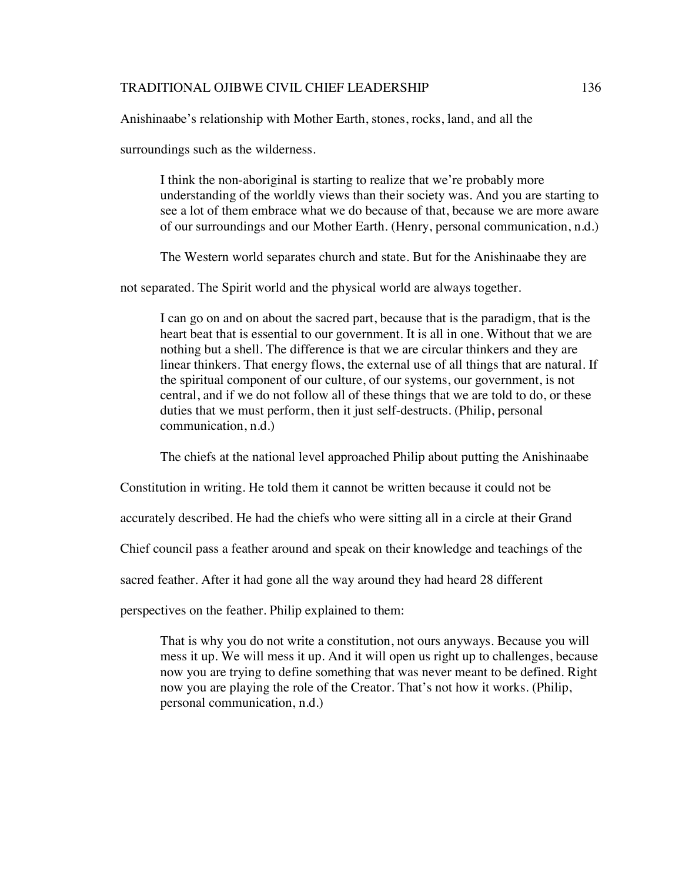Anishinaabe's relationship with Mother Earth, stones, rocks, land, and all the

surroundings such as the wilderness.

I think the non-aboriginal is starting to realize that we're probably more understanding of the worldly views than their society was. And you are starting to see a lot of them embrace what we do because of that, because we are more aware of our surroundings and our Mother Earth. (Henry, personal communication, n.d.)

The Western world separates church and state. But for the Anishinaabe they are

not separated. The Spirit world and the physical world are always together.

I can go on and on about the sacred part, because that is the paradigm, that is the heart beat that is essential to our government. It is all in one. Without that we are nothing but a shell. The difference is that we are circular thinkers and they are linear thinkers. That energy flows, the external use of all things that are natural. If the spiritual component of our culture, of our systems, our government, is not central, and if we do not follow all of these things that we are told to do, or these duties that we must perform, then it just self-destructs. (Philip, personal communication, n.d.)

The chiefs at the national level approached Philip about putting the Anishinaabe

Constitution in writing. He told them it cannot be written because it could not be

accurately described. He had the chiefs who were sitting all in a circle at their Grand

Chief council pass a feather around and speak on their knowledge and teachings of the

sacred feather. After it had gone all the way around they had heard 28 different

perspectives on the feather. Philip explained to them:

That is why you do not write a constitution, not ours anyways. Because you will mess it up. We will mess it up. And it will open us right up to challenges, because now you are trying to define something that was never meant to be defined. Right now you are playing the role of the Creator. That's not how it works. (Philip, personal communication, n.d.)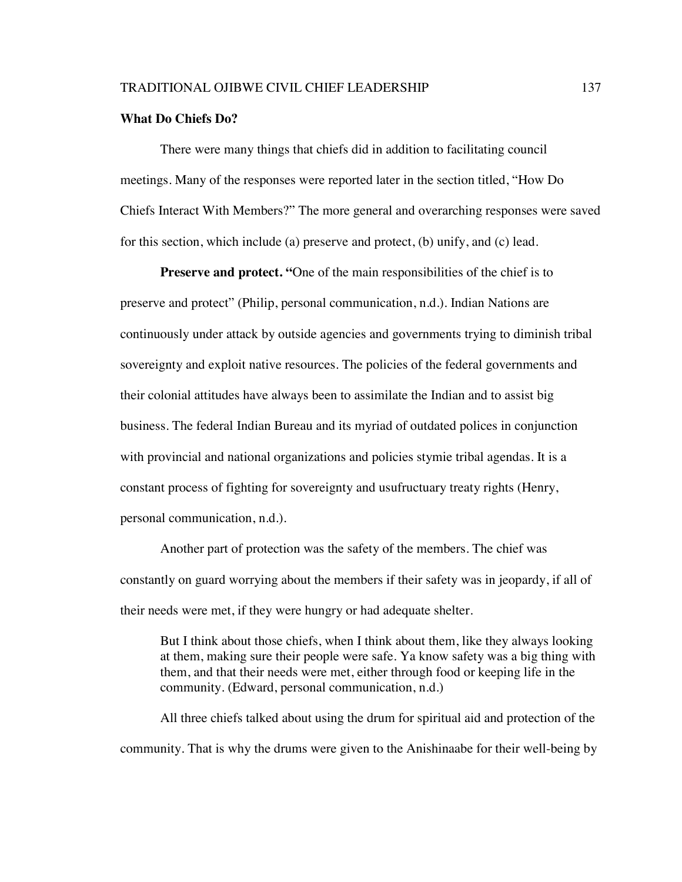## **What Do Chiefs Do?**

There were many things that chiefs did in addition to facilitating council meetings. Many of the responses were reported later in the section titled, "How Do Chiefs Interact With Members?" The more general and overarching responses were saved for this section, which include (a) preserve and protect, (b) unify, and (c) lead.

**Preserve and protect. "One of the main responsibilities of the chief is to** preserve and protect" (Philip, personal communication, n.d.). Indian Nations are continuously under attack by outside agencies and governments trying to diminish tribal sovereignty and exploit native resources. The policies of the federal governments and their colonial attitudes have always been to assimilate the Indian and to assist big business. The federal Indian Bureau and its myriad of outdated polices in conjunction with provincial and national organizations and policies stymie tribal agendas. It is a constant process of fighting for sovereignty and usufructuary treaty rights (Henry, personal communication, n.d.).

Another part of protection was the safety of the members. The chief was constantly on guard worrying about the members if their safety was in jeopardy, if all of their needs were met, if they were hungry or had adequate shelter.

But I think about those chiefs, when I think about them, like they always looking at them, making sure their people were safe. Ya know safety was a big thing with them, and that their needs were met, either through food or keeping life in the community. (Edward, personal communication, n.d.)

All three chiefs talked about using the drum for spiritual aid and protection of the community. That is why the drums were given to the Anishinaabe for their well-being by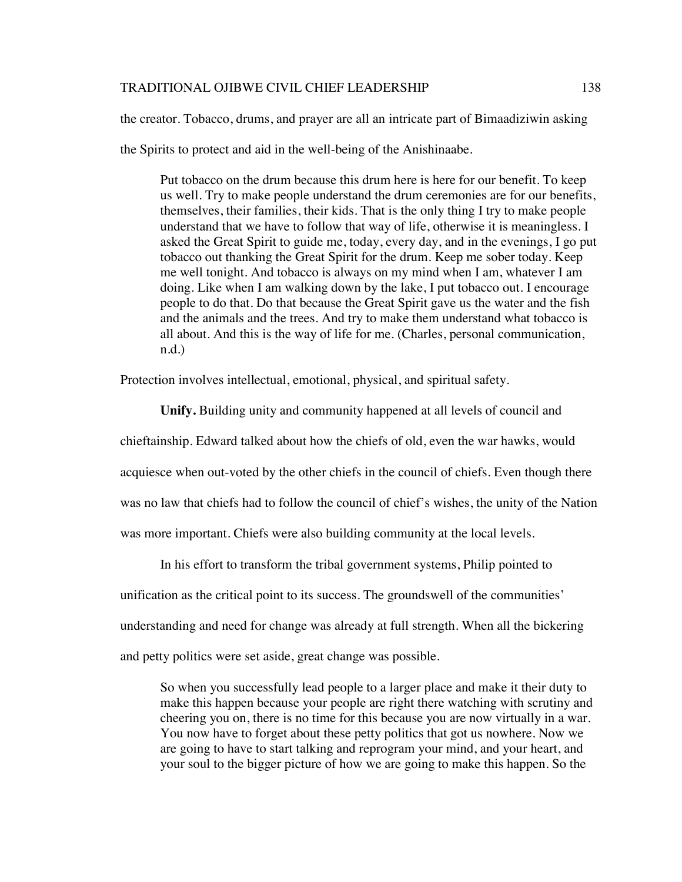the creator. Tobacco, drums, and prayer are all an intricate part of Bimaadiziwin asking

the Spirits to protect and aid in the well-being of the Anishinaabe.

Put tobacco on the drum because this drum here is here for our benefit. To keep us well. Try to make people understand the drum ceremonies are for our benefits, themselves, their families, their kids. That is the only thing I try to make people understand that we have to follow that way of life, otherwise it is meaningless. I asked the Great Spirit to guide me, today, every day, and in the evenings, I go put tobacco out thanking the Great Spirit for the drum. Keep me sober today. Keep me well tonight. And tobacco is always on my mind when I am, whatever I am doing. Like when I am walking down by the lake, I put tobacco out. I encourage people to do that. Do that because the Great Spirit gave us the water and the fish and the animals and the trees. And try to make them understand what tobacco is all about. And this is the way of life for me. (Charles, personal communication, n.d.)

Protection involves intellectual, emotional, physical, and spiritual safety.

**Unify.** Building unity and community happened at all levels of council and chieftainship. Edward talked about how the chiefs of old, even the war hawks, would acquiesce when out-voted by the other chiefs in the council of chiefs. Even though there was no law that chiefs had to follow the council of chief's wishes, the unity of the Nation was more important. Chiefs were also building community at the local levels.

In his effort to transform the tribal government systems, Philip pointed to

unification as the critical point to its success. The groundswell of the communities'

understanding and need for change was already at full strength. When all the bickering

and petty politics were set aside, great change was possible.

So when you successfully lead people to a larger place and make it their duty to make this happen because your people are right there watching with scrutiny and cheering you on, there is no time for this because you are now virtually in a war. You now have to forget about these petty politics that got us nowhere. Now we are going to have to start talking and reprogram your mind, and your heart, and your soul to the bigger picture of how we are going to make this happen. So the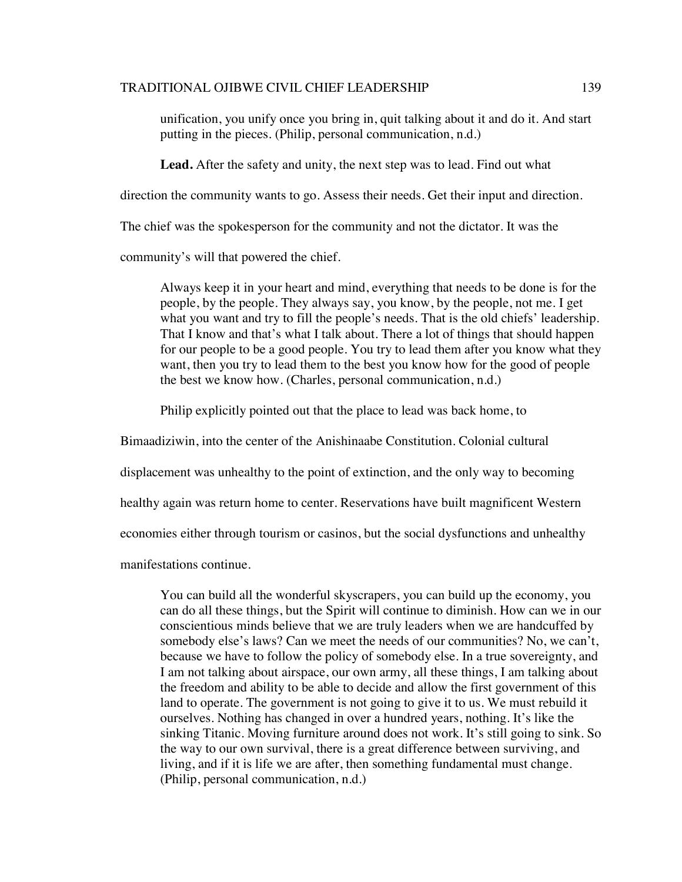unification, you unify once you bring in, quit talking about it and do it. And start putting in the pieces. (Philip, personal communication, n.d.)

**Lead.** After the safety and unity, the next step was to lead. Find out what

direction the community wants to go. Assess their needs. Get their input and direction.

The chief was the spokesperson for the community and not the dictator. It was the

community's will that powered the chief.

Always keep it in your heart and mind, everything that needs to be done is for the people, by the people. They always say, you know, by the people, not me. I get what you want and try to fill the people's needs. That is the old chiefs' leadership. That I know and that's what I talk about. There a lot of things that should happen for our people to be a good people. You try to lead them after you know what they want, then you try to lead them to the best you know how for the good of people the best we know how. (Charles, personal communication, n.d.)

Philip explicitly pointed out that the place to lead was back home, to

Bimaadiziwin, into the center of the Anishinaabe Constitution. Colonial cultural

displacement was unhealthy to the point of extinction, and the only way to becoming

healthy again was return home to center. Reservations have built magnificent Western

economies either through tourism or casinos, but the social dysfunctions and unhealthy

manifestations continue.

You can build all the wonderful skyscrapers, you can build up the economy, you can do all these things, but the Spirit will continue to diminish. How can we in our conscientious minds believe that we are truly leaders when we are handcuffed by somebody else's laws? Can we meet the needs of our communities? No, we can't, because we have to follow the policy of somebody else. In a true sovereignty, and I am not talking about airspace, our own army, all these things, I am talking about the freedom and ability to be able to decide and allow the first government of this land to operate. The government is not going to give it to us. We must rebuild it ourselves. Nothing has changed in over a hundred years, nothing. It's like the sinking Titanic. Moving furniture around does not work. It's still going to sink. So the way to our own survival, there is a great difference between surviving, and living, and if it is life we are after, then something fundamental must change. (Philip, personal communication, n.d.)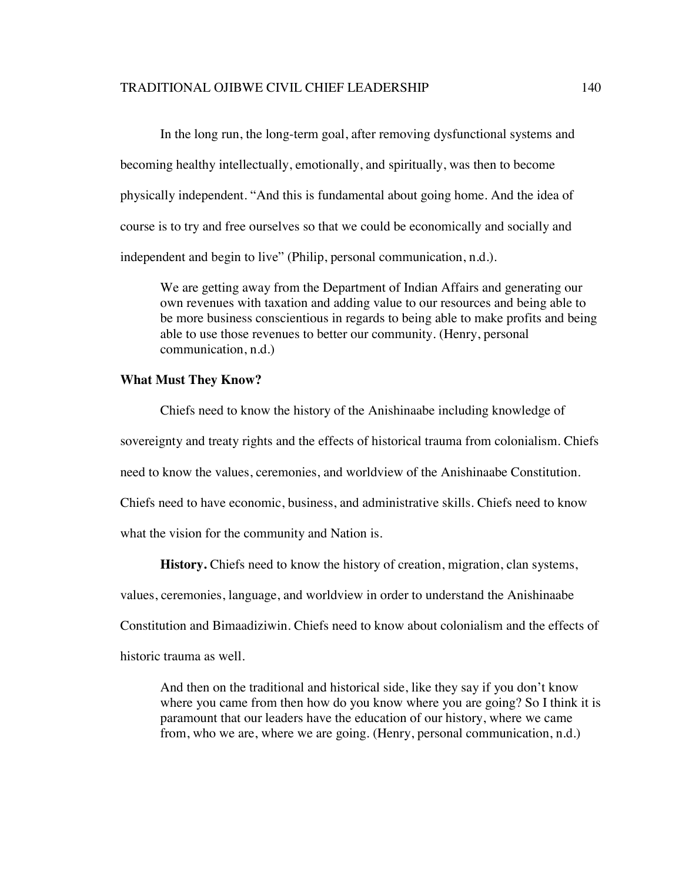In the long run, the long-term goal, after removing dysfunctional systems and becoming healthy intellectually, emotionally, and spiritually, was then to become physically independent. "And this is fundamental about going home. And the idea of course is to try and free ourselves so that we could be economically and socially and independent and begin to live" (Philip, personal communication, n.d.).

We are getting away from the Department of Indian Affairs and generating our own revenues with taxation and adding value to our resources and being able to be more business conscientious in regards to being able to make profits and being able to use those revenues to better our community. (Henry, personal communication, n.d.)

## **What Must They Know?**

Chiefs need to know the history of the Anishinaabe including knowledge of sovereignty and treaty rights and the effects of historical trauma from colonialism. Chiefs need to know the values, ceremonies, and worldview of the Anishinaabe Constitution. Chiefs need to have economic, business, and administrative skills. Chiefs need to know what the vision for the community and Nation is.

**History.** Chiefs need to know the history of creation, migration, clan systems,

values, ceremonies, language, and worldview in order to understand the Anishinaabe

Constitution and Bimaadiziwin. Chiefs need to know about colonialism and the effects of

historic trauma as well.

And then on the traditional and historical side, like they say if you don't know where you came from then how do you know where you are going? So I think it is paramount that our leaders have the education of our history, where we came from, who we are, where we are going. (Henry, personal communication, n.d.)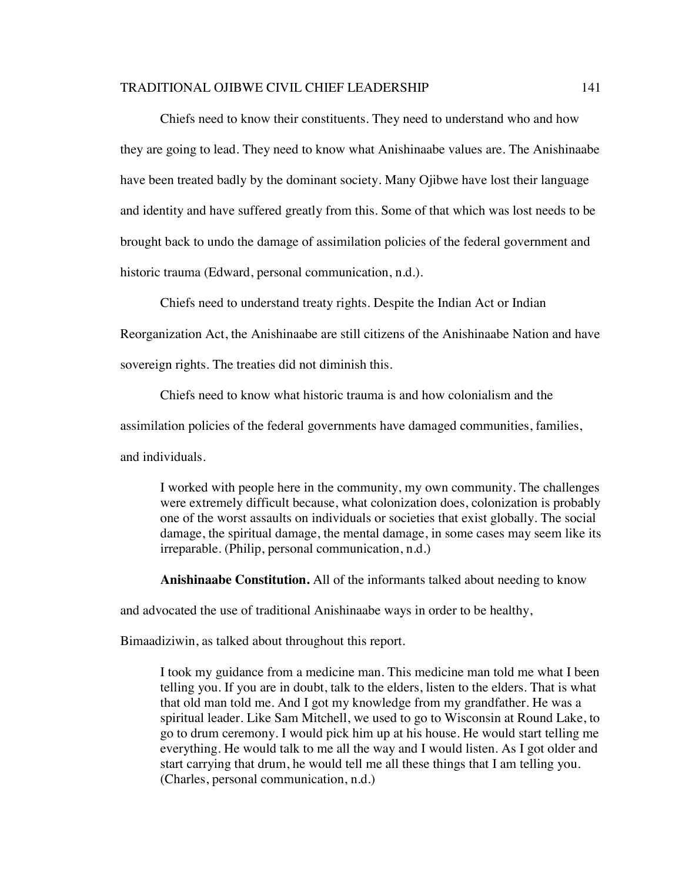Chiefs need to know their constituents. They need to understand who and how they are going to lead. They need to know what Anishinaabe values are. The Anishinaabe have been treated badly by the dominant society. Many Ojibwe have lost their language and identity and have suffered greatly from this. Some of that which was lost needs to be brought back to undo the damage of assimilation policies of the federal government and historic trauma (Edward, personal communication, n.d.).

Chiefs need to understand treaty rights. Despite the Indian Act or Indian

Reorganization Act, the Anishinaabe are still citizens of the Anishinaabe Nation and have

sovereign rights. The treaties did not diminish this.

Chiefs need to know what historic trauma is and how colonialism and the

assimilation policies of the federal governments have damaged communities, families,

and individuals.

I worked with people here in the community, my own community. The challenges were extremely difficult because, what colonization does, colonization is probably one of the worst assaults on individuals or societies that exist globally. The social damage, the spiritual damage, the mental damage, in some cases may seem like its irreparable. (Philip, personal communication, n.d.)

**Anishinaabe Constitution.** All of the informants talked about needing to know

and advocated the use of traditional Anishinaabe ways in order to be healthy,

Bimaadiziwin, as talked about throughout this report.

I took my guidance from a medicine man. This medicine man told me what I been telling you. If you are in doubt, talk to the elders, listen to the elders. That is what that old man told me. And I got my knowledge from my grandfather. He was a spiritual leader. Like Sam Mitchell, we used to go to Wisconsin at Round Lake, to go to drum ceremony. I would pick him up at his house. He would start telling me everything. He would talk to me all the way and I would listen. As I got older and start carrying that drum, he would tell me all these things that I am telling you. (Charles, personal communication, n.d.)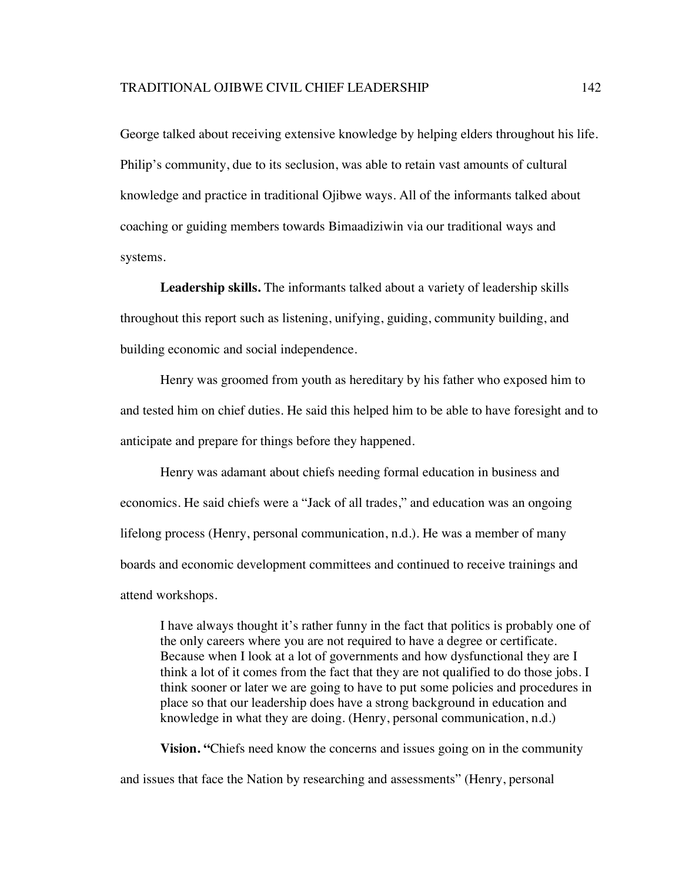George talked about receiving extensive knowledge by helping elders throughout his life. Philip's community, due to its seclusion, was able to retain vast amounts of cultural knowledge and practice in traditional Ojibwe ways. All of the informants talked about coaching or guiding members towards Bimaadiziwin via our traditional ways and systems.

**Leadership skills.** The informants talked about a variety of leadership skills throughout this report such as listening, unifying, guiding, community building, and building economic and social independence.

Henry was groomed from youth as hereditary by his father who exposed him to and tested him on chief duties. He said this helped him to be able to have foresight and to anticipate and prepare for things before they happened.

Henry was adamant about chiefs needing formal education in business and economics. He said chiefs were a "Jack of all trades," and education was an ongoing lifelong process (Henry, personal communication, n.d.). He was a member of many boards and economic development committees and continued to receive trainings and attend workshops.

I have always thought it's rather funny in the fact that politics is probably one of the only careers where you are not required to have a degree or certificate. Because when I look at a lot of governments and how dysfunctional they are I think a lot of it comes from the fact that they are not qualified to do those jobs. I think sooner or later we are going to have to put some policies and procedures in place so that our leadership does have a strong background in education and knowledge in what they are doing. (Henry, personal communication, n.d.)

**Vision.** "Chiefs need know the concerns and issues going on in the community and issues that face the Nation by researching and assessments" (Henry, personal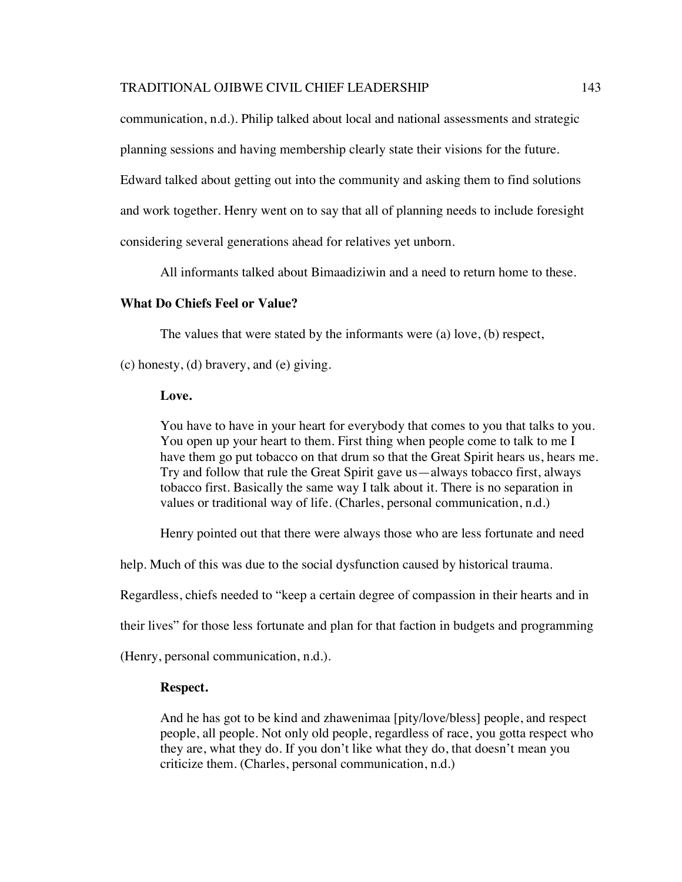communication, n.d.). Philip talked about local and national assessments and strategic

planning sessions and having membership clearly state their visions for the future.

Edward talked about getting out into the community and asking them to find solutions

and work together. Henry went on to say that all of planning needs to include foresight

considering several generations ahead for relatives yet unborn.

All informants talked about Bimaadiziwin and a need to return home to these.

## **What Do Chiefs Feel or Value?**

The values that were stated by the informants were (a) love, (b) respect,

(c) honesty, (d) bravery, and (e) giving.

#### **Love.**

You have to have in your heart for everybody that comes to you that talks to you. You open up your heart to them. First thing when people come to talk to me I have them go put tobacco on that drum so that the Great Spirit hears us, hears me. Try and follow that rule the Great Spirit gave us—always tobacco first, always tobacco first. Basically the same way I talk about it. There is no separation in values or traditional way of life. (Charles, personal communication, n.d.)

Henry pointed out that there were always those who are less fortunate and need

help. Much of this was due to the social dysfunction caused by historical trauma.

Regardless, chiefs needed to "keep a certain degree of compassion in their hearts and in

their lives" for those less fortunate and plan for that faction in budgets and programming

(Henry, personal communication, n.d.).

## **Respect.**

And he has got to be kind and zhawenimaa [pity/love/bless] people, and respect people, all people. Not only old people, regardless of race, you gotta respect who they are, what they do. If you don't like what they do, that doesn't mean you criticize them. (Charles, personal communication, n.d.)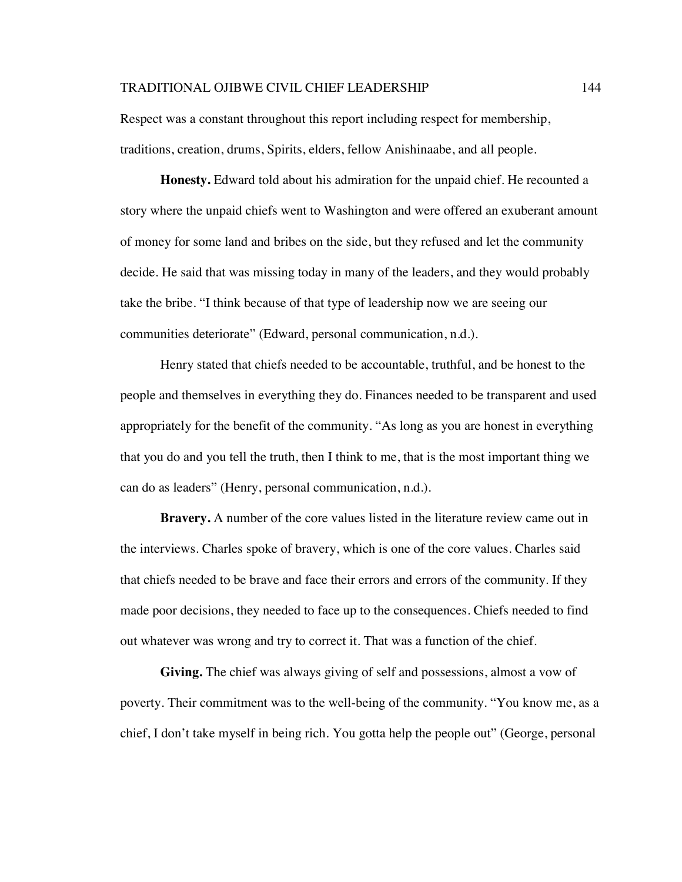Respect was a constant throughout this report including respect for membership, traditions, creation, drums, Spirits, elders, fellow Anishinaabe, and all people.

**Honesty.** Edward told about his admiration for the unpaid chief. He recounted a story where the unpaid chiefs went to Washington and were offered an exuberant amount of money for some land and bribes on the side, but they refused and let the community decide. He said that was missing today in many of the leaders, and they would probably take the bribe. "I think because of that type of leadership now we are seeing our communities deteriorate" (Edward, personal communication, n.d.).

Henry stated that chiefs needed to be accountable, truthful, and be honest to the people and themselves in everything they do. Finances needed to be transparent and used appropriately for the benefit of the community. "As long as you are honest in everything that you do and you tell the truth, then I think to me, that is the most important thing we can do as leaders" (Henry, personal communication, n.d.).

**Bravery.** A number of the core values listed in the literature review came out in the interviews. Charles spoke of bravery, which is one of the core values. Charles said that chiefs needed to be brave and face their errors and errors of the community. If they made poor decisions, they needed to face up to the consequences. Chiefs needed to find out whatever was wrong and try to correct it. That was a function of the chief.

**Giving.** The chief was always giving of self and possessions, almost a vow of poverty. Their commitment was to the well-being of the community. "You know me, as a chief, I don't take myself in being rich. You gotta help the people out" (George, personal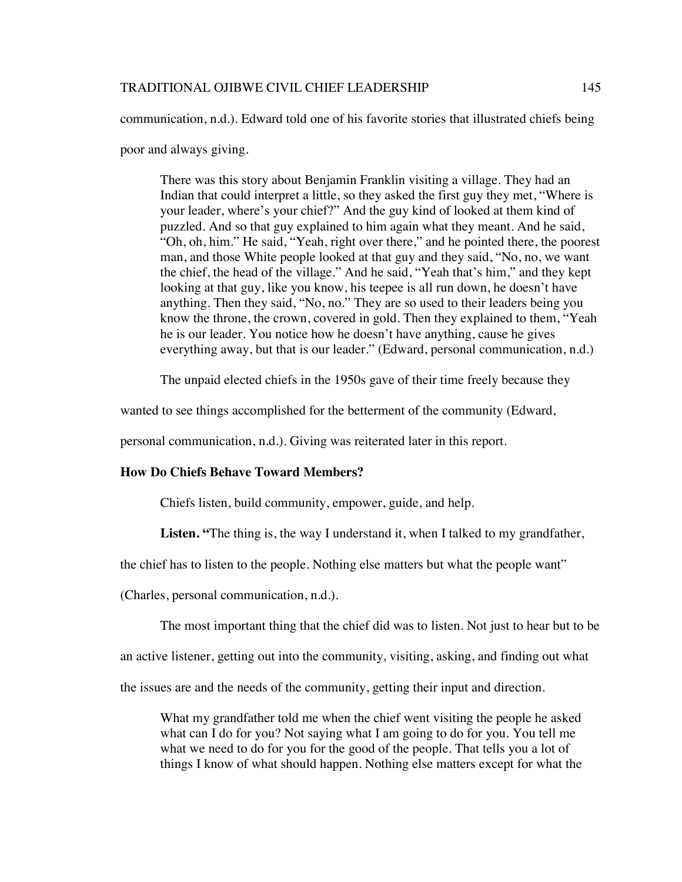communication, n.d.). Edward told one of his favorite stories that illustrated chiefs being

poor and always giving.

There was this story about Benjamin Franklin visiting a village. They had an Indian that could interpret a little, so they asked the first guy they met, "Where is your leader, where's your chief?" And the guy kind of looked at them kind of puzzled. And so that guy explained to him again what they meant. And he said, "Oh, oh, him." He said, "Yeah, right over there," and he pointed there, the poorest man, and those White people looked at that guy and they said, "No, no, we want the chief, the head of the village." And he said, "Yeah that's him," and they kept looking at that guy, like you know, his teepee is all run down, he doesn't have anything. Then they said, "No, no." They are so used to their leaders being you know the throne, the crown, covered in gold. Then they explained to them, "Yeah he is our leader. You notice how he doesn't have anything, cause he gives everything away, but that is our leader." (Edward, personal communication, n.d.)

The unpaid elected chiefs in the 1950s gave of their time freely because they

wanted to see things accomplished for the betterment of the community (Edward,

personal communication, n.d.). Giving was reiterated later in this report.

# **How Do Chiefs Behave Toward Members?**

Chiefs listen, build community, empower, guide, and help.

Listen. "The thing is, the way I understand it, when I talked to my grandfather,

the chief has to listen to the people. Nothing else matters but what the people want"

(Charles, personal communication, n.d.).

The most important thing that the chief did was to listen. Not just to hear but to be

an active listener, getting out into the community, visiting, asking, and finding out what

the issues are and the needs of the community, getting their input and direction.

What my grandfather told me when the chief went visiting the people he asked what can I do for you? Not saying what I am going to do for you. You tell me what we need to do for you for the good of the people. That tells you a lot of things I know of what should happen. Nothing else matters except for what the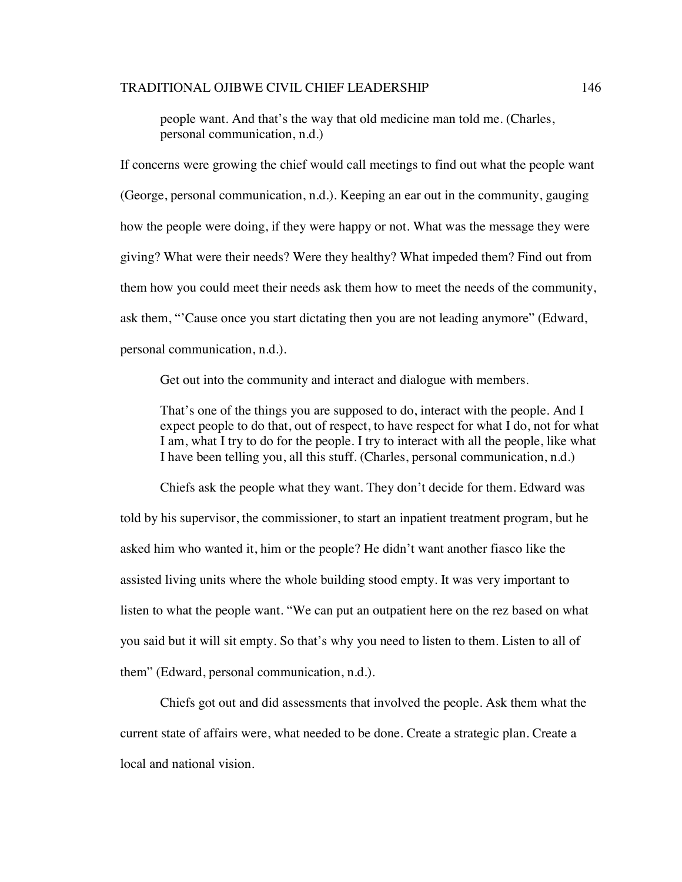people want. And that's the way that old medicine man told me. (Charles, personal communication, n.d.)

If concerns were growing the chief would call meetings to find out what the people want (George, personal communication, n.d.). Keeping an ear out in the community, gauging how the people were doing, if they were happy or not. What was the message they were giving? What were their needs? Were they healthy? What impeded them? Find out from them how you could meet their needs ask them how to meet the needs of the community, ask them, "'Cause once you start dictating then you are not leading anymore" (Edward, personal communication, n.d.).

Get out into the community and interact and dialogue with members.

That's one of the things you are supposed to do, interact with the people. And I expect people to do that, out of respect, to have respect for what I do, not for what I am, what I try to do for the people. I try to interact with all the people, like what I have been telling you, all this stuff. (Charles, personal communication, n.d.)

Chiefs ask the people what they want. They don't decide for them. Edward was told by his supervisor, the commissioner, to start an inpatient treatment program, but he asked him who wanted it, him or the people? He didn't want another fiasco like the assisted living units where the whole building stood empty. It was very important to listen to what the people want. "We can put an outpatient here on the rez based on what you said but it will sit empty. So that's why you need to listen to them. Listen to all of them" (Edward, personal communication, n.d.).

Chiefs got out and did assessments that involved the people. Ask them what the current state of affairs were, what needed to be done. Create a strategic plan. Create a local and national vision.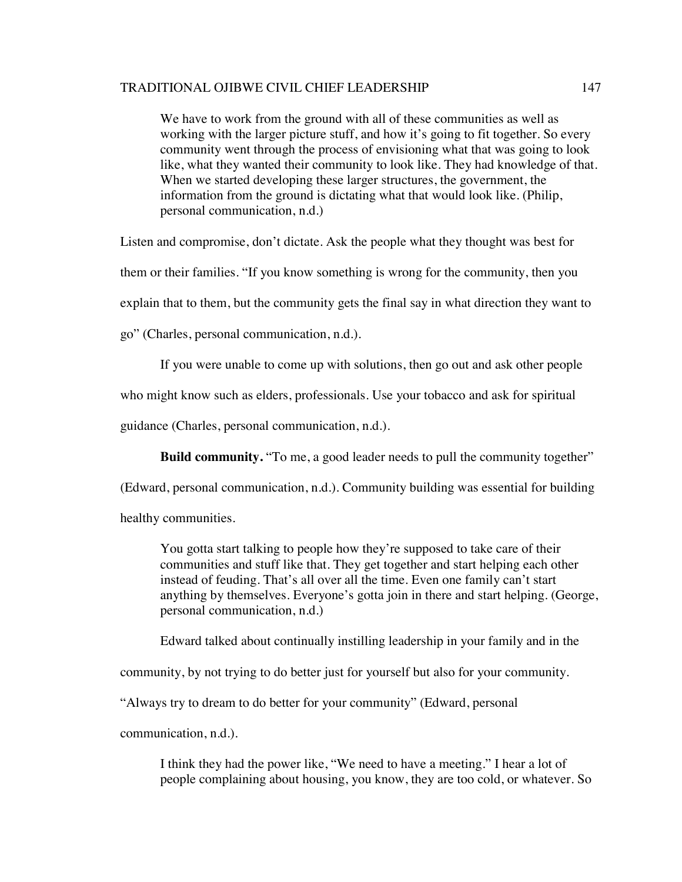We have to work from the ground with all of these communities as well as working with the larger picture stuff, and how it's going to fit together. So every community went through the process of envisioning what that was going to look like, what they wanted their community to look like. They had knowledge of that. When we started developing these larger structures, the government, the information from the ground is dictating what that would look like. (Philip, personal communication, n.d.)

Listen and compromise, don't dictate. Ask the people what they thought was best for

them or their families. "If you know something is wrong for the community, then you

explain that to them, but the community gets the final say in what direction they want to

go" (Charles, personal communication, n.d.).

If you were unable to come up with solutions, then go out and ask other people

who might know such as elders, professionals. Use your tobacco and ask for spiritual

guidance (Charles, personal communication, n.d.).

**Build community.** "To me, a good leader needs to pull the community together"

(Edward, personal communication, n.d.). Community building was essential for building

healthy communities.

You gotta start talking to people how they're supposed to take care of their communities and stuff like that. They get together and start helping each other instead of feuding. That's all over all the time. Even one family can't start anything by themselves. Everyone's gotta join in there and start helping. (George, personal communication, n.d.)

Edward talked about continually instilling leadership in your family and in the

community, by not trying to do better just for yourself but also for your community.

"Always try to dream to do better for your community" (Edward, personal

communication, n.d.).

I think they had the power like, "We need to have a meeting." I hear a lot of people complaining about housing, you know, they are too cold, or whatever. So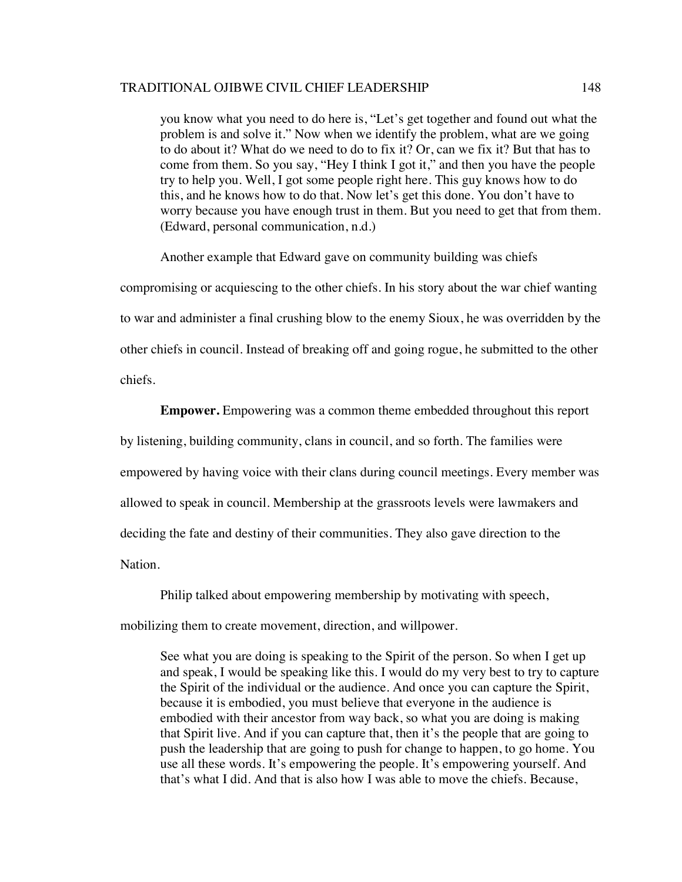you know what you need to do here is, "Let's get together and found out what the problem is and solve it." Now when we identify the problem, what are we going to do about it? What do we need to do to fix it? Or, can we fix it? But that has to come from them. So you say, "Hey I think I got it," and then you have the people try to help you. Well, I got some people right here. This guy knows how to do this, and he knows how to do that. Now let's get this done. You don't have to worry because you have enough trust in them. But you need to get that from them. (Edward, personal communication, n.d.)

Another example that Edward gave on community building was chiefs

compromising or acquiescing to the other chiefs. In his story about the war chief wanting to war and administer a final crushing blow to the enemy Sioux, he was overridden by the other chiefs in council. Instead of breaking off and going rogue, he submitted to the other chiefs.

**Empower.** Empowering was a common theme embedded throughout this report by listening, building community, clans in council, and so forth. The families were empowered by having voice with their clans during council meetings. Every member was allowed to speak in council. Membership at the grassroots levels were lawmakers and deciding the fate and destiny of their communities. They also gave direction to the Nation.

Philip talked about empowering membership by motivating with speech, mobilizing them to create movement, direction, and willpower.

See what you are doing is speaking to the Spirit of the person. So when I get up and speak, I would be speaking like this. I would do my very best to try to capture the Spirit of the individual or the audience. And once you can capture the Spirit, because it is embodied, you must believe that everyone in the audience is embodied with their ancestor from way back, so what you are doing is making that Spirit live. And if you can capture that, then it's the people that are going to push the leadership that are going to push for change to happen, to go home. You use all these words. It's empowering the people. It's empowering yourself. And that's what I did. And that is also how I was able to move the chiefs. Because,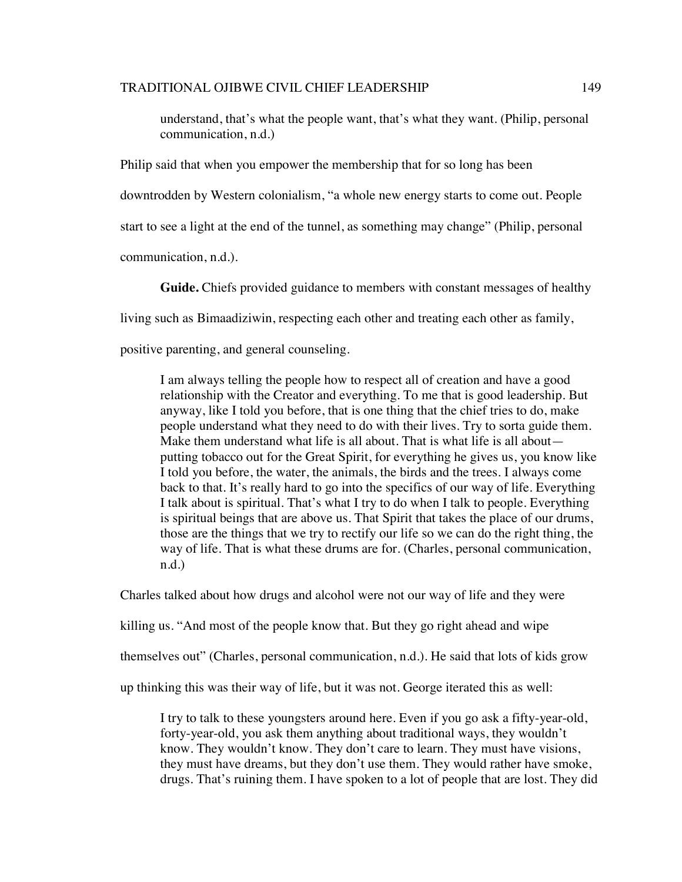understand, that's what the people want, that's what they want. (Philip, personal communication, n.d.)

Philip said that when you empower the membership that for so long has been downtrodden by Western colonialism, "a whole new energy starts to come out. People start to see a light at the end of the tunnel, as something may change" (Philip, personal communication, n.d.).

**Guide.** Chiefs provided guidance to members with constant messages of healthy

living such as Bimaadiziwin, respecting each other and treating each other as family,

positive parenting, and general counseling.

I am always telling the people how to respect all of creation and have a good relationship with the Creator and everything. To me that is good leadership. But anyway, like I told you before, that is one thing that the chief tries to do, make people understand what they need to do with their lives. Try to sorta guide them. Make them understand what life is all about. That is what life is all about putting tobacco out for the Great Spirit, for everything he gives us, you know like I told you before, the water, the animals, the birds and the trees. I always come back to that. It's really hard to go into the specifics of our way of life. Everything I talk about is spiritual. That's what I try to do when I talk to people. Everything is spiritual beings that are above us. That Spirit that takes the place of our drums, those are the things that we try to rectify our life so we can do the right thing, the way of life. That is what these drums are for. (Charles, personal communication, n.d.)

Charles talked about how drugs and alcohol were not our way of life and they were

killing us. "And most of the people know that. But they go right ahead and wipe

themselves out" (Charles, personal communication, n.d.). He said that lots of kids grow

up thinking this was their way of life, but it was not. George iterated this as well:

I try to talk to these youngsters around here. Even if you go ask a fifty-year-old, forty-year-old, you ask them anything about traditional ways, they wouldn't know. They wouldn't know. They don't care to learn. They must have visions, they must have dreams, but they don't use them. They would rather have smoke, drugs. That's ruining them. I have spoken to a lot of people that are lost. They did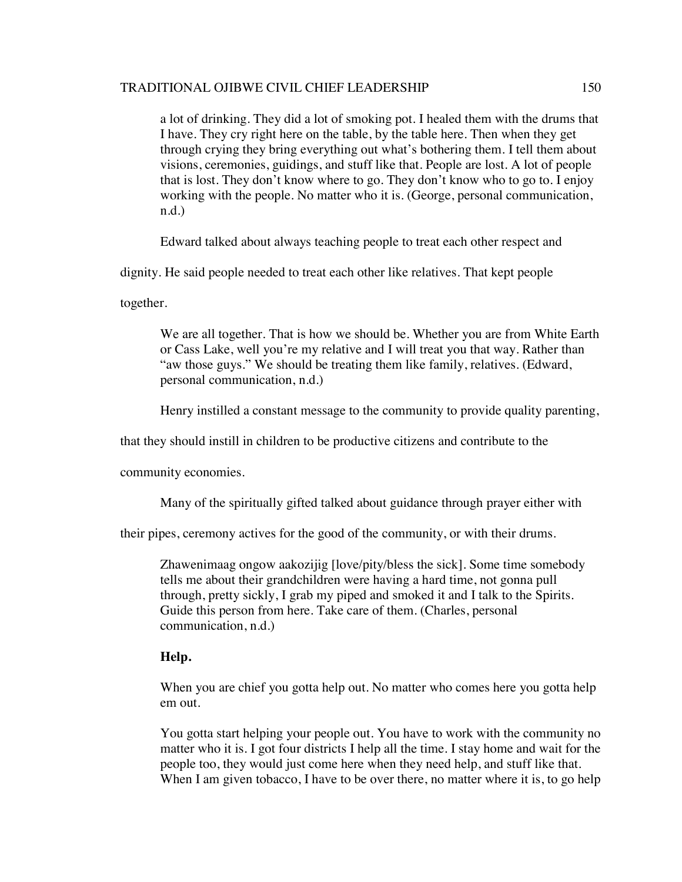a lot of drinking. They did a lot of smoking pot. I healed them with the drums that I have. They cry right here on the table, by the table here. Then when they get through crying they bring everything out what's bothering them. I tell them about visions, ceremonies, guidings, and stuff like that. People are lost. A lot of people that is lost. They don't know where to go. They don't know who to go to. I enjoy working with the people. No matter who it is. (George, personal communication, n.d.)

Edward talked about always teaching people to treat each other respect and

dignity. He said people needed to treat each other like relatives. That kept people

together.

We are all together. That is how we should be. Whether you are from White Earth or Cass Lake, well you're my relative and I will treat you that way. Rather than "aw those guys." We should be treating them like family, relatives. (Edward, personal communication, n.d.)

Henry instilled a constant message to the community to provide quality parenting,

that they should instill in children to be productive citizens and contribute to the

community economies.

Many of the spiritually gifted talked about guidance through prayer either with

their pipes, ceremony actives for the good of the community, or with their drums.

Zhawenimaag ongow aakozijig [love/pity/bless the sick]. Some time somebody tells me about their grandchildren were having a hard time, not gonna pull through, pretty sickly, I grab my piped and smoked it and I talk to the Spirits. Guide this person from here. Take care of them. (Charles, personal communication, n.d.)

# **Help.**

When you are chief you gotta help out. No matter who comes here you gotta help em out.

You gotta start helping your people out. You have to work with the community no matter who it is. I got four districts I help all the time. I stay home and wait for the people too, they would just come here when they need help, and stuff like that. When I am given tobacco, I have to be over there, no matter where it is, to go help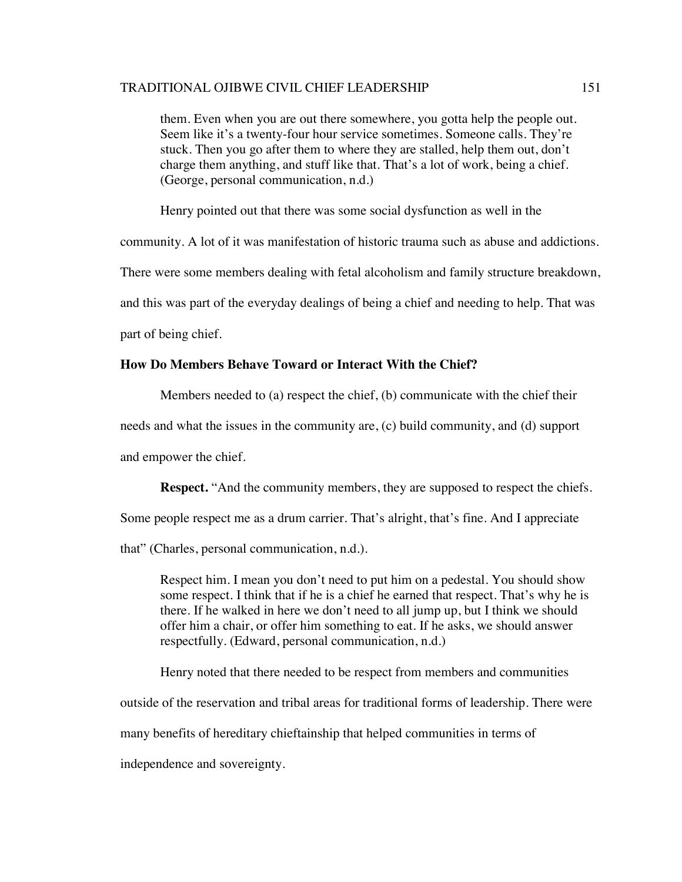them. Even when you are out there somewhere, you gotta help the people out. Seem like it's a twenty-four hour service sometimes. Someone calls. They're stuck. Then you go after them to where they are stalled, help them out, don't charge them anything, and stuff like that. That's a lot of work, being a chief. (George, personal communication, n.d.)

Henry pointed out that there was some social dysfunction as well in the

community. A lot of it was manifestation of historic trauma such as abuse and addictions.

There were some members dealing with fetal alcoholism and family structure breakdown,

and this was part of the everyday dealings of being a chief and needing to help. That was

part of being chief.

# **How Do Members Behave Toward or Interact With the Chief?**

Members needed to (a) respect the chief, (b) communicate with the chief their

needs and what the issues in the community are, (c) build community, and (d) support

and empower the chief.

**Respect.** "And the community members, they are supposed to respect the chiefs.

Some people respect me as a drum carrier. That's alright, that's fine. And I appreciate

that" (Charles, personal communication, n.d.).

Respect him. I mean you don't need to put him on a pedestal. You should show some respect. I think that if he is a chief he earned that respect. That's why he is there. If he walked in here we don't need to all jump up, but I think we should offer him a chair, or offer him something to eat. If he asks, we should answer respectfully. (Edward, personal communication, n.d.)

Henry noted that there needed to be respect from members and communities

outside of the reservation and tribal areas for traditional forms of leadership. There were

many benefits of hereditary chieftainship that helped communities in terms of

independence and sovereignty.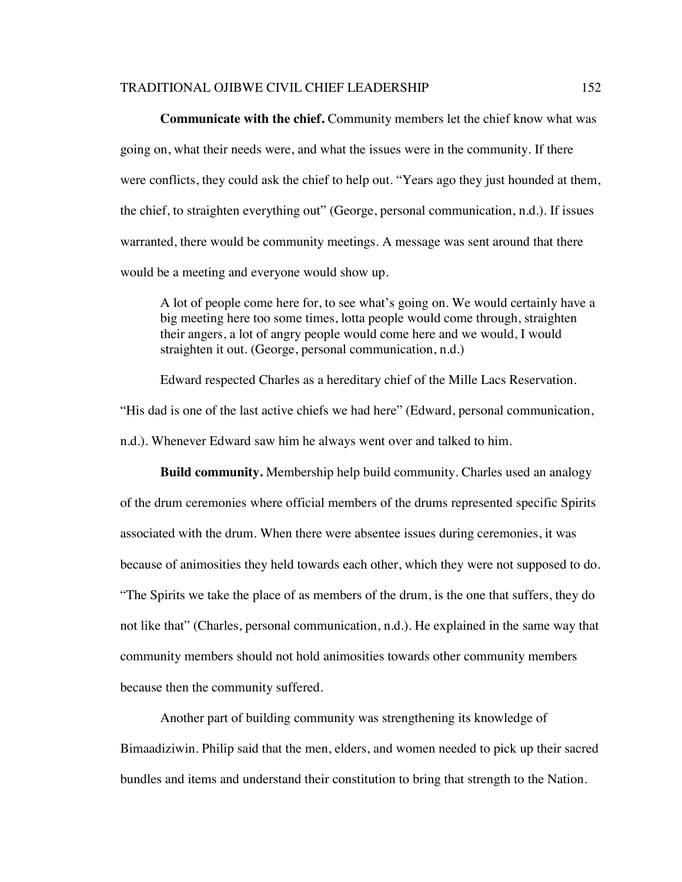**Communicate with the chief.** Community members let the chief know what was going on, what their needs were, and what the issues were in the community. If there were conflicts, they could ask the chief to help out. "Years ago they just hounded at them, the chief, to straighten everything out" (George, personal communication, n.d.). If issues warranted, there would be community meetings. A message was sent around that there would be a meeting and everyone would show up.

A lot of people come here for, to see what's going on. We would certainly have a big meeting here too some times, lotta people would come through, straighten their angers, a lot of angry people would come here and we would, I would straighten it out. (George, personal communication, n.d.)

Edward respected Charles as a hereditary chief of the Mille Lacs Reservation.

"His dad is one of the last active chiefs we had here" (Edward, personal communication,

n.d.). Whenever Edward saw him he always went over and talked to him.

**Build community.** Membership help build community. Charles used an analogy of the drum ceremonies where official members of the drums represented specific Spirits associated with the drum. When there were absentee issues during ceremonies, it was because of animosities they held towards each other, which they were not supposed to do. "The Spirits we take the place of as members of the drum, is the one that suffers, they do not like that" (Charles, personal communication, n.d.). He explained in the same way that community members should not hold animosities towards other community members because then the community suffered.

Another part of building community was strengthening its knowledge of Bimaadiziwin. Philip said that the men, elders, and women needed to pick up their sacred bundles and items and understand their constitution to bring that strength to the Nation.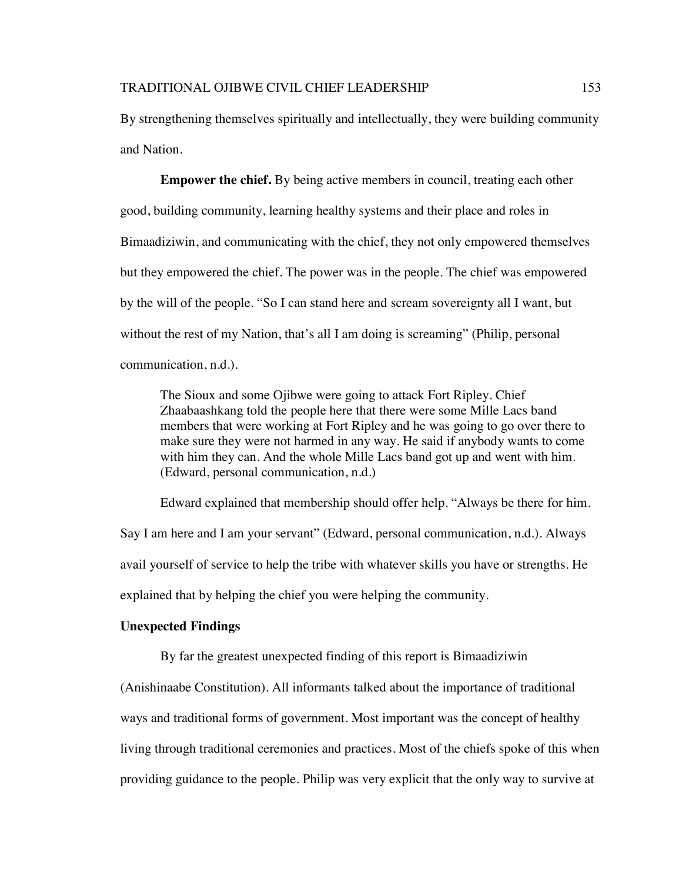By strengthening themselves spiritually and intellectually, they were building community and Nation.

**Empower the chief.** By being active members in council, treating each other good, building community, learning healthy systems and their place and roles in Bimaadiziwin, and communicating with the chief, they not only empowered themselves but they empowered the chief. The power was in the people. The chief was empowered by the will of the people. "So I can stand here and scream sovereignty all I want, but without the rest of my Nation, that's all I am doing is screaming" (Philip, personal communication, n.d.).

The Sioux and some Ojibwe were going to attack Fort Ripley. Chief Zhaabaashkang told the people here that there were some Mille Lacs band members that were working at Fort Ripley and he was going to go over there to make sure they were not harmed in any way. He said if anybody wants to come with him they can. And the whole Mille Lacs band got up and went with him. (Edward, personal communication, n.d.)

Edward explained that membership should offer help. "Always be there for him. Say I am here and I am your servant" (Edward, personal communication, n.d.). Always avail yourself of service to help the tribe with whatever skills you have or strengths. He explained that by helping the chief you were helping the community.

## **Unexpected Findings**

By far the greatest unexpected finding of this report is Bimaadiziwin

(Anishinaabe Constitution). All informants talked about the importance of traditional ways and traditional forms of government. Most important was the concept of healthy living through traditional ceremonies and practices. Most of the chiefs spoke of this when providing guidance to the people. Philip was very explicit that the only way to survive at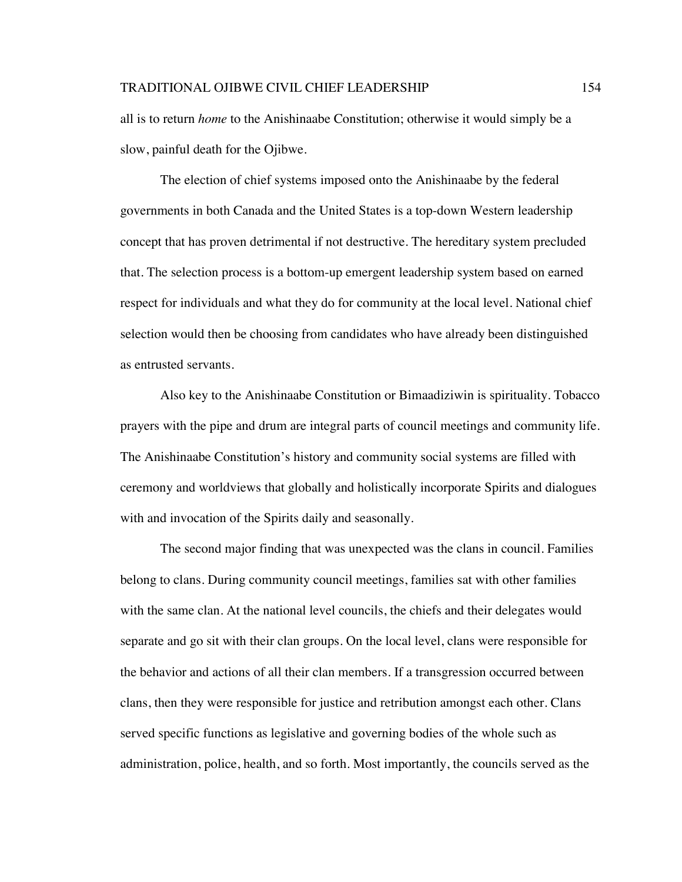all is to return *home* to the Anishinaabe Constitution; otherwise it would simply be a slow, painful death for the Ojibwe.

The election of chief systems imposed onto the Anishinaabe by the federal governments in both Canada and the United States is a top-down Western leadership concept that has proven detrimental if not destructive. The hereditary system precluded that. The selection process is a bottom-up emergent leadership system based on earned respect for individuals and what they do for community at the local level. National chief selection would then be choosing from candidates who have already been distinguished as entrusted servants.

Also key to the Anishinaabe Constitution or Bimaadiziwin is spirituality. Tobacco prayers with the pipe and drum are integral parts of council meetings and community life. The Anishinaabe Constitution's history and community social systems are filled with ceremony and worldviews that globally and holistically incorporate Spirits and dialogues with and invocation of the Spirits daily and seasonally.

The second major finding that was unexpected was the clans in council. Families belong to clans. During community council meetings, families sat with other families with the same clan. At the national level councils, the chiefs and their delegates would separate and go sit with their clan groups. On the local level, clans were responsible for the behavior and actions of all their clan members. If a transgression occurred between clans, then they were responsible for justice and retribution amongst each other. Clans served specific functions as legislative and governing bodies of the whole such as administration, police, health, and so forth. Most importantly, the councils served as the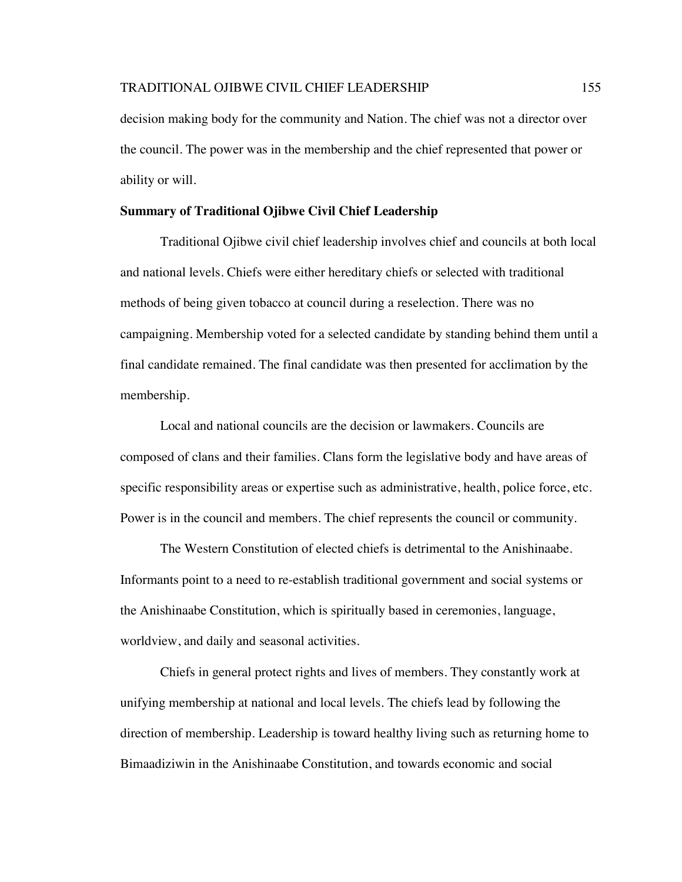decision making body for the community and Nation. The chief was not a director over the council. The power was in the membership and the chief represented that power or ability or will.

# **Summary of Traditional Ojibwe Civil Chief Leadership**

Traditional Ojibwe civil chief leadership involves chief and councils at both local and national levels. Chiefs were either hereditary chiefs or selected with traditional methods of being given tobacco at council during a reselection. There was no campaigning. Membership voted for a selected candidate by standing behind them until a final candidate remained. The final candidate was then presented for acclimation by the membership.

Local and national councils are the decision or lawmakers. Councils are composed of clans and their families. Clans form the legislative body and have areas of specific responsibility areas or expertise such as administrative, health, police force, etc. Power is in the council and members. The chief represents the council or community.

The Western Constitution of elected chiefs is detrimental to the Anishinaabe. Informants point to a need to re-establish traditional government and social systems or the Anishinaabe Constitution, which is spiritually based in ceremonies, language, worldview, and daily and seasonal activities.

Chiefs in general protect rights and lives of members. They constantly work at unifying membership at national and local levels. The chiefs lead by following the direction of membership. Leadership is toward healthy living such as returning home to Bimaadiziwin in the Anishinaabe Constitution, and towards economic and social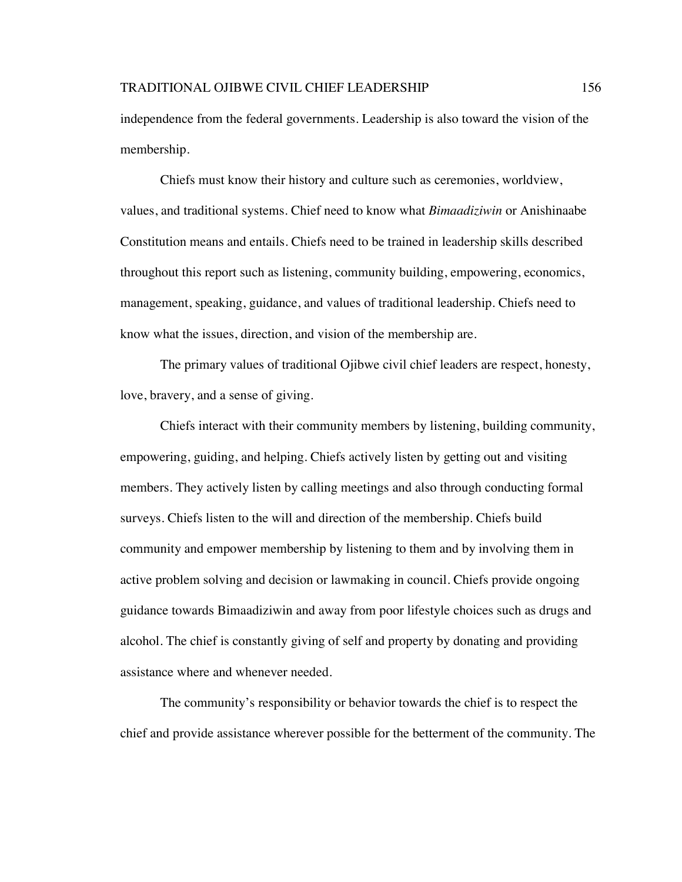independence from the federal governments. Leadership is also toward the vision of the membership.

Chiefs must know their history and culture such as ceremonies, worldview, values, and traditional systems. Chief need to know what *Bimaadiziwin* or Anishinaabe Constitution means and entails. Chiefs need to be trained in leadership skills described throughout this report such as listening, community building, empowering, economics, management, speaking, guidance, and values of traditional leadership. Chiefs need to know what the issues, direction, and vision of the membership are.

The primary values of traditional Ojibwe civil chief leaders are respect, honesty, love, bravery, and a sense of giving.

Chiefs interact with their community members by listening, building community, empowering, guiding, and helping. Chiefs actively listen by getting out and visiting members. They actively listen by calling meetings and also through conducting formal surveys. Chiefs listen to the will and direction of the membership. Chiefs build community and empower membership by listening to them and by involving them in active problem solving and decision or lawmaking in council. Chiefs provide ongoing guidance towards Bimaadiziwin and away from poor lifestyle choices such as drugs and alcohol. The chief is constantly giving of self and property by donating and providing assistance where and whenever needed.

The community's responsibility or behavior towards the chief is to respect the chief and provide assistance wherever possible for the betterment of the community. The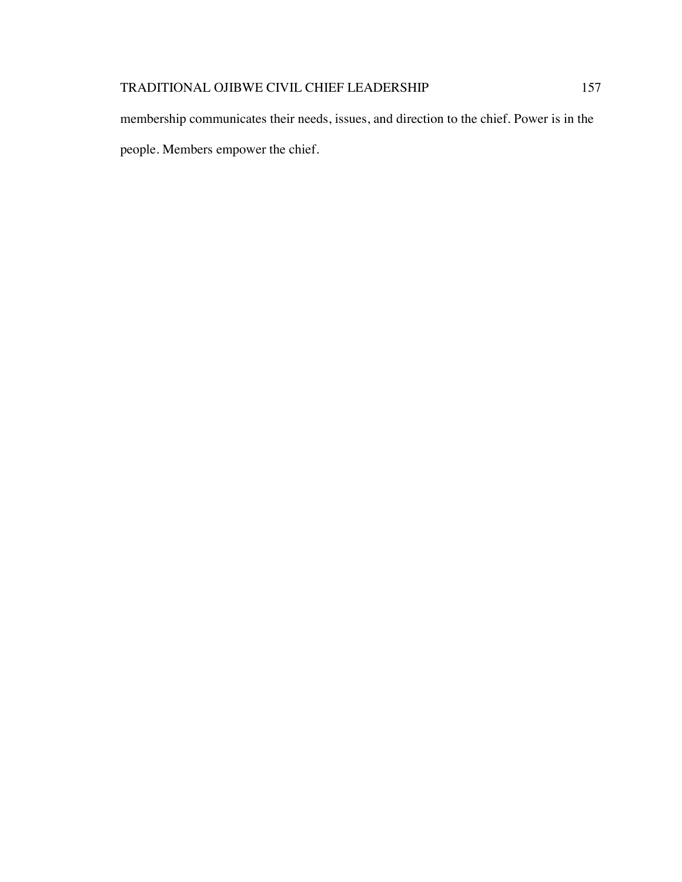membership communicates their needs, issues, and direction to the chief. Power is in the people. Members empower the chief.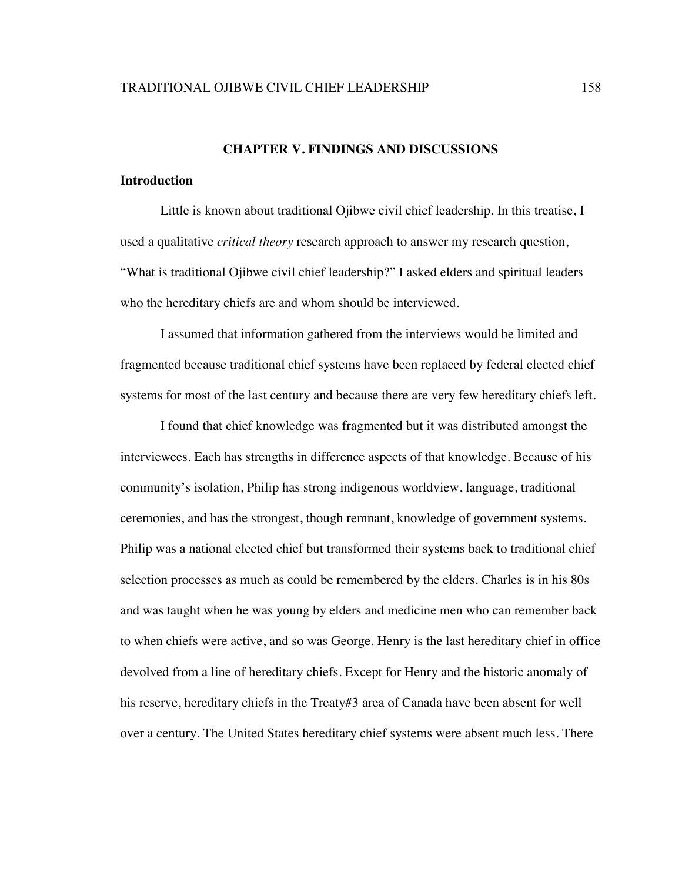# **CHAPTER V. FINDINGS AND DISCUSSIONS**

# **Introduction**

Little is known about traditional Ojibwe civil chief leadership. In this treatise, I used a qualitative *critical theory* research approach to answer my research question, "What is traditional Ojibwe civil chief leadership?" I asked elders and spiritual leaders who the hereditary chiefs are and whom should be interviewed.

I assumed that information gathered from the interviews would be limited and fragmented because traditional chief systems have been replaced by federal elected chief systems for most of the last century and because there are very few hereditary chiefs left.

I found that chief knowledge was fragmented but it was distributed amongst the interviewees. Each has strengths in difference aspects of that knowledge. Because of his community's isolation, Philip has strong indigenous worldview, language, traditional ceremonies, and has the strongest, though remnant, knowledge of government systems. Philip was a national elected chief but transformed their systems back to traditional chief selection processes as much as could be remembered by the elders. Charles is in his 80s and was taught when he was young by elders and medicine men who can remember back to when chiefs were active, and so was George. Henry is the last hereditary chief in office devolved from a line of hereditary chiefs. Except for Henry and the historic anomaly of his reserve, hereditary chiefs in the Treaty#3 area of Canada have been absent for well over a century. The United States hereditary chief systems were absent much less. There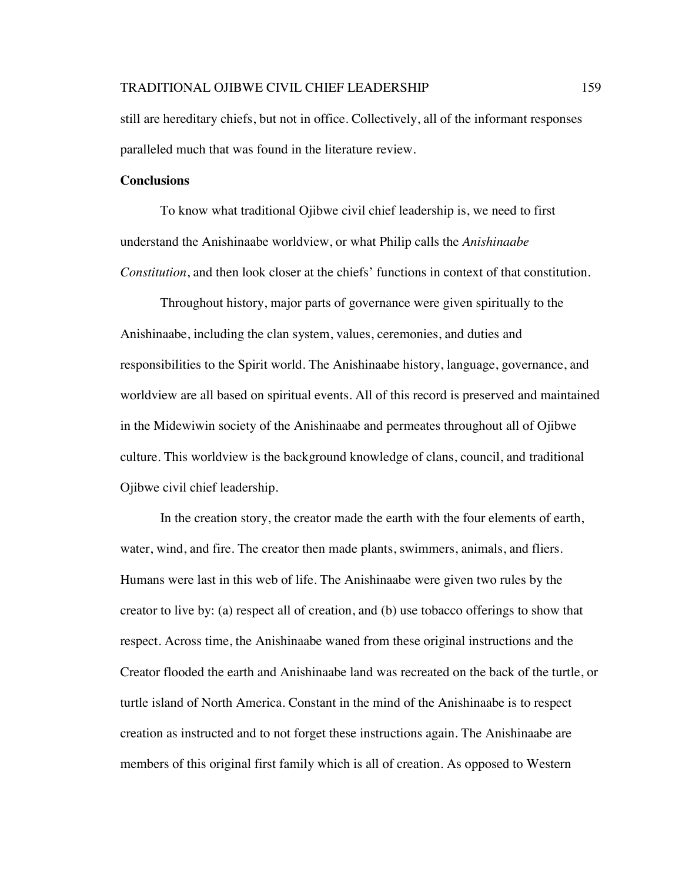still are hereditary chiefs, but not in office. Collectively, all of the informant responses paralleled much that was found in the literature review.

# **Conclusions**

To know what traditional Ojibwe civil chief leadership is, we need to first understand the Anishinaabe worldview, or what Philip calls the *Anishinaabe Constitution*, and then look closer at the chiefs' functions in context of that constitution.

Throughout history, major parts of governance were given spiritually to the Anishinaabe, including the clan system, values, ceremonies, and duties and responsibilities to the Spirit world. The Anishinaabe history, language, governance, and worldview are all based on spiritual events. All of this record is preserved and maintained in the Midewiwin society of the Anishinaabe and permeates throughout all of Ojibwe culture. This worldview is the background knowledge of clans, council, and traditional Ojibwe civil chief leadership.

In the creation story, the creator made the earth with the four elements of earth, water, wind, and fire. The creator then made plants, swimmers, animals, and fliers. Humans were last in this web of life. The Anishinaabe were given two rules by the creator to live by: (a) respect all of creation, and (b) use tobacco offerings to show that respect. Across time, the Anishinaabe waned from these original instructions and the Creator flooded the earth and Anishinaabe land was recreated on the back of the turtle, or turtle island of North America. Constant in the mind of the Anishinaabe is to respect creation as instructed and to not forget these instructions again. The Anishinaabe are members of this original first family which is all of creation. As opposed to Western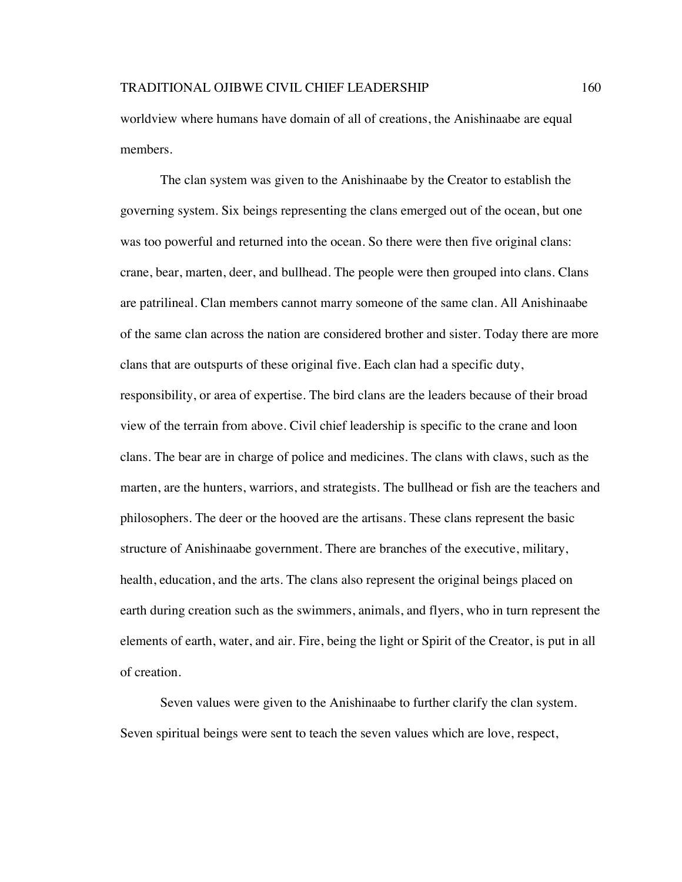worldview where humans have domain of all of creations, the Anishinaabe are equal members.

The clan system was given to the Anishinaabe by the Creator to establish the governing system. Six beings representing the clans emerged out of the ocean, but one was too powerful and returned into the ocean. So there were then five original clans: crane, bear, marten, deer, and bullhead. The people were then grouped into clans. Clans are patrilineal. Clan members cannot marry someone of the same clan. All Anishinaabe of the same clan across the nation are considered brother and sister. Today there are more clans that are outspurts of these original five. Each clan had a specific duty, responsibility, or area of expertise. The bird clans are the leaders because of their broad view of the terrain from above. Civil chief leadership is specific to the crane and loon clans. The bear are in charge of police and medicines. The clans with claws, such as the marten, are the hunters, warriors, and strategists. The bullhead or fish are the teachers and philosophers. The deer or the hooved are the artisans. These clans represent the basic structure of Anishinaabe government. There are branches of the executive, military, health, education, and the arts. The clans also represent the original beings placed on earth during creation such as the swimmers, animals, and flyers, who in turn represent the elements of earth, water, and air. Fire, being the light or Spirit of the Creator, is put in all of creation.

Seven values were given to the Anishinaabe to further clarify the clan system. Seven spiritual beings were sent to teach the seven values which are love, respect,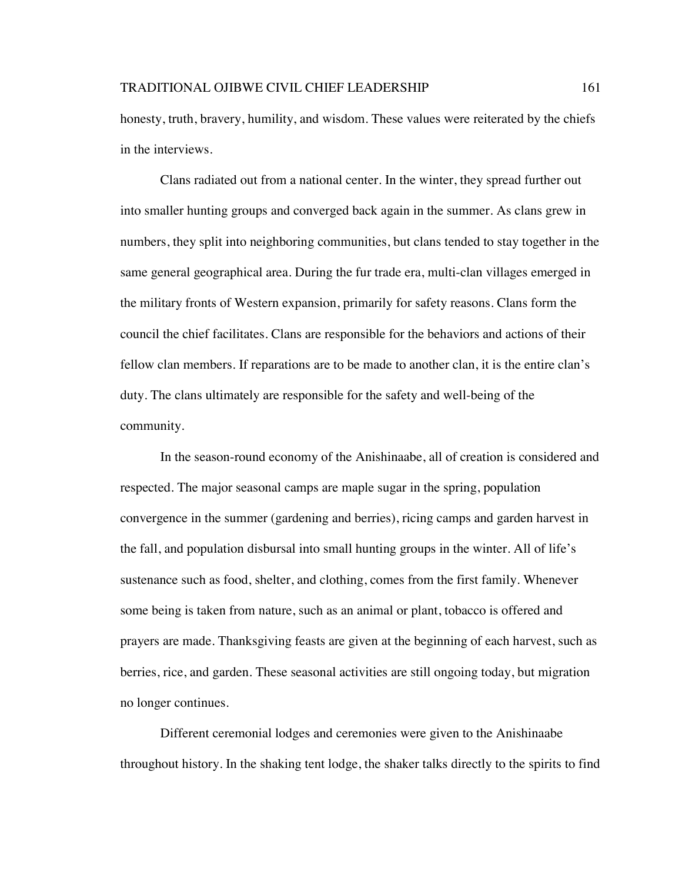honesty, truth, bravery, humility, and wisdom. These values were reiterated by the chiefs in the interviews.

Clans radiated out from a national center. In the winter, they spread further out into smaller hunting groups and converged back again in the summer. As clans grew in numbers, they split into neighboring communities, but clans tended to stay together in the same general geographical area. During the fur trade era, multi-clan villages emerged in the military fronts of Western expansion, primarily for safety reasons. Clans form the council the chief facilitates. Clans are responsible for the behaviors and actions of their fellow clan members. If reparations are to be made to another clan, it is the entire clan's duty. The clans ultimately are responsible for the safety and well-being of the community.

In the season-round economy of the Anishinaabe, all of creation is considered and respected. The major seasonal camps are maple sugar in the spring, population convergence in the summer (gardening and berries), ricing camps and garden harvest in the fall, and population disbursal into small hunting groups in the winter. All of life's sustenance such as food, shelter, and clothing, comes from the first family. Whenever some being is taken from nature, such as an animal or plant, tobacco is offered and prayers are made. Thanksgiving feasts are given at the beginning of each harvest, such as berries, rice, and garden. These seasonal activities are still ongoing today, but migration no longer continues.

Different ceremonial lodges and ceremonies were given to the Anishinaabe throughout history. In the shaking tent lodge, the shaker talks directly to the spirits to find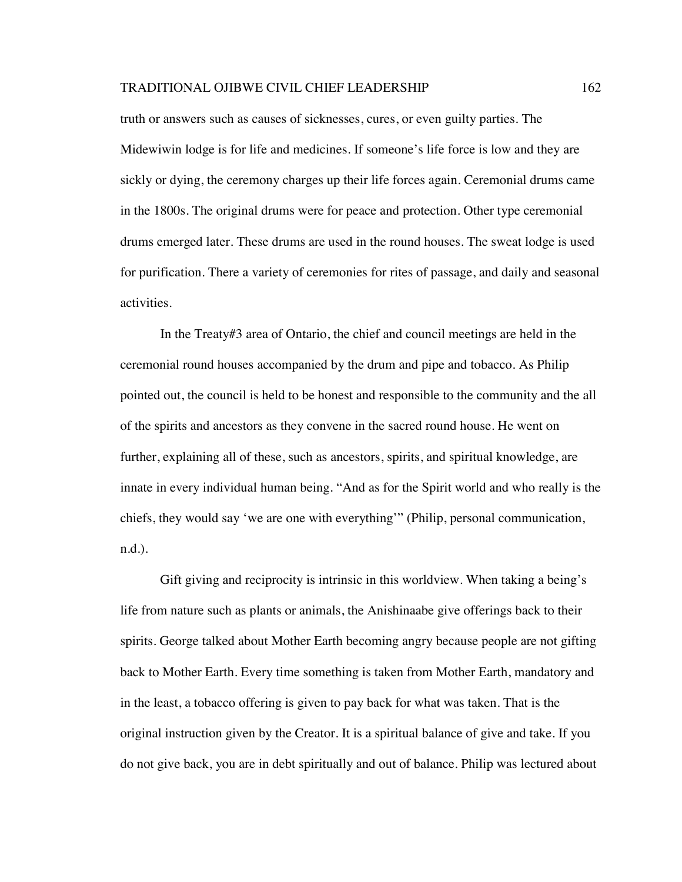truth or answers such as causes of sicknesses, cures, or even guilty parties. The Midewiwin lodge is for life and medicines. If someone's life force is low and they are sickly or dying, the ceremony charges up their life forces again. Ceremonial drums came in the 1800s. The original drums were for peace and protection. Other type ceremonial drums emerged later. These drums are used in the round houses. The sweat lodge is used for purification. There a variety of ceremonies for rites of passage, and daily and seasonal activities.

In the Treaty#3 area of Ontario, the chief and council meetings are held in the ceremonial round houses accompanied by the drum and pipe and tobacco. As Philip pointed out, the council is held to be honest and responsible to the community and the all of the spirits and ancestors as they convene in the sacred round house. He went on further, explaining all of these, such as ancestors, spirits, and spiritual knowledge, are innate in every individual human being. "And as for the Spirit world and who really is the chiefs, they would say 'we are one with everything'" (Philip, personal communication, n.d.).

Gift giving and reciprocity is intrinsic in this worldview. When taking a being's life from nature such as plants or animals, the Anishinaabe give offerings back to their spirits. George talked about Mother Earth becoming angry because people are not gifting back to Mother Earth. Every time something is taken from Mother Earth, mandatory and in the least, a tobacco offering is given to pay back for what was taken. That is the original instruction given by the Creator. It is a spiritual balance of give and take. If you do not give back, you are in debt spiritually and out of balance. Philip was lectured about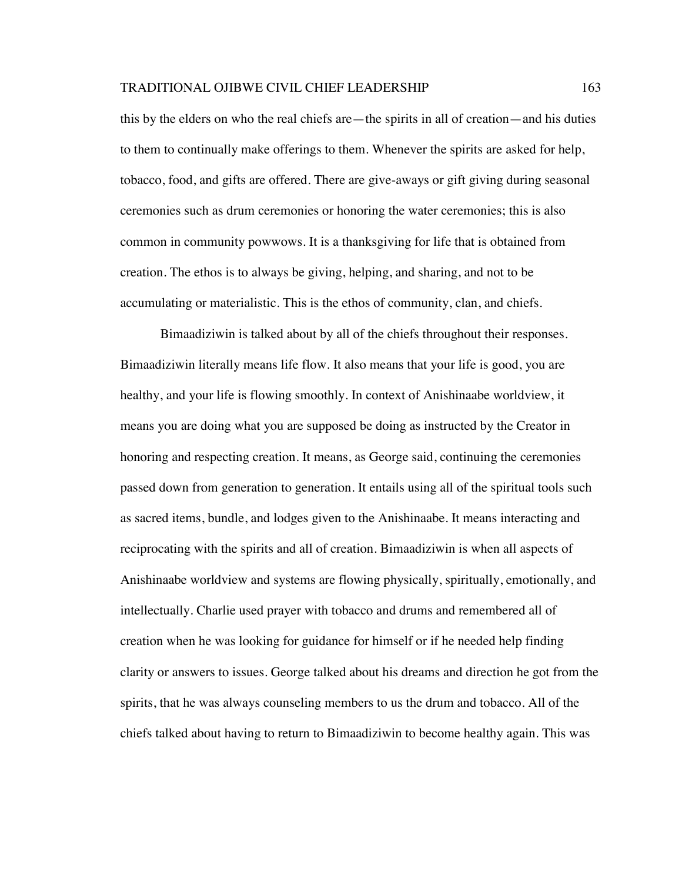this by the elders on who the real chiefs are—the spirits in all of creation—and his duties to them to continually make offerings to them. Whenever the spirits are asked for help, tobacco, food, and gifts are offered. There are give-aways or gift giving during seasonal ceremonies such as drum ceremonies or honoring the water ceremonies; this is also common in community powwows. It is a thanksgiving for life that is obtained from creation. The ethos is to always be giving, helping, and sharing, and not to be accumulating or materialistic. This is the ethos of community, clan, and chiefs.

Bimaadiziwin is talked about by all of the chiefs throughout their responses. Bimaadiziwin literally means life flow. It also means that your life is good, you are healthy, and your life is flowing smoothly. In context of Anishinaabe worldview, it means you are doing what you are supposed be doing as instructed by the Creator in honoring and respecting creation. It means, as George said, continuing the ceremonies passed down from generation to generation. It entails using all of the spiritual tools such as sacred items, bundle, and lodges given to the Anishinaabe. It means interacting and reciprocating with the spirits and all of creation. Bimaadiziwin is when all aspects of Anishinaabe worldview and systems are flowing physically, spiritually, emotionally, and intellectually. Charlie used prayer with tobacco and drums and remembered all of creation when he was looking for guidance for himself or if he needed help finding clarity or answers to issues. George talked about his dreams and direction he got from the spirits, that he was always counseling members to us the drum and tobacco. All of the chiefs talked about having to return to Bimaadiziwin to become healthy again. This was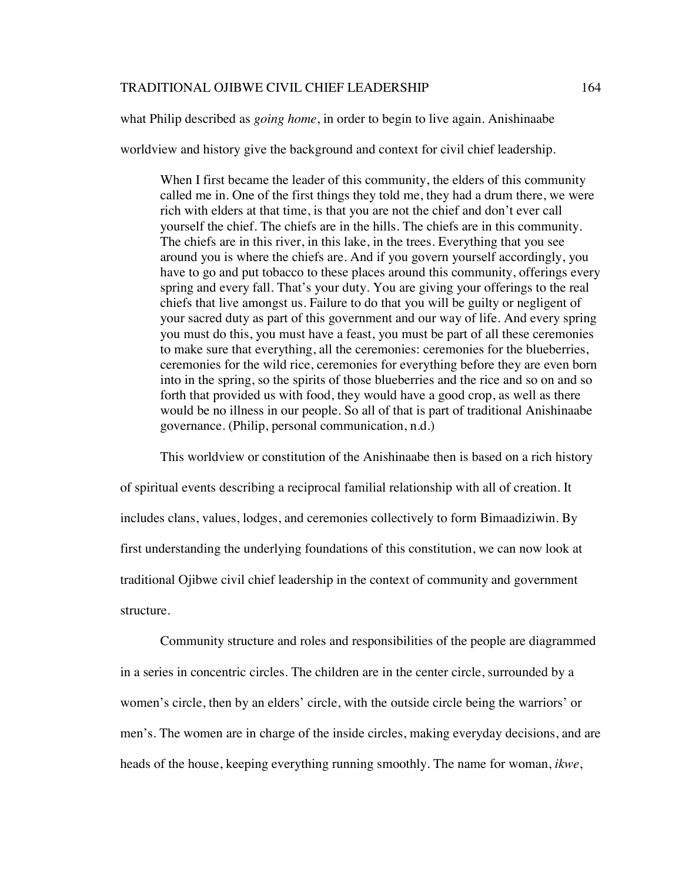what Philip described as *going home*, in order to begin to live again. Anishinaabe

worldview and history give the background and context for civil chief leadership.

When I first became the leader of this community, the elders of this community called me in. One of the first things they told me, they had a drum there, we were rich with elders at that time, is that you are not the chief and don't ever call yourself the chief. The chiefs are in the hills. The chiefs are in this community. The chiefs are in this river, in this lake, in the trees. Everything that you see around you is where the chiefs are. And if you govern yourself accordingly, you have to go and put tobacco to these places around this community, offerings every spring and every fall. That's your duty. You are giving your offerings to the real chiefs that live amongst us. Failure to do that you will be guilty or negligent of your sacred duty as part of this government and our way of life. And every spring you must do this, you must have a feast, you must be part of all these ceremonies to make sure that everything, all the ceremonies: ceremonies for the blueberries, ceremonies for the wild rice, ceremonies for everything before they are even born into in the spring, so the spirits of those blueberries and the rice and so on and so forth that provided us with food, they would have a good crop, as well as there would be no illness in our people. So all of that is part of traditional Anishinaabe governance. (Philip, personal communication, n.d.)

This worldview or constitution of the Anishinaabe then is based on a rich history of spiritual events describing a reciprocal familial relationship with all of creation. It includes clans, values, lodges, and ceremonies collectively to form Bimaadiziwin. By first understanding the underlying foundations of this constitution, we can now look at traditional Ojibwe civil chief leadership in the context of community and government structure.

Community structure and roles and responsibilities of the people are diagrammed in a series in concentric circles. The children are in the center circle, surrounded by a women's circle, then by an elders' circle, with the outside circle being the warriors' or men's. The women are in charge of the inside circles, making everyday decisions, and are heads of the house, keeping everything running smoothly. The name for woman, *ikwe*,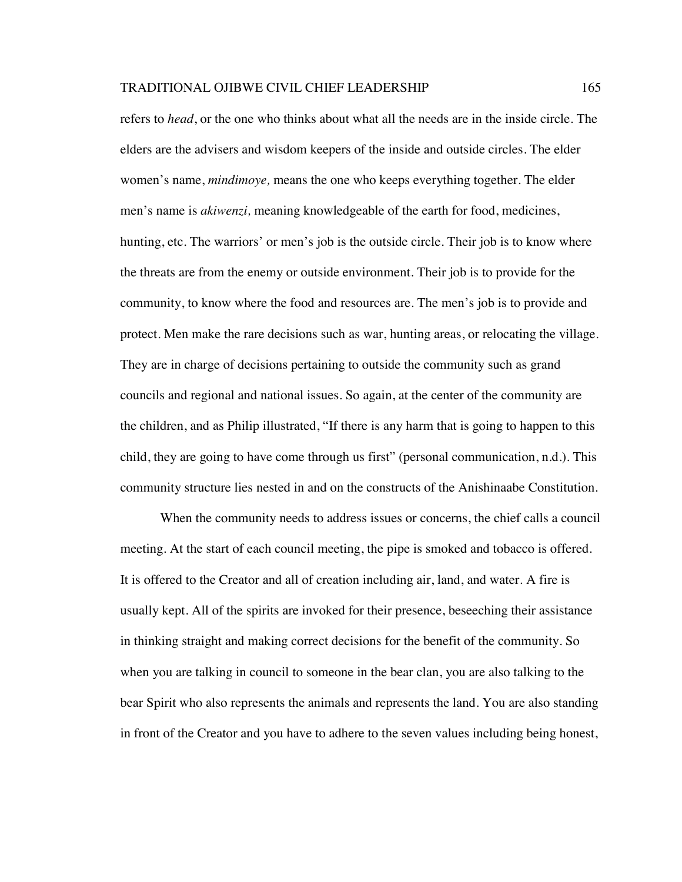refers to *head*, or the one who thinks about what all the needs are in the inside circle. The elders are the advisers and wisdom keepers of the inside and outside circles. The elder women's name, *mindimoye,* means the one who keeps everything together. The elder men's name is *akiwenzi,* meaning knowledgeable of the earth for food, medicines, hunting, etc. The warriors' or men's job is the outside circle. Their job is to know where the threats are from the enemy or outside environment. Their job is to provide for the community, to know where the food and resources are. The men's job is to provide and protect. Men make the rare decisions such as war, hunting areas, or relocating the village. They are in charge of decisions pertaining to outside the community such as grand councils and regional and national issues. So again, at the center of the community are the children, and as Philip illustrated, "If there is any harm that is going to happen to this child, they are going to have come through us first" (personal communication, n.d.). This community structure lies nested in and on the constructs of the Anishinaabe Constitution.

When the community needs to address issues or concerns, the chief calls a council meeting. At the start of each council meeting, the pipe is smoked and tobacco is offered. It is offered to the Creator and all of creation including air, land, and water. A fire is usually kept. All of the spirits are invoked for their presence, beseeching their assistance in thinking straight and making correct decisions for the benefit of the community. So when you are talking in council to someone in the bear clan, you are also talking to the bear Spirit who also represents the animals and represents the land. You are also standing in front of the Creator and you have to adhere to the seven values including being honest,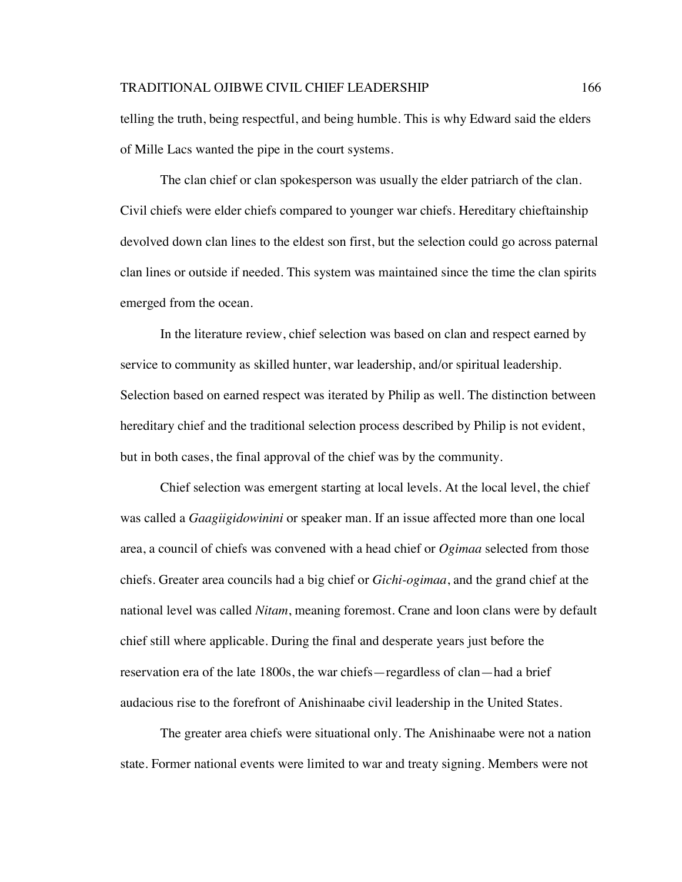telling the truth, being respectful, and being humble. This is why Edward said the elders of Mille Lacs wanted the pipe in the court systems.

The clan chief or clan spokesperson was usually the elder patriarch of the clan. Civil chiefs were elder chiefs compared to younger war chiefs. Hereditary chieftainship devolved down clan lines to the eldest son first, but the selection could go across paternal clan lines or outside if needed. This system was maintained since the time the clan spirits emerged from the ocean.

In the literature review, chief selection was based on clan and respect earned by service to community as skilled hunter, war leadership, and/or spiritual leadership. Selection based on earned respect was iterated by Philip as well. The distinction between hereditary chief and the traditional selection process described by Philip is not evident, but in both cases, the final approval of the chief was by the community.

Chief selection was emergent starting at local levels. At the local level, the chief was called a *Gaagiigidowinini* or speaker man. If an issue affected more than one local area, a council of chiefs was convened with a head chief or *Ogimaa* selected from those chiefs. Greater area councils had a big chief or *Gichi-ogimaa*, and the grand chief at the national level was called *Nitam*, meaning foremost. Crane and loon clans were by default chief still where applicable. During the final and desperate years just before the reservation era of the late 1800s, the war chiefs—regardless of clan—had a brief audacious rise to the forefront of Anishinaabe civil leadership in the United States.

The greater area chiefs were situational only. The Anishinaabe were not a nation state. Former national events were limited to war and treaty signing. Members were not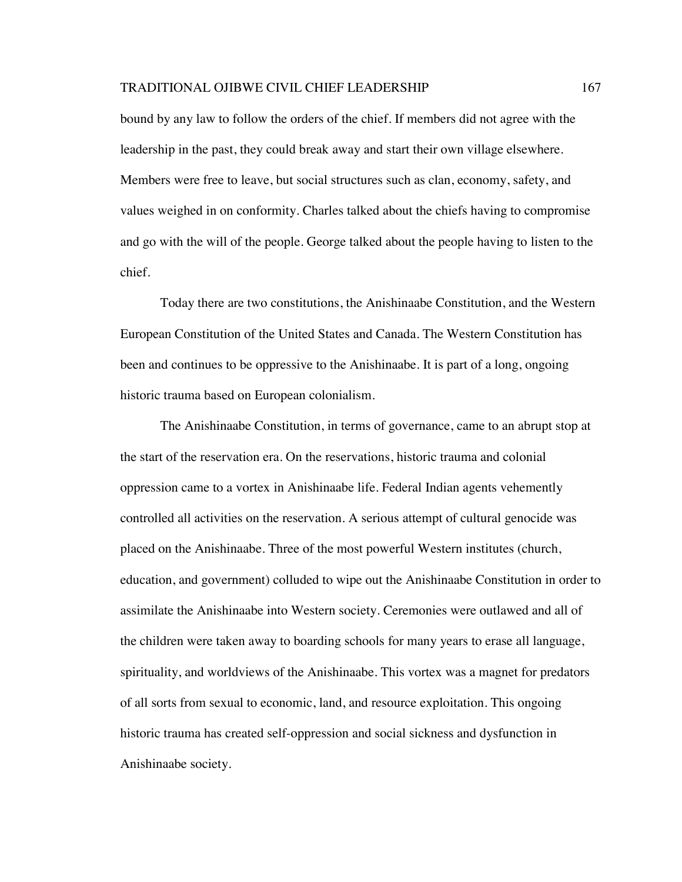bound by any law to follow the orders of the chief. If members did not agree with the leadership in the past, they could break away and start their own village elsewhere. Members were free to leave, but social structures such as clan, economy, safety, and values weighed in on conformity. Charles talked about the chiefs having to compromise and go with the will of the people. George talked about the people having to listen to the chief.

Today there are two constitutions, the Anishinaabe Constitution, and the Western European Constitution of the United States and Canada. The Western Constitution has been and continues to be oppressive to the Anishinaabe. It is part of a long, ongoing historic trauma based on European colonialism.

The Anishinaabe Constitution, in terms of governance, came to an abrupt stop at the start of the reservation era. On the reservations, historic trauma and colonial oppression came to a vortex in Anishinaabe life. Federal Indian agents vehemently controlled all activities on the reservation. A serious attempt of cultural genocide was placed on the Anishinaabe. Three of the most powerful Western institutes (church, education, and government) colluded to wipe out the Anishinaabe Constitution in order to assimilate the Anishinaabe into Western society. Ceremonies were outlawed and all of the children were taken away to boarding schools for many years to erase all language, spirituality, and worldviews of the Anishinaabe. This vortex was a magnet for predators of all sorts from sexual to economic, land, and resource exploitation. This ongoing historic trauma has created self-oppression and social sickness and dysfunction in Anishinaabe society.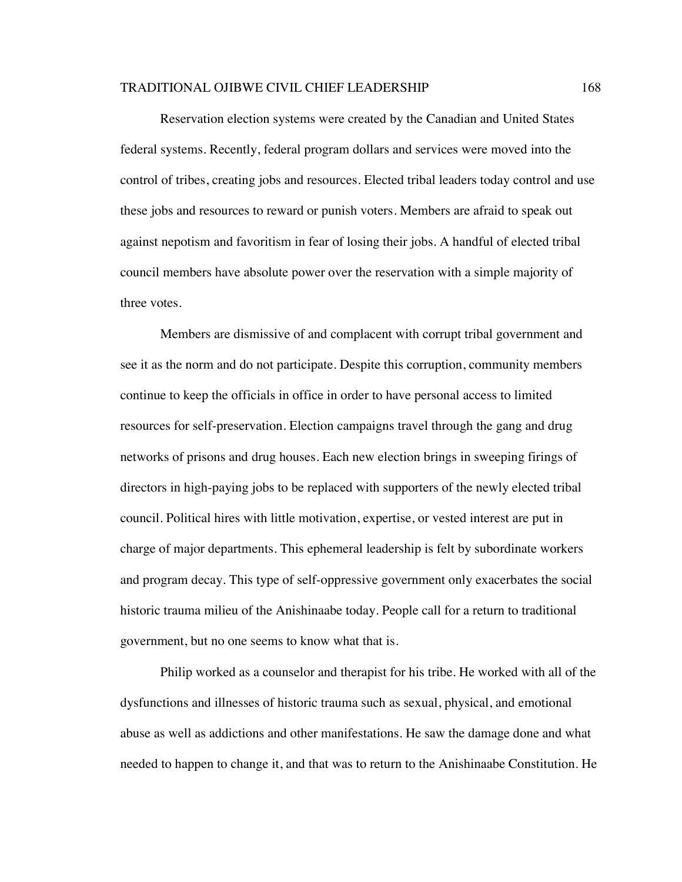Reservation election systems were created by the Canadian and United States federal systems. Recently, federal program dollars and services were moved into the control of tribes, creating jobs and resources. Elected tribal leaders today control and use these jobs and resources to reward or punish voters. Members are afraid to speak out against nepotism and favoritism in fear of losing their jobs. A handful of elected tribal council members have absolute power over the reservation with a simple majority of three votes.

Members are dismissive of and complacent with corrupt tribal government and see it as the norm and do not participate. Despite this corruption, community members continue to keep the officials in office in order to have personal access to limited resources for self-preservation. Election campaigns travel through the gang and drug networks of prisons and drug houses. Each new election brings in sweeping firings of directors in high-paying jobs to be replaced with supporters of the newly elected tribal council. Political hires with little motivation, expertise, or vested interest are put in charge of major departments. This ephemeral leadership is felt by subordinate workers and program decay. This type of self-oppressive government only exacerbates the social historic trauma milieu of the Anishinaabe today. People call for a return to traditional government, but no one seems to know what that is.

Philip worked as a counselor and therapist for his tribe. He worked with all of the dysfunctions and illnesses of historic trauma such as sexual, physical, and emotional abuse as well as addictions and other manifestations. He saw the damage done and what needed to happen to change it, and that was to return to the Anishinaabe Constitution. He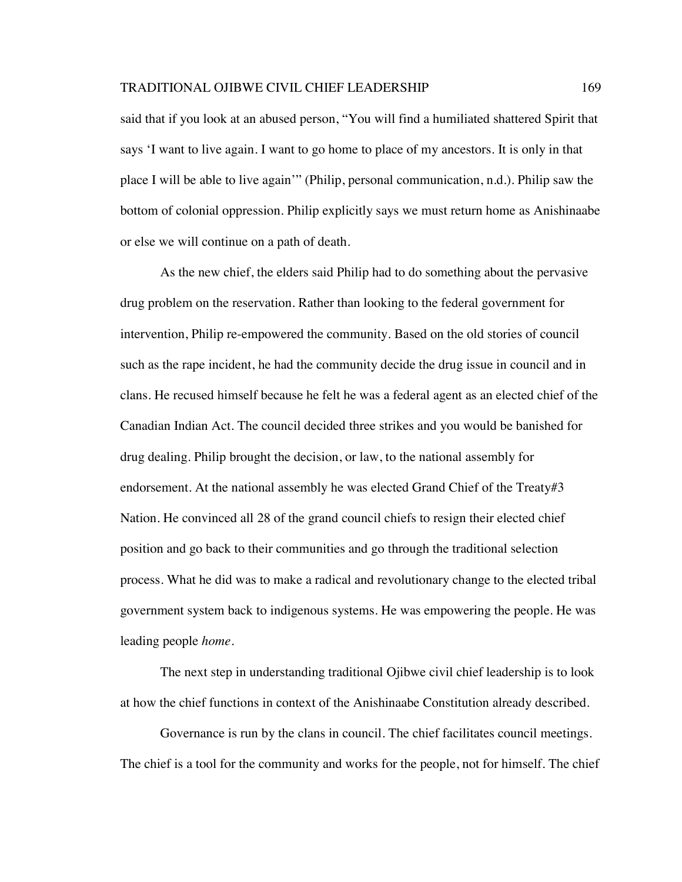said that if you look at an abused person, "You will find a humiliated shattered Spirit that says 'I want to live again. I want to go home to place of my ancestors. It is only in that place I will be able to live again'" (Philip, personal communication, n.d.). Philip saw the bottom of colonial oppression. Philip explicitly says we must return home as Anishinaabe or else we will continue on a path of death.

As the new chief, the elders said Philip had to do something about the pervasive drug problem on the reservation. Rather than looking to the federal government for intervention, Philip re-empowered the community. Based on the old stories of council such as the rape incident, he had the community decide the drug issue in council and in clans. He recused himself because he felt he was a federal agent as an elected chief of the Canadian Indian Act. The council decided three strikes and you would be banished for drug dealing. Philip brought the decision, or law, to the national assembly for endorsement. At the national assembly he was elected Grand Chief of the Treaty#3 Nation. He convinced all 28 of the grand council chiefs to resign their elected chief position and go back to their communities and go through the traditional selection process. What he did was to make a radical and revolutionary change to the elected tribal government system back to indigenous systems. He was empowering the people. He was leading people *home*.

The next step in understanding traditional Ojibwe civil chief leadership is to look at how the chief functions in context of the Anishinaabe Constitution already described.

Governance is run by the clans in council. The chief facilitates council meetings. The chief is a tool for the community and works for the people, not for himself. The chief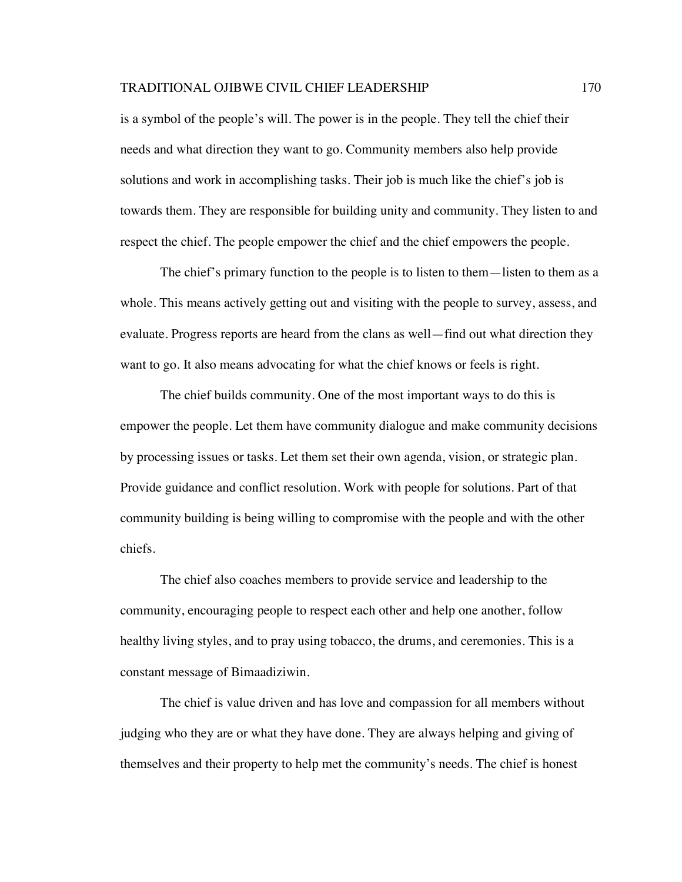is a symbol of the people's will. The power is in the people. They tell the chief their needs and what direction they want to go. Community members also help provide solutions and work in accomplishing tasks. Their job is much like the chief's job is towards them. They are responsible for building unity and community. They listen to and respect the chief. The people empower the chief and the chief empowers the people.

The chief's primary function to the people is to listen to them—listen to them as a whole. This means actively getting out and visiting with the people to survey, assess, and evaluate. Progress reports are heard from the clans as well—find out what direction they want to go. It also means advocating for what the chief knows or feels is right.

The chief builds community. One of the most important ways to do this is empower the people. Let them have community dialogue and make community decisions by processing issues or tasks. Let them set their own agenda, vision, or strategic plan. Provide guidance and conflict resolution. Work with people for solutions. Part of that community building is being willing to compromise with the people and with the other chiefs.

The chief also coaches members to provide service and leadership to the community, encouraging people to respect each other and help one another, follow healthy living styles, and to pray using tobacco, the drums, and ceremonies. This is a constant message of Bimaadiziwin.

The chief is value driven and has love and compassion for all members without judging who they are or what they have done. They are always helping and giving of themselves and their property to help met the community's needs. The chief is honest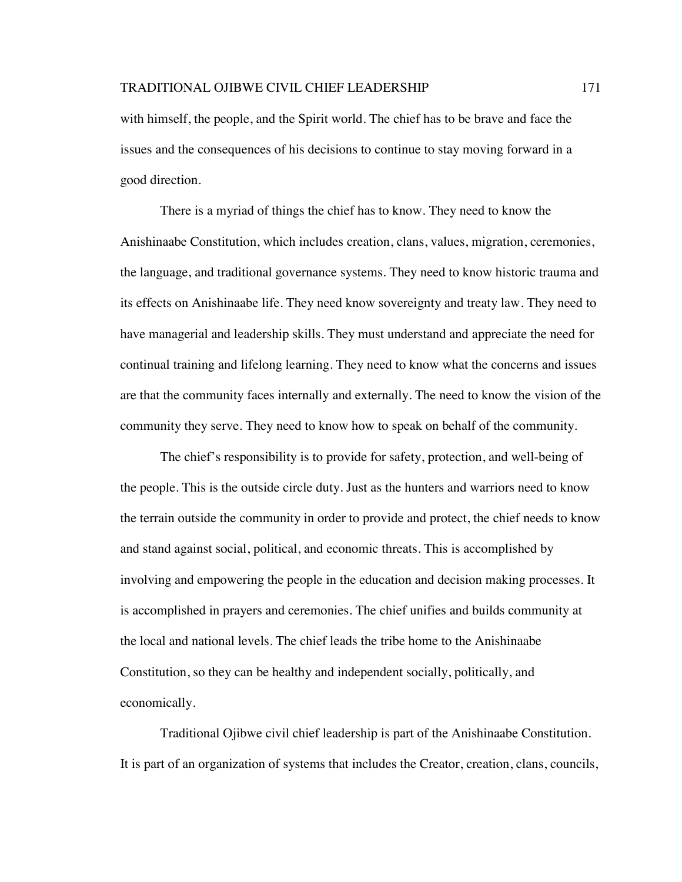with himself, the people, and the Spirit world. The chief has to be brave and face the issues and the consequences of his decisions to continue to stay moving forward in a good direction.

There is a myriad of things the chief has to know. They need to know the Anishinaabe Constitution, which includes creation, clans, values, migration, ceremonies, the language, and traditional governance systems. They need to know historic trauma and its effects on Anishinaabe life. They need know sovereignty and treaty law. They need to have managerial and leadership skills. They must understand and appreciate the need for continual training and lifelong learning. They need to know what the concerns and issues are that the community faces internally and externally. The need to know the vision of the community they serve. They need to know how to speak on behalf of the community.

The chief's responsibility is to provide for safety, protection, and well-being of the people. This is the outside circle duty. Just as the hunters and warriors need to know the terrain outside the community in order to provide and protect, the chief needs to know and stand against social, political, and economic threats. This is accomplished by involving and empowering the people in the education and decision making processes. It is accomplished in prayers and ceremonies. The chief unifies and builds community at the local and national levels. The chief leads the tribe home to the Anishinaabe Constitution, so they can be healthy and independent socially, politically, and economically.

Traditional Ojibwe civil chief leadership is part of the Anishinaabe Constitution. It is part of an organization of systems that includes the Creator, creation, clans, councils,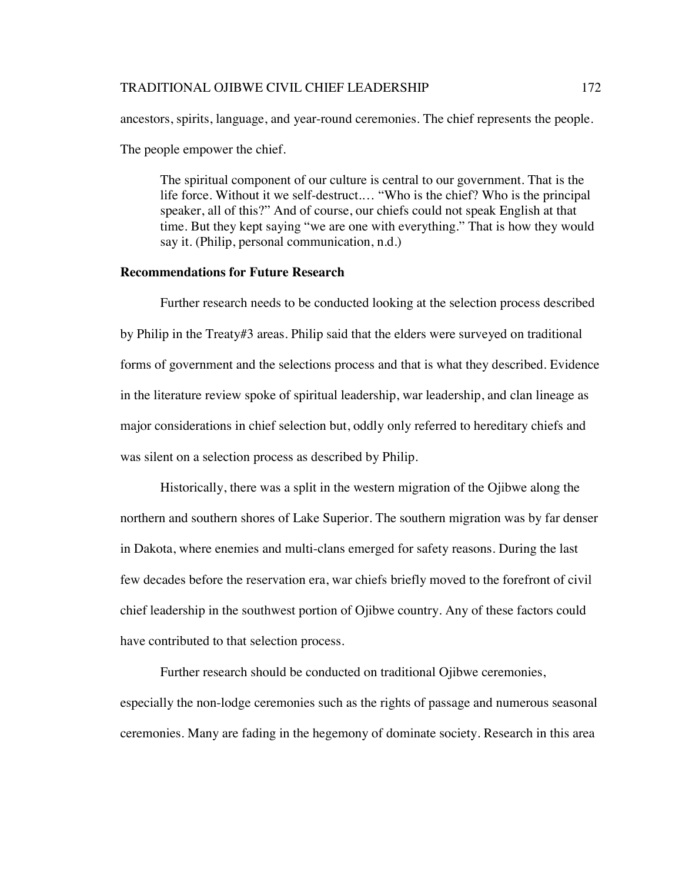ancestors, spirits, language, and year-round ceremonies. The chief represents the people.

The people empower the chief.

The spiritual component of our culture is central to our government. That is the life force. Without it we self-destruct.… "Who is the chief? Who is the principal speaker, all of this?" And of course, our chiefs could not speak English at that time. But they kept saying "we are one with everything." That is how they would say it. (Philip, personal communication, n.d.)

# **Recommendations for Future Research**

Further research needs to be conducted looking at the selection process described by Philip in the Treaty#3 areas. Philip said that the elders were surveyed on traditional forms of government and the selections process and that is what they described. Evidence in the literature review spoke of spiritual leadership, war leadership, and clan lineage as major considerations in chief selection but, oddly only referred to hereditary chiefs and was silent on a selection process as described by Philip.

Historically, there was a split in the western migration of the Ojibwe along the northern and southern shores of Lake Superior. The southern migration was by far denser in Dakota, where enemies and multi-clans emerged for safety reasons. During the last few decades before the reservation era, war chiefs briefly moved to the forefront of civil chief leadership in the southwest portion of Ojibwe country. Any of these factors could have contributed to that selection process.

Further research should be conducted on traditional Ojibwe ceremonies, especially the non-lodge ceremonies such as the rights of passage and numerous seasonal ceremonies. Many are fading in the hegemony of dominate society. Research in this area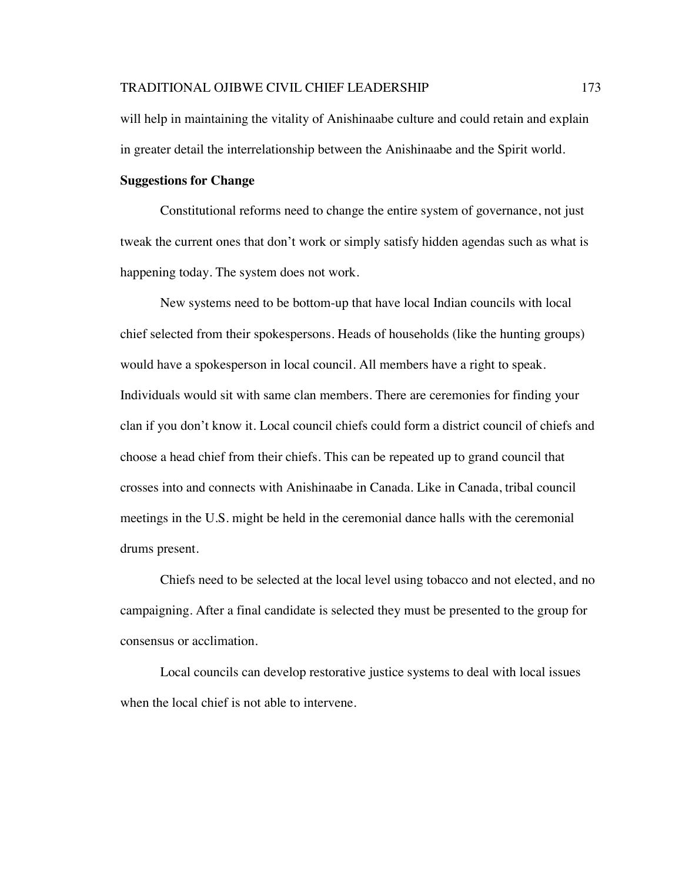will help in maintaining the vitality of Anishinaabe culture and could retain and explain in greater detail the interrelationship between the Anishinaabe and the Spirit world.

# **Suggestions for Change**

Constitutional reforms need to change the entire system of governance, not just tweak the current ones that don't work or simply satisfy hidden agendas such as what is happening today. The system does not work.

New systems need to be bottom-up that have local Indian councils with local chief selected from their spokespersons. Heads of households (like the hunting groups) would have a spokesperson in local council. All members have a right to speak. Individuals would sit with same clan members. There are ceremonies for finding your clan if you don't know it. Local council chiefs could form a district council of chiefs and choose a head chief from their chiefs. This can be repeated up to grand council that crosses into and connects with Anishinaabe in Canada. Like in Canada, tribal council meetings in the U.S. might be held in the ceremonial dance halls with the ceremonial drums present.

Chiefs need to be selected at the local level using tobacco and not elected, and no campaigning. After a final candidate is selected they must be presented to the group for consensus or acclimation.

Local councils can develop restorative justice systems to deal with local issues when the local chief is not able to intervene.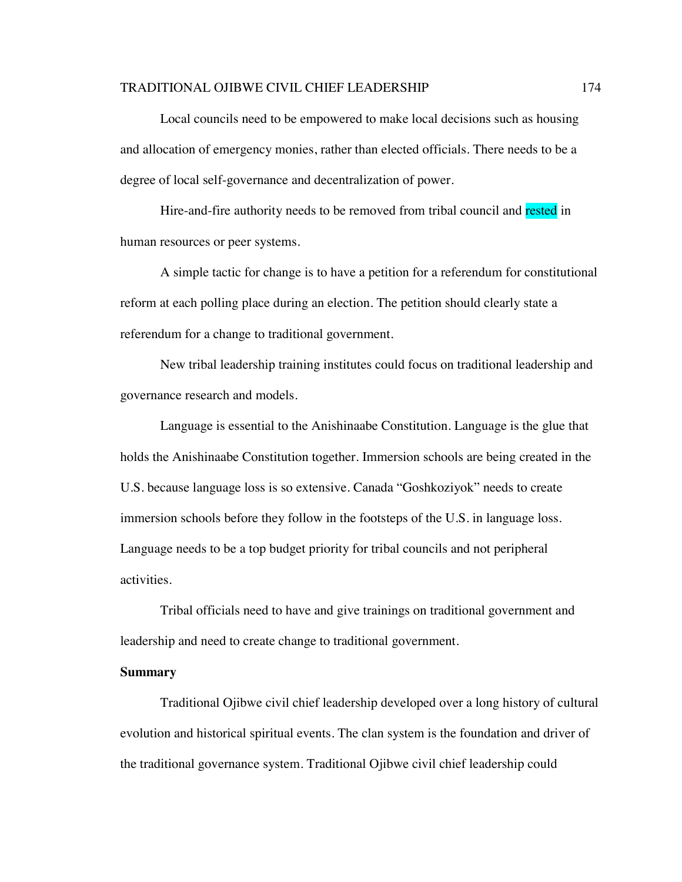#### TRADITIONAL OJIBWE CIVIL CHIEF LEADERSHIP 174

Local councils need to be empowered to make local decisions such as housing and allocation of emergency monies, rather than elected officials. There needs to be a degree of local self-governance and decentralization of power.

Hire-and-fire authority needs to be removed from tribal council and rested in human resources or peer systems.

A simple tactic for change is to have a petition for a referendum for constitutional reform at each polling place during an election. The petition should clearly state a referendum for a change to traditional government.

New tribal leadership training institutes could focus on traditional leadership and governance research and models.

Language is essential to the Anishinaabe Constitution. Language is the glue that holds the Anishinaabe Constitution together. Immersion schools are being created in the U.S. because language loss is so extensive. Canada "Goshkoziyok" needs to create immersion schools before they follow in the footsteps of the U.S. in language loss. Language needs to be a top budget priority for tribal councils and not peripheral activities.

Tribal officials need to have and give trainings on traditional government and leadership and need to create change to traditional government.

#### **Summary**

Traditional Ojibwe civil chief leadership developed over a long history of cultural evolution and historical spiritual events. The clan system is the foundation and driver of the traditional governance system. Traditional Ojibwe civil chief leadership could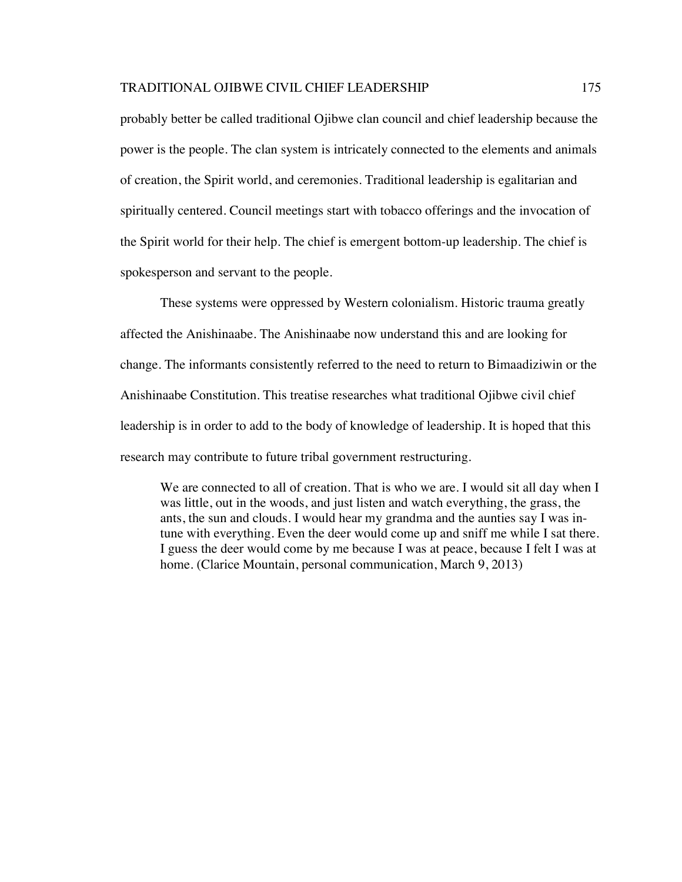# TRADITIONAL OJIBWE CIVIL CHIEF LEADERSHIP 175

probably better be called traditional Ojibwe clan council and chief leadership because the power is the people. The clan system is intricately connected to the elements and animals of creation, the Spirit world, and ceremonies. Traditional leadership is egalitarian and spiritually centered. Council meetings start with tobacco offerings and the invocation of the Spirit world for their help. The chief is emergent bottom-up leadership. The chief is spokesperson and servant to the people.

These systems were oppressed by Western colonialism. Historic trauma greatly affected the Anishinaabe. The Anishinaabe now understand this and are looking for change. The informants consistently referred to the need to return to Bimaadiziwin or the Anishinaabe Constitution. This treatise researches what traditional Ojibwe civil chief leadership is in order to add to the body of knowledge of leadership. It is hoped that this research may contribute to future tribal government restructuring.

We are connected to all of creation. That is who we are. I would sit all day when I was little, out in the woods, and just listen and watch everything, the grass, the ants, the sun and clouds. I would hear my grandma and the aunties say I was intune with everything. Even the deer would come up and sniff me while I sat there. I guess the deer would come by me because I was at peace, because I felt I was at home. (Clarice Mountain, personal communication, March 9, 2013)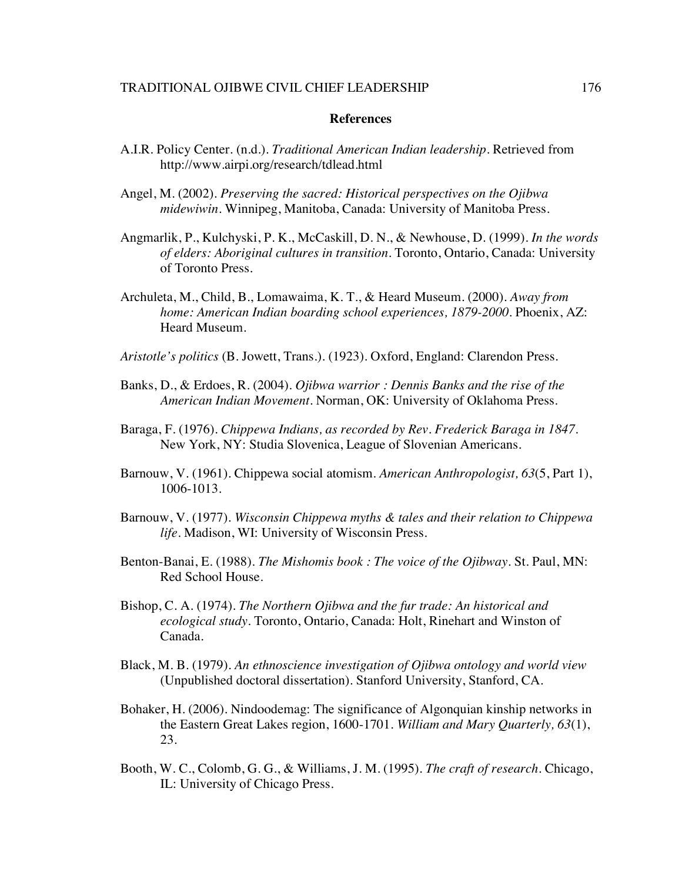# **References**

- A.I.R. Policy Center. (n.d.). *Traditional American Indian leadership.* Retrieved from http://www.airpi.org/research/tdlead.html
- Angel, M. (2002). *Preserving the sacred: Historical perspectives on the Ojibwa midewiwin*. Winnipeg, Manitoba, Canada: University of Manitoba Press.
- Angmarlik, P., Kulchyski, P. K., McCaskill, D. N., & Newhouse, D. (1999). *In the words of elders: Aboriginal cultures in transition*. Toronto, Ontario, Canada: University of Toronto Press.
- Archuleta, M., Child, B., Lomawaima, K. T., & Heard Museum. (2000). *Away from home: American Indian boarding school experiences, 1879-2000*. Phoenix, AZ: Heard Museum.
- *Aristotle's politics* (B. Jowett, Trans.). (1923). Oxford, England: Clarendon Press.
- Banks, D., & Erdoes, R. (2004). *Ojibwa warrior : Dennis Banks and the rise of the American Indian Movement*. Norman, OK: University of Oklahoma Press.
- Baraga, F. (1976). *Chippewa Indians, as recorded by Rev. Frederick Baraga in 1847*. New York, NY: Studia Slovenica, League of Slovenian Americans.
- Barnouw, V. (1961). Chippewa social atomism. *American Anthropologist, 63*(5, Part 1), 1006-1013.
- Barnouw, V. (1977). *Wisconsin Chippewa myths & tales and their relation to Chippewa life*. Madison, WI: University of Wisconsin Press.
- Benton-Banai, E. (1988). *The Mishomis book : The voice of the Ojibway*. St. Paul, MN: Red School House.
- Bishop, C. A. (1974). *The Northern Ojibwa and the fur trade: An historical and ecological study.* Toronto, Ontario, Canada: Holt, Rinehart and Winston of Canada.
- Black, M. B. (1979). *An ethnoscience investigation of Ojibwa ontology and world view*  (Unpublished doctoral dissertation). Stanford University, Stanford, CA.
- Bohaker, H. (2006). Nindoodemag: The significance of Algonquian kinship networks in the Eastern Great Lakes region, 1600-1701. *William and Mary Quarterly, 63*(1), 23.
- Booth, W. C., Colomb, G. G., & Williams, J. M. (1995). *The craft of research*. Chicago, IL: University of Chicago Press.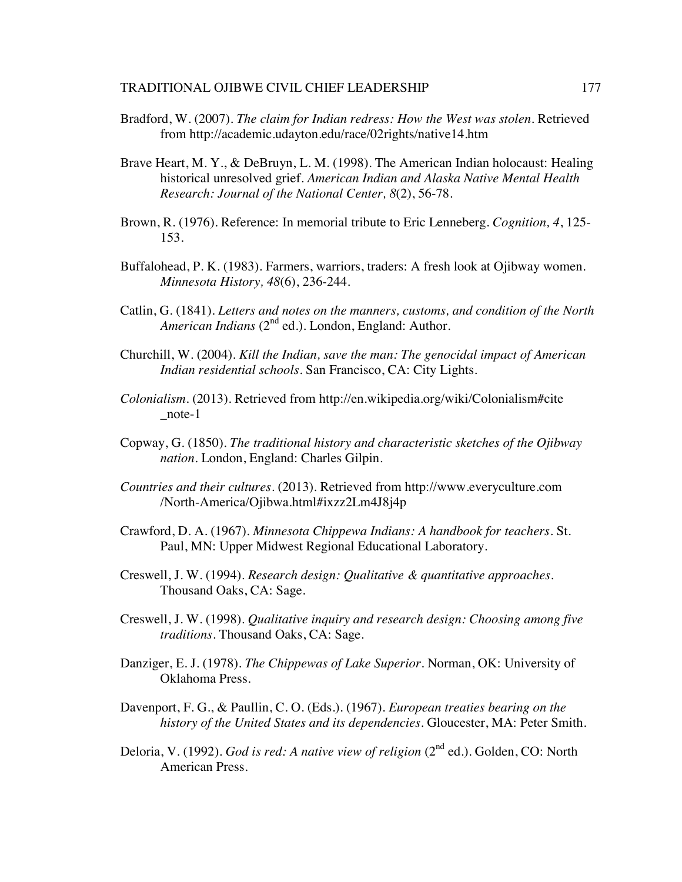- Bradford, W. (2007). *The claim for Indian redress: How the West was stolen.* Retrieved from http://academic.udayton.edu/race/02rights/native14.htm
- Brave Heart, M. Y., & DeBruyn, L. M. (1998). The American Indian holocaust: Healing historical unresolved grief. *American Indian and Alaska Native Mental Health Research: Journal of the National Center, 8*(2), 56-78.
- Brown, R. (1976). Reference: In memorial tribute to Eric Lenneberg. *Cognition, 4*, 125- 153.
- Buffalohead, P. K. (1983). Farmers, warriors, traders: A fresh look at Ojibway women. *Minnesota History, 48*(6), 236-244.
- Catlin, G. (1841). *Letters and notes on the manners, customs, and condition of the North*  American Indians (2<sup>nd</sup> ed.). London, England: Author.
- Churchill, W. (2004). *Kill the Indian, save the man: The genocidal impact of American Indian residential schools.* San Francisco, CA: City Lights.
- *Colonialism.* (2013). Retrieved from http://en.wikipedia.org/wiki/Colonialism#cite \_note-1
- Copway, G. (1850). *The traditional history and characteristic sketches of the Ojibway nation*. London, England: Charles Gilpin.
- *Countries and their cultures*. (2013). Retrieved from http://www.everyculture.com /North-America/Ojibwa.html#ixzz2Lm4J8j4p
- Crawford, D. A. (1967). *Minnesota Chippewa Indians: A handbook for teachers*. St. Paul, MN: Upper Midwest Regional Educational Laboratory.
- Creswell, J. W. (1994). *Research design: Qualitative & quantitative approaches*. Thousand Oaks, CA: Sage.
- Creswell, J. W. (1998). *Qualitative inquiry and research design: Choosing among five traditions*. Thousand Oaks, CA: Sage.
- Danziger, E. J. (1978). *The Chippewas of Lake Superior*. Norman, OK: University of Oklahoma Press.
- Davenport, F. G., & Paullin, C. O. (Eds.). (1967). *European treaties bearing on the history of the United States and its dependencies*. Gloucester, MA: Peter Smith.
- Deloria, V. (1992). *God is red: A native view of religion* (2nd ed.). Golden, CO: North American Press.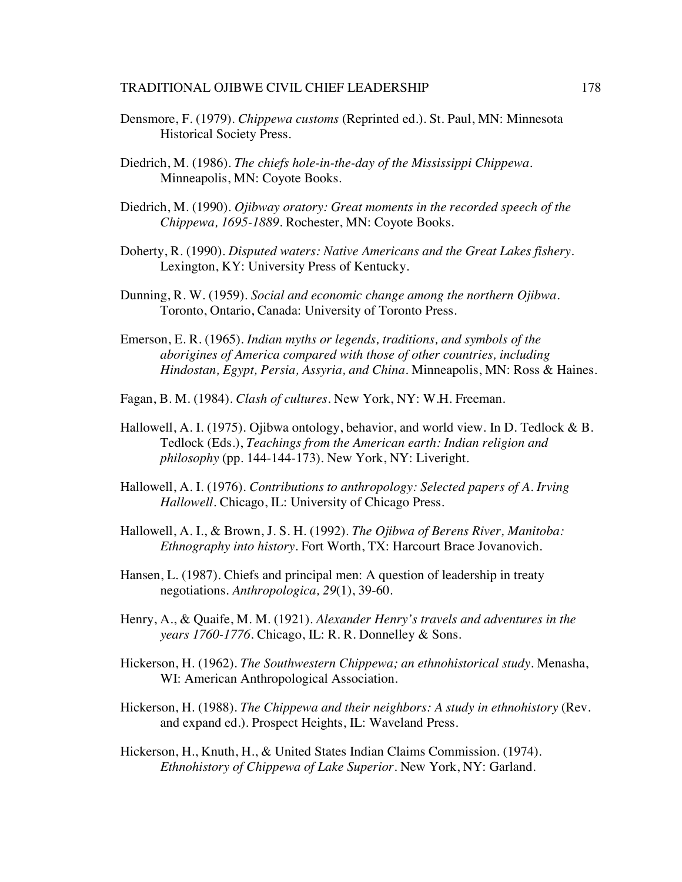#### TRADITIONAL OJIBWE CIVIL CHIEF LEADERSHIP 178

- Densmore, F. (1979). *Chippewa customs* (Reprinted ed.). St. Paul, MN: Minnesota Historical Society Press.
- Diedrich, M. (1986). *The chiefs hole-in-the-day of the Mississippi Chippewa*. Minneapolis, MN: Coyote Books.
- Diedrich, M. (1990). *Ojibway oratory: Great moments in the recorded speech of the Chippewa, 1695-1889*. Rochester, MN: Coyote Books.
- Doherty, R. (1990). *Disputed waters: Native Americans and the Great Lakes fishery*. Lexington, KY: University Press of Kentucky.
- Dunning, R. W. (1959). *Social and economic change among the northern Ojibwa.* Toronto, Ontario, Canada: University of Toronto Press.
- Emerson, E. R. (1965). *Indian myths or legends, traditions, and symbols of the aborigines of America compared with those of other countries, including Hindostan, Egypt, Persia, Assyria, and China*. Minneapolis, MN: Ross & Haines.
- Fagan, B. M. (1984). *Clash of cultures*. New York, NY: W.H. Freeman.
- Hallowell, A. I. (1975). Ojibwa ontology, behavior, and world view. In D. Tedlock & B. Tedlock (Eds.), *Teachings from the American earth: Indian religion and philosophy* (pp. 144-144-173). New York, NY: Liveright.
- Hallowell, A. I. (1976). *Contributions to anthropology: Selected papers of A. Irving Hallowell*. Chicago, IL: University of Chicago Press.
- Hallowell, A. I., & Brown, J. S. H. (1992). *The Ojibwa of Berens River, Manitoba: Ethnography into history*. Fort Worth, TX: Harcourt Brace Jovanovich.
- Hansen, L. (1987). Chiefs and principal men: A question of leadership in treaty negotiations. *Anthropologica, 29*(1), 39-60.
- Henry, A., & Quaife, M. M. (1921). *Alexander Henry's travels and adventures in the years 1760-1776*. Chicago, IL: R. R. Donnelley & Sons.
- Hickerson, H. (1962). *The Southwestern Chippewa; an ethnohistorical study*. Menasha, WI: American Anthropological Association.
- Hickerson, H. (1988). *The Chippewa and their neighbors: A study in ethnohistory* (Rev. and expand ed.). Prospect Heights, IL: Waveland Press.
- Hickerson, H., Knuth, H., & United States Indian Claims Commission. (1974). *Ethnohistory of Chippewa of Lake Superior*. New York, NY: Garland.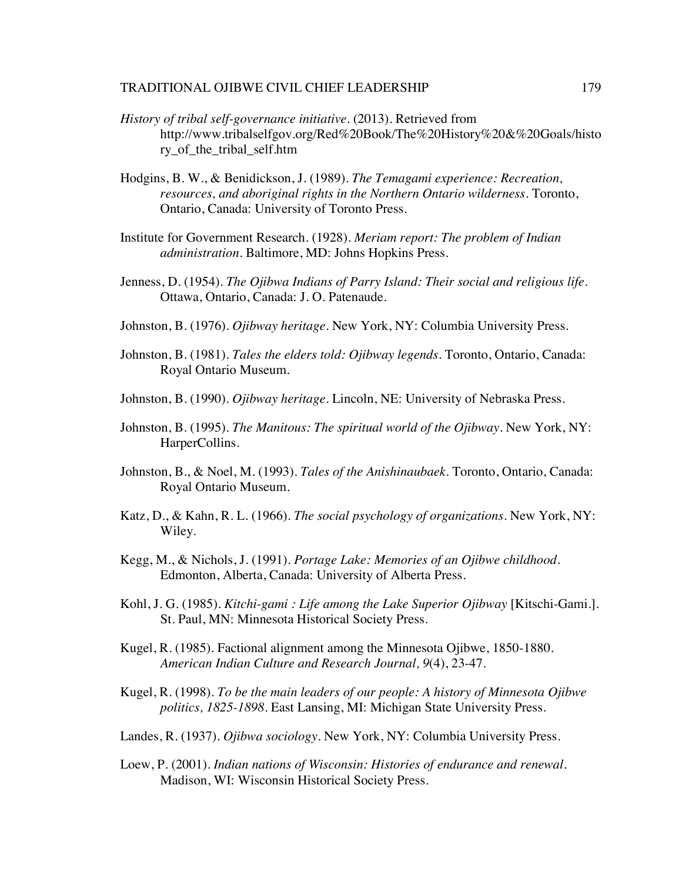- *History of tribal self-governance initiative.* (2013). Retrieved from http://www.tribalselfgov.org/Red%20Book/The%20History%20&%20Goals/histo ry\_of\_the\_tribal\_self.htm
- Hodgins, B. W., & Benidickson, J. (1989). *The Temagami experience: Recreation, resources, and aboriginal rights in the Northern Ontario wilderness*. Toronto, Ontario, Canada: University of Toronto Press.
- Institute for Government Research. (1928). *Meriam report: The problem of Indian administration*. Baltimore, MD: Johns Hopkins Press.
- Jenness, D. (1954). *The Ojibwa Indians of Parry Island: Their social and religious life*. Ottawa, Ontario, Canada: J. O. Patenaude.
- Johnston, B. (1976). *Ojibway heritage*. New York, NY: Columbia University Press.
- Johnston, B. (1981). *Tales the elders told: Ojibway legends*. Toronto, Ontario, Canada: Royal Ontario Museum.
- Johnston, B. (1990). *Ojibway heritage*. Lincoln, NE: University of Nebraska Press.
- Johnston, B. (1995). *The Manitous: The spiritual world of the Ojibway*. New York, NY: HarperCollins.
- Johnston, B., & Noel, M. (1993). *Tales of the Anishinaubaek*. Toronto, Ontario, Canada: Royal Ontario Museum.
- Katz, D., & Kahn, R. L. (1966). *The social psychology of organizations*. New York, NY: Wiley.
- Kegg, M., & Nichols, J. (1991). *Portage Lake: Memories of an Ojibwe childhood*. Edmonton, Alberta, Canada: University of Alberta Press.
- Kohl, J. G. (1985). *Kitchi-gami : Life among the Lake Superior Ojibway* [Kitschi-Gami.]. St. Paul, MN: Minnesota Historical Society Press.
- Kugel, R. (1985). Factional alignment among the Minnesota Ojibwe, 1850-1880. *American Indian Culture and Research Journal, 9*(4), 23-47.
- Kugel, R. (1998). *To be the main leaders of our people: A history of Minnesota Ojibwe politics, 1825-1898*. East Lansing, MI: Michigan State University Press.
- Landes, R. (1937). *Ojibwa sociology*. New York, NY: Columbia University Press.
- Loew, P. (2001). *Indian nations of Wisconsin: Histories of endurance and renewal*. Madison, WI: Wisconsin Historical Society Press.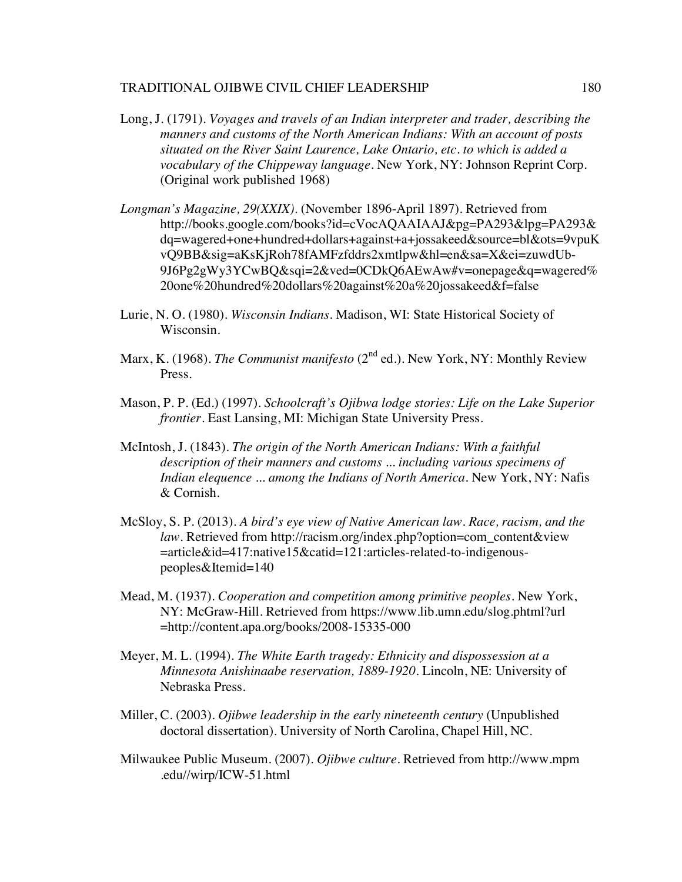- Long, J. (1791). *Voyages and travels of an Indian interpreter and trader, describing the manners and customs of the North American Indians: With an account of posts situated on the River Saint Laurence, Lake Ontario, etc. to which is added a vocabulary of the Chippeway language.* New York, NY: Johnson Reprint Corp. (Original work published 1968)
- *Longman's Magazine, 29(XXIX).* (November 1896-April 1897). Retrieved from http://books.google.com/books?id=cVocAQAAIAAJ&pg=PA293&lpg=PA293& dq=wagered+one+hundred+dollars+against+a+jossakeed&source=bl&ots=9vpuK vQ9BB&sig=aKsKjRoh78fAMFzfddrs2xmtlpw&hl=en&sa=X&ei=zuwdUb-9J6Pg2gWy3YCwBQ&sqi=2&ved=0CDkQ6AEwAw#v=onepage&q=wagered% 20one%20hundred%20dollars%20against%20a%20jossakeed&f=false
- Lurie, N. O. (1980). *Wisconsin Indians*. Madison, WI: State Historical Society of Wisconsin.
- Marx, K. (1968). *The Communist manifesto* (2<sup>nd</sup> ed.). New York, NY: Monthly Review Press.
- Mason, P. P. (Ed.) (1997). *Schoolcraft's Ojibwa lodge stories: Life on the Lake Superior frontier*. East Lansing, MI: Michigan State University Press.
- McIntosh, J. (1843). *The origin of the North American Indians: With a faithful description of their manners and customs ... including various specimens of Indian elequence ... among the Indians of North America*. New York, NY: Nafis & Cornish.
- McSloy, S. P. (2013). *A bird's eye view of Native American law. Race, racism, and the law.* Retrieved from http://racism.org/index.php?option=com\_content&view =article&id=417:native15&catid=121:articles-related-to-indigenouspeoples&Itemid=140
- Mead, M. (1937). *Cooperation and competition among primitive peoples*. New York, NY: McGraw-Hill. Retrieved from https://www.lib.umn.edu/slog.phtml?url =http://content.apa.org/books/2008-15335-000
- Meyer, M. L. (1994). *The White Earth tragedy: Ethnicity and dispossession at a Minnesota Anishinaabe reservation, 1889-1920*. Lincoln, NE: University of Nebraska Press.
- Miller, C. (2003). *Ojibwe leadership in the early nineteenth century* (Unpublished doctoral dissertation). University of North Carolina, Chapel Hill, NC.
- Milwaukee Public Museum. (2007). *Ojibwe culture.* Retrieved from http://www.mpm .edu//wirp/ICW-51.html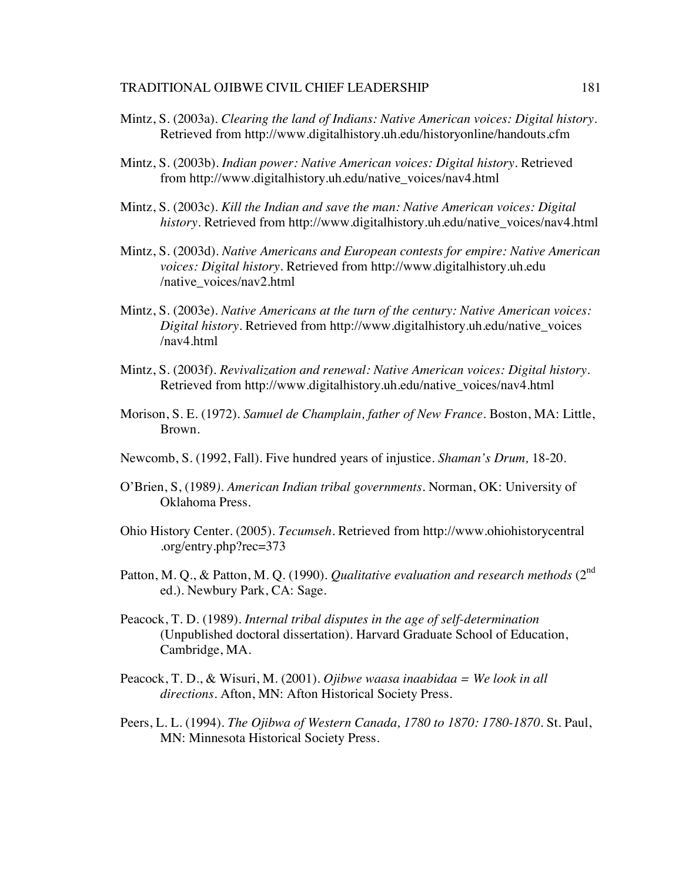- Mintz, S. (2003a). *Clearing the land of Indians: Native American voices: Digital history.* Retrieved from http://www.digitalhistory.uh.edu/historyonline/handouts.cfm
- Mintz, S. (2003b). *Indian power: Native American voices: Digital history.* Retrieved from http://www.digitalhistory.uh.edu/native\_voices/nav4.html
- Mintz, S. (2003c). *Kill the Indian and save the man: Native American voices: Digital history.* Retrieved from http://www.digitalhistory.uh.edu/native\_voices/nav4.html
- Mintz, S. (2003d). *Native Americans and European contests for empire: Native American voices: Digital history.* Retrieved from http://www.digitalhistory.uh.edu /native\_voices/nav2.html
- Mintz, S. (2003e). *Native Americans at the turn of the century: Native American voices: Digital history.* Retrieved from http://www.digitalhistory.uh.edu/native\_voices /nav4.html
- Mintz, S. (2003f). *Revivalization and renewal: Native American voices: Digital history.* Retrieved from http://www.digitalhistory.uh.edu/native\_voices/nav4.html
- Morison, S. E. (1972). *Samuel de Champlain, father of New France*. Boston, MA: Little, Brown.
- Newcomb, S. (1992, Fall). Five hundred years of injustice. *Shaman's Drum,* 18-20.
- O'Brien, S, (1989*). American Indian tribal governments*. Norman, OK: University of Oklahoma Press.
- Ohio History Center. (2005). *Tecumseh.* Retrieved from http://www.ohiohistorycentral .org/entry.php?rec=373
- Patton, M. Q., & Patton, M. Q. (1990). *Qualitative evaluation and research methods* (2<sup>nd</sup> ed.). Newbury Park, CA: Sage.
- Peacock, T. D. (1989). *Internal tribal disputes in the age of self-determination*  (Unpublished doctoral dissertation). Harvard Graduate School of Education, Cambridge, MA.
- Peacock, T. D., & Wisuri, M. (2001). *Ojibwe waasa inaabidaa = We look in all directions*. Afton, MN: Afton Historical Society Press.
- Peers, L. L. (1994). *The Ojibwa of Western Canada, 1780 to 1870: 1780-1870.* St. Paul, MN: Minnesota Historical Society Press.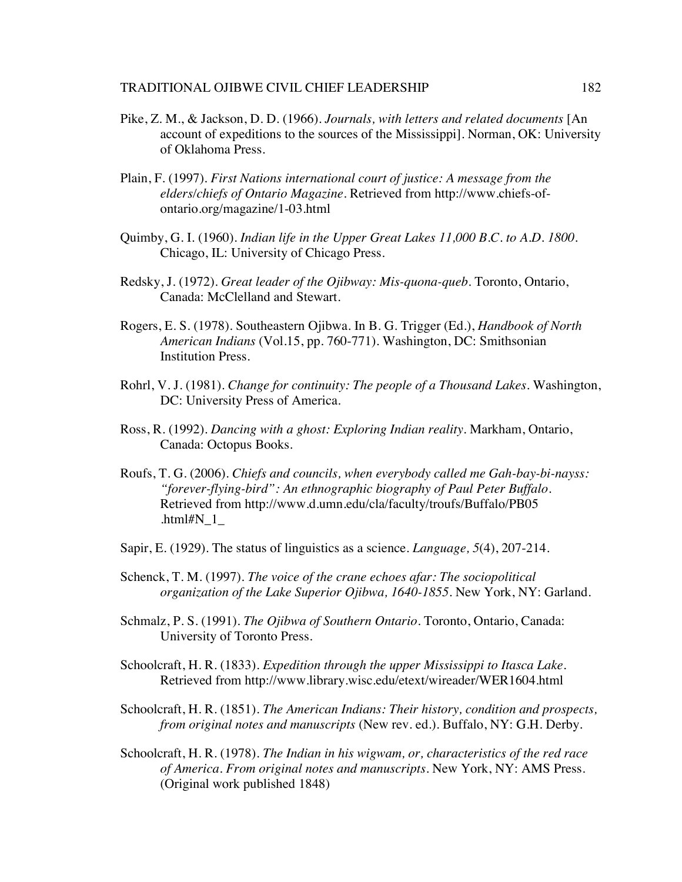- Pike, Z. M., & Jackson, D. D. (1966). *Journals, with letters and related documents* [An account of expeditions to the sources of the Mississippi]. Norman, OK: University of Oklahoma Press.
- Plain, F. (1997). *First Nations international court of justice: A message from the elders/chiefs of Ontario Magazine.* Retrieved from http://www.chiefs-ofontario.org/magazine/1-03.html
- Quimby, G. I. (1960). *Indian life in the Upper Great Lakes 11,000 B.C. to A.D. 1800*. Chicago, IL: University of Chicago Press.
- Redsky, J. (1972). *Great leader of the Ojibway: Mis-quona-queb*. Toronto, Ontario, Canada: McClelland and Stewart.
- Rogers, E. S. (1978). Southeastern Ojibwa. In B. G. Trigger (Ed.), *Handbook of North American Indians* (Vol.15, pp. 760-771). Washington, DC: Smithsonian Institution Press.
- Rohrl, V. J. (1981). *Change for continuity: The people of a Thousand Lakes.* Washington, DC: University Press of America.
- Ross, R. (1992). *Dancing with a ghost: Exploring Indian reality*. Markham, Ontario, Canada: Octopus Books.
- Roufs, T. G. (2006). *Chiefs and councils, when everybody called me Gah-bay-bi-nayss: "forever-flying-bird": An ethnographic biography of Paul Peter Buffalo.* Retrieved from http://www.d.umn.edu/cla/faculty/troufs/Buffalo/PB05 .html# $N<sub>1</sub>$
- Sapir, E. (1929). The status of linguistics as a science. *Language, 5*(4), 207-214.
- Schenck, T. M. (1997). *The voice of the crane echoes afar: The sociopolitical organization of the Lake Superior Ojibwa, 1640-1855*. New York, NY: Garland.
- Schmalz, P. S. (1991). *The Ojibwa of Southern Ontario*. Toronto, Ontario, Canada: University of Toronto Press.
- Schoolcraft, H. R. (1833). *Expedition through the upper Mississippi to Itasca Lake.* Retrieved from http://www.library.wisc.edu/etext/wireader/WER1604.html
- Schoolcraft, H. R. (1851). *The American Indians: Their history, condition and prospects, from original notes and manuscripts* (New rev. ed.). Buffalo, NY: G.H. Derby.
- Schoolcraft, H. R. (1978). *The Indian in his wigwam, or, characteristics of the red race of America. From original notes and manuscripts*. New York, NY: AMS Press. (Original work published 1848)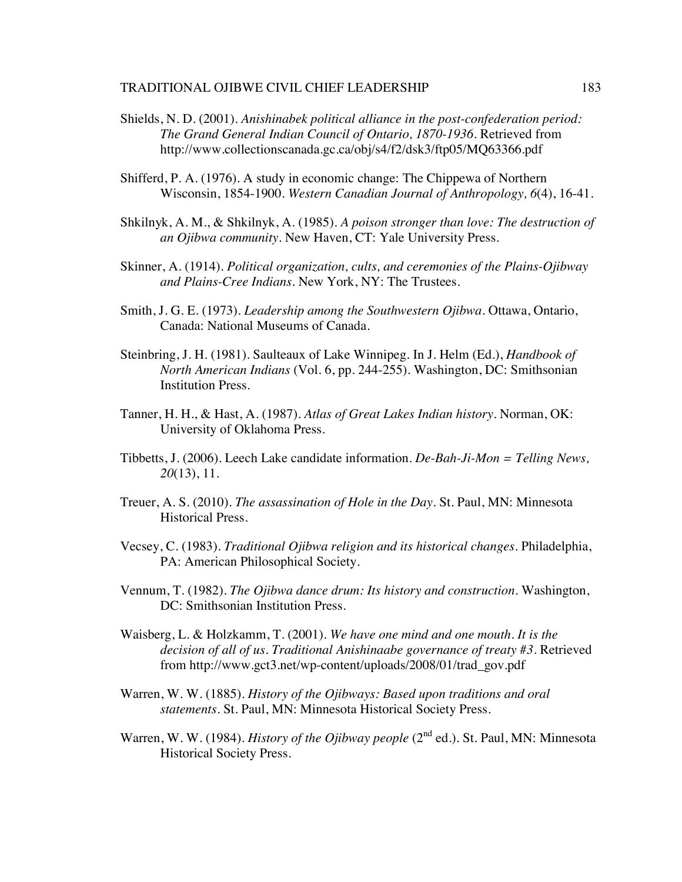- Shields, N. D. (2001). *Anishinabek political alliance in the post-confederation period: The Grand General Indian Council of Ontario, 1870-1936.* Retrieved from http://www.collectionscanada.gc.ca/obj/s4/f2/dsk3/ftp05/MQ63366.pdf
- Shifferd, P. A. (1976). A study in economic change: The Chippewa of Northern Wisconsin, 1854-1900. *Western Canadian Journal of Anthropology, 6*(4), 16-41.
- Shkilnyk, A. M., & Shkilnyk, A. (1985). *A poison stronger than love: The destruction of an Ojibwa community.* New Haven, CT: Yale University Press.
- Skinner, A. (1914). *Political organization, cults, and ceremonies of the Plains-Ojibway and Plains-Cree Indians*. New York, NY: The Trustees.
- Smith, J. G. E. (1973). *Leadership among the Southwestern Ojibwa*. Ottawa, Ontario, Canada: National Museums of Canada.
- Steinbring, J. H. (1981). Saulteaux of Lake Winnipeg. In J. Helm (Ed.), *Handbook of North American Indians* (Vol. 6, pp. 244-255). Washington, DC: Smithsonian Institution Press.
- Tanner, H. H., & Hast, A. (1987). *Atlas of Great Lakes Indian history*. Norman, OK: University of Oklahoma Press.
- Tibbetts, J. (2006). Leech Lake candidate information. *De-Bah-Ji-Mon = Telling News, 20*(13), 11.
- Treuer, A. S. (2010). *The assassination of Hole in the Day*. St. Paul, MN: Minnesota Historical Press.
- Vecsey, C. (1983). *Traditional Ojibwa religion and its historical changes*. Philadelphia, PA: American Philosophical Society.
- Vennum, T. (1982). *The Ojibwa dance drum: Its history and construction*. Washington, DC: Smithsonian Institution Press.
- Waisberg, L. & Holzkamm, T. (2001). *We have one mind and one mouth. It is the decision of all of us. Traditional Anishinaabe governance of treaty #3.* Retrieved from http://www.gct3.net/wp-content/uploads/2008/01/trad\_gov.pdf
- Warren, W. W. (1885). *History of the Ojibways: Based upon traditions and oral statements*. St. Paul, MN: Minnesota Historical Society Press.
- Warren, W. W. (1984). *History of the Ojibway people* (2<sup>nd</sup> ed.). St. Paul, MN: Minnesota Historical Society Press.